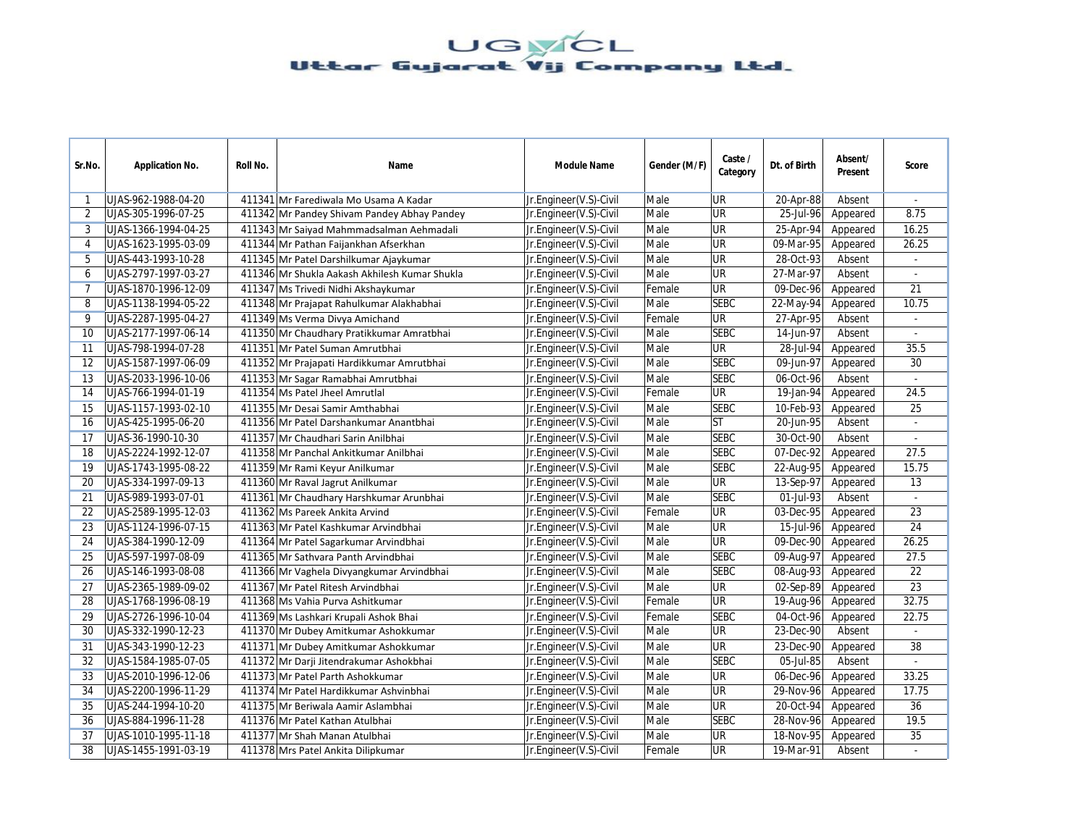| Sr.No.         | <b>Application No.</b> | Roll No. | Name                                          | <b>Module Name</b>     | Gender (M/F) | Caste /<br>Category | Dt. of Birth | Absent/<br>Present | <b>Score</b>             |
|----------------|------------------------|----------|-----------------------------------------------|------------------------|--------------|---------------------|--------------|--------------------|--------------------------|
| 1              | UJAS-962-1988-04-20    |          | 411341 Mr Farediwala Mo Usama A Kadar         | Jr.Engineer(V.S)-Civil | Male         | UR                  | 20-Apr-88    | Absent             | $\sim$                   |
| 2              | UJAS-305-1996-07-25    |          | 411342 Mr Pandey Shivam Pandey Abhay Pandey   | Jr.Engineer(V.S)-Civil | Male         | <b>UR</b>           | 25-Jul-96    | Appeared           | 8.75                     |
| 3              | UJAS-1366-1994-04-25   |          | 411343 Mr Saiyad Mahmmadsalman Aehmadali      | Jr.Engineer(V.S)-Civil | Male         | <b>UR</b>           | 25-Apr-94    | Appeared           | 16.25                    |
| $\overline{4}$ | UJAS-1623-1995-03-09   |          | 411344 Mr Pathan Faijankhan Afserkhan         | Jr.Engineer(V.S)-Civil | Male         | <b>UR</b>           | 09-Mar-95    | Appeared           | 26.25                    |
| 5              | UJAS-443-1993-10-28    |          | 411345 Mr Patel Darshilkumar Ajaykumar        | Jr.Engineer(V.S)-Civil | Male         | <b>UR</b>           | 28-Oct-93    | Absent             | $\blacksquare$           |
| 6              | UJAS-2797-1997-03-27   |          | 411346 Mr Shukla Aakash Akhilesh Kumar Shukla | Jr.Engineer(V.S)-Civil | Male         | <b>UR</b>           | 27-Mar-97    | Absent             | $\blacksquare$           |
| $\overline{7}$ | UJAS-1870-1996-12-09   |          | 411347 Ms Trivedi Nidhi Akshaykumar           | Jr.Engineer(V.S)-Civil | Female       | <b>UR</b>           | 09-Dec-96    | Appeared           | 21                       |
| 8              | UJAS-1138-1994-05-22   |          | 411348 Mr Prajapat Rahulkumar Alakhabhai      | Jr.Engineer(V.S)-Civil | Male         | <b>SEBC</b>         | 22-May-94    | Appeared           | 10.75                    |
| 9              | UJAS-2287-1995-04-27   |          | 411349 Ms Verma Divya Amichand                | Jr.Engineer(V.S)-Civil | Female       | <b>UR</b>           | 27-Apr-95    | Absent             |                          |
| 10             | UJAS-2177-1997-06-14   |          | 411350 Mr Chaudhary Pratikkumar Amratbhai     | Jr.Engineer(V.S)-Civil | Male         | <b>SEBC</b>         | 14-Jun-97    | Absent             | $\omega$                 |
| 11             | UJAS-798-1994-07-28    |          | 411351 Mr Patel Suman Amrutbhai               | Jr.Engineer(V.S)-Civil | Male         | <b>UR</b>           | 28-Jul-94    | Appeared           | 35.5                     |
| 12             | UJAS-1587-1997-06-09   |          | 411352 Mr Prajapati Hardikkumar Amrutbhai     | Jr.Engineer(V.S)-Civil | Male         | <b>SEBC</b>         | 09-Jun-97    | Appeared           | 30                       |
| 13             | UJAS-2033-1996-10-06   |          | 411353 Mr Sagar Ramabhai Amrutbhai            | Jr.Engineer(V.S)-Civil | Male         | <b>SEBC</b>         | 06-Oct-96    | Absent             | $\overline{\phantom{a}}$ |
| 14             | UJAS-766-1994-01-19    |          | 411354 Ms Patel Jheel Amrutlal                | Jr.Engineer(V.S)-Civil | Female       | <b>UR</b>           | 19-Jan-94    | Appeared           | 24.5                     |
| 15             | UJAS-1157-1993-02-10   |          | 411355 Mr Desai Samir Amthabhai               | Jr.Engineer(V.S)-Civil | Male         | <b>SEBC</b>         | 10-Feb-93    | Appeared           | 25                       |
| 16             | UJAS-425-1995-06-20    |          | 411356 Mr Patel Darshankumar Anantbhai        | Jr.Engineer(V.S)-Civil | Male         | <b>ST</b>           | 20-Jun-95    | Absent             |                          |
| 17             | UJAS-36-1990-10-30     |          | 411357 Mr Chaudhari Sarin Anilbhai            | Jr.Engineer(V.S)-Civil | Male         | <b>SEBC</b>         | 30-Oct-90    | Absent             | $\sim$                   |
| 18             | UJAS-2224-1992-12-07   |          | 411358 Mr Panchal Ankitkumar Anilbhai         | Jr.Engineer(V.S)-Civil | Male         | <b>SEBC</b>         | 07-Dec-92    | Appeared           | 27.5                     |
| 19             | UJAS-1743-1995-08-22   |          | 411359 Mr Rami Keyur Anilkumar                | Jr.Engineer(V.S)-Civil | Male         | <b>SEBC</b>         | 22-Aug-95    | Appeared           | 15.75                    |
| 20             | UJAS-334-1997-09-13    |          | 411360 Mr Raval Jagrut Anilkumar              | Jr.Engineer(V.S)-Civil | Male         | <b>UR</b>           | 13-Sep-97    | Appeared           | 13                       |
| 21             | UJAS-989-1993-07-01    |          | 411361 Mr Chaudhary Harshkumar Arunbhai       | Jr.Engineer(V.S)-Civil | Male         | <b>SEBC</b>         | 01-Jul-93    | Absent             |                          |
| 22             | UJAS-2589-1995-12-03   |          | 411362 Ms Pareek Ankita Arvind                | Jr.Engineer(V.S)-Civil | Female       | <b>UR</b>           | 03-Dec-95    | Appeared           | 23                       |
| 23             | UJAS-1124-1996-07-15   |          | 411363 Mr Patel Kashkumar Arvindbhai          | Jr.Engineer(V.S)-Civil | Male         | <b>UR</b>           | 15-Jul-96    | Appeared           | 24                       |
| 24             | UJAS-384-1990-12-09    |          | 411364 Mr Patel Sagarkumar Arvindbhai         | Jr.Engineer(V.S)-Civil | Male         | <b>UR</b>           | 09-Dec-90    | Appeared           | 26.25                    |
| 25             | UJAS-597-1997-08-09    |          | 411365 Mr Sathvara Panth Arvindbhai           | Jr.Engineer(V.S)-Civil | Male         | <b>SEBC</b>         | 09-Aug-97    | Appeared           | 27.5                     |
| 26             | UJAS-146-1993-08-08    |          | 411366 Mr Vaghela Divyangkumar Arvindbhai     | Jr.Engineer(V.S)-Civil | Male         | <b>SEBC</b>         | 08-Aug-93    | Appeared           | 22                       |
| 27             | UJAS-2365-1989-09-02   |          | 411367 Mr Patel Ritesh Arvindbhai             | Jr.Engineer(V.S)-Civil | Male         | <b>UR</b>           | 02-Sep-89    | Appeared           | 23                       |
| 28             | UJAS-1768-1996-08-19   |          | 411368 Ms Vahia Purva Ashitkumar              | Jr.Engineer(V.S)-Civil | Female       | <b>UR</b>           | 19-Aug-96    | Appeared           | 32.75                    |
| 29             | UJAS-2726-1996-10-04   |          | 411369 Ms Lashkari Krupali Ashok Bhai         | Jr.Engineer(V.S)-Civil | Female       | <b>SEBC</b>         | 04-Oct-96    | Appeared           | 22.75                    |
| 30             | UJAS-332-1990-12-23    |          | 411370 Mr Dubey Amitkumar Ashokkumar          | Jr.Engineer(V.S)-Civil | Male         | <b>UR</b>           | 23-Dec-90    | Absent             | $\mathcal{L}$            |
| 31             | UJAS-343-1990-12-23    |          | 411371 Mr Dubey Amitkumar Ashokkumar          | Jr.Engineer(V.S)-Civil | Male         | <b>UR</b>           | 23-Dec-90    | Appeared           | 38                       |
| 32             | UJAS-1584-1985-07-05   |          | 411372 Mr Darji Jitendrakumar Ashokbhai       | Jr.Engineer(V.S)-Civil | Male         | <b>SEBC</b>         | 05-Jul-85    | Absent             |                          |
| 33             | UJAS-2010-1996-12-06   |          | 411373 Mr Patel Parth Ashokkumar              | Jr.Engineer(V.S)-Civil | Male         | <b>UR</b>           | 06-Dec-96    | Appeared           | 33.25                    |
| 34             | UJAS-2200-1996-11-29   |          | 411374 Mr Patel Hardikkumar Ashvinbhai        | Jr.Engineer(V.S)-Civil | Male         | <b>UR</b>           | $29-Nov-96$  | Appeared           | 17.75                    |
| 35             | UJAS-244-1994-10-20    |          | 411375 Mr Beriwala Aamir Aslambhai            | Jr.Engineer(V.S)-Civil | Male         | <b>UR</b>           | 20-Oct-94    | Appeared           | 36                       |
| 36             | UJAS-884-1996-11-28    |          | 411376 Mr Patel Kathan Atulbhai               | Jr.Engineer(V.S)-Civil | Male         | <b>SEBC</b>         | 28-Nov-96    | Appeared           | 19.5                     |
| 37             | UJAS-1010-1995-11-18   |          | 411377 Mr Shah Manan Atulbhai                 | Jr.Engineer(V.S)-Civil | Male         | <b>UR</b>           | 18-Nov-95    | Appeared           | 35                       |
| 38             | UJAS-1455-1991-03-19   |          | 411378 Mrs Patel Ankita Dilipkumar            | Jr.Engineer(V.S)-Civil | Female       | <b>UR</b>           | 19-Mar-91    | Absent             |                          |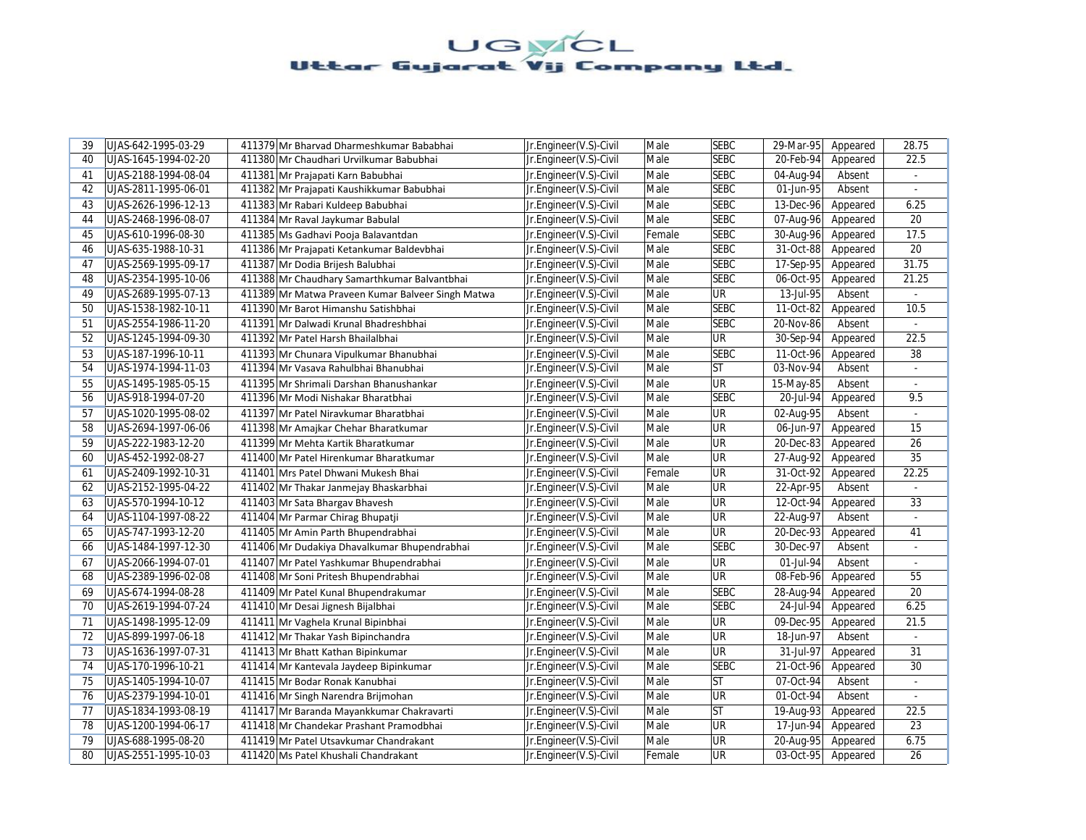| 39 | UJAS-642-1995-03-29  | 411379 Mr Bharvad Dharmeshkumar Bababhai          | Jr.Engineer(V.S)-Civil | Male   | <b>SEBC</b>              | 29-Mar-95               | Appeared | 28.75                       |
|----|----------------------|---------------------------------------------------|------------------------|--------|--------------------------|-------------------------|----------|-----------------------------|
| 40 | UJAS-1645-1994-02-20 | 411380 Mr Chaudhari Urvilkumar Babubhai           | Jr.Engineer(V.S)-Civil | Male   | <b>SEBC</b>              | 20-Feb-94               | Appeared | 22.5                        |
| 41 | UJAS-2188-1994-08-04 | 411381 Mr Prajapati Karn Babubhai                 | Jr.Engineer(V.S)-Civil | Male   | <b>SEBC</b>              | 04-Aug-94               | Absent   | ÷.                          |
| 42 | UJAS-2811-1995-06-01 | 411382 Mr Prajapati Kaushikkumar Babubhai         | Jr.Engineer(V.S)-Civil | Male   | <b>SEBC</b>              | 01-Jun-95               | Absent   |                             |
| 43 | UJAS-2626-1996-12-13 | 411383 Mr Rabari Kuldeep Babubhai                 | Jr.Engineer(V.S)-Civil | Male   | <b>SEBC</b>              | 13-Dec-96               | Appeared | 6.25                        |
| 44 | UJAS-2468-1996-08-07 | 411384 Mr Raval Jaykumar Babulal                  | Jr.Engineer(V.S)-Civil | Male   | <b>SEBC</b>              | 07-Aug-96               | Appeared | 20                          |
| 45 | UJAS-610-1996-08-30  | 411385 Ms Gadhavi Pooja Balavantdan               | Jr.Engineer(V.S)-Civil | Female | <b>SEBC</b>              | 30-Aug-96               | Appeared | 17.5                        |
| 46 | UJAS-635-1988-10-31  | 411386 Mr Prajapati Ketankumar Baldevbhai         | Jr.Engineer(V.S)-Civil | Male   | <b>SEBC</b>              | 31-Oct-88               | Appeared | 20                          |
| 47 | UJAS-2569-1995-09-17 | 411387 Mr Dodia Brijesh Balubhai                  | Jr.Engineer(V.S)-Civil | Male   | <b>SEBC</b>              | 17-Sep-95               | Appeared | 31.75                       |
| 48 | UJAS-2354-1995-10-06 | 411388 Mr Chaudhary Samarthkumar Balvantbhai      | Jr.Engineer(V.S)-Civil | Male   | <b>SEBC</b>              | 06-Oct-95               | Appeared | 21.25                       |
| 49 | UJAS-2689-1995-07-13 | 411389 Mr Matwa Praveen Kumar Balveer Singh Matwa | Jr.Engineer(V.S)-Civil | Male   | $\overline{\mathsf{UR}}$ | 13-Jul-95               | Absent   |                             |
| 50 | UJAS-1538-1982-10-11 | 411390 Mr Barot Himanshu Satishbhai               | Jr.Engineer(V.S)-Civil | Male   | <b>SEBC</b>              | 11-Oct-82               | Appeared | 10.5                        |
| 51 | UJAS-2554-1986-11-20 | 411391 Mr Dalwadi Krunal Bhadreshbhai             | Jr.Engineer(V.S)-Civil | Male   | <b>SEBC</b>              | 20-Nov-86               | Absent   |                             |
| 52 | UJAS-1245-1994-09-30 | 411392 Mr Patel Harsh Bhailalbhai                 | Jr.Engineer(V.S)-Civil | Male   | <b>UR</b>                | 30-Sep-94               | Appeared | 22.5                        |
| 53 | UJAS-187-1996-10-11  | 411393 Mr Chunara Vipulkumar Bhanubhai            | Jr.Engineer(V.S)-Civil | Male   | <b>SEBC</b>              | 11-Oct-96               | Appeared | 38                          |
| 54 | UJAS-1974-1994-11-03 | 411394 Mr Vasava Rahulbhai Bhanubhai              | Jr.Engineer(V.S)-Civil | Male   | <b>ST</b>                | 03-Nov-94               | Absent   | $\omega$                    |
| 55 | UJAS-1495-1985-05-15 | 411395 Mr Shrimali Darshan Bhanushankar           | Jr.Engineer(V.S)-Civil | Male   | UR                       | 15-May-85               | Absent   | $\omega$                    |
| 56 | UJAS-918-1994-07-20  | 411396 Mr Modi Nishakar Bharatbhai                | Jr.Engineer(V.S)-Civil | Male   | <b>SEBC</b>              | 20-Jul-94               | Appeared | 9.5                         |
| 57 | UJAS-1020-1995-08-02 | 411397 Mr Patel Niravkumar Bharatbhai             | Jr.Engineer(V.S)-Civil | Male   | <b>UR</b>                | 02-Aug-95               | Absent   |                             |
| 58 | UJAS-2694-1997-06-06 | 411398 Mr Amajkar Chehar Bharatkumar              | Jr.Engineer(V.S)-Civil | Male   | UR                       | 06-Jun-97               | Appeared | 15                          |
| 59 | UJAS-222-1983-12-20  | 411399 Mr Mehta Kartik Bharatkumar                | Jr.Engineer(V.S)-Civil | Male   | <b>UR</b>                | $\overline{20}$ -Dec-83 | Appeared | 26                          |
| 60 | UJAS-452-1992-08-27  | 411400 Mr Patel Hirenkumar Bharatkumar            | Jr.Engineer(V.S)-Civil | Male   | UR                       | 27-Aug-92               | Appeared | 35                          |
| 61 | UJAS-2409-1992-10-31 | 411401 Mrs Patel Dhwani Mukesh Bhai               | Jr.Engineer(V.S)-Civil | Female | <b>UR</b>                | 31-Oct-92               | Appeared | 22.25                       |
| 62 | UJAS-2152-1995-04-22 | 411402 Mr Thakar Janmejay Bhaskarbhai             | Jr.Engineer(V.S)-Civil | Male   | UR                       | 22-Apr-95               | Absent   |                             |
| 63 | UJAS-570-1994-10-12  | 411403 Mr Sata Bhargav Bhavesh                    | Jr.Engineer(V.S)-Civil | Male   | UR                       | 12-Oct-94               | Appeared | 33                          |
| 64 | UJAS-1104-1997-08-22 | 411404 Mr Parmar Chirag Bhupatji                  | Jr.Engineer(V.S)-Civil | Male   | UR                       | 22-Aug-97               | Absent   | ä,                          |
| 65 | UJAS-747-1993-12-20  | 411405 Mr Amin Parth Bhupendrabhai                | Jr.Engineer(V.S)-Civil | Male   | <b>UR</b>                | $20 - Dec - 93$         | Appeared | 41                          |
| 66 | UJAS-1484-1997-12-30 | 411406 Mr Dudakiya Dhavalkumar Bhupendrabhai      | Jr.Engineer(V.S)-Civil | Male   | <b>SEBC</b>              | 30-Dec-97               | Absent   |                             |
| 67 | UJAS-2066-1994-07-01 | 411407 Mr Patel Yashkumar Bhupendrabhai           | Jr.Engineer(V.S)-Civil | Male   | <b>UR</b>                | 01-Jul-94               | Absent   | ÷                           |
| 68 | UJAS-2389-1996-02-08 | 411408 Mr Soni Pritesh Bhupendrabhai              | Jr.Engineer(V.S)-Civil | Male   | UR                       | 08-Feb-96               | Appeared | 55                          |
| 69 | UJAS-674-1994-08-28  | 411409 Mr Patel Kunal Bhupendrakumar              | Jr.Engineer(V.S)-Civil | Male   | <b>SEBC</b>              | 28-Aug-94               | Appeared | 20                          |
| 70 | UJAS-2619-1994-07-24 | 411410 Mr Desai Jignesh Bijalbhai                 | Jr.Engineer(V.S)-Civil | Male   | <b>SEBC</b>              | 24-Jul-94               | Appeared | 6.25                        |
| 71 | UJAS-1498-1995-12-09 | 411411 Mr Vaghela Krunal Bipinbhai                | Jr.Engineer(V.S)-Civil | Male   | UR                       | 09-Dec-95               | Appeared | 21.5                        |
| 72 | UJAS-899-1997-06-18  | 411412 Mr Thakar Yash Bipinchandra                | Jr.Engineer(V.S)-Civil | Male   | <b>UR</b>                | 18-Jun-97               | Absent   | $\mathcal{L}^{\mathcal{L}}$ |
| 73 | UJAS-1636-1997-07-31 | 411413 Mr Bhatt Kathan Bipinkumar                 | Jr.Engineer(V.S)-Civil | Male   | UR                       | 31-Jul-97               | Appeared | 31                          |
| 74 | UJAS-170-1996-10-21  | 411414 Mr Kantevala Jaydeep Bipinkumar            | Jr.Engineer(V.S)-Civil | Male   | <b>SEBC</b>              | 21-Oct-96               | Appeared | 30                          |
| 75 | UJAS-1405-1994-10-07 | 411415 Mr Bodar Ronak Kanubhai                    | Jr.Engineer(V.S)-Civil | Male   | <b>ST</b>                | 07-Oct-94               | Absent   |                             |
| 76 | UJAS-2379-1994-10-01 | 411416 Mr Singh Narendra Brijmohan                | Jr.Engineer(V.S)-Civil | Male   | UR                       | 01-Oct-94               | Absent   | ÷                           |
| 77 | UJAS-1834-1993-08-19 | 411417 Mr Baranda Mayankkumar Chakravarti         | Jr.Engineer(V.S)-Civil | Male   | <b>ST</b>                | 19-Aug-93               | Appeared | 22.5                        |
| 78 | UJAS-1200-1994-06-17 | 411418 Mr Chandekar Prashant Pramodbhai           | Jr.Engineer(V.S)-Civil | Male   | <b>UR</b>                | 17-Jun-94               | Appeared | 23                          |
| 79 | UJAS-688-1995-08-20  | 411419 Mr Patel Utsavkumar Chandrakant            | Jr.Engineer(V.S)-Civil | Male   | UR                       | 20-Aug-95               | Appeared | 6.75                        |
| 80 | UJAS-2551-1995-10-03 | 411420 Ms Patel Khushali Chandrakant              | Jr.Engineer(V.S)-Civil | Female | UR                       | 03-Oct-95               | Appeared | 26                          |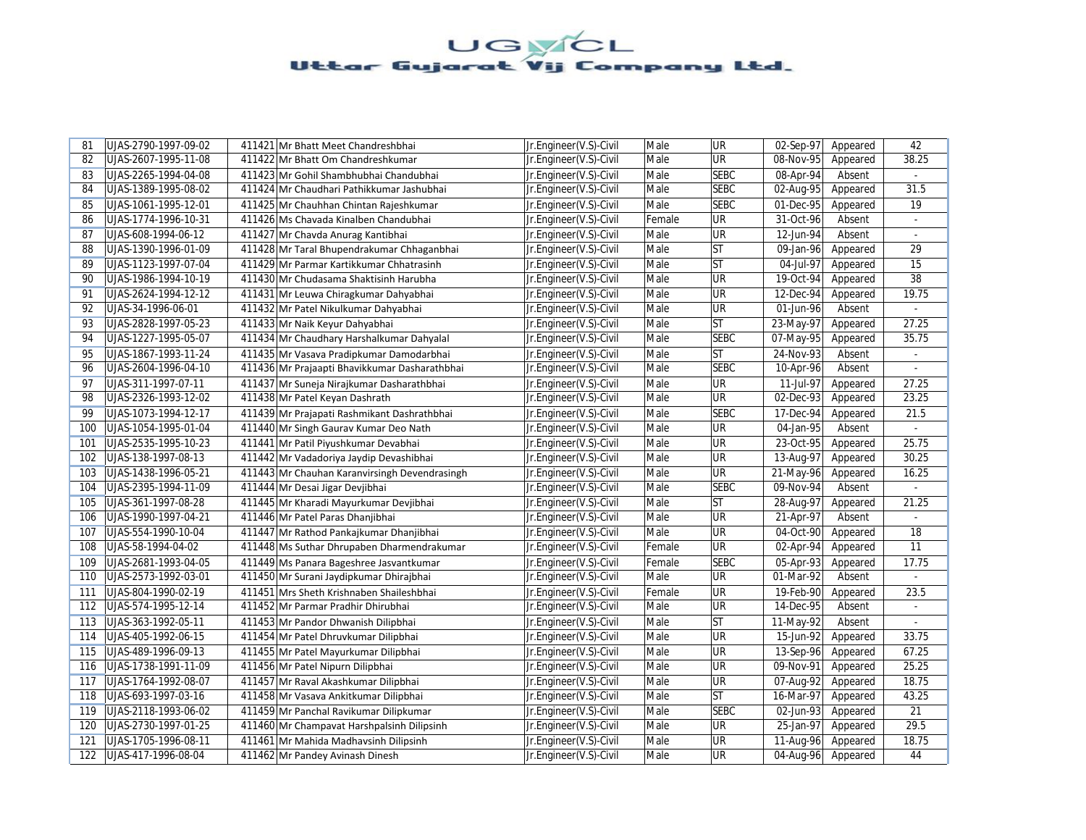| 81  | UJAS-2790-1997-09-02 | 411421 Mr Bhatt Meet Chandreshbhai            | Jr.Engineer(V.S)-Civil | Male   | UR          | 02-Sep-97               | Appeared | 42             |
|-----|----------------------|-----------------------------------------------|------------------------|--------|-------------|-------------------------|----------|----------------|
| 82  | UJAS-2607-1995-11-08 | 411422 Mr Bhatt Om Chandreshkumar             | Jr.Engineer(V.S)-Civil | Male   | UR          | 08-Nov-95               | Appeared | 38.25          |
| 83  | UJAS-2265-1994-04-08 | 411423 Mr Gohil Shambhubhai Chandubhai        | Jr.Engineer(V.S)-Civil | Male   | <b>SEBC</b> | 08-Apr-94               | Absent   | $\sim$         |
| 84  | UJAS-1389-1995-08-02 | 411424 Mr Chaudhari Pathikkumar Jashubhai     | Jr.Engineer(V.S)-Civil | Male   | <b>SEBC</b> | 02-Aug-95               | Appeared | 31.5           |
| 85  | UJAS-1061-1995-12-01 | 411425 Mr Chauhhan Chintan Rajeshkumar        | Jr.Engineer(V.S)-Civil | Male   | <b>SEBC</b> | 01-Dec-95               | Appeared | 19             |
| 86  | UJAS-1774-1996-10-31 | 411426 Ms Chavada Kinalben Chandubhai         | Jr.Engineer(V.S)-Civil | Female | UR          | 31-Oct-96               | Absent   |                |
| 87  | UJAS-608-1994-06-12  | 411427 Mr Chavda Anurag Kantibhai             | Jr.Engineer(V.S)-Civil | Male   | <b>UR</b>   | 12-Jun-94               | Absent   | ÷.             |
| 88  | UJAS-1390-1996-01-09 | 411428 Mr Taral Bhupendrakumar Chhaganbhai    | Jr.Engineer(V.S)-Civil | Male   | <b>ST</b>   | 09-Jan-96               | Appeared | 29             |
| 89  | UJAS-1123-1997-07-04 | 411429 Mr Parmar Kartikkumar Chhatrasinh      | Jr.Engineer(V.S)-Civil | Male   | <b>ST</b>   | 04-Jul-97               | Appeared | 15             |
| 90  | UJAS-1986-1994-10-19 | 411430 Mr Chudasama Shaktisinh Harubha        | Jr.Engineer(V.S)-Civil | Male   | UR          | 19-Oct-94               | Appeared | 38             |
| 91  | UJAS-2624-1994-12-12 | 411431 Mr Leuwa Chiragkumar Dahyabhai         | Jr.Engineer(V.S)-Civil | Male   | UR          | 12-Dec-94               | Appeared | 19.75          |
| 92  | UJAS-34-1996-06-01   | 411432 Mr Patel Nikulkumar Dahyabhai          | Jr.Engineer(V.S)-Civil | Male   | UR          | 01-Jun-96               | Absent   | $\mathcal{L}$  |
| 93  | UJAS-2828-1997-05-23 | 411433 Mr Naik Keyur Dahyabhai                | Jr.Engineer(V.S)-Civil | Male   | <b>ST</b>   | 23-May-97               | Appeared | 27.25          |
| 94  | UJAS-1227-1995-05-07 | 411434 Mr Chaudhary Harshalkumar Dahyalal     | Jr.Engineer(V.S)-Civil | Male   | <b>SEBC</b> | 07-May-95               | Appeared | 35.75          |
| 95  | UJAS-1867-1993-11-24 | 411435 Mr Vasava Pradipkumar Damodarbhai      | Jr.Engineer(V.S)-Civil | Male   | <b>ST</b>   | 24-Nov-93               | Absent   |                |
| 96  | UJAS-2604-1996-04-10 | 411436 Mr Prajaapti Bhavikkumar Dasharathbhai | Jr.Engineer(V.S)-Civil | Male   | <b>SEBC</b> | 10-Apr-96               | Absent   | $\omega$       |
| 97  | UJAS-311-1997-07-11  | 411437 Mr Suneja Nirajkumar Dasharathbhai     | Jr.Engineer(V.S)-Civil | Male   | UR          | 11-Jul-97               | Appeared | 27.25          |
| 98  | UJAS-2326-1993-12-02 | 411438 Mr Patel Keyan Dashrath                | Jr.Engineer(V.S)-Civil | Male   | UR          | 02-Dec-93               | Appeared | 23.25          |
| 99  | UJAS-1073-1994-12-17 | 411439 Mr Prajapati Rashmikant Dashrathbhai   | Jr.Engineer(V.S)-Civil | Male   | <b>SEBC</b> | 17-Dec-94               | Appeared | 21.5           |
| 100 | UJAS-1054-1995-01-04 | 411440 Mr Singh Gaurav Kumar Deo Nath         | Jr.Engineer(V.S)-Civil | Male   | UR          | 04-Jan-95               | Absent   | $\overline{a}$ |
| 101 | UJAS-2535-1995-10-23 | 411441 Mr Patil Piyushkumar Devabhai          | Jr.Engineer(V.S)-Civil | Male   | UR          | 23-Oct-95               | Appeared | 25.75          |
| 102 | UJAS-138-1997-08-13  | 411442 Mr Vadadoriya Jaydip Devashibhai       | Jr.Engineer(V.S)-Civil | Male   | UR          | 13-Aug-97               | Appeared | 30.25          |
| 103 | UJAS-1438-1996-05-21 | 411443 Mr Chauhan Karanvirsingh Devendrasingh | Jr.Engineer(V.S)-Civil | Male   | UR          | 21-May-96               | Appeared | 16.25          |
| 104 | UJAS-2395-1994-11-09 | 411444 Mr Desai Jigar Devjibhai               | Jr.Engineer(V.S)-Civil | Male   | <b>SEBC</b> | 09-Nov-94               | Absent   |                |
| 105 | UJAS-361-1997-08-28  | 411445 Mr Kharadi Mayurkumar Devjibhai        | Jr.Engineer(V.S)-Civil | Male   | <b>ST</b>   | 28-Aug-97               | Appeared | 21.25          |
| 106 | UJAS-1990-1997-04-21 | 411446 Mr Patel Paras Dhanjibhai              | Jr.Engineer(V.S)-Civil | Male   | UR          | 21-Apr-97               | Absent   |                |
| 107 | UJAS-554-1990-10-04  | 411447 Mr Rathod Pankajkumar Dhanjibhai       | Jr.Engineer(V.S)-Civil | Male   | UR          | 04-Oct-90               | Appeared | 18             |
| 108 | UJAS-58-1994-04-02   | 411448 Ms Suthar Dhrupaben Dharmendrakumar    | Jr.Engineer(V.S)-Civil | Female | UR          | 02-Apr-94               | Appeared | 11             |
| 109 | UJAS-2681-1993-04-05 | 411449 Ms Panara Bageshree Jasvantkumar       | Jr.Engineer(V.S)-Civil | Female | <b>SEBC</b> | 05-Apr-93               | Appeared | 17.75          |
| 110 | UJAS-2573-1992-03-01 | 411450 Mr Surani Jaydipkumar Dhirajbhai       | Jr.Engineer(V.S)-Civil | Male   | UR          | 01-Mar-92               | Absent   |                |
| 111 | UJAS-804-1990-02-19  | 411451 Mrs Sheth Krishnaben Shaileshbhai      | Jr.Engineer(V.S)-Civil | Female | UR          | 19-Feb-90               | Appeared | 23.5           |
| 112 | UJAS-574-1995-12-14  | 411452 Mr Parmar Pradhir Dhirubhai            | Jr.Engineer(V.S)-Civil | Male   | UR          | 14-Dec-95               | Absent   | $\blacksquare$ |
| 113 | UJAS-363-1992-05-11  | 411453 Mr Pandor Dhwanish Dilipbhai           | Jr.Engineer(V.S)-Civil | Male   | <b>ST</b>   | 11-May-92               | Absent   |                |
| 114 | UJAS-405-1992-06-15  | 411454 Mr Patel Dhruvkumar Dilipbhai          | Jr.Engineer(V.S)-Civil | Male   | UR          | 15-Jun-92               | Appeared | 33.75          |
| 115 | UJAS-489-1996-09-13  | 411455 Mr Patel Mayurkumar Dilipbhai          | Jr.Engineer(V.S)-Civil | Male   | UR          | 13-Sep-96               | Appeared | 67.25          |
| 116 | UJAS-1738-1991-11-09 | 411456 Mr Patel Nipurn Dilipbhai              | Jr.Engineer(V.S)-Civil | Male   | UR          | 09-Nov-91               | Appeared | 25.25          |
| 117 | UJAS-1764-1992-08-07 | 411457 Mr Raval Akashkumar Dilipbhai          | Jr.Engineer(V.S)-Civil | Male   | UR          | 07-Aug-92               | Appeared | 18.75          |
| 118 | UJAS-693-1997-03-16  | 411458 Mr Vasava Ankitkumar Dilipbhai         | Jr.Engineer(V.S)-Civil | Male   | <b>ST</b>   | $\overline{16}$ -Mar-97 | Appeared | 43.25          |
| 119 | UJAS-2118-1993-06-02 | 411459 Mr Panchal Ravikumar Dilipkumar        | Jr.Engineer(V.S)-Civil | Male   | <b>SEBC</b> | 02-Jun-93               | Appeared | 21             |
| 120 | UJAS-2730-1997-01-25 | 411460 Mr Champavat Harshpalsinh Dilipsinh    | Jr.Engineer(V.S)-Civil | Male   | UR          | 25-Jan-97               | Appeared | 29.5           |
| 121 | UJAS-1705-1996-08-11 | 411461 Mr Mahida Madhavsinh Dilipsinh         | Jr.Engineer(V.S)-Civil | Male   | UR          | 11-Aug-96               | Appeared | 18.75          |
| 122 | UJAS-417-1996-08-04  | 411462 Mr Pandey Avinash Dinesh               | Jr.Engineer(V.S)-Civil | Male   | UR          | 04-Aug-96               | Appeared | 44             |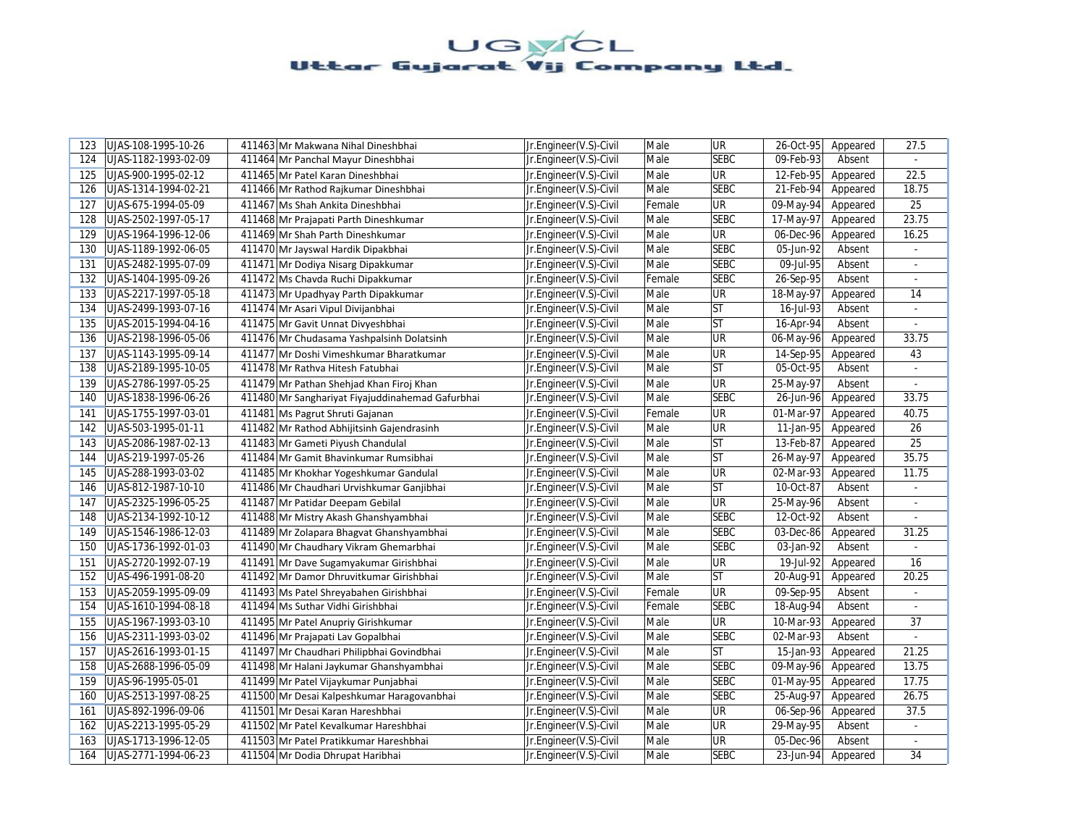| 123 | UJAS-108-1995-10-26  | 411463 Mr Makwana Nihal Dineshbhai               | Jr.Engineer(V.S)-Civil | Male   | <b>UR</b>   | 26-Oct-95               | Appeared | 27.5                        |
|-----|----------------------|--------------------------------------------------|------------------------|--------|-------------|-------------------------|----------|-----------------------------|
| 124 | UJAS-1182-1993-02-09 | 411464 Mr Panchal Mayur Dineshbhai               | Jr.Engineer(V.S)-Civil | Male   | <b>SEBC</b> | 09-Feb-93               | Absent   |                             |
| 125 | UJAS-900-1995-02-12  | 411465 Mr Patel Karan Dineshbhai                 | Jr.Engineer(V.S)-Civil | Male   | <b>UR</b>   | 12-Feb-95               | Appeared | 22.5                        |
| 126 | UJAS-1314-1994-02-21 | 411466 Mr Rathod Rajkumar Dineshbhai             | Jr.Engineer(V.S)-Civil | Male   | <b>SEBC</b> | 21-Feb-94               | Appeared | 18.75                       |
| 127 | UJAS-675-1994-05-09  | 411467 Ms Shah Ankita Dineshbhai                 | Jr.Engineer(V.S)-Civil | Female | <b>UR</b>   | 09-May-94               | Appeared | 25                          |
| 128 | UJAS-2502-1997-05-17 | 411468 Mr Prajapati Parth Dineshkumar            | Jr.Engineer(V.S)-Civil | Male   | <b>SEBC</b> | 17-May-97               | Appeared | 23.75                       |
| 129 | UJAS-1964-1996-12-06 | 411469 Mr Shah Parth Dineshkumar                 | Jr.Engineer(V.S)-Civil | Male   | <b>UR</b>   | 06-Dec-96               | Appeared | 16.25                       |
| 130 | UJAS-1189-1992-06-05 | 411470 Mr Jayswal Hardik Dipakbhai               | Jr.Engineer(V.S)-Civil | Male   | <b>SEBC</b> | 05-Jun-92               | Absent   |                             |
| 131 | UJAS-2482-1995-07-09 | 411471 Mr Dodiya Nisarg Dipakkumar               | Jr.Engineer(V.S)-Civil | Male   | <b>SEBC</b> | 09-Jul-95               | Absent   | ä,                          |
| 132 | UJAS-1404-1995-09-26 | 411472 Ms Chavda Ruchi Dipakkumar                | Jr.Engineer(V.S)-Civil | Female | <b>SEBC</b> | 26-Sep-95               | Absent   |                             |
| 133 | UJAS-2217-1997-05-18 | 411473 Mr Upadhyay Parth Dipakkumar              | Jr.Engineer(V.S)-Civil | Male   | <b>UR</b>   | 18-May-97               | Appeared | 14                          |
| 134 | UJAS-2499-1993-07-16 | 411474 Mr Asari Vipul Divijanbhai                | Jr.Engineer(V.S)-Civil | Male   | lst         | 16-Jul-93               | Absent   | $\blacksquare$              |
| 135 | UJAS-2015-1994-04-16 | 411475 Mr Gavit Unnat Divyeshbhai                | Jr.Engineer(V.S)-Civil | Male   | ST          | 16-Apr-94               | Absent   |                             |
| 136 | UJAS-2198-1996-05-06 | 411476 Mr Chudasama Yashpalsinh Dolatsinh        | Jr.Engineer(V.S)-Civil | Male   | <b>UR</b>   | 06-May-96               | Appeared | 33.75                       |
| 137 | UJAS-1143-1995-09-14 | 411477 Mr Doshi Vimeshkumar Bharatkumar          | Jr.Engineer(V.S)-Civil | Male   | <b>UR</b>   | 14-Sep-95               | Appeared | 43                          |
| 138 | UJAS-2189-1995-10-05 | 411478 Mr Rathva Hitesh Fatubhai                 | Jr.Engineer(V.S)-Civil | Male   | <b>ST</b>   | 05-Oct-95               | Absent   | $\overline{a}$              |
| 139 | UJAS-2786-1997-05-25 | 411479 Mr Pathan Shehjad Khan Firoj Khan         | Jr.Engineer(V.S)-Civil | Male   | <b>UR</b>   | 25-May-97               | Absent   | $\blacksquare$              |
| 140 | UJAS-1838-1996-06-26 | 411480 Mr Sanghariyat Fiyajuddinahemad Gafurbhai | Jr.Engineer(V.S)-Civil | Male   | <b>SEBC</b> | 26-Jun-96               | Appeared | 33.75                       |
| 141 | UJAS-1755-1997-03-01 | 411481 Ms Pagrut Shruti Gajanan                  | Jr.Engineer(V.S)-Civil | Female | <b>UR</b>   | 01-Mar-97               | Appeared | 40.75                       |
| 142 | UJAS-503-1995-01-11  | 411482 Mr Rathod Abhijitsinh Gajendrasinh        | Jr.Engineer(V.S)-Civil | Male   | <b>UR</b>   | 11-Jan-95               | Appeared | 26                          |
| 143 | UJAS-2086-1987-02-13 | 411483 Mr Gameti Piyush Chandulal                | Jr.Engineer(V.S)-Civil | Male   | lst         | 13-Feb-87               | Appeared | 25                          |
| 144 | UJAS-219-1997-05-26  | 411484 Mr Gamit Bhavinkumar Rumsibhai            | Jr.Engineer(V.S)-Civil | Male   | <b>ST</b>   | 26-May-97               | Appeared | 35.75                       |
| 145 | UJAS-288-1993-03-02  | 411485 Mr Khokhar Yogeshkumar Gandulal           | Jr.Engineer(V.S)-Civil | Male   | <b>UR</b>   | 02-Mar-93               | Appeared | 11.75                       |
| 146 | UJAS-812-1987-10-10  | 411486 Mr Chaudhari Urvishkumar Ganjibhai        | Jr.Engineer(V.S)-Civil | Male   | lst         | 10-Oct-87               | Absent   |                             |
| 147 | UJAS-2325-1996-05-25 | 411487 Mr Patidar Deepam Gebilal                 | Jr.Engineer(V.S)-Civil | Male   | <b>UR</b>   | 25-May-96               | Absent   | $\mathcal{L}^{\mathcal{L}}$ |
| 148 | UJAS-2134-1992-10-12 | 411488 Mr Mistry Akash Ghanshyambhai             | Jr.Engineer(V.S)-Civil | Male   | <b>SEBC</b> | 12-Oct-92               | Absent   |                             |
| 149 | UJAS-1546-1986-12-03 | 411489 Mr Zolapara Bhagvat Ghanshyambhai         | Jr.Engineer(V.S)-Civil | Male   | <b>SEBC</b> | 03-Dec-86               | Appeared | 31.25                       |
| 150 | UJAS-1736-1992-01-03 | 411490 Mr Chaudhary Vikram Ghemarbhai            | Jr.Engineer(V.S)-Civil | Male   | <b>SEBC</b> | 03-Jan-92               | Absent   |                             |
| 151 | UJAS-2720-1992-07-19 | 411491 Mr Dave Sugamyakumar Girishbhai           | Jr.Engineer(V.S)-Civil | Male   | <b>UR</b>   | 19-Jul-92               | Appeared | 16                          |
| 152 | UJAS-496-1991-08-20  | 411492 Mr Damor Dhruvitkumar Girishbhai          | Jr.Engineer(V.S)-Civil | Male   | lst         | 20-Aug-91               | Appeared | 20.25                       |
| 153 | UJAS-2059-1995-09-09 | 411493 Ms Patel Shreyabahen Girishbhai           | Jr.Engineer(V.S)-Civil | Female | <b>UR</b>   | 09-Sep-95               | Absent   | ÷,                          |
| 154 | UJAS-1610-1994-08-18 | 411494 Ms Suthar Vidhi Girishbhai                | Jr.Engineer(V.S)-Civil | Female | <b>SEBC</b> | 18-Aug-94               | Absent   |                             |
| 155 | UJAS-1967-1993-03-10 | 411495 Mr Patel Anupriy Girishkumar              | Jr.Engineer(V.S)-Civil | Male   | <b>UR</b>   | 10-Mar-93               | Appeared | 37                          |
| 156 | UJAS-2311-1993-03-02 | 411496 Mr Prajapati Lav Gopalbhai                | Jr.Engineer(V.S)-Civil | Male   | <b>SEBC</b> | 02-Mar-93               | Absent   | ä,                          |
| 157 | UJAS-2616-1993-01-15 | 411497 Mr Chaudhari Philipbhai Govindbhai        | Jr.Engineer(V.S)-Civil | Male   | <b>ST</b>   | 15-Jan-93               | Appeared | 21.25                       |
| 158 | UJAS-2688-1996-05-09 | 411498 Mr Halani Jaykumar Ghanshyambhai          | Jr.Engineer(V.S)-Civil | Male   | <b>SEBC</b> | 09-May-96               | Appeared | 13.75                       |
| 159 | UJAS-96-1995-05-01   | 411499 Mr Patel Vijaykumar Punjabhai             | Jr.Engineer(V.S)-Civil | Male   | <b>SEBC</b> | 01-May-95               | Appeared | 17.75                       |
| 160 | UJAS-2513-1997-08-25 | 411500 Mr Desai Kalpeshkumar Haragovanbhai       | Jr.Engineer(V.S)-Civil | Male   | <b>SEBC</b> | $\overline{25}$ -Aug-97 | Appeared | 26.75                       |
| 161 | UJAS-892-1996-09-06  | 411501 Mr Desai Karan Hareshbhai                 | Jr.Engineer(V.S)-Civil | Male   | UR          | 06-Sep-96               | Appeared | 37.5                        |
| 162 | UJAS-2213-1995-05-29 | 411502 Mr Patel Kevalkumar Hareshbhai            | Jr.Engineer(V.S)-Civil | Male   | UR          | 29-May-95               | Absent   | ÷.                          |
| 163 | UJAS-1713-1996-12-05 | 411503 Mr Patel Pratikkumar Hareshbhai           | Jr.Engineer(V.S)-Civil | Male   | UR          | 05-Dec-96               | Absent   |                             |
| 164 | UJAS-2771-1994-06-23 | 411504 Mr Dodia Dhrupat Haribhai                 | Jr.Engineer(V.S)-Civil | Male   | <b>SEBC</b> | 23-Jun-94               | Appeared | 34                          |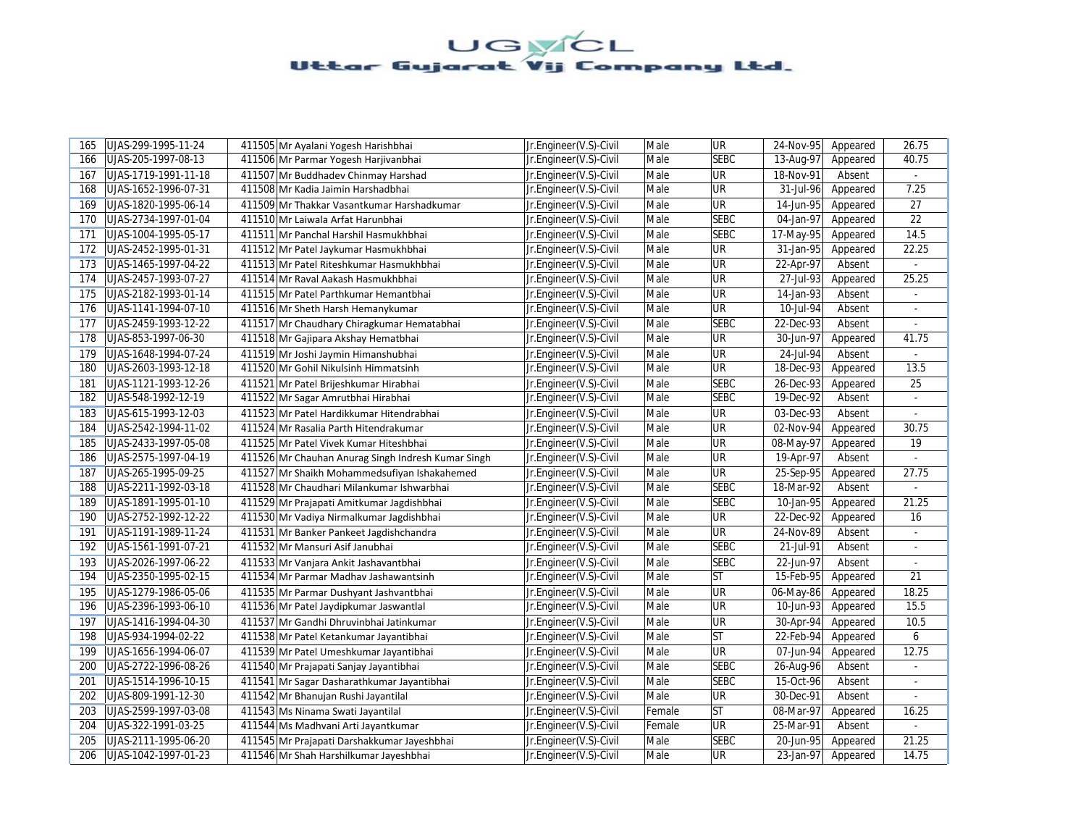| 165 | UJAS-299-1995-11-24  | 411505 Mr Ayalani Yogesh Harishbhai                | Jr.Engineer(V.S)-Civil | Male   | <b>UR</b>   | 24-Nov-95       | Appeared | 26.75          |
|-----|----------------------|----------------------------------------------------|------------------------|--------|-------------|-----------------|----------|----------------|
| 166 | UJAS-205-1997-08-13  | 411506 Mr Parmar Yogesh Harjivanbhai               | Jr.Engineer(V.S)-Civil | Male   | <b>SEBC</b> | 13-Aug-97       | Appeared | 40.75          |
| 167 | UJAS-1719-1991-11-18 | 411507 Mr Buddhadev Chinmay Harshad                | Jr.Engineer(V.S)-Civil | Male   | UR          | 18-Nov-91       | Absent   |                |
| 168 | UJAS-1652-1996-07-31 | 411508 Mr Kadia Jaimin Harshadbhai                 | Jr.Engineer(V.S)-Civil | Male   | UR          | 31-Jul-96       | Appeared | 7.25           |
| 169 | UJAS-1820-1995-06-14 | 411509 Mr Thakkar Vasantkumar Harshadkumar         | Jr.Engineer(V.S)-Civil | Male   | <b>UR</b>   | 14-Jun-95       | Appeared | 27             |
| 170 | UJAS-2734-1997-01-04 | 411510 Mr Laiwala Arfat Harunbhai                  | Jr.Engineer(V.S)-Civil | Male   | <b>SEBC</b> | 04-Jan-97       | Appeared | 22             |
| 171 | UJAS-1004-1995-05-17 | 411511 Mr Panchal Harshil Hasmukhbhai              | Jr.Engineer(V.S)-Civil | Male   | <b>SEBC</b> | 17-May-95       | Appeared | 14.5           |
| 172 | UJAS-2452-1995-01-31 | 411512 Mr Patel Jaykumar Hasmukhbhai               | Jr.Engineer(V.S)-Civil | Male   | UR          | 31-Jan-95       | Appeared | 22.25          |
| 173 | UJAS-1465-1997-04-22 | 411513 Mr Patel Riteshkumar Hasmukhbhai            | Jr.Engineer(V.S)-Civil | Male   | <b>UR</b>   | 22-Apr-97       | Absent   | $\mathbb{Z}^+$ |
| 174 | UJAS-2457-1993-07-27 | 411514 Mr Raval Aakash Hasmukhbhai                 | Jr.Engineer(V.S)-Civil | Male   | <b>UR</b>   | 27-Jul-93       | Appeared | 25.25          |
| 175 | UJAS-2182-1993-01-14 | 411515 Mr Patel Parthkumar Hemantbhai              | Jr.Engineer(V.S)-Civil | Male   | <b>UR</b>   | 14-Jan-93       | Absent   |                |
| 176 | UJAS-1141-1994-07-10 | 411516 Mr Sheth Harsh Hemanykumar                  | Jr.Engineer(V.S)-Civil | Male   | <b>UR</b>   | 10-Jul-94       | Absent   | $\blacksquare$ |
| 177 | UJAS-2459-1993-12-22 | 411517 Mr Chaudhary Chiragkumar Hematabhai         | Jr.Engineer(V.S)-Civil | Male   | <b>SEBC</b> | 22-Dec-93       | Absent   |                |
| 178 | UJAS-853-1997-06-30  | 411518 Mr Gajipara Akshay Hematbhai                | Jr.Engineer(V.S)-Civil | Male   | <b>UR</b>   | 30-Jun-97       | Appeared | 41.75          |
| 179 | UJAS-1648-1994-07-24 | 411519 Mr Joshi Jaymin Himanshubhai                | Jr.Engineer(V.S)-Civil | Male   | <b>UR</b>   | 24-Jul-94       | Absent   |                |
| 180 | UJAS-2603-1993-12-18 | 411520 Mr Gohil Nikulsinh Himmatsinh               | Jr.Engineer(V.S)-Civil | Male   | <b>UR</b>   | 18-Dec-93       | Appeared | 13.5           |
| 181 | UJAS-1121-1993-12-26 | 411521 Mr Patel Brijeshkumar Hirabhai              | Jr.Engineer(V.S)-Civil | Male   | <b>SEBC</b> | 26-Dec-93       | Appeared | 25             |
| 182 | UJAS-548-1992-12-19  | 411522 Mr Sagar Amrutbhai Hirabhai                 | Jr.Engineer(V.S)-Civil | Male   | <b>SEBC</b> | 19-Dec-92       | Absent   | ÷.             |
| 183 | UJAS-615-1993-12-03  | 411523 Mr Patel Hardikkumar Hitendrabhai           | Jr.Engineer(V.S)-Civil | Male   | <b>UR</b>   | 03-Dec-93       | Absent   |                |
| 184 | UJAS-2542-1994-11-02 | 411524 Mr Rasalia Parth Hitendrakumar              | Jr.Engineer(V.S)-Civil | Male   | <b>UR</b>   | 02-Nov-94       | Appeared | 30.75          |
| 185 | UJAS-2433-1997-05-08 | 411525 Mr Patel Vivek Kumar Hiteshbhai             | Jr.Engineer(V.S)-Civil | Male   | UR          | 08-May-97       | Appeared | 19             |
| 186 | UJAS-2575-1997-04-19 | 411526 Mr Chauhan Anurag Singh Indresh Kumar Singh | Jr.Engineer(V.S)-Civil | Male   | <b>UR</b>   | 19-Apr-97       | Absent   | ÷              |
| 187 | UJAS-265-1995-09-25  | 411527 Mr Shaikh Mohammedsufiyan Ishakahemed       | Jr.Engineer(V.S)-Civil | Male   | <b>UR</b>   | 25-Sep-95       | Appeared | 27.75          |
| 188 | UJAS-2211-1992-03-18 | 411528 Mr Chaudhari Milankumar Ishwarbhai          | Jr.Engineer(V.S)-Civil | Male   | <b>SEBC</b> | 18-Mar-92       | Absent   |                |
| 189 | UJAS-1891-1995-01-10 | 411529 Mr Prajapati Amitkumar Jagdishbhai          | Jr.Engineer(V.S)-Civil | Male   | <b>SEBC</b> | 10-Jan-95       | Appeared | 21.25          |
| 190 | UJAS-2752-1992-12-22 | 411530 Mr Vadiya Nirmalkumar Jagdishbhai           | Jr.Engineer(V.S)-Civil | Male   | UR          | 22-Dec-92       | Appeared | 16             |
| 191 | UJAS-1191-1989-11-24 | 411531 Mr Banker Pankeet Jagdishchandra            | Jr.Engineer(V.S)-Civil | Male   | <b>UR</b>   | 24-Nov-89       | Absent   | $\blacksquare$ |
| 192 | UJAS-1561-1991-07-21 | 411532 Mr Mansuri Asif Janubhai                    | Jr.Engineer(V.S)-Civil | Male   | <b>SEBC</b> | 21-Jul-91       | Absent   |                |
| 193 | UJAS-2026-1997-06-22 | 411533 Mr Vanjara Ankit Jashavantbhai              | Jr.Engineer(V.S)-Civil | Male   | <b>SEBC</b> | 22-Jun-97       | Absent   | ÷              |
| 194 | UJAS-2350-1995-02-15 | 411534 Mr Parmar Madhav Jashawantsinh              | Jr.Engineer(V.S)-Civil | Male   | <b>ST</b>   | 15-Feb-95       | Appeared | 21             |
| 195 | UJAS-1279-1986-05-06 | 411535 Mr Parmar Dushyant Jashvantbhai             | Jr.Engineer(V.S)-Civil | Male   | <b>UR</b>   | 06-May-86       | Appeared | 18.25          |
| 196 | UJAS-2396-1993-06-10 | 411536 Mr Patel Jaydipkumar Jaswantlal             | Jr.Engineer(V.S)-Civil | Male   | <b>UR</b>   | $10$ -Jun- $93$ | Appeared | 15.5           |
| 197 | UJAS-1416-1994-04-30 | 411537 Mr Gandhi Dhruvinbhai Jatinkumar            | Jr.Engineer(V.S)-Civil | Male   | UR          | 30-Apr-94       | Appeared | 10.5           |
| 198 | UJAS-934-1994-02-22  | 411538 Mr Patel Ketankumar Jayantibhai             | Jr.Engineer(V.S)-Civil | Male   | lst         | 22-Feb-94       | Appeared | 6              |
| 199 | UJAS-1656-1994-06-07 | 411539 Mr Patel Umeshkumar Jayantibhai             | Jr.Engineer(V.S)-Civil | Male   | <b>UR</b>   | 07-Jun-94       | Appeared | 12.75          |
| 200 | UJAS-2722-1996-08-26 | 411540 Mr Prajapati Sanjay Jayantibhai             | Jr.Engineer(V.S)-Civil | Male   | <b>SEBC</b> | 26-Aug-96       | Absent   | $\blacksquare$ |
| 201 | UJAS-1514-1996-10-15 | 411541 Mr Sagar Dasharathkumar Jayantibhai         | Jr.Engineer(V.S)-Civil | Male   | <b>SEBC</b> | 15-Oct-96       | Absent   |                |
| 202 | UJAS-809-1991-12-30  | 411542 Mr Bhanujan Rushi Jayantilal                | Jr.Engineer(V.S)-Civil | Male   | UR          | 30-Dec-91       | Absent   | $\overline{a}$ |
| 203 | UJAS-2599-1997-03-08 | 411543 Ms Ninama Swati Jayantilal                  | Jr.Engineer(V.S)-Civil | Female | ST          | 08-Mar-97       | Appeared | 16.25          |
| 204 | UJAS-322-1991-03-25  | 411544 Ms Madhvani Arti Jayantkumar                | Jr.Engineer(V.S)-Civil | Female | <b>UR</b>   | 25-Mar-91       | Absent   | ÷.             |
| 205 | UJAS-2111-1995-06-20 | 411545 Mr Prajapati Darshakkumar Jayeshbhai        | Jr.Engineer(V.S)-Civil | Male   | <b>SEBC</b> | 20-Jun-95       | Appeared | 21.25          |
| 206 | UJAS-1042-1997-01-23 | 411546 Mr Shah Harshilkumar Jayeshbhai             | Jr.Engineer(V.S)-Civil | Male   | <b>UR</b>   | 23-Jan-97       | Appeared | 14.75          |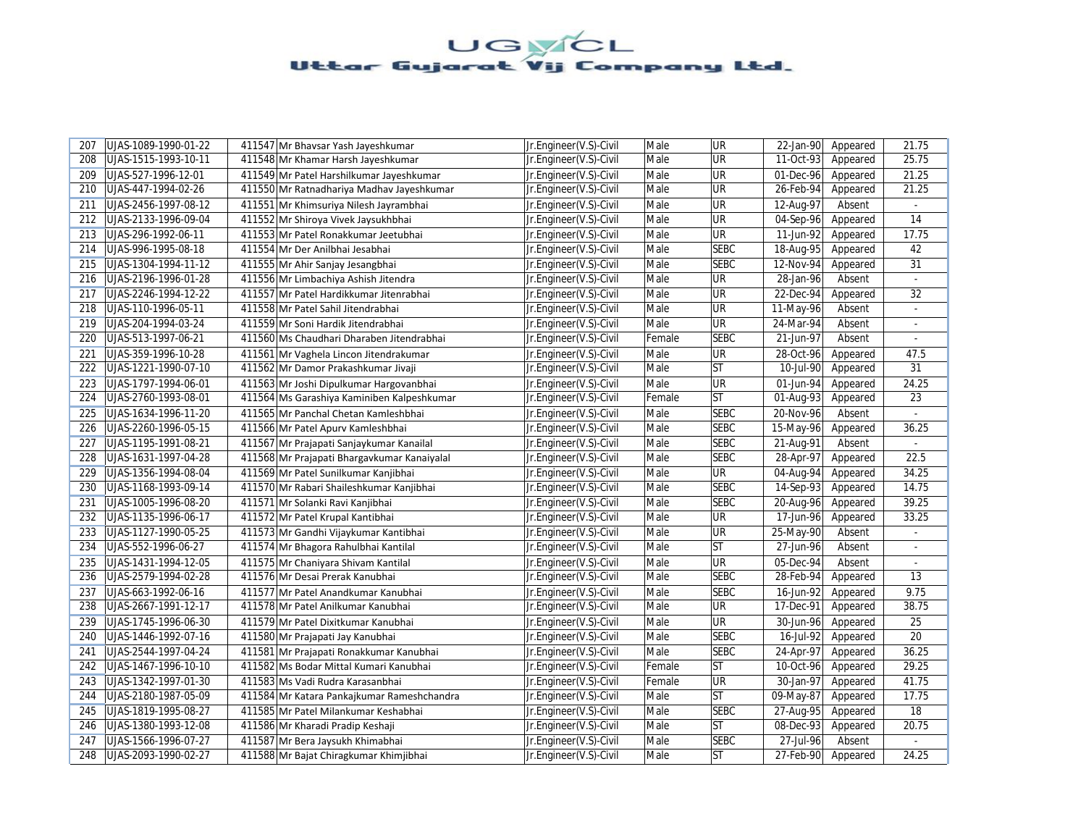| 207 | UJAS-1089-1990-01-22 | 411547 Mr Bhavsar Yash Jayeshkumar          | Jr.Engineer(V.S)-Civil | Male   | <b>UR</b>   | 22-Jan-90   | Appeared | 21.75          |
|-----|----------------------|---------------------------------------------|------------------------|--------|-------------|-------------|----------|----------------|
| 208 | UJAS-1515-1993-10-11 | 411548 Mr Khamar Harsh Jayeshkumar          | Jr.Engineer(V.S)-Civil | Male   | UR          | $11-0ct-93$ | Appeared | 25.75          |
| 209 | UJAS-527-1996-12-01  | 411549 Mr Patel Harshilkumar Jayeshkumar    | Jr.Engineer(V.S)-Civil | Male   | UR          | 01-Dec-96   | Appeared | 21.25          |
| 210 | UJAS-447-1994-02-26  | 411550 Mr Ratnadhariya Madhav Jayeshkumar   | Jr.Engineer(V.S)-Civil | Male   | UR          | 26-Feb-94   | Appeared | 21.25          |
| 211 | UJAS-2456-1997-08-12 | 411551 Mr Khimsuriya Nilesh Jayrambhai      | Jr.Engineer(V.S)-Civil | Male   | UR          | 12-Aug-97   | Absent   | $\blacksquare$ |
| 212 | UJAS-2133-1996-09-04 | 411552 Mr Shiroya Vivek Jaysukhbhai         | Jr.Engineer(V.S)-Civil | Male   | UR          | 04-Sep-96   | Appeared | 14             |
| 213 | UJAS-296-1992-06-11  | 411553 Mr Patel Ronakkumar Jeetubhai        | Jr.Engineer(V.S)-Civil | Male   | <b>UR</b>   | 11-Jun-92   | Appeared | 17.75          |
| 214 | UJAS-996-1995-08-18  | 411554 Mr Der Anilbhai Jesabhai             | Jr.Engineer(V.S)-Civil | Male   | <b>SEBC</b> | 18-Aug-95   | Appeared | 42             |
| 215 | UJAS-1304-1994-11-12 | 411555 Mr Ahir Sanjay Jesangbhai            | Jr.Engineer(V.S)-Civil | Male   | <b>SEBC</b> | 12-Nov-94   | Appeared | 31             |
| 216 | UJAS-2196-1996-01-28 | 411556 Mr Limbachiya Ashish Jitendra        | Jr.Engineer(V.S)-Civil | Male   | <b>UR</b>   | 28-Jan-96   | Absent   |                |
| 217 | UJAS-2246-1994-12-22 | 411557 Mr Patel Hardikkumar Jitenrabhai     | Jr.Engineer(V.S)-Civil | Male   | <b>UR</b>   | 22-Dec-94   | Appeared | 32             |
| 218 | UJAS-110-1996-05-11  | 411558 Mr Patel Sahil Jitendrabhai          | Jr.Engineer(V.S)-Civil | Male   | UR          | 11-May-96   | Absent   | $\blacksquare$ |
| 219 | UJAS-204-1994-03-24  | 411559 Mr Soni Hardik Jitendrabhai          | Jr.Engineer(V.S)-Civil | Male   | UR          | 24-Mar-94   | Absent   | $\sim$         |
| 220 | UJAS-513-1997-06-21  | 411560 Ms Chaudhari Dharaben Jitendrabhai   | Jr.Engineer(V.S)-Civil | Female | <b>SEBC</b> | 21-Jun-97   | Absent   | $\blacksquare$ |
| 221 | UJAS-359-1996-10-28  | 411561 Mr Vaghela Lincon Jitendrakumar      | Jr.Engineer(V.S)-Civil | Male   | UR          | 28-Oct-96   | Appeared | 47.5           |
| 222 | UJAS-1221-1990-07-10 | 411562 Mr Damor Prakashkumar Jivaji         | Jr.Engineer(V.S)-Civil | Male   | <b>ST</b>   | 10-Jul-90   | Appeared | 31             |
| 223 | UJAS-1797-1994-06-01 | 411563 Mr Joshi Dipulkumar Hargovanbhai     | Jr.Engineer(V.S)-Civil | Male   | <b>UR</b>   | 01-Jun-94   | Appeared | 24.25          |
| 224 | UJAS-2760-1993-08-01 | 411564 Ms Garashiya Kaminiben Kalpeshkumar  | Jr.Engineer(V.S)-Civil | Female | <b>ST</b>   | 01-Aug-93   | Appeared | 23             |
| 225 | UJAS-1634-1996-11-20 | 411565 Mr Panchal Chetan Kamleshbhai        | Jr.Engineer(V.S)-Civil | Male   | <b>SEBC</b> | 20-Nov-96   | Absent   |                |
| 226 | UJAS-2260-1996-05-15 | 411566 Mr Patel Apury Kamleshbhai           | Jr.Engineer(V.S)-Civil | Male   | <b>SEBC</b> | 15-May-96   | Appeared | 36.25          |
| 227 | UJAS-1195-1991-08-21 | 411567 Mr Prajapati Sanjaykumar Kanailal    | Jr.Engineer(V.S)-Civil | Male   | <b>SEBC</b> | 21-Aug-91   | Absent   |                |
| 228 | UJAS-1631-1997-04-28 | 411568 Mr Prajapati Bhargavkumar Kanaiyalal | Jr.Engineer(V.S)-Civil | Male   | <b>SEBC</b> | 28-Apr-97   | Appeared | 22.5           |
| 229 | UJAS-1356-1994-08-04 | 411569 Mr Patel Sunilkumar Kanjibhai        | Jr.Engineer(V.S)-Civil | Male   | <b>UR</b>   | 04-Aug-94   | Appeared | 34.25          |
| 230 | UJAS-1168-1993-09-14 | 411570 Mr Rabari Shaileshkumar Kanjibhai    | Jr.Engineer(V.S)-Civil | Male   | <b>SEBC</b> | 14-Sep-93   | Appeared | 14.75          |
| 231 | UJAS-1005-1996-08-20 | 411571 Mr Solanki Ravi Kanjibhai            | Jr.Engineer(V.S)-Civil | Male   | <b>SEBC</b> | 20-Aug-96   | Appeared | 39.25          |
| 232 | UJAS-1135-1996-06-17 | 411572 Mr Patel Krupal Kantibhai            | Jr.Engineer(V.S)-Civil | Male   | UR          | 17-Jun-96   | Appeared | 33.25          |
| 233 | UJAS-1127-1990-05-25 | 411573 Mr Gandhi Vijaykumar Kantibhai       | Jr.Engineer(V.S)-Civil | Male   | UR          | 25-May-90   | Absent   | $\blacksquare$ |
| 234 | UJAS-552-1996-06-27  | 411574 Mr Bhagora Rahulbhai Kantilal        | Jr.Engineer(V.S)-Civil | Male   | <b>ST</b>   | 27-Jun-96   | Absent   |                |
| 235 | UJAS-1431-1994-12-05 | 411575 Mr Chaniyara Shivam Kantilal         | Jr.Engineer(V.S)-Civil | Male   | <b>UR</b>   | 05-Dec-94   | Absent   |                |
| 236 | UJAS-2579-1994-02-28 | 411576 Mr Desai Prerak Kanubhai             | Jr.Engineer(V.S)-Civil | Male   | <b>SEBC</b> | 28-Feb-94   | Appeared | 13             |
| 237 | UJAS-663-1992-06-16  | 411577 Mr Patel Anandkumar Kanubhai         | Jr.Engineer(V.S)-Civil | Male   | <b>SEBC</b> | 16-Jun-92   | Appeared | 9.75           |
| 238 | UJAS-2667-1991-12-17 | 411578 Mr Patel Anilkumar Kanubhai          | Jr.Engineer(V.S)-Civil | Male   | <b>UR</b>   | 17-Dec-91   | Appeared | 38.75          |
| 239 | UJAS-1745-1996-06-30 | 411579 Mr Patel Dixitkumar Kanubhai         | Jr.Engineer(V.S)-Civil | Male   | UR          | 30-Jun-96   | Appeared | 25             |
| 240 | UJAS-1446-1992-07-16 | 411580 Mr Prajapati Jay Kanubhai            | Jr.Engineer(V.S)-Civil | Male   | <b>SEBC</b> | 16-Jul-92   | Appeared | 20             |
| 241 | UJAS-2544-1997-04-24 | 411581 Mr Prajapati Ronakkumar Kanubhai     | Jr.Engineer(V.S)-Civil | Male   | <b>SEBC</b> | 24-Apr-97   | Appeared | 36.25          |
| 242 | UJAS-1467-1996-10-10 | 411582 Ms Bodar Mittal Kumari Kanubhai      | Jr.Engineer(V.S)-Civil | Female | <b>ST</b>   | 10-Oct-96   | Appeared | 29.25          |
| 243 | UJAS-1342-1997-01-30 | 411583 Ms Vadi Rudra Karasanbhai            | Jr.Engineer(V.S)-Civil | Female | <b>UR</b>   | 30-Jan-97   | Appeared | 41.75          |
| 244 | UJAS-2180-1987-05-09 | 411584 Mr Katara Pankajkumar Rameshchandra  | Jr.Engineer(V.S)-Civil | Male   | <b>ST</b>   | 09-May-87   | Appeared | 17.75          |
| 245 | UJAS-1819-1995-08-27 | 411585 Mr Patel Milankumar Keshabhai        | Jr.Engineer(V.S)-Civil | Male   | <b>SEBC</b> | 27-Aug-95   | Appeared | 18             |
| 246 | UJAS-1380-1993-12-08 | 411586 Mr Kharadi Pradip Keshaji            | Jr.Engineer(V.S)-Civil | Male   | <b>ST</b>   | 08-Dec-93   | Appeared | 20.75          |
| 247 | UJAS-1566-1996-07-27 | 411587 Mr Bera Jaysukh Khimabhai            | Jr.Engineer(V.S)-Civil | Male   | <b>SEBC</b> | 27-Jul-96   | Absent   | $\blacksquare$ |
| 248 | UJAS-2093-1990-02-27 | 411588 Mr Bajat Chiragkumar Khimjibhai      | Jr.Engineer(V.S)-Civil | Male   | <b>ST</b>   | 27-Feb-90   | Appeared | 24.25          |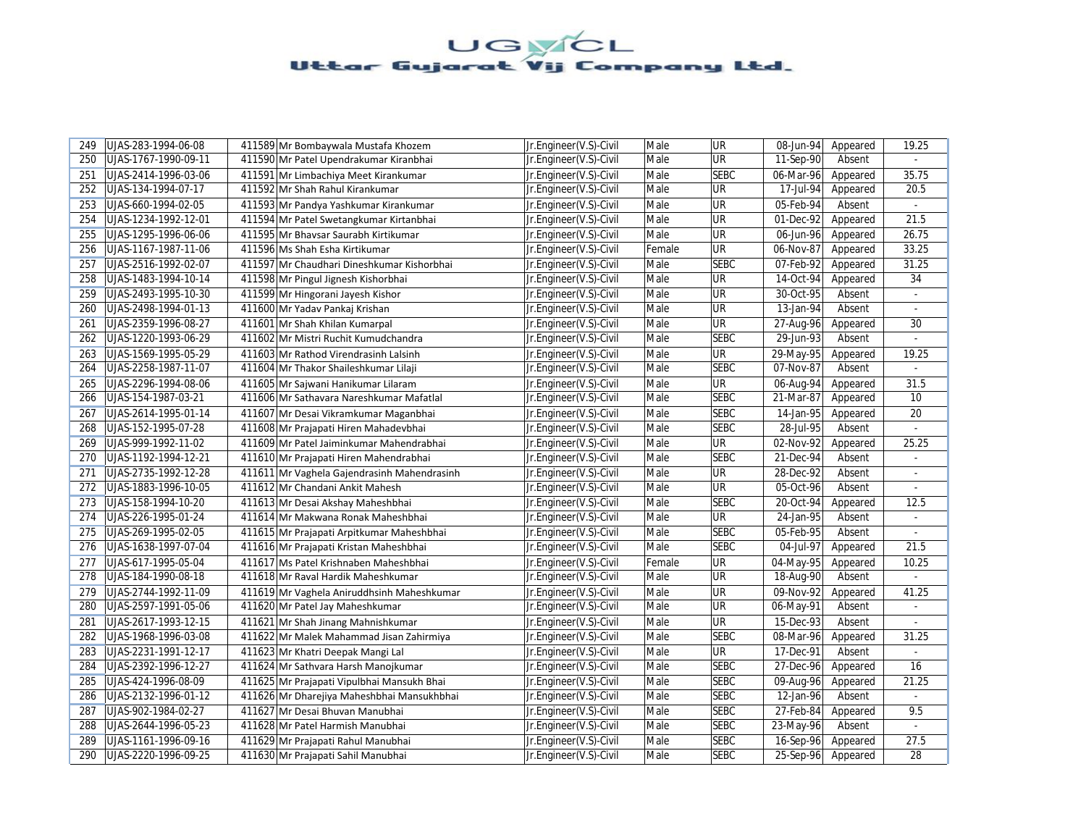| 249 | UJAS-283-1994-06-08  | 411589 Mr Bombaywala Mustafa Khozem         | Jr.Engineer(V.S)-Civil | Male   | <b>UR</b>   | 08-Jun-94               | Appeared | 19.25          |
|-----|----------------------|---------------------------------------------|------------------------|--------|-------------|-------------------------|----------|----------------|
| 250 | UJAS-1767-1990-09-11 | 411590 Mr Patel Upendrakumar Kiranbhai      | Jr.Engineer(V.S)-Civil | Male   | UR          | 11-Sep-90               | Absent   |                |
| 251 | UJAS-2414-1996-03-06 | 411591 Mr Limbachiya Meet Kirankumar        | Jr.Engineer(V.S)-Civil | Male   | <b>SEBC</b> | 06-Mar-96               | Appeared | 35.75          |
| 252 | UJAS-134-1994-07-17  | 411592 Mr Shah Rahul Kirankumar             | Jr.Engineer(V.S)-Civil | Male   | UR          | 17-Jul-94               | Appeared | 20.5           |
| 253 | UJAS-660-1994-02-05  | 411593 Mr Pandya Yashkumar Kirankumar       | Jr.Engineer(V.S)-Civil | Male   | UR          | 05-Feb-94               | Absent   | $\omega$       |
| 254 | UJAS-1234-1992-12-01 | 411594 Mr Patel Swetangkumar Kirtanbhai     | Jr.Engineer(V.S)-Civil | Male   | UR          | 01-Dec-92               | Appeared | 21.5           |
| 255 | UJAS-1295-1996-06-06 | 411595 Mr Bhavsar Saurabh Kirtikumar        | Jr.Engineer(V.S)-Civil | Male   | <b>UR</b>   | 06-Jun-96               | Appeared | 26.75          |
| 256 | UJAS-1167-1987-11-06 | 411596 Ms Shah Esha Kirtikumar              | Jr.Engineer(V.S)-Civil | Female | <b>UR</b>   | 06-Nov-87               | Appeared | 33.25          |
| 257 | UJAS-2516-1992-02-07 | 411597 Mr Chaudhari Dineshkumar Kishorbhai  | Jr.Engineer(V.S)-Civil | Male   | <b>SEBC</b> | 07-Feb-92               | Appeared | 31.25          |
| 258 | UJAS-1483-1994-10-14 | 411598 Mr Pingul Jignesh Kishorbhai         | Jr.Engineer(V.S)-Civil | Male   | <b>UR</b>   | 14-Oct-94               | Appeared | 34             |
| 259 | UJAS-2493-1995-10-30 | 411599 Mr Hingorani Jayesh Kishor           | Jr.Engineer(V.S)-Civil | Male   | UR          | $\overline{30}$ -Oct-95 | Absent   |                |
| 260 | UJAS-2498-1994-01-13 | 411600 Mr Yadav Pankaj Krishan              | Jr.Engineer(V.S)-Civil | Male   | UR          | 13-Jan-94               | Absent   | $\omega$       |
| 261 | UJAS-2359-1996-08-27 | 411601 Mr Shah Khilan Kumarpal              | Jr.Engineer(V.S)-Civil | Male   | UR          | 27-Aug-96               | Appeared | 30             |
| 262 | UJAS-1220-1993-06-29 | 411602 Mr Mistri Ruchit Kumudchandra        | Jr.Engineer(V.S)-Civil | Male   | <b>SEBC</b> | 29-Jun-93               | Absent   | ÷.             |
| 263 | UJAS-1569-1995-05-29 | 411603 Mr Rathod Virendrasinh Lalsinh       | Jr.Engineer(V.S)-Civil | Male   | UR          | 29-May-95               | Appeared | 19.25          |
| 264 | UJAS-2258-1987-11-07 | 411604 Mr Thakor Shaileshkumar Lilaji       | Jr.Engineer(V.S)-Civil | Male   | <b>SEBC</b> | 07-Nov-87               | Absent   | ÷.             |
| 265 | UJAS-2296-1994-08-06 | 411605 Mr Sajwani Hanikumar Lilaram         | Jr.Engineer(V.S)-Civil | Male   | <b>UR</b>   | 06-Aug-94               | Appeared | 31.5           |
| 266 | UJAS-154-1987-03-21  | 411606 Mr Sathavara Nareshkumar Mafatlal    | Jr.Engineer(V.S)-Civil | Male   | <b>SEBC</b> | 21-Mar-87               | Appeared | 10             |
| 267 | UJAS-2614-1995-01-14 | 411607 Mr Desai Vikramkumar Maganbhai       | Jr.Engineer(V.S)-Civil | Male   | <b>SEBC</b> | 14-Jan-95               | Appeared | 20             |
| 268 | UJAS-152-1995-07-28  | 411608 Mr Prajapati Hiren Mahadevbhai       | Jr.Engineer(V.S)-Civil | Male   | <b>SEBC</b> | 28-Jul-95               | Absent   |                |
| 269 | UJAS-999-1992-11-02  | 411609 Mr Patel Jaiminkumar Mahendrabhai    | Jr.Engineer(V.S)-Civil | Male   | UR          | 02-Nov-92               | Appeared | 25.25          |
| 270 | UJAS-1192-1994-12-21 | 411610 Mr Prajapati Hiren Mahendrabhai      | Jr.Engineer(V.S)-Civil | Male   | <b>SEBC</b> | 21-Dec-94               | Absent   |                |
| 271 | UJAS-2735-1992-12-28 | 411611 Mr Vaghela Gajendrasinh Mahendrasinh | Jr.Engineer(V.S)-Civil | Male   | UR          | 28-Dec-92               | Absent   | ÷              |
| 272 | UJAS-1883-1996-10-05 | 411612 Mr Chandani Ankit Mahesh             | Jr.Engineer(V.S)-Civil | Male   | UR          | 05-Oct-96               | Absent   |                |
| 273 | UJAS-158-1994-10-20  | 411613 Mr Desai Akshay Maheshbhai           | Jr.Engineer(V.S)-Civil | Male   | <b>SEBC</b> | 20-Oct-94               | Appeared | 12.5           |
| 274 | UJAS-226-1995-01-24  | 411614 Mr Makwana Ronak Maheshbhai          | Jr.Engineer(V.S)-Civil | Male   | <b>UR</b>   | 24-Jan-95               | Absent   | ÷.             |
| 275 | UJAS-269-1995-02-05  | 411615 Mr Prajapati Arpitkumar Maheshbhai   | Jr.Engineer(V.S)-Civil | Male   | <b>SEBC</b> | 05-Feb-95               | Absent   | $\omega$       |
| 276 | UJAS-1638-1997-07-04 | 411616 Mr Prajapati Kristan Maheshbhai      | Jr.Engineer(V.S)-Civil | Male   | <b>SEBC</b> | 04-Jul-97               | Appeared | 21.5           |
| 277 | UJAS-617-1995-05-04  | 411617 Ms Patel Krishnaben Maheshbhai       | Jr.Engineer(V.S)-Civil | Female | UR          | 04-May-95               | Appeared | 10.25          |
| 278 | UJAS-184-1990-08-18  | 411618 Mr Raval Hardik Maheshkumar          | Jr.Engineer(V.S)-Civil | Male   | UR          | 18-Aug-90               | Absent   |                |
| 279 | UJAS-2744-1992-11-09 | 411619 Mr Vaghela Aniruddhsinh Maheshkumar  | Jr.Engineer(V.S)-Civil | Male   | UR          | 09-Nov-92               | Appeared | 41.25          |
| 280 | UJAS-2597-1991-05-06 | 411620 Mr Patel Jay Maheshkumar             | Jr.Engineer(V.S)-Civil | Male   | UR          | 06-May-91               | Absent   |                |
| 281 | UJAS-2617-1993-12-15 | 411621 Mr Shah Jinang Mahnishkumar          | Jr.Engineer(V.S)-Civil | Male   | UR          | 15-Dec-93               | Absent   |                |
| 282 | UJAS-1968-1996-03-08 | 411622 Mr Malek Mahammad Jisan Zahirmiya    | Jr.Engineer(V.S)-Civil | Male   | <b>SEBC</b> | 08-Mar-96               | Appeared | 31.25          |
| 283 | UJAS-2231-1991-12-17 | 411623 Mr Khatri Deepak Mangi Lal           | Jr.Engineer(V.S)-Civil | Male   | <b>UR</b>   | 17-Dec-91               | Absent   |                |
| 284 | UJAS-2392-1996-12-27 | 411624 Mr Sathvara Harsh Manojkumar         | Jr.Engineer(V.S)-Civil | Male   | <b>SEBC</b> | 27-Dec-96               | Appeared | 16             |
| 285 | UJAS-424-1996-08-09  | 411625 Mr Prajapati Vipulbhai Mansukh Bhai  | Jr.Engineer(V.S)-Civil | Male   | <b>SEBC</b> | 09-Aug-96               | Appeared | 21.25          |
| 286 | UJAS-2132-1996-01-12 | 411626 Mr Dharejiya Maheshbhai Mansukhbhai  | Jr.Engineer(V.S)-Civil | Male   | <b>SEBC</b> | 12-Jan-96               | Absent   |                |
| 287 | UJAS-902-1984-02-27  | 411627 Mr Desai Bhuvan Manubhai             | Jr.Engineer(V.S)-Civil | Male   | <b>SEBC</b> | 27-Feb-84               | Appeared | 9.5            |
| 288 | UJAS-2644-1996-05-23 | 411628 Mr Patel Harmish Manubhai            | Jr.Engineer(V.S)-Civil | Male   | <b>SEBC</b> | 23-May-96               | Absent   | $\blacksquare$ |
| 289 | UJAS-1161-1996-09-16 | 411629 Mr Prajapati Rahul Manubhai          | Jr.Engineer(V.S)-Civil | Male   | <b>SEBC</b> | 16-Sep-96               | Appeared | 27.5           |
| 290 | UJAS-2220-1996-09-25 | 411630 Mr Prajapati Sahil Manubhai          | Jr.Engineer(V.S)-Civil | Male   | <b>SEBC</b> | 25-Sep-96               | Appeared | 28             |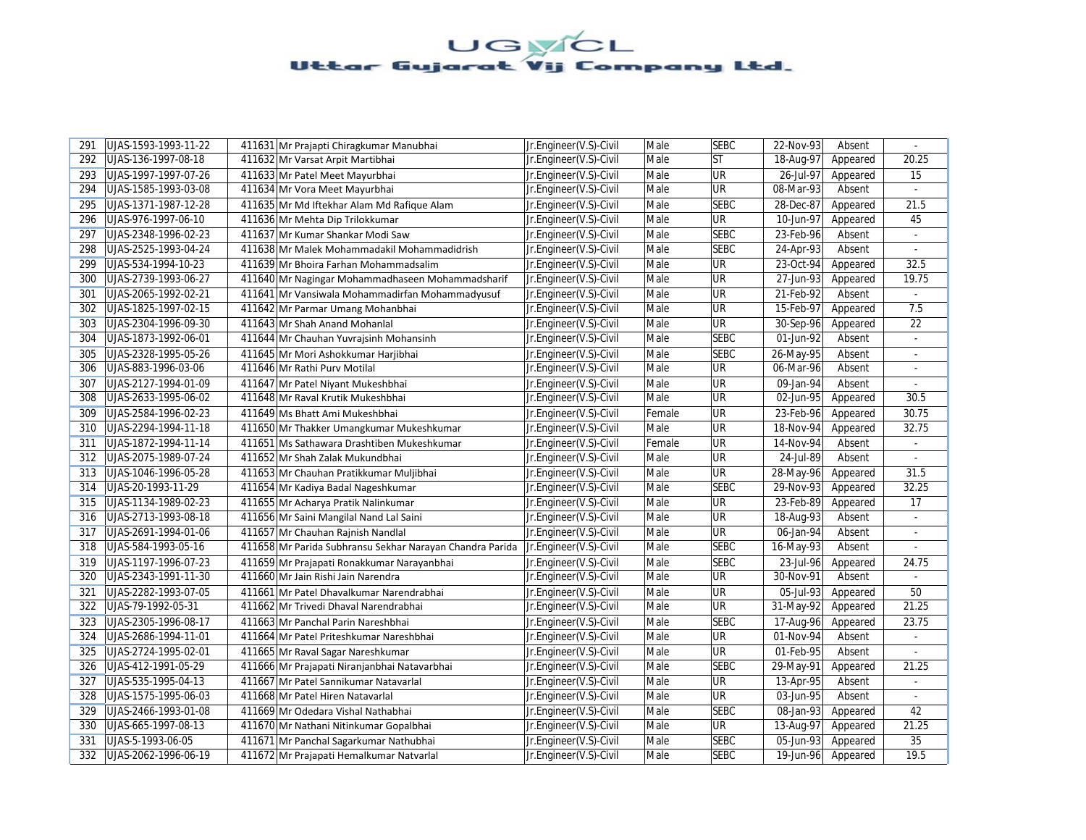| 291 | UJAS-1593-1993-11-22 | 411631 Mr Prajapti Chiragkumar Manubhai                  | Jr.Engineer(V.S)-Civil | Male   | <b>SEBC</b> | 22-Nov-93 | Absent   | $\omega$       |
|-----|----------------------|----------------------------------------------------------|------------------------|--------|-------------|-----------|----------|----------------|
| 292 | UJAS-136-1997-08-18  | 411632 Mr Varsat Arpit Martibhai                         | Jr.Engineer(V.S)-Civil | Male   | <b>ST</b>   | 18-Aug-97 | Appeared | 20.25          |
| 293 | UJAS-1997-1997-07-26 | 411633 Mr Patel Meet Mayurbhai                           | Jr.Engineer(V.S)-Civil | Male   | UR          | 26-Jul-97 | Appeared | 15             |
| 294 | UJAS-1585-1993-03-08 | 411634 Mr Vora Meet Mayurbhai                            | Jr.Engineer(V.S)-Civil | Male   | UR          | 08-Mar-93 | Absent   |                |
| 295 | UJAS-1371-1987-12-28 | 411635 Mr Md Iftekhar Alam Md Rafique Alam               | Jr.Engineer(V.S)-Civil | Male   | <b>SEBC</b> | 28-Dec-87 | Appeared | 21.5           |
| 296 | UJAS-976-1997-06-10  | 411636 Mr Mehta Dip Trilokkumar                          | Jr.Engineer(V.S)-Civil | Male   | <b>UR</b>   | 10-Jun-97 | Appeared | 45             |
| 297 | UJAS-2348-1996-02-23 | 411637 Mr Kumar Shankar Modi Saw                         | Jr.Engineer(V.S)-Civil | Male   | <b>SEBC</b> | 23-Feb-96 | Absent   | ä,             |
| 298 | UJAS-2525-1993-04-24 | 411638 Mr Malek Mohammadakil Mohammadidrish              | Jr.Engineer(V.S)-Civil | Male   | <b>SEBC</b> | 24-Apr-93 | Absent   |                |
| 299 | UJAS-534-1994-10-23  | 411639 Mr Bhoira Farhan Mohammadsalim                    | Jr.Engineer(V.S)-Civil | Male   | <b>UR</b>   | 23-Oct-94 | Appeared | 32.5           |
| 300 | UJAS-2739-1993-06-27 | 411640 Mr Nagingar Mohammadhaseen Mohammadsharif         | Jr.Engineer(V.S)-Civil | Male   | <b>UR</b>   | 27-Jun-93 | Appeared | 19.75          |
| 301 | UJAS-2065-1992-02-21 | 411641 Mr Vansiwala Mohammadirfan Mohammadyusuf          | Jr.Engineer(V.S)-Civil | Male   | <b>UR</b>   | 21-Feb-92 | Absent   |                |
| 302 | UJAS-1825-1997-02-15 | 411642 Mr Parmar Umang Mohanbhai                         | Jr.Engineer(V.S)-Civil | Male   | UR          | 15-Feb-97 | Appeared | 7.5            |
| 303 | UJAS-2304-1996-09-30 | 411643 Mr Shah Anand Mohanlal                            | Jr.Engineer(V.S)-Civil | Male   | UR          | 30-Sep-96 | Appeared | 22             |
| 304 | UJAS-1873-1992-06-01 | 411644 Mr Chauhan Yuvrajsinh Mohansinh                   | Jr.Engineer(V.S)-Civil | Male   | <b>SEBC</b> | 01-Jun-92 | Absent   | $\blacksquare$ |
| 305 | UJAS-2328-1995-05-26 | 411645 Mr Mori Ashokkumar Harjibhai                      | Jr.Engineer(V.S)-Civil | Male   | <b>SEBC</b> | 26-May-95 | Absent   |                |
| 306 | UJAS-883-1996-03-06  | 411646 Mr Rathi Purv Motilal                             | Jr.Engineer(V.S)-Civil | Male   | UR          | 06-Mar-96 | Absent   | $\blacksquare$ |
| 307 | UJAS-2127-1994-01-09 | 411647 Mr Patel Niyant Mukeshbhai                        | Jr.Engineer(V.S)-Civil | Male   | UR          | 09-Jan-94 | Absent   | $\blacksquare$ |
| 308 | UJAS-2633-1995-06-02 | 411648 Mr Raval Krutik Mukeshbhai                        | Jr.Engineer(V.S)-Civil | Male   | UR          | 02-Jun-95 | Appeared | 30.5           |
| 309 | UJAS-2584-1996-02-23 | 411649 Ms Bhatt Ami Mukeshbhai                           | Jr.Engineer(V.S)-Civil | Female | UR          | 23-Feb-96 | Appeared | 30.75          |
| 310 | UJAS-2294-1994-11-18 | 411650 Mr Thakker Umangkumar Mukeshkumar                 | Jr.Engineer(V.S)-Civil | Male   | UR          | 18-Nov-94 | Appeared | 32.75          |
| 311 | UJAS-1872-1994-11-14 | 411651 Ms Sathawara Drashtiben Mukeshkumar               | Jr.Engineer(V.S)-Civil | Female | <b>UR</b>   | 14-Nov-94 | Absent   | ÷.             |
| 312 | UJAS-2075-1989-07-24 | 411652 Mr Shah Zalak Mukundbhai                          | Jr.Engineer(V.S)-Civil | Male   | <b>UR</b>   | 24-Jul-89 | Absent   |                |
| 313 | UJAS-1046-1996-05-28 | 411653 Mr Chauhan Pratikkumar Muljibhai                  | Jr.Engineer(V.S)-Civil | Male   | <b>UR</b>   | 28-May-96 | Appeared | 31.5           |
| 314 | UJAS-20-1993-11-29   | 411654 Mr Kadiya Badal Nageshkumar                       | Jr.Engineer(V.S)-Civil | Male   | <b>SEBC</b> | 29-Nov-93 | Appeared | 32.25          |
| 315 | UJAS-1134-1989-02-23 | 411655 Mr Acharya Pratik Nalinkumar                      | Jr.Engineer(V.S)-Civil | Male   | UR          | 23-Feb-89 | Appeared | 17             |
| 316 | UJAS-2713-1993-08-18 | 411656 Mr Saini Mangilal Nand Lal Saini                  | Jr.Engineer(V.S)-Civil | Male   | UR          | 18-Aug-93 | Absent   | ÷,             |
| 317 | UJAS-2691-1994-01-06 | 411657 Mr Chauhan Rajnish Nandlal                        | Jr.Engineer(V.S)-Civil | Male   | UR          | 06-Jan-94 | Absent   |                |
| 318 | UJAS-584-1993-05-16  | 411658 Mr Parida Subhransu Sekhar Narayan Chandra Parida | Jr.Engineer(V.S)-Civil | Male   | <b>SEBC</b> | 16-May-93 | Absent   |                |
| 319 | UJAS-1197-1996-07-23 | 411659 Mr Prajapati Ronakkumar Narayanbhai               | Jr.Engineer(V.S)-Civil | Male   | <b>SEBC</b> | 23-Jul-96 | Appeared | 24.75          |
| 320 | UJAS-2343-1991-11-30 | 411660 Mr Jain Rishi Jain Narendra                       | Jr.Engineer(V.S)-Civil | Male   | UR          | 30-Nov-91 | Absent   |                |
| 321 | UJAS-2282-1993-07-05 | 411661 Mr Patel Dhavalkumar Narendrabhai                 | Jr.Engineer(V.S)-Civil | Male   | UR          | 05-Jul-93 | Appeared | 50             |
| 322 | UJAS-79-1992-05-31   | 411662 Mr Trivedi Dhaval Narendrabhai                    | Jr.Engineer(V.S)-Civil | Male   | <b>UR</b>   | 31-May-92 | Appeared | 21.25          |
| 323 | UJAS-2305-1996-08-17 | 411663 Mr Panchal Parin Nareshbhai                       | Jr.Engineer(V.S)-Civil | Male   | <b>SEBC</b> | 17-Aug-96 | Appeared | 23.75          |
| 324 | UJAS-2686-1994-11-01 | 411664 Mr Patel Priteshkumar Nareshbhai                  | Jr.Engineer(V.S)-Civil | Male   | <b>UR</b>   | 01-Nov-94 | Absent   | $\blacksquare$ |
| 325 | UJAS-2724-1995-02-01 | 411665 Mr Raval Sagar Nareshkumar                        | Jr.Engineer(V.S)-Civil | Male   | UR          | 01-Feb-95 | Absent   | $\blacksquare$ |
| 326 | UJAS-412-1991-05-29  | 411666 Mr Prajapati Niranjanbhai Natavarbhai             | Jr.Engineer(V.S)-Civil | Male   | <b>SEBC</b> | 29-May-91 | Appeared | 21.25          |
| 327 | UJAS-535-1995-04-13  | 411667 Mr Patel Sannikumar Natavarlal                    | Jr.Engineer(V.S)-Civil | Male   | UR          | 13-Apr-95 | Absent   |                |
| 328 | UJAS-1575-1995-06-03 | 411668 Mr Patel Hiren Natavarlal                         | Jr.Engineer(V.S)-Civil | Male   | UR          | 03-Jun-95 | Absent   | ÷              |
| 329 | UJAS-2466-1993-01-08 | 411669 Mr Odedara Vishal Nathabhai                       | Jr.Engineer(V.S)-Civil | Male   | <b>SEBC</b> | 08-Jan-93 | Appeared | 42             |
| 330 | UJAS-665-1997-08-13  | 411670 Mr Nathani Nitinkumar Gopalbhai                   | Jr.Engineer(V.S)-Civil | Male   | UR          | 13-Aug-97 | Appeared | 21.25          |
| 331 | UJAS-5-1993-06-05    | 411671 Mr Panchal Sagarkumar Nathubhai                   | Jr.Engineer(V.S)-Civil | Male   | <b>SEBC</b> | 05-Jun-93 | Appeared | 35             |
| 332 | UJAS-2062-1996-06-19 | 411672 Mr Prajapati Hemalkumar Natvarlal                 | Jr.Engineer(V.S)-Civil | Male   | <b>SEBC</b> | 19-Jun-96 | Appeared | 19.5           |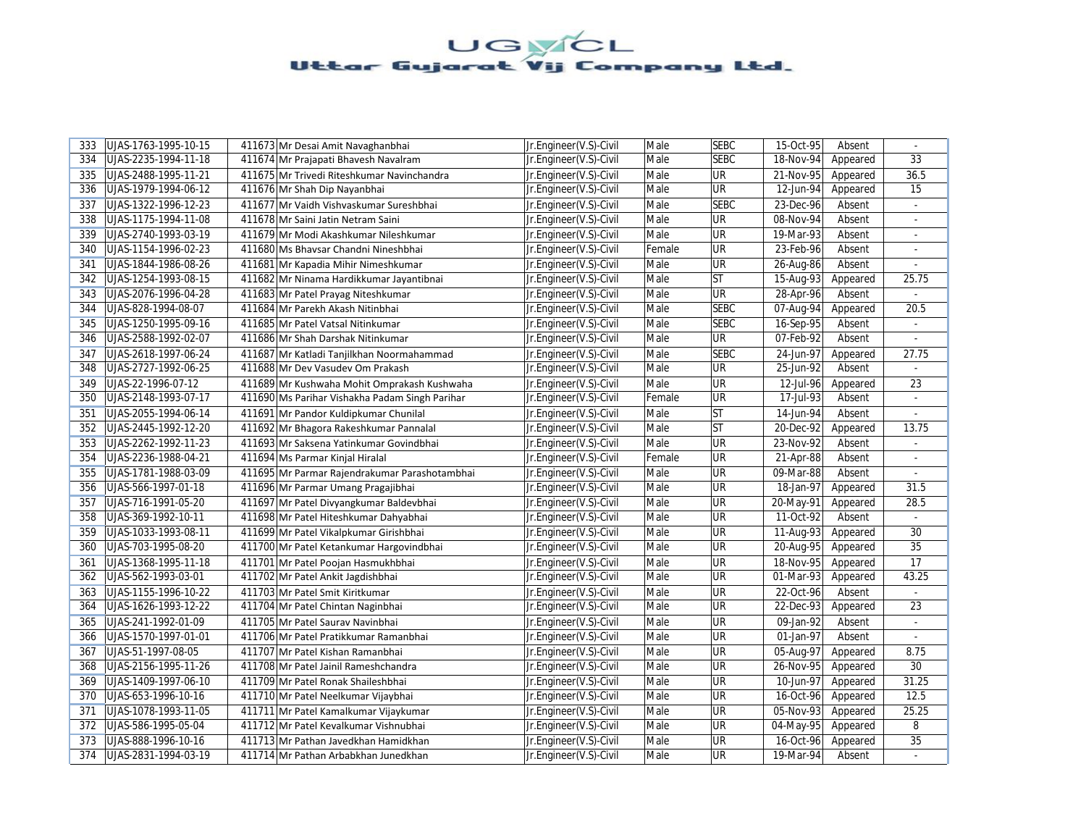| 333 | UJAS-1763-1995-10-15 | 411673 Mr Desai Amit Navaghanbhai              | Jr.Engineer(V.S)-Civil | Male   | <b>SEBC</b> | 15-Oct-95 | Absent   |                |
|-----|----------------------|------------------------------------------------|------------------------|--------|-------------|-----------|----------|----------------|
| 334 | UJAS-2235-1994-11-18 | 411674 Mr Prajapati Bhavesh Navalram           | Jr.Engineer(V.S)-Civil | Male   | <b>SEBC</b> | 18-Nov-94 | Appeared | 33             |
| 335 | UJAS-2488-1995-11-21 | 411675 Mr Trivedi Riteshkumar Navinchandra     | Jr.Engineer(V.S)-Civil | Male   | UR          | 21-Nov-95 | Appeared | 36.5           |
| 336 | UJAS-1979-1994-06-12 | 411676 Mr Shah Dip Nayanbhai                   | Jr.Engineer(V.S)-Civil | Male   | <b>UR</b>   | 12-Jun-94 | Appeared | 15             |
| 337 | UJAS-1322-1996-12-23 | 411677 Mr Vaidh Vishvaskumar Sureshbhai        | Jr.Engineer(V.S)-Civil | Male   | <b>SEBC</b> | 23-Dec-96 | Absent   | $\omega$       |
| 338 | UJAS-1175-1994-11-08 | 411678 Mr Saini Jatin Netram Saini             | Jr.Engineer(V.S)-Civil | Male   | <b>UR</b>   | 08-Nov-94 | Absent   |                |
| 339 | UJAS-2740-1993-03-19 | 411679 Mr Modi Akashkumar Nileshkumar          | Jr.Engineer(V.S)-Civil | Male   | UR          | 19-Mar-93 | Absent   | $\blacksquare$ |
| 340 | UJAS-1154-1996-02-23 | 411680 Ms Bhavsar Chandni Nineshbhai           | Jr.Engineer(V.S)-Civil | Female | <b>UR</b>   | 23-Feb-96 | Absent   |                |
| 341 | UJAS-1844-1986-08-26 | 411681 Mr Kapadia Mihir Nimeshkumar            | Jr.Engineer(V.S)-Civil | Male   | <b>UR</b>   | 26-Aug-86 | Absent   |                |
| 342 | UJAS-1254-1993-08-15 | 411682 Mr Ninama Hardikkumar Jayantibnai       | Jr.Engineer(V.S)-Civil | Male   | lst         | 15-Aug-93 | Appeared | 25.75          |
| 343 | UJAS-2076-1996-04-28 | 411683 Mr Patel Prayag Niteshkumar             | Jr.Engineer(V.S)-Civil | Male   | <b>UR</b>   | 28-Apr-96 | Absent   |                |
| 344 | UJAS-828-1994-08-07  | 411684 Mr Parekh Akash Nitinbhai               | Jr.Engineer(V.S)-Civil | Male   | <b>SEBC</b> | 07-Aug-94 | Appeared | 20.5           |
| 345 | UJAS-1250-1995-09-16 | 411685 Mr Patel Vatsal Nitinkumar              | Jr.Engineer(V.S)-Civil | Male   | <b>SEBC</b> | 16-Sep-95 | Absent   | $\blacksquare$ |
| 346 | UJAS-2588-1992-02-07 | 411686 Mr Shah Darshak Nitinkumar              | Jr.Engineer(V.S)-Civil | Male   | <b>UR</b>   | 07-Feb-92 | Absent   | ÷              |
| 347 | UJAS-2618-1997-06-24 | 411687 Mr Katladi Tanjilkhan Noormahammad      | Jr.Engineer(V.S)-Civil | Male   | <b>SEBC</b> | 24-Jun-97 | Appeared | 27.75          |
| 348 | UJAS-2727-1992-06-25 | 411688 Mr Dev Vasudev Om Prakash               | Jr.Engineer(V.S)-Civil | Male   | <b>UR</b>   | 25-Jun-92 | Absent   |                |
| 349 | UJAS-22-1996-07-12   | 411689 Mr Kushwaha Mohit Omprakash Kushwaha    | Jr.Engineer(V.S)-Civil | Male   | <b>UR</b>   | 12-Jul-96 | Appeared | 23             |
| 350 | UJAS-2148-1993-07-17 | 411690 Ms Parihar Vishakha Padam Singh Parihar | Jr.Engineer(V.S)-Civil | Female | <b>UR</b>   | 17-Jul-93 | Absent   | ÷              |
| 351 | UJAS-2055-1994-06-14 | 411691 Mr Pandor Kuldipkumar Chunilal          | Jr.Engineer(V.S)-Civil | Male   | <b>ST</b>   | 14-Jun-94 | Absent   |                |
| 352 | UJAS-2445-1992-12-20 | 411692 Mr Bhagora Rakeshkumar Pannalal         | Jr.Engineer(V.S)-Civil | Male   | lst         | 20-Dec-92 | Appeared | 13.75          |
| 353 | UJAS-2262-1992-11-23 | 411693 Mr Saksena Yatinkumar Govindbhai        | Jr.Engineer(V.S)-Civil | Male   | UR          | 23-Nov-92 | Absent   | $\omega$       |
| 354 | UJAS-2236-1988-04-21 | 411694 Ms Parmar Kinjal Hiralal                | Jr.Engineer(V.S)-Civil | Female | <b>UR</b>   | 21-Apr-88 | Absent   |                |
| 355 | UJAS-1781-1988-03-09 | 411695 Mr Parmar Rajendrakumar Parashotambhai  | Jr.Engineer(V.S)-Civil | Male   | <b>UR</b>   | 09-Mar-88 | Absent   | $\blacksquare$ |
| 356 | UJAS-566-1997-01-18  | 411696 Mr Parmar Umang Pragajibhai             | Jr.Engineer(V.S)-Civil | Male   | <b>UR</b>   | 18-Jan-97 | Appeared | 31.5           |
| 357 | UJAS-716-1991-05-20  | 411697 Mr Patel Divyangkumar Baldevbhai        | Jr.Engineer(V.S)-Civil | Male   | UR          | 20-May-91 | Appeared | 28.5           |
| 358 | UJAS-369-1992-10-11  | 411698 Mr Patel Hiteshkumar Dahyabhai          | Jr.Engineer(V.S)-Civil | Male   | UR          | 11-Oct-92 | Absent   |                |
| 359 | UJAS-1033-1993-08-11 | 411699 Mr Patel Vikalpkumar Girishbhai         | Jr.Engineer(V.S)-Civil | Male   | UR          | 11-Aug-93 | Appeared | 30             |
| 360 | UJAS-703-1995-08-20  | 411700 Mr Patel Ketankumar Hargovindbhai       | Jr.Engineer(V.S)-Civil | Male   | <b>UR</b>   | 20-Aug-95 | Appeared | 35             |
| 361 | UJAS-1368-1995-11-18 | 411701 Mr Patel Poojan Hasmukhbhai             | Jr.Engineer(V.S)-Civil | Male   | <b>UR</b>   | 18-Nov-95 | Appeared | 17             |
| 362 | UJAS-562-1993-03-01  | 411702 Mr Patel Ankit Jagdishbhai              | Jr.Engineer(V.S)-Civil | Male   | <b>UR</b>   | 01-Mar-93 | Appeared | 43.25          |
| 363 | UJAS-1155-1996-10-22 | 411703 Mr Patel Smit Kiritkumar                | Jr.Engineer(V.S)-Civil | Male   | UR          | 22-Oct-96 | Absent   |                |
| 364 | UJAS-1626-1993-12-22 | 411704 Mr Patel Chintan Naginbhai              | Jr.Engineer(V.S)-Civil | Male   | <b>UR</b>   | 22-Dec-93 | Appeared | 23             |
| 365 | UJAS-241-1992-01-09  | 411705 Mr Patel Saurav Navinbhai               | Jr.Engineer(V.S)-Civil | Male   | <b>UR</b>   | 09-Jan-92 | Absent   |                |
| 366 | UJAS-1570-1997-01-01 | 411706 Mr Patel Pratikkumar Ramanbhai          | Jr.Engineer(V.S)-Civil | Male   | UR          | 01-Jan-97 | Absent   | ÷              |
| 367 | UJAS-51-1997-08-05   | 411707 Mr Patel Kishan Ramanbhai               | Jr.Engineer(V.S)-Civil | Male   | UR          | 05-Aug-97 | Appeared | 8.75           |
| 368 | UJAS-2156-1995-11-26 | 411708 Mr Patel Jainil Rameshchandra           | Jr.Engineer(V.S)-Civil | Male   | <b>UR</b>   | 26-Nov-95 | Appeared | 30             |
| 369 | UJAS-1409-1997-06-10 | 411709 Mr Patel Ronak Shaileshbhai             | Jr.Engineer(V.S)-Civil | Male   | <b>UR</b>   | 10-Jun-97 | Appeared | 31.25          |
| 370 | UJAS-653-1996-10-16  | 411710 Mr Patel Neelkumar Vijaybhai            | Jr.Engineer(V.S)-Civil | Male   | <b>UR</b>   | 16-Oct-96 | Appeared | 12.5           |
| 371 | UJAS-1078-1993-11-05 | 411711 Mr Patel Kamalkumar Vijaykumar          | Jr.Engineer(V.S)-Civil | Male   | UR          | 05-Nov-93 | Appeared | 25.25          |
| 372 | UJAS-586-1995-05-04  | 411712 Mr Patel Kevalkumar Vishnubhai          | Jr.Engineer(V.S)-Civil | Male   | UR          | 04-May-95 | Appeared | 8              |
| 373 | UJAS-888-1996-10-16  | 411713 Mr Pathan Javedkhan Hamidkhan           | Jr.Engineer(V.S)-Civil | Male   | <b>UR</b>   | 16-Oct-96 | Appeared | 35             |
| 374 | UJAS-2831-1994-03-19 | 411714 Mr Pathan Arbabkhan Junedkhan           | Jr.Engineer(V.S)-Civil | Male   | UR          | 19-Mar-94 | Absent   |                |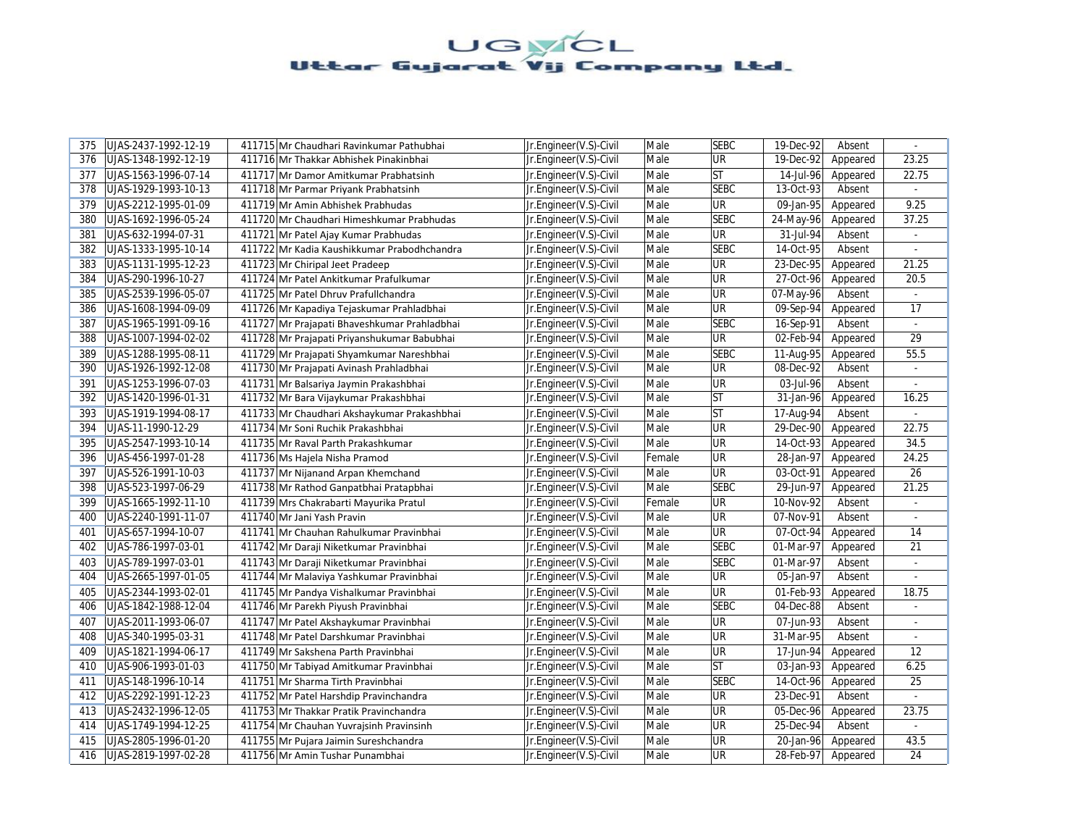| 375 | UJAS-2437-1992-12-19 | 411715 Mr Chaudhari Ravinkumar Pathubhai     | Jr.Engineer(V.S)-Civil | Male   | <b>SEBC</b> | 19-Dec-92               | Absent   | $\sim$          |
|-----|----------------------|----------------------------------------------|------------------------|--------|-------------|-------------------------|----------|-----------------|
| 376 | UJAS-1348-1992-12-19 | 411716 Mr Thakkar Abhishek Pinakinbhai       | Jr.Engineer(V.S)-Civil | Male   | UR          | 19-Dec-92               | Appeared | 23.25           |
| 377 | UJAS-1563-1996-07-14 | 411717 Mr Damor Amitkumar Prabhatsinh        | Jr.Engineer(V.S)-Civil | Male   | <b>ST</b>   | 14-Jul-96               | Appeared | 22.75           |
| 378 | UJAS-1929-1993-10-13 | 411718 Mr Parmar Priyank Prabhatsinh         | Jr.Engineer(V.S)-Civil | Male   | <b>SEBC</b> | 13-Oct-93               | Absent   |                 |
| 379 | UJAS-2212-1995-01-09 | 411719 Mr Amin Abhishek Prabhudas            | Jr.Engineer(V.S)-Civil | Male   | <b>UR</b>   | 09-Jan-95               | Appeared | 9.25            |
| 380 | UJAS-1692-1996-05-24 | 411720 Mr Chaudhari Himeshkumar Prabhudas    | Jr.Engineer(V.S)-Civil | Male   | <b>SEBC</b> | 24-May-96               | Appeared | 37.25           |
| 381 | UJAS-632-1994-07-31  | 411721 Mr Patel Ajay Kumar Prabhudas         | Jr.Engineer(V.S)-Civil | Male   | <b>UR</b>   | 31-Jul-94               | Absent   | $\overline{a}$  |
| 382 | UJAS-1333-1995-10-14 | 411722 Mr Kadia Kaushikkumar Prabodhchandra  | Jr.Engineer(V.S)-Civil | Male   | <b>SEBC</b> | 14-Oct-95               | Absent   |                 |
| 383 | UJAS-1131-1995-12-23 | 411723 Mr Chiripal Jeet Pradeep              | Jr.Engineer(V.S)-Civil | Male   | UR          | 23-Dec-95               | Appeared | 21.25           |
| 384 | UJAS-290-1996-10-27  | 411724 Mr Patel Ankitkumar Prafulkumar       | Jr.Engineer(V.S)-Civil | Male   | UR          | 27-Oct-96               | Appeared | 20.5            |
| 385 | UJAS-2539-1996-05-07 | 411725 Mr Patel Dhruv Prafullchandra         | Jr.Engineer(V.S)-Civil | Male   | UR          | 07-May-96               | Absent   |                 |
| 386 | UJAS-1608-1994-09-09 | 411726 Mr Kapadiya Tejaskumar Prahladbhai    | Jr.Engineer(V.S)-Civil | Male   | <b>UR</b>   | 09-Sep-94               | Appeared | 17              |
| 387 | UJAS-1965-1991-09-16 | 411727 Mr Prajapati Bhaveshkumar Prahladbhai | Jr.Engineer(V.S)-Civil | Male   | <b>SEBC</b> | 16-Sep-91               | Absent   | ÷.              |
| 388 | UJAS-1007-1994-02-02 | 411728 Mr Prajapati Priyanshukumar Babubhai  | Jr.Engineer(V.S)-Civil | Male   | <b>UR</b>   | 02-Feb-94               | Appeared | 29              |
| 389 | UJAS-1288-1995-08-11 | 411729 Mr Prajapati Shyamkumar Nareshbhai    | Jr.Engineer(V.S)-Civil | Male   | <b>SEBC</b> | 11-Aug-95               | Appeared | 55.5            |
| 390 | UJAS-1926-1992-12-08 | 411730 Mr Prajapati Avinash Prahladbhai      | Jr.Engineer(V.S)-Civil | Male   | UR          | 08-Dec-92               | Absent   | ÷               |
| 391 | UJAS-1253-1996-07-03 | 411731 Mr Balsariya Jaymin Prakashbhai       | Jr.Engineer(V.S)-Civil | Male   | <b>UR</b>   | 03-Jul-96               | Absent   | $\blacksquare$  |
| 392 | UJAS-1420-1996-01-31 | 411732 Mr Bara Vijaykumar Prakashbhai        | Jr.Engineer(V.S)-Civil | Male   | <b>ST</b>   | 31-Jan-96               | Appeared | 16.25           |
| 393 | UJAS-1919-1994-08-17 | 411733 Mr Chaudhari Akshaykumar Prakashbhai  | Jr.Engineer(V.S)-Civil | Male   | <b>ST</b>   | 17-Aug-94               | Absent   |                 |
| 394 | UJAS-11-1990-12-29   | 411734 Mr Soni Ruchik Prakashbhai            | Jr.Engineer(V.S)-Civil | Male   | <b>UR</b>   | $29-Dec-90$             | Appeared | 22.75           |
| 395 | UJAS-2547-1993-10-14 | 411735 Mr Raval Parth Prakashkumar           | Jr.Engineer(V.S)-Civil | Male   | <b>UR</b>   | 14-Oct-93               | Appeared | 34.5            |
| 396 | UJAS-456-1997-01-28  | 411736 Ms Hajela Nisha Pramod                | Jr.Engineer(V.S)-Civil | Female | UR          | $\overline{28}$ -Jan-97 | Appeared | 24.25           |
| 397 | UJAS-526-1991-10-03  | 411737 Mr Nijanand Arpan Khemchand           | Jr.Engineer(V.S)-Civil | Male   | UR          | 03-Oct-91               | Appeared | $\overline{26}$ |
| 398 | UJAS-523-1997-06-29  | 411738 Mr Rathod Ganpatbhai Pratapbhai       | Jr.Engineer(V.S)-Civil | Male   | <b>SEBC</b> | 29-Jun-97               | Appeared | 21.25           |
| 399 | UJAS-1665-1992-11-10 | 411739 Mrs Chakrabarti Mayurika Pratul       | Jr.Engineer(V.S)-Civil | Female | UR          | 10-Nov-92               | Absent   | ÷.              |
| 400 | UJAS-2240-1991-11-07 | 411740 Mr Jani Yash Pravin                   | Jr.Engineer(V.S)-Civil | Male   | UR          | 07-Nov-91               | Absent   | $\sim$          |
| 401 | UJAS-657-1994-10-07  | 411741 Mr Chauhan Rahulkumar Pravinbhai      | Jr.Engineer(V.S)-Civil | Male   | <b>UR</b>   | 07-Oct-94               | Appeared | 14              |
| 402 | UJAS-786-1997-03-01  | 411742 Mr Daraji Niketkumar Pravinbhai       | Jr.Engineer(V.S)-Civil | Male   | <b>SEBC</b> | 01-Mar-97               | Appeared | 21              |
| 403 | UJAS-789-1997-03-01  | 411743 Mr Daraji Niketkumar Pravinbhai       | Jr.Engineer(V.S)-Civil | Male   | <b>SEBC</b> | 01-Mar-97               | Absent   | $\overline{a}$  |
| 404 | UJAS-2665-1997-01-05 | 411744 Mr Malaviya Yashkumar Pravinbhai      | Jr.Engineer(V.S)-Civil | Male   | UR          | 05-Jan-97               | Absent   |                 |
| 405 | UJAS-2344-1993-02-01 | 411745 Mr Pandya Vishalkumar Pravinbhai      | Jr.Engineer(V.S)-Civil | Male   | UR          | 01-Feb-93               | Appeared | 18.75           |
| 406 | UJAS-1842-1988-12-04 | 411746 Mr Parekh Piyush Pravinbhai           | Jr.Engineer(V.S)-Civil | Male   | <b>SEBC</b> | 04-Dec-88               | Absent   |                 |
| 407 | UJAS-2011-1993-06-07 | 411747 Mr Patel Akshaykumar Pravinbhai       | Jr.Engineer(V.S)-Civil | Male   | UR          | 07-Jun-93               | Absent   |                 |
| 408 | UJAS-340-1995-03-31  | 411748 Mr Patel Darshkumar Pravinbhai        | Jr.Engineer(V.S)-Civil | Male   | UR          | 31-Mar-95               | Absent   | ÷.              |
| 409 | UJAS-1821-1994-06-17 | 411749 Mr Sakshena Parth Pravinbhai          | Jr.Engineer(V.S)-Civil | Male   | UR          | 17-Jun-94               | Appeared | 12              |
| 410 | UJAS-906-1993-01-03  | 411750 Mr Tabiyad Amitkumar Pravinbhai       | Jr.Engineer(V.S)-Civil | Male   | ST          | 03-Jan-93               | Appeared | 6.25            |
| 411 | UJAS-148-1996-10-14  | 411751 Mr Sharma Tirth Pravinbhai            | Jr.Engineer(V.S)-Civil | Male   | <b>SEBC</b> | 14-Oct-96               | Appeared | 25              |
| 412 | UJAS-2292-1991-12-23 | 411752 Mr Patel Harshdip Pravinchandra       | Jr.Engineer(V.S)-Civil | Male   | <b>UR</b>   | 23-Dec-91               | Absent   |                 |
| 413 | UJAS-2432-1996-12-05 | 411753 Mr Thakkar Pratik Pravinchandra       | Jr.Engineer(V.S)-Civil | Male   | UR          | 05-Dec-96               | Appeared | 23.75           |
| 414 | UJAS-1749-1994-12-25 | 411754 Mr Chauhan Yuvrajsinh Pravinsinh      | Jr.Engineer(V.S)-Civil | Male   | UR          | 25-Dec-94               | Absent   | ÷.              |
| 415 | UJAS-2805-1996-01-20 | 411755 Mr Pujara Jaimin Sureshchandra        | Jr.Engineer(V.S)-Civil | Male   | UR          | 20-Jan-96               | Appeared | 43.5            |
| 416 | UJAS-2819-1997-02-28 | 411756 Mr Amin Tushar Punambhai              | Jr.Engineer(V.S)-Civil | Male   | UR          | 28-Feb-97               | Appeared | 24              |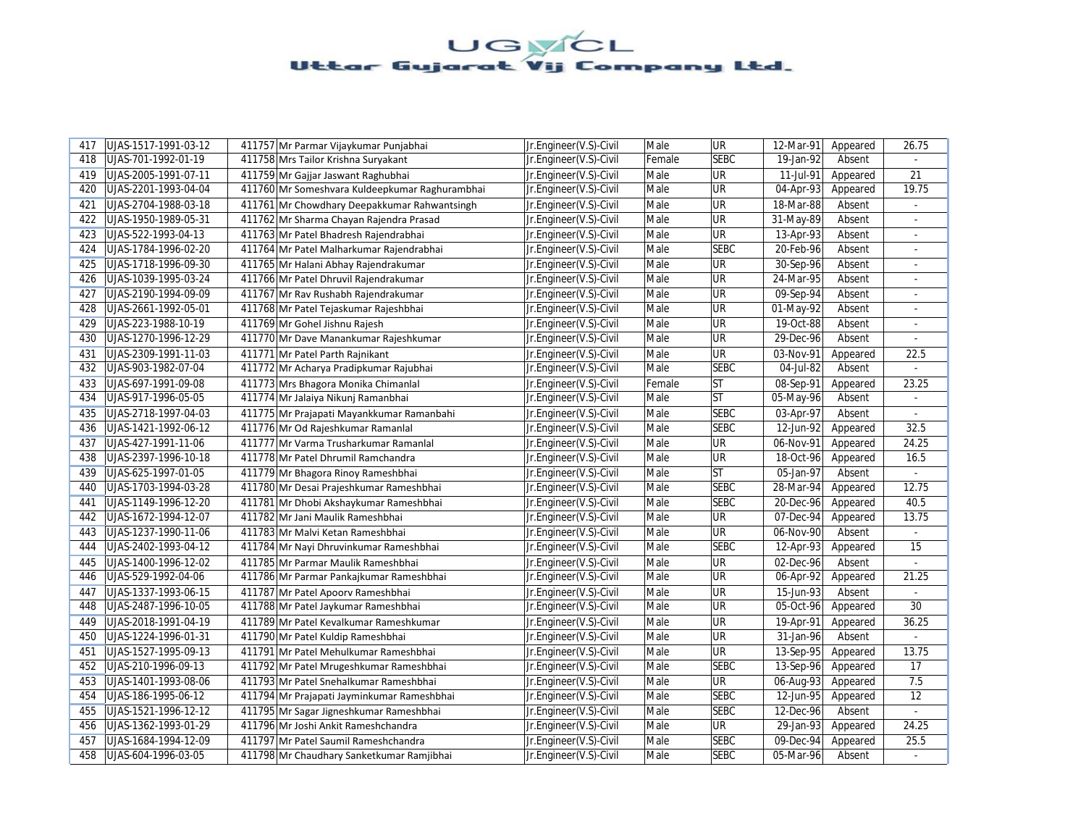| 417 | UJAS-1517-1991-03-12 | 411757 Mr Parmar Vijaykumar Punjabhai          | Jr.Engineer(V.S)-Civil | Male   | <b>UR</b>                | 12-Mar-91               | Appeared | 26.75          |
|-----|----------------------|------------------------------------------------|------------------------|--------|--------------------------|-------------------------|----------|----------------|
| 418 | UJAS-701-1992-01-19  | 411758 Mrs Tailor Krishna Suryakant            | Jr.Engineer(V.S)-Civil | Female | <b>SEBC</b>              | 19-Jan-92               | Absent   |                |
| 419 | UJAS-2005-1991-07-11 | 411759 Mr Gajjar Jaswant Raghubhai             | Jr.Engineer(V.S)-Civil | Male   | <b>UR</b>                | 11-Jul-91               | Appeared | 21             |
| 420 | UJAS-2201-1993-04-04 | 411760 Mr Someshvara Kuldeepkumar Raghurambhai | Jr.Engineer(V.S)-Civil | Male   | UR                       | 04-Apr-93               | Appeared | 19.75          |
| 421 | UJAS-2704-1988-03-18 | 411761 Mr Chowdhary Deepakkumar Rahwantsingh   | Jr.Engineer(V.S)-Civil | Male   | <b>UR</b>                | 18-Mar-88               | Absent   | $\omega$       |
| 422 | UJAS-1950-1989-05-31 | 411762 Mr Sharma Chayan Rajendra Prasad        | Jr.Engineer(V.S)-Civil | Male   | <b>UR</b>                | 31-May-89               | Absent   |                |
| 423 | UJAS-522-1993-04-13  | 411763 Mr Patel Bhadresh Rajendrabhai          | Jr.Engineer(V.S)-Civil | Male   | <b>UR</b>                | 13-Apr-93               | Absent   | ÷              |
| 424 | UJAS-1784-1996-02-20 | 411764 Mr Patel Malharkumar Rajendrabhai       | Jr.Engineer(V.S)-Civil | Male   | <b>SEBC</b>              | 20-Feb-96               | Absent   |                |
| 425 | UJAS-1718-1996-09-30 | 411765 Mr Halani Abhay Rajendrakumar           | Jr.Engineer(V.S)-Civil | Male   | <b>UR</b>                | 30-Sep-96               | Absent   | $\overline{a}$ |
| 426 | UJAS-1039-1995-03-24 | 411766 Mr Patel Dhruvil Rajendrakumar          | Jr.Engineer(V.S)-Civil | Male   | <b>UR</b>                | 24-Mar-95               | Absent   |                |
| 427 | UJAS-2190-1994-09-09 | 411767 Mr Rav Rushabh Rajendrakumar            | Jr.Engineer(V.S)-Civil | Male   | <b>UR</b>                | 09-Sep-94               | Absent   |                |
| 428 | UJAS-2661-1992-05-01 | 411768 Mr Patel Tejaskumar Rajeshbhai          | Jr.Engineer(V.S)-Civil | Male   | UR                       | 01-May-92               | Absent   | $\omega$       |
| 429 | UJAS-223-1988-10-19  | 411769 Mr Gohel Jishnu Rajesh                  | Jr.Engineer(V.S)-Civil | Male   | UR                       | 19-Oct-88               | Absent   | $\sim$         |
| 430 | UJAS-1270-1996-12-29 | 411770 Mr Dave Manankumar Rajeshkumar          | Jr.Engineer(V.S)-Civil | Male   | <b>UR</b>                | 29-Dec-96               | Absent   | ÷              |
| 431 | UJAS-2309-1991-11-03 | 411771 Mr Patel Parth Rajnikant                | Jr.Engineer(V.S)-Civil | Male   | <b>UR</b>                | 03-Nov-91               | Appeared | 22.5           |
| 432 | UJAS-903-1982-07-04  | 411772 Mr Acharya Pradipkumar Rajubhai         | Jr.Engineer(V.S)-Civil | Male   | <b>SEBC</b>              | 04-Jul-82               | Absent   | $\overline{a}$ |
| 433 | UJAS-697-1991-09-08  | 411773 Mrs Bhagora Monika Chimanlal            | Jr.Engineer(V.S)-Civil | Female | <b>ST</b>                | 08-Sep-91               | Appeared | 23.25          |
| 434 | UJAS-917-1996-05-05  | 411774 Mr Jalaiya Nikunj Ramanbhai             | Jr.Engineer(V.S)-Civil | Male   | lst                      | $\overline{05}$ -May-96 | Absent   |                |
| 435 | UJAS-2718-1997-04-03 | 411775 Mr Prajapati Mayankkumar Ramanbahi      | Jr.Engineer(V.S)-Civil | Male   | <b>SEBC</b>              | 03-Apr-97               | Absent   |                |
| 436 | UJAS-1421-1992-06-12 | 411776 Mr Od Rajeshkumar Ramanlal              | Jr.Engineer(V.S)-Civil | Male   | <b>SEBC</b>              | 12-Jun-92               | Appeared | 32.5           |
| 437 | UJAS-427-1991-11-06  | 411777 Mr Varma Trusharkumar Ramanlal          | Jr.Engineer(V.S)-Civil | Male   | <b>UR</b>                | 06-Nov-91               | Appeared | 24.25          |
| 438 | UJAS-2397-1996-10-18 | 411778 Mr Patel Dhrumil Ramchandra             | Jr.Engineer(V.S)-Civil | Male   | <b>UR</b>                | 18-Oct-96               | Appeared | 16.5           |
| 439 | UJAS-625-1997-01-05  | 411779 Mr Bhagora Rinoy Rameshbhai             | Jr.Engineer(V.S)-Civil | Male   | lst                      | 05-Jan-97               | Absent   | $\omega$       |
| 440 | UJAS-1703-1994-03-28 | 411780 Mr Desai Prajeshkumar Rameshbhai        | Jr.Engineer(V.S)-Civil | Male   | <b>SEBC</b>              | 28-Mar-94               | Appeared | 12.75          |
| 441 | UJAS-1149-1996-12-20 | 411781 Mr Dhobi Akshaykumar Rameshbhai         | Jr.Engineer(V.S)-Civil | Male   | <b>SEBC</b>              | 20-Dec-96               | Appeared | 40.5           |
| 442 | UJAS-1672-1994-12-07 | 411782 Mr Jani Maulik Rameshbhai               | Jr.Engineer(V.S)-Civil | Male   | UR                       | 07-Dec-94               | Appeared | 13.75          |
| 443 | UJAS-1237-1990-11-06 | 411783 Mr Malvi Ketan Rameshbhai               | Jr.Engineer(V.S)-Civil | Male   | <b>UR</b>                | 06-Nov-90               | Absent   | $\blacksquare$ |
| 444 | UJAS-2402-1993-04-12 | 411784 Mr Nayi Dhruvinkumar Rameshbhai         | Jr.Engineer(V.S)-Civil | Male   | <b>SEBC</b>              | 12-Apr-93               | Appeared | 15             |
| 445 | UJAS-1400-1996-12-02 | 411785 Mr Parmar Maulik Rameshbhai             | Jr.Engineer(V.S)-Civil | Male   | <b>UR</b>                | 02-Dec-96               | Absent   |                |
| 446 | UJAS-529-1992-04-06  | 411786 Mr Parmar Pankajkumar Rameshbhai        | Jr.Engineer(V.S)-Civil | Male   | UR                       | 06-Apr-92               | Appeared | 21.25          |
| 447 | UJAS-1337-1993-06-15 | 411787 Mr Patel Apoorv Rameshbhai              | Jr.Engineer(V.S)-Civil | Male   | UR                       | 15-Jun-93               | Absent   |                |
| 448 | UJAS-2487-1996-10-05 | 411788 Mr Patel Jaykumar Rameshbhai            | Jr.Engineer(V.S)-Civil | Male   | <b>UR</b>                | 05-Oct-96               | Appeared | 30             |
| 449 | UJAS-2018-1991-04-19 | 411789 Mr Patel Kevalkumar Rameshkumar         | Jr.Engineer(V.S)-Civil | Male   | UR                       | 19-Apr-91               | Appeared | 36.25          |
| 450 | UJAS-1224-1996-01-31 | 411790 Mr Patel Kuldip Rameshbhai              | Jr.Engineer(V.S)-Civil | Male   | UR                       | 31-Jan-96               | Absent   | $\overline{a}$ |
| 451 | UJAS-1527-1995-09-13 | 411791 Mr Patel Mehulkumar Rameshbhai          | Jr.Engineer(V.S)-Civil | Male   | UR                       | 13-Sep-95               | Appeared | 13.75          |
| 452 | UJAS-210-1996-09-13  | 411792 Mr Patel Mrugeshkumar Rameshbhai        | Jr.Engineer(V.S)-Civil | Male   | <b>SEBC</b>              | 13-Sep-96               | Appeared | 17             |
| 453 | UJAS-1401-1993-08-06 | 411793 Mr Patel Snehalkumar Rameshbhai         | Jr.Engineer(V.S)-Civil | Male   | $\overline{\mathsf{UR}}$ | 06-Aug-93               | Appeared | 7.5            |
| 454 | UJAS-186-1995-06-12  | 411794 Mr Prajapati Jayminkumar Rameshbhai     | Jr.Engineer(V.S)-Civil | Male   | <b>SEBC</b>              | 12-Jun-95               | Appeared | 12             |
| 455 | UJAS-1521-1996-12-12 | 411795 Mr Sagar Jigneshkumar Rameshbhai        | Jr.Engineer(V.S)-Civil | Male   | <b>SEBC</b>              | 12-Dec-96               | Absent   | ä,             |
| 456 | UJAS-1362-1993-01-29 | 411796 Mr Joshi Ankit Rameshchandra            | Jr.Engineer(V.S)-Civil | Male   | UR                       | 29-Jan-93               | Appeared | 24.25          |
| 457 | UJAS-1684-1994-12-09 | 411797 Mr Patel Saumil Rameshchandra           | Jr.Engineer(V.S)-Civil | Male   | <b>SEBC</b>              | 09-Dec-94               | Appeared | $25.5\,$       |
| 458 | UJAS-604-1996-03-05  | 411798 Mr Chaudhary Sanketkumar Ramjibhai      | Jr.Engineer(V.S)-Civil | Male   | <b>SEBC</b>              | 05-Mar-96               | Absent   |                |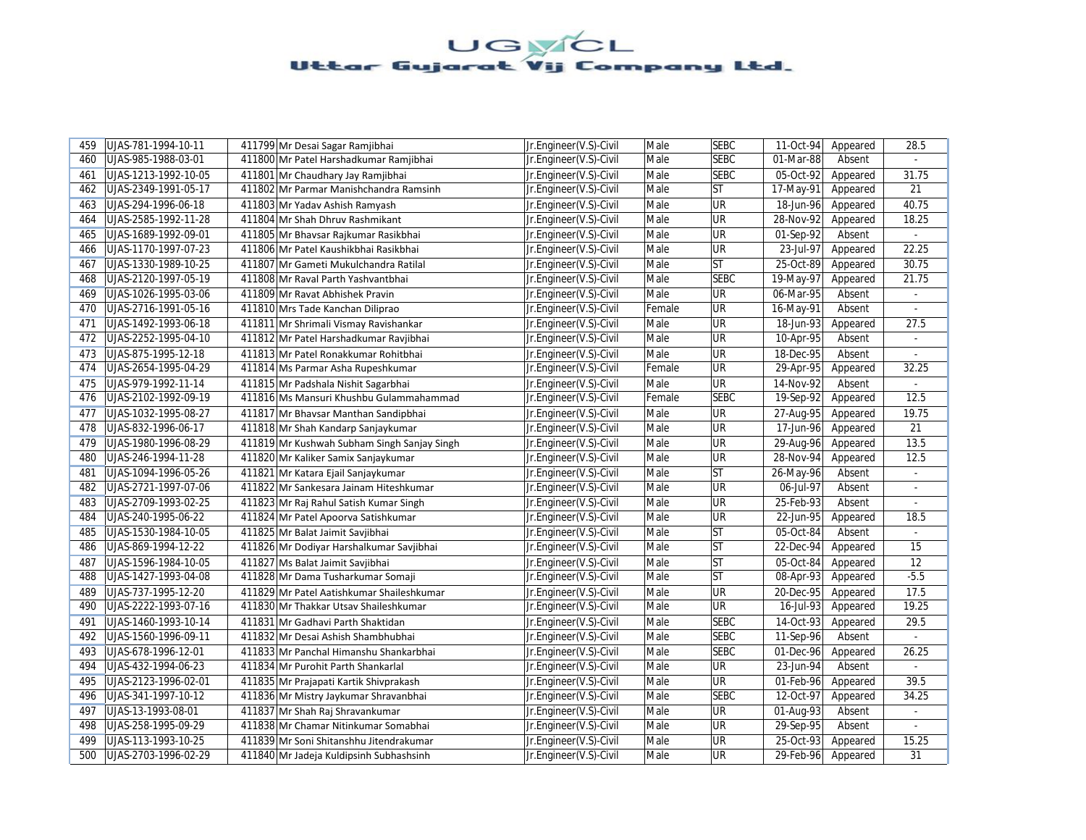| 459 | UJAS-781-1994-10-11  | 411799 Mr Desai Sagar Ramjibhai             | Jr.Engineer(V.S)-Civil | Male   | <b>SEBC</b>              | 11-Oct-94               | Appeared | 28.5           |
|-----|----------------------|---------------------------------------------|------------------------|--------|--------------------------|-------------------------|----------|----------------|
| 460 | UJAS-985-1988-03-01  | 411800 Mr Patel Harshadkumar Ramjibhai      | Jr.Engineer(V.S)-Civil | Male   | <b>SEBC</b>              | 01-Mar-88               | Absent   |                |
| 461 | UJAS-1213-1992-10-05 | 411801 Mr Chaudhary Jay Ramjibhai           | Jr.Engineer(V.S)-Civil | Male   | <b>SEBC</b>              | 05-Oct-92               | Appeared | 31.75          |
| 462 | UJAS-2349-1991-05-17 | 411802 Mr Parmar Manishchandra Ramsinh      | Jr.Engineer(V.S)-Civil | Male   | <b>ST</b>                | 17-May-91               | Appeared | 21             |
| 463 | UJAS-294-1996-06-18  | 411803 Mr Yadav Ashish Ramyash              | Jr.Engineer(V.S)-Civil | Male   | <b>UR</b>                | 18-Jun-96               | Appeared | 40.75          |
| 464 | UJAS-2585-1992-11-28 | 411804 Mr Shah Dhruv Rashmikant             | Jr.Engineer(V.S)-Civil | Male   | <b>UR</b>                | 28-Nov-92               | Appeared | 18.25          |
| 465 | UJAS-1689-1992-09-01 | 411805 Mr Bhavsar Rajkumar Rasikbhai        | Jr.Engineer(V.S)-Civil | Male   | UR                       | 01-Sep-92               | Absent   | $\omega$       |
| 466 | UJAS-1170-1997-07-23 | 411806 Mr Patel Kaushikbhai Rasikbhai       | Jr.Engineer(V.S)-Civil | Male   | UR                       | 23-Jul-97               | Appeared | 22.25          |
| 467 | UJAS-1330-1989-10-25 | 411807 Mr Gameti Mukulchandra Ratilal       | Jr.Engineer(V.S)-Civil | Male   | ST                       | 25-Oct-89               | Appeared | 30.75          |
| 468 | UJAS-2120-1997-05-19 | 411808 Mr Raval Parth Yashvantbhai          | Jr.Engineer(V.S)-Civil | Male   | <b>SEBC</b>              | 19-May-97               | Appeared | 21.75          |
| 469 | UJAS-1026-1995-03-06 | 411809 Mr Ravat Abhishek Pravin             | Jr.Engineer(V.S)-Civil | Male   | $\overline{\mathsf{UR}}$ | 06-Mar-95               | Absent   |                |
| 470 | UJAS-2716-1991-05-16 | 411810 Mrs Tade Kanchan Diliprao            | Jr.Engineer(V.S)-Civil | Female | <b>UR</b>                | 16-May-91               | Absent   | ÷.             |
| 471 | UJAS-1492-1993-06-18 | 411811 Mr Shrimali Vismay Ravishankar       | Jr.Engineer(V.S)-Civil | Male   | UR                       | 18-Jun-93               | Appeared | 27.5           |
| 472 | UJAS-2252-1995-04-10 | 411812 Mr Patel Harshadkumar Ravjibhai      | Jr.Engineer(V.S)-Civil | Male   | <b>UR</b>                | 10-Apr-95               | Absent   | ÷              |
| 473 | UJAS-875-1995-12-18  | 411813 Mr Patel Ronakkumar Rohitbhai        | Jr.Engineer(V.S)-Civil | Male   | <b>UR</b>                | 18-Dec-95               | Absent   |                |
| 474 | UJAS-2654-1995-04-29 | 411814 Ms Parmar Asha Rupeshkumar           | Jr.Engineer(V.S)-Civil | Female | <b>UR</b>                | 29-Apr-95               | Appeared | 32.25          |
| 475 | UJAS-979-1992-11-14  | 411815 Mr Padshala Nishit Sagarbhai         | Jr.Engineer(V.S)-Civil | Male   | <b>UR</b>                | 14-Nov-92               | Absent   |                |
| 476 | UJAS-2102-1992-09-19 | 411816 Ms Mansuri Khushbu Gulammahammad     | Jr.Engineer(V.S)-Civil | Female | <b>SEBC</b>              | 19-Sep-92               | Appeared | 12.5           |
| 477 | UJAS-1032-1995-08-27 | 411817 Mr Bhavsar Manthan Sandipbhai        | Jr.Engineer(V.S)-Civil | Male   | <b>UR</b>                | 27-Aug-95               | Appeared | 19.75          |
| 478 | UJAS-832-1996-06-17  | 411818 Mr Shah Kandarp Sanjaykumar          | Jr.Engineer(V.S)-Civil | Male   | UR                       | 17-Jun-96               | Appeared | 21             |
| 479 | UJAS-1980-1996-08-29 | 411819 Mr Kushwah Subham Singh Sanjay Singh | Jr.Engineer(V.S)-Civil | Male   | <b>UR</b>                | $\overline{29}$ -Aug-96 | Appeared | 13.5           |
| 480 | UJAS-246-1994-11-28  | 411820 Mr Kaliker Samix Sanjaykumar         | Jr.Engineer(V.S)-Civil | Male   | UR                       | 28-Nov-94               | Appeared | 12.5           |
| 481 | UJAS-1094-1996-05-26 | 411821 Mr Katara Ejail Sanjaykumar          | Jr.Engineer(V.S)-Civil | Male   | ST                       | 26-May-96               | Absent   | ÷.             |
| 482 | UJAS-2721-1997-07-06 | 411822 Mr Sankesara Jainam Hiteshkumar      | Jr.Engineer(V.S)-Civil | Male   | <b>UR</b>                | 06-Jul-97               | Absent   |                |
| 483 | UJAS-2709-1993-02-25 | 411823 Mr Raj Rahul Satish Kumar Singh      | Jr.Engineer(V.S)-Civil | Male   | UR                       | 25-Feb-93               | Absent   | ä,             |
| 484 | UJAS-240-1995-06-22  | 411824 Mr Patel Apoorva Satishkumar         | Jr.Engineer(V.S)-Civil | Male   | <b>UR</b>                | 22-Jun-95               | Appeared | 18.5           |
| 485 | UJAS-1530-1984-10-05 | 411825 Mr Balat Jaimit Savjibhai            | Jr.Engineer(V.S)-Civil | Male   | ST                       | 05-Oct-84               | Absent   | ÷.             |
| 486 | UJAS-869-1994-12-22  | 411826 Mr Dodiyar Harshalkumar Savjibhai    | Jr.Engineer(V.S)-Civil | Male   | ST                       | $22$ -Dec-94            | Appeared | 15             |
| 487 | UJAS-1596-1984-10-05 | 411827 Ms Balat Jaimit Savjibhai            | Jr.Engineer(V.S)-Civil | Male   | lst                      | 05-Oct-84               | Appeared | 12             |
| 488 | UJAS-1427-1993-04-08 | 411828 Mr Dama Tusharkumar Somaji           | Jr.Engineer(V.S)-Civil | Male   | lst                      | 08-Apr-93               | Appeared | $-5.5$         |
| 489 | UJAS-737-1995-12-20  | 411829 Mr Patel Aatishkumar Shaileshkumar   | Jr.Engineer(V.S)-Civil | Male   | <b>UR</b>                | 20-Dec-95               | Appeared | 17.5           |
| 490 | UJAS-2222-1993-07-16 | 411830 Mr Thakkar Utsav Shaileshkumar       | Jr.Engineer(V.S)-Civil | Male   | UR                       | 16-Jul-93               | Appeared | 19.25          |
| 491 | UJAS-1460-1993-10-14 | 411831 Mr Gadhavi Parth Shaktidan           | Jr.Engineer(V.S)-Civil | Male   | <b>SEBC</b>              | 14-Oct-93               | Appeared | 29.5           |
| 492 | UJAS-1560-1996-09-11 | 411832 Mr Desai Ashish Shambhubhai          | Jr.Engineer(V.S)-Civil | Male   | <b>SEBC</b>              | $\overline{1}$ 1-Sep-96 | Absent   | ÷.             |
| 493 | UJAS-678-1996-12-01  | 411833 Mr Panchal Himanshu Shankarbhai      | Jr.Engineer(V.S)-Civil | Male   | <b>SEBC</b>              | 01-Dec-96               | Appeared | 26.25          |
| 494 | UJAS-432-1994-06-23  | 411834 Mr Purohit Parth Shankarlal          | Jr.Engineer(V.S)-Civil | Male   | <b>UR</b>                | 23-Jun-94               | Absent   | $\omega$       |
| 495 | UJAS-2123-1996-02-01 | 411835 Mr Prajapati Kartik Shivprakash      | Jr.Engineer(V.S)-Civil | Male   | UR                       | 01-Feb-96               | Appeared | 39.5           |
| 496 | UJAS-341-1997-10-12  | 411836 Mr Mistry Jaykumar Shravanbhai       | Jr.Engineer(V.S)-Civil | Male   | <b>SEBC</b>              | 12-Oct-97               | Appeared | 34.25          |
| 497 | UJAS-13-1993-08-01   | 411837 Mr Shah Raj Shravankumar             | Jr.Engineer(V.S)-Civil | Male   | <b>UR</b>                | 01-Aug-93               | Absent   | ä,             |
| 498 | UJAS-258-1995-09-29  | 411838 Mr Chamar Nitinkumar Somabhai        | Jr.Engineer(V.S)-Civil | Male   | <b>UR</b>                | 29-Sep-95               | Absent   | $\blacksquare$ |
| 499 | UJAS-113-1993-10-25  | 411839 Mr Soni Shitanshhu Jitendrakumar     | Jr.Engineer(V.S)-Civil | Male   | UR                       | 25-Oct-93               | Appeared | 15.25          |
| 500 | UJAS-2703-1996-02-29 | 411840 Mr Jadeja Kuldipsinh Subhashsinh     | Jr.Engineer(V.S)-Civil | Male   | UR                       | 29-Feb-96               | Appeared | 31             |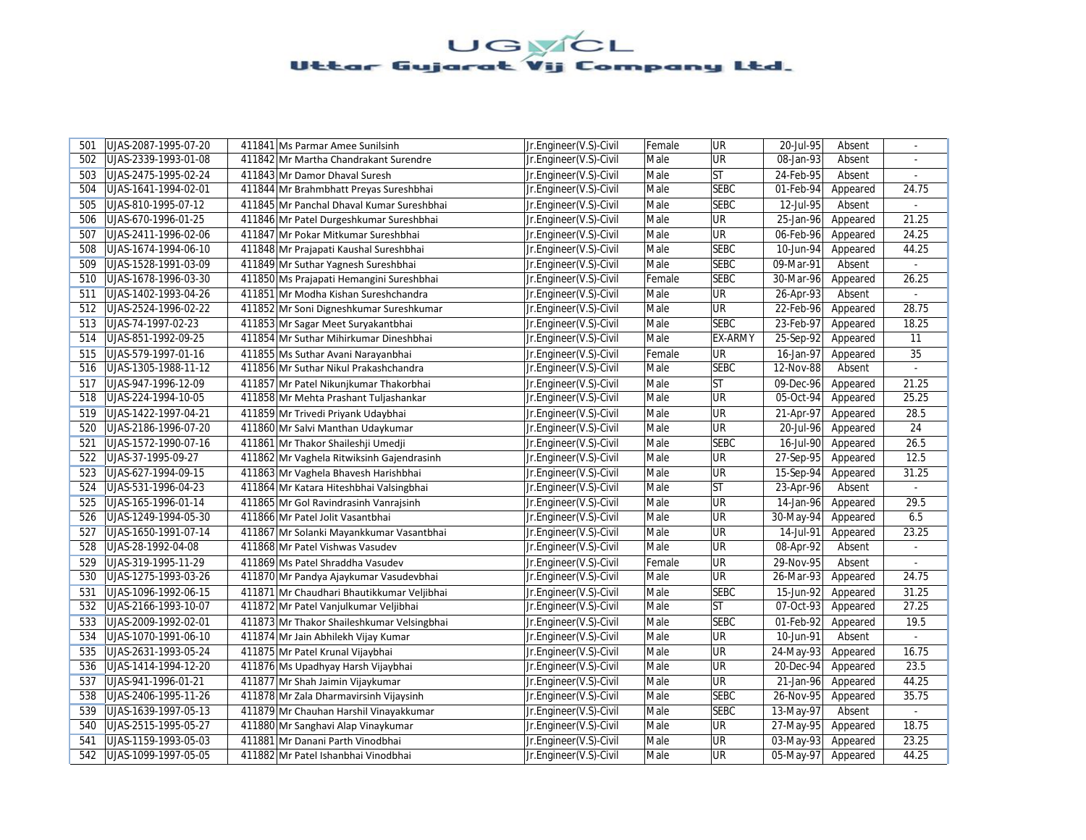| 501 | UJAS-2087-1995-07-20 | 411841 Ms Parmar Amee Sunilsinh            | Jr.Engineer(V.S)-Civil | Female | <b>UR</b>      | 20-Jul-95<br>Absent                 | $\sim$         |
|-----|----------------------|--------------------------------------------|------------------------|--------|----------------|-------------------------------------|----------------|
| 502 | UJAS-2339-1993-01-08 | 411842 Mr Martha Chandrakant Surendre      | Jr.Engineer(V.S)-Civil | Male   | <b>UR</b>      | 08-Jan-93<br>Absent                 |                |
| 503 | UJAS-2475-1995-02-24 | 411843 Mr Damor Dhaval Suresh              | Jr.Engineer(V.S)-Civil | Male   | <b>ST</b>      | 24-Feb-95<br>Absent                 | $\sim$         |
| 504 | UJAS-1641-1994-02-01 | 411844 Mr Brahmbhatt Preyas Sureshbhai     | Jr.Engineer(V.S)-Civil | Male   | <b>SEBC</b>    | 01-Feb-94<br>Appeared               | 24.75          |
| 505 | UJAS-810-1995-07-12  | 411845 Mr Panchal Dhaval Kumar Sureshbhai  | Jr.Engineer(V.S)-Civil | Male   | <b>SEBC</b>    | 12-Jul-95<br>Absent                 | $\sim$         |
| 506 | UJAS-670-1996-01-25  | 411846 Mr Patel Durgeshkumar Sureshbhai    | Jr.Engineer(V.S)-Civil | Male   | <b>UR</b>      | 25-Jan-96<br>Appeared               | 21.25          |
| 507 | UJAS-2411-1996-02-06 | 411847 Mr Pokar Mitkumar Sureshbhai        | Jr.Engineer(V.S)-Civil | Male   | <b>UR</b>      | 06-Feb-96<br>Appeared               | 24.25          |
| 508 | UJAS-1674-1994-06-10 | 411848 Mr Prajapati Kaushal Sureshbhai     | Jr.Engineer(V.S)-Civil | Male   | <b>SEBC</b>    | 10-Jun-94<br>Appeared               | 44.25          |
| 509 | UJAS-1528-1991-03-09 | 411849 Mr Suthar Yagnesh Sureshbhai        | Jr.Engineer(V.S)-Civil | Male   | <b>SEBC</b>    | 09-Mar-91<br>Absent                 |                |
| 510 | UJAS-1678-1996-03-30 | 411850 Ms Prajapati Hemangini Sureshbhai   | Jr.Engineer(V.S)-Civil | Female | <b>SEBC</b>    | 30-Mar-96<br>Appeared               | 26.25          |
| 511 | UJAS-1402-1993-04-26 | 411851 Mr Modha Kishan Sureshchandra       | Jr.Engineer(V.S)-Civil | Male   | <b>UR</b>      | 26-Apr-93<br>Absent                 |                |
| 512 | UJAS-2524-1996-02-22 | 411852 Mr Soni Digneshkumar Sureshkumar    | Jr.Engineer(V.S)-Civil | Male   | <b>UR</b>      | 22-Feb-96<br>Appeared               | 28.75          |
| 513 | UJAS-74-1997-02-23   | 411853 Mr Sagar Meet Suryakantbhai         | Jr.Engineer(V.S)-Civil | Male   | <b>SEBC</b>    | 23-Feb-97<br>Appeared               | 18.25          |
| 514 | UJAS-851-1992-09-25  | 411854 Mr Suthar Mihirkumar Dineshbhai     | Jr.Engineer(V.S)-Civil | Male   | <b>EX-ARMY</b> | 25-Sep-92<br>Appeared               | 11             |
| 515 | UJAS-579-1997-01-16  | 411855 Ms Suthar Avani Narayanbhai         | Jr.Engineer(V.S)-Civil | Female | <b>UR</b>      | 16-Jan-97<br>Appeared               | 35             |
| 516 | UJAS-1305-1988-11-12 | 411856 Mr Suthar Nikul Prakashchandra      | Jr.Engineer(V.S)-Civil | Male   | <b>SEBC</b>    | 12-Nov-88<br>Absent                 | $\mathbb{Z}^+$ |
| 517 | UJAS-947-1996-12-09  | 411857 Mr Patel Nikunjkumar Thakorbhai     | Jr.Engineer(V.S)-Civil | Male   | <b>ST</b>      | 09-Dec-96<br>Appeared               | 21.25          |
| 518 | UJAS-224-1994-10-05  | 411858 Mr Mehta Prashant Tuljashankar      | Jr.Engineer(V.S)-Civil | Male   | UR             | 05-Oct-94<br>Appeared               | 25.25          |
| 519 | UJAS-1422-1997-04-21 | 411859 Mr Trivedi Priyank Udaybhai         | Jr.Engineer(V.S)-Civil | Male   | <b>UR</b>      | 21-Apr-97<br>Appeared               | 28.5           |
| 520 | UJAS-2186-1996-07-20 | 411860 Mr Salvi Manthan Udaykumar          | Jr.Engineer(V.S)-Civil | Male   | <b>UR</b>      | 20-Jul-96<br>Appeared               | 24             |
| 521 | UJAS-1572-1990-07-16 | 411861 Mr Thakor Shaileshji Umedji         | Jr.Engineer(V.S)-Civil | Male   | <b>SEBC</b>    | 16-Jul-90<br>Appeared               | 26.5           |
| 522 | UJAS-37-1995-09-27   | 411862 Mr Vaghela Ritwiksinh Gajendrasinh  | Jr.Engineer(V.S)-Civil | Male   | <b>UR</b>      | 27-Sep-95<br>Appeared               | 12.5           |
| 523 | UJAS-627-1994-09-15  | 411863 Mr Vaghela Bhavesh Harishbhai       | Jr.Engineer(V.S)-Civil | Male   | <b>UR</b>      | 15-Sep-94<br>Appeared               | 31.25          |
| 524 | UJAS-531-1996-04-23  | 411864 Mr Katara Hiteshbhai Valsingbhai    | Jr.Engineer(V.S)-Civil | Male   | <b>ST</b>      | 23-Apr-96<br>Absent                 |                |
| 525 | UJAS-165-1996-01-14  | 411865 Mr Gol Ravindrasinh Vanrajsinh      | Jr.Engineer(V.S)-Civil | Male   | <b>UR</b>      | $\overline{14}$ -Jan-96<br>Appeared | 29.5           |
| 526 | UJAS-1249-1994-05-30 | 411866 Mr Patel Jolit Vasantbhai           | Jr.Engineer(V.S)-Civil | Male   | UR             | 30-May-94<br>Appeared               | 6.5            |
| 527 | UJAS-1650-1991-07-14 | 411867 Mr Solanki Mayankkumar Vasantbhai   | Jr.Engineer(V.S)-Civil | Male   | <b>UR</b>      | 14-Jul-91<br>Appeared               | 23.25          |
| 528 | UJAS-28-1992-04-08   | 411868 Mr Patel Vishwas Vasudev            | Jr.Engineer(V.S)-Civil | Male   | <b>UR</b>      | 08-Apr-92<br>Absent                 |                |
| 529 | UJAS-319-1995-11-29  | 411869 Ms Patel Shraddha Vasudev           | Jr.Engineer(V.S)-Civil | Female | <b>UR</b>      | 29-Nov-95<br>Absent                 |                |
| 530 | UJAS-1275-1993-03-26 | 411870 Mr Pandya Ajaykumar Vasudevbhai     | Jr.Engineer(V.S)-Civil | Male   | <b>UR</b>      | 26-Mar-93<br>Appeared               | 24.75          |
| 531 | UJAS-1096-1992-06-15 | 411871 Mr Chaudhari Bhautikkumar Veljibhai | Jr.Engineer(V.S)-Civil | Male   | <b>SEBC</b>    | 15-Jun-92<br>Appeared               | 31.25          |
| 532 | UJAS-2166-1993-10-07 | 411872 Mr Patel Vanjulkumar Veljibhai      | Jr.Engineer(V.S)-Civil | Male   | ST             | 07-Oct-93<br>Appeared               | 27.25          |
| 533 | UJAS-2009-1992-02-01 | 411873 Mr Thakor Shaileshkumar Velsingbhai | Jr.Engineer(V.S)-Civil | Male   | <b>SEBC</b>    | 01-Feb-92<br>Appeared               | 19.5           |
| 534 | UJAS-1070-1991-06-10 | 411874 Mr Jain Abhilekh Vijay Kumar        | Jr.Engineer(V.S)-Civil | Male   | <b>UR</b>      | 10-Jun-91<br>Absent                 | $\sim$         |
| 535 | UJAS-2631-1993-05-24 | 411875 Mr Patel Krunal Vijaybhai           | Jr.Engineer(V.S)-Civil | Male   | UR             | 24-May-93<br>Appeared               | 16.75          |
| 536 | UJAS-1414-1994-12-20 | 411876 Ms Upadhyay Harsh Vijaybhai         | Jr.Engineer(V.S)-Civil | Male   | <b>UR</b>      | 20-Dec-94<br>Appeared               | 23.5           |
| 537 | UJAS-941-1996-01-21  | 411877 Mr Shah Jaimin Vijaykumar           | Jr.Engineer(V.S)-Civil | Male   | <b>UR</b>      | 21-Jan-96<br>Appeared               | 44.25          |
| 538 | UJAS-2406-1995-11-26 | 411878 Mr Zala Dharmavirsinh Vijaysinh     | Jr.Engineer(V.S)-Civil | Male   | <b>SEBC</b>    | 26-Nov-95<br>Appeared               | 35.75          |
| 539 | UJAS-1639-1997-05-13 | 411879 Mr Chauhan Harshil Vinayakkumar     | Jr.Engineer(V.S)-Civil | Male   | <b>SEBC</b>    | 13-May-97<br>Absent                 |                |
| 540 | UJAS-2515-1995-05-27 | 411880 Mr Sanghavi Alap Vinaykumar         | Jr.Engineer(V.S)-Civil | Male   | <b>UR</b>      | 27-May-95<br>Appeared               | 18.75          |
| 541 | UJAS-1159-1993-05-03 | 411881 Mr Danani Parth Vinodbhai           | Jr.Engineer(V.S)-Civil | Male   | <b>UR</b>      | 03-May-93<br>Appeared               | 23.25          |
| 542 | UJAS-1099-1997-05-05 | 411882 Mr Patel Ishanbhai Vinodbhai        | Jr.Engineer(V.S)-Civil | Male   | <b>UR</b>      | 05-May-97<br>Appeared               | 44.25          |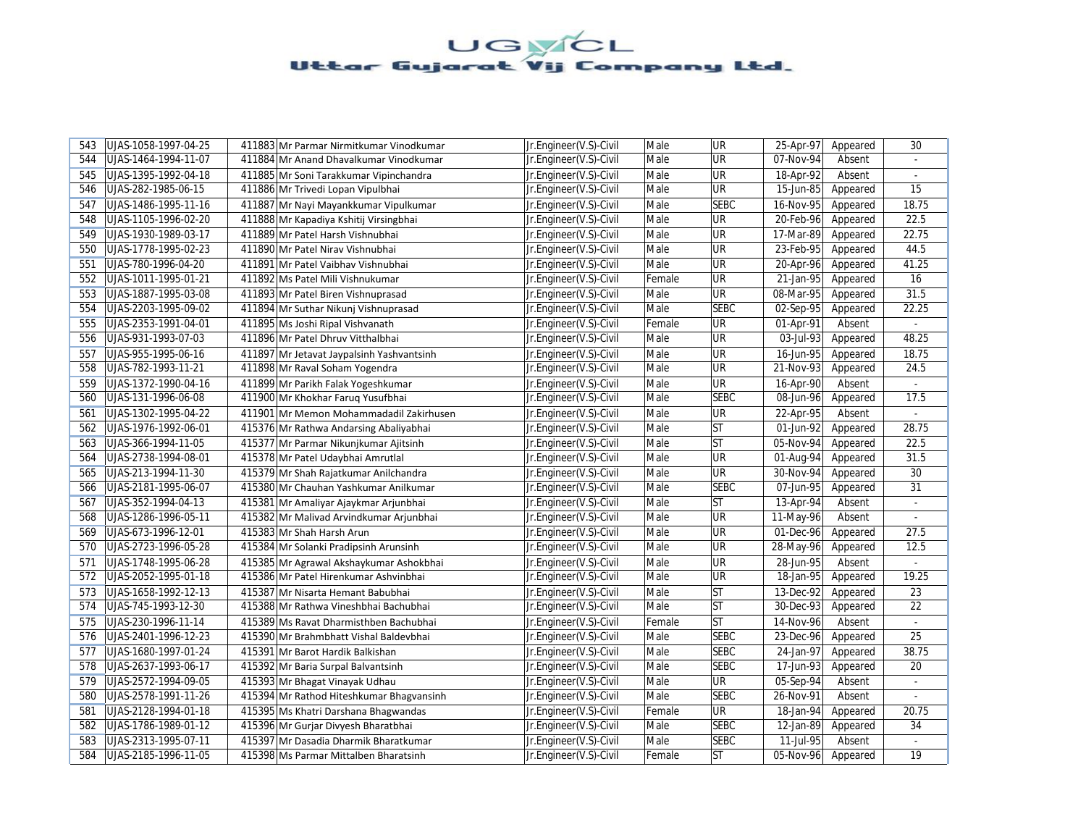| 543 | UJAS-1058-1997-04-25 | 411883 Mr Parmar Nirmitkumar Vinodkumar   | Jr.Engineer(V.S)-Civil | Male   | UR          | 25-Apr-97 | Appeared | 30             |
|-----|----------------------|-------------------------------------------|------------------------|--------|-------------|-----------|----------|----------------|
| 544 | UJAS-1464-1994-11-07 | 411884 Mr Anand Dhavalkumar Vinodkumar    | Jr.Engineer(V.S)-Civil | Male   | <b>UR</b>   | 07-Nov-94 | Absent   |                |
| 545 | UJAS-1395-1992-04-18 | 411885 Mr Soni Tarakkumar Vipinchandra    | Jr.Engineer(V.S)-Civil | Male   | UR          | 18-Apr-92 | Absent   | $\omega$       |
| 546 | UJAS-282-1985-06-15  | 411886 Mr Trivedi Lopan Vipulbhai         | Jr.Engineer(V.S)-Civil | Male   | UR          | 15-Jun-85 | Appeared | 15             |
| 547 | UJAS-1486-1995-11-16 | 411887 Mr Nayi Mayankkumar Vipulkumar     | Jr.Engineer(V.S)-Civil | Male   | <b>SEBC</b> | 16-Nov-95 | Appeared | 18.75          |
| 548 | UJAS-1105-1996-02-20 | 411888 Mr Kapadiya Kshitij Virsingbhai    | Jr.Engineer(V.S)-Civil | Male   | UR          | 20-Feb-96 | Appeared | 22.5           |
| 549 | UJAS-1930-1989-03-17 | 411889 Mr Patel Harsh Vishnubhai          | Jr.Engineer(V.S)-Civil | Male   | UR          | 17-Mar-89 | Appeared | 22.75          |
| 550 | UJAS-1778-1995-02-23 | 411890 Mr Patel Nirav Vishnubhai          | Jr.Engineer(V.S)-Civil | Male   | UR          | 23-Feb-95 | Appeared | 44.5           |
| 551 | UJAS-780-1996-04-20  | 411891 Mr Patel Vaibhav Vishnubhai        | Jr.Engineer(V.S)-Civil | Male   | UR          | 20-Apr-96 | Appeared | 41.25          |
| 552 | UJAS-1011-1995-01-21 | 411892 Ms Patel Mili Vishnukumar          | Jr.Engineer(V.S)-Civil | Female | UR          | 21-Jan-95 | Appeared | 16             |
| 553 | UJAS-1887-1995-03-08 | 411893 Mr Patel Biren Vishnuprasad        | Jr.Engineer(V.S)-Civil | Male   | UR          | 08-Mar-95 | Appeared | 31.5           |
| 554 | UJAS-2203-1995-09-02 | 411894 Mr Suthar Nikunj Vishnuprasad      | Jr.Engineer(V.S)-Civil | Male   | <b>SEBC</b> | 02-Sep-95 | Appeared | 22.25          |
| 555 | UJAS-2353-1991-04-01 | 411895 Ms Joshi Ripal Vishvanath          | Jr.Engineer(V.S)-Civil | Female | UR          | 01-Apr-91 | Absent   |                |
| 556 | UJAS-931-1993-07-03  | 411896 Mr Patel Dhruv Vitthalbhai         | Jr.Engineer(V.S)-Civil | Male   | <b>UR</b>   | 03-Jul-93 | Appeared | 48.25          |
| 557 | UJAS-955-1995-06-16  | 411897 Mr Jetavat Jaypalsinh Yashvantsinh | Jr.Engineer(V.S)-Civil | Male   | UR          | 16-Jun-95 | Appeared | 18.75          |
| 558 | UJAS-782-1993-11-21  | 411898 Mr Raval Soham Yogendra            | Jr.Engineer(V.S)-Civil | Male   | UR          | 21-Nov-93 | Appeared | 24.5           |
| 559 | UJAS-1372-1990-04-16 | 411899 Mr Parikh Falak Yogeshkumar        | Jr.Engineer(V.S)-Civil | Male   | UR          | 16-Apr-90 | Absent   | $\blacksquare$ |
| 560 | UJAS-131-1996-06-08  | 411900 Mr Khokhar Faruq Yusufbhai         | Jr.Engineer(V.S)-Civil | Male   | <b>SEBC</b> | 08-Jun-96 | Appeared | 17.5           |
| 561 | UJAS-1302-1995-04-22 | 411901 Mr Memon Mohammadadil Zakirhusen   | Jr.Engineer(V.S)-Civil | Male   | UR          | 22-Apr-95 | Absent   | $\sim$         |
| 562 | UJAS-1976-1992-06-01 | 415376 Mr Rathwa Andarsing Abaliyabhai    | Jr.Engineer(V.S)-Civil | Male   | <b>ST</b>   | 01-Jun-92 | Appeared | 28.75          |
| 563 | UJAS-366-1994-11-05  | 415377 Mr Parmar Nikunjkumar Ajitsinh     | Jr.Engineer(V.S)-Civil | Male   | <b>ST</b>   | 05-Nov-94 | Appeared | 22.5           |
| 564 | UJAS-2738-1994-08-01 | 415378 Mr Patel Udaybhai Amrutlal         | Jr.Engineer(V.S)-Civil | Male   | UR          | 01-Aug-94 | Appeared | 31.5           |
| 565 | UJAS-213-1994-11-30  | 415379 Mr Shah Rajatkumar Anilchandra     | Jr.Engineer(V.S)-Civil | Male   | UR          | 30-Nov-94 | Appeared | 30             |
| 566 | UJAS-2181-1995-06-07 | 415380 Mr Chauhan Yashkumar Anilkumar     | Jr.Engineer(V.S)-Civil | Male   | <b>SEBC</b> | 07-Jun-95 | Appeared | 31             |
| 567 | UJAS-352-1994-04-13  | 415381 Mr Amaliyar Ajaykmar Arjunbhai     | Jr.Engineer(V.S)-Civil | Male   | <b>ST</b>   | 13-Apr-94 | Absent   | $\omega$       |
| 568 | UJAS-1286-1996-05-11 | 415382 Mr Malivad Arvindkumar Arjunbhai   | Jr.Engineer(V.S)-Civil | Male   | UR          | 11-May-96 | Absent   | ä,             |
| 569 | UJAS-673-1996-12-01  | 415383 Mr Shah Harsh Arun                 | Jr.Engineer(V.S)-Civil | Male   | UR          | 01-Dec-96 | Appeared | 27.5           |
| 570 | UJAS-2723-1996-05-28 | 415384 Mr Solanki Pradipsinh Arunsinh     | Jr.Engineer(V.S)-Civil | Male   | UR          | 28-May-96 | Appeared | 12.5           |
| 571 | UJAS-1748-1995-06-28 | 415385 Mr Agrawal Akshaykumar Ashokbhai   | Jr.Engineer(V.S)-Civil | Male   | UR          | 28-Jun-95 | Absent   |                |
| 572 | UJAS-2052-1995-01-18 | 415386 Mr Patel Hirenkumar Ashvinbhai     | Jr.Engineer(V.S)-Civil | Male   | UR          | 18-Jan-95 | Appeared | 19.25          |
| 573 | UJAS-1658-1992-12-13 | 415387 Mr Nisarta Hemant Babubhai         | Jr.Engineer(V.S)-Civil | Male   | <b>ST</b>   | 13-Dec-92 | Appeared | 23             |
| 574 | UJAS-745-1993-12-30  | 415388 Mr Rathwa Vineshbhai Bachubhai     | Jr.Engineer(V.S)-Civil | Male   | <b>ST</b>   | 30-Dec-93 | Appeared | 22             |
| 575 | UJAS-230-1996-11-14  | 415389 Ms Ravat Dharmisthben Bachubhai    | Jr.Engineer(V.S)-Civil | Female | ST          | 14-Nov-96 | Absent   |                |
| 576 | UJAS-2401-1996-12-23 | 415390 Mr Brahmbhatt Vishal Baldevbhai    | Jr.Engineer(V.S)-Civil | Male   | <b>SEBC</b> | 23-Dec-96 | Appeared | 25             |
| 577 | UJAS-1680-1997-01-24 | 415391 Mr Barot Hardik Balkishan          | Jr.Engineer(V.S)-Civil | Male   | <b>SEBC</b> | 24-Jan-97 | Appeared | 38.75          |
| 578 | UJAS-2637-1993-06-17 | 415392 Mr Baria Surpal Balvantsinh        | Jr.Engineer(V.S)-Civil | Male   | <b>SEBC</b> | 17-Jun-93 | Appeared | 20             |
| 579 | UJAS-2572-1994-09-05 | 415393 Mr Bhagat Vinayak Udhau            | Jr.Engineer(V.S)-Civil | Male   | <b>UR</b>   | 05-Sep-94 | Absent   | $\omega$       |
| 580 | UJAS-2578-1991-11-26 | 415394 Mr Rathod Hiteshkumar Bhagyansinh  | Jr.Engineer(V.S)-Civil | Male   | <b>SEBC</b> | 26-Nov-91 | Absent   |                |
| 581 | UJAS-2128-1994-01-18 | 415395 Ms Khatri Darshana Bhagwandas      | Jr.Engineer(V.S)-Civil | Female | <b>UR</b>   | 18-Jan-94 | Appeared | 20.75          |
| 582 | UJAS-1786-1989-01-12 | 415396 Mr Gurjar Divyesh Bharatbhai       | Jr.Engineer(V.S)-Civil | Male   | <b>SEBC</b> | 12-Jan-89 | Appeared | 34             |
| 583 | UJAS-2313-1995-07-11 | 415397 Mr Dasadia Dharmik Bharatkumar     | Jr.Engineer(V.S)-Civil | Male   | <b>SEBC</b> | 11-Jul-95 | Absent   | $\omega$       |
| 584 | UJAS-2185-1996-11-05 | 415398 Ms Parmar Mittalben Bharatsinh     | Jr.Engineer(V.S)-Civil | Female | <b>ST</b>   | 05-Nov-96 | Appeared | 19             |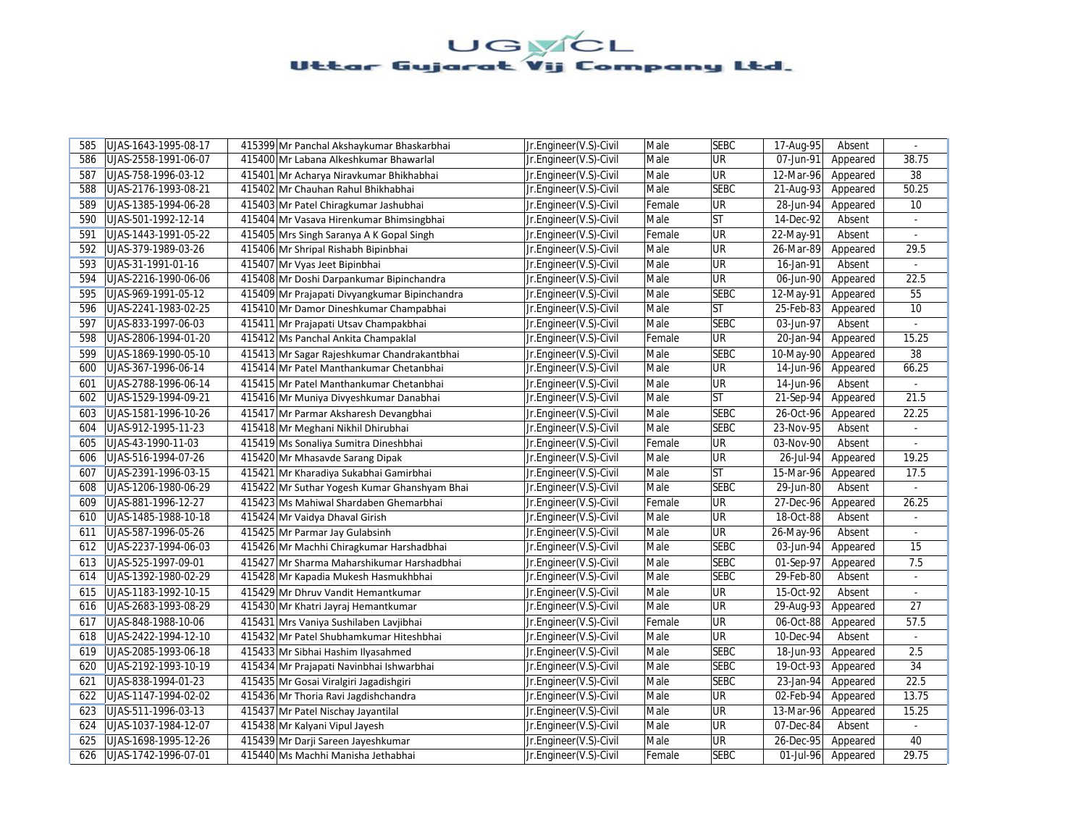| 585 | UJAS-1643-1995-08-17 | 415399 Mr Panchal Akshaykumar Bhaskarbhai     | Jr.Engineer(V.S)-Civil | Male   | <b>SEBC</b> | 17-Aug-95 | Absent   | $\sim$          |
|-----|----------------------|-----------------------------------------------|------------------------|--------|-------------|-----------|----------|-----------------|
| 586 | UJAS-2558-1991-06-07 | 415400 Mr Labana Alkeshkumar Bhawarlal        | Jr.Engineer(V.S)-Civil | Male   | UR          | 07-Jun-91 | Appeared | 38.75           |
| 587 | UJAS-758-1996-03-12  | 415401 Mr Acharya Niravkumar Bhikhabhai       | Jr.Engineer(V.S)-Civil | Male   | UR          | 12-Mar-96 | Appeared | 38              |
| 588 | UJAS-2176-1993-08-21 | 415402 Mr Chauhan Rahul Bhikhabhai            | Jr.Engineer(V.S)-Civil | Male   | <b>SEBC</b> | 21-Aug-93 | Appeared | 50.25           |
| 589 | UJAS-1385-1994-06-28 | 415403 Mr Patel Chiragkumar Jashubhai         | Jr.Engineer(V.S)-Civil | Female | UR          | 28-Jun-94 | Appeared | 10              |
| 590 | UJAS-501-1992-12-14  | 415404 Mr Vasava Hirenkumar Bhimsingbhai      | Jr.Engineer(V.S)-Civil | Male   | ST          | 14-Dec-92 | Absent   |                 |
| 591 | UJAS-1443-1991-05-22 | 415405 Mrs Singh Saranya A K Gopal Singh      | Jr.Engineer(V.S)-Civil | Female | <b>UR</b>   | 22-May-91 | Absent   |                 |
| 592 | UJAS-379-1989-03-26  | 415406 Mr Shripal Rishabh Bipinbhai           | Jr.Engineer(V.S)-Civil | Male   | UR          | 26-Mar-89 | Appeared | 29.5            |
| 593 | UJAS-31-1991-01-16   | 415407 Mr Vyas Jeet Bipinbhai                 | Jr.Engineer(V.S)-Civil | Male   | UR          | 16-Jan-91 | Absent   |                 |
| 594 | UJAS-2216-1990-06-06 | 415408 Mr Doshi Darpankumar Bipinchandra      | Jr.Engineer(V.S)-Civil | Male   | UR          | 06-Jun-90 | Appeared | 22.5            |
| 595 | UJAS-969-1991-05-12  | 415409 Mr Prajapati Divyangkumar Bipinchandra | Jr.Engineer(V.S)-Civil | Male   | <b>SEBC</b> | 12-May-91 | Appeared | 55              |
| 596 | UJAS-2241-1983-02-25 | 415410 Mr Damor Dineshkumar Champabhai        | Jr.Engineer(V.S)-Civil | Male   | <b>ST</b>   | 25-Feb-83 | Appeared | 10 <sup>°</sup> |
| 597 | UJAS-833-1997-06-03  | 415411 Mr Prajapati Utsav Champakbhai         | Jr.Engineer(V.S)-Civil | Male   | <b>SEBC</b> | 03-Jun-97 | Absent   |                 |
| 598 | UJAS-2806-1994-01-20 | 415412 Ms Panchal Ankita Champaklal           | Jr.Engineer(V.S)-Civil | Female | UR          | 20-Jan-94 | Appeared | 15.25           |
| 599 | UJAS-1869-1990-05-10 | 415413 Mr Sagar Rajeshkumar Chandrakantbhai   | Jr.Engineer(V.S)-Civil | Male   | <b>SEBC</b> | 10-May-90 | Appeared | 38              |
| 600 | UJAS-367-1996-06-14  | 415414 Mr Patel Manthankumar Chetanbhai       | Jr.Engineer(V.S)-Civil | Male   | UR          | 14-Jun-96 | Appeared | 66.25           |
| 601 | UJAS-2788-1996-06-14 | 415415 Mr Patel Manthankumar Chetanbhai       | Jr.Engineer(V.S)-Civil | Male   | UR          | 14-Jun-96 | Absent   | $\blacksquare$  |
| 602 | UJAS-1529-1994-09-21 | 415416 Mr Muniya Divyeshkumar Danabhai        | Jr.Engineer(V.S)-Civil | Male   | <b>ST</b>   | 21-Sep-94 | Appeared | 21.5            |
| 603 | UJAS-1581-1996-10-26 | 415417 Mr Parmar Aksharesh Devangbhai         | Jr.Engineer(V.S)-Civil | Male   | <b>SEBC</b> | 26-Oct-96 | Appeared | 22.25           |
| 604 | UJAS-912-1995-11-23  | 415418 Mr Meghani Nikhil Dhirubhai            | Jr.Engineer(V.S)-Civil | Male   | <b>SEBC</b> | 23-Nov-95 | Absent   |                 |
| 605 | UJAS-43-1990-11-03   | 415419 Ms Sonaliya Sumitra Dineshbhai         | Jr.Engineer(V.S)-Civil | Female | UR          | 03-Nov-90 | Absent   | ÷.              |
| 606 | UJAS-516-1994-07-26  | 415420 Mr Mhasavde Sarang Dipak               | Jr.Engineer(V.S)-Civil | Male   | UR          | 26-Jul-94 | Appeared | 19.25           |
| 607 | UJAS-2391-1996-03-15 | 415421 Mr Kharadiya Sukabhai Gamirbhai        | Jr.Engineer(V.S)-Civil | Male   | <b>ST</b>   | 15-Mar-96 | Appeared | 17.5            |
| 608 | UJAS-1206-1980-06-29 | 415422 Mr Suthar Yogesh Kumar Ghanshyam Bhai  | Jr.Engineer(V.S)-Civil | Male   | <b>SEBC</b> | 29-Jun-80 | Absent   |                 |
| 609 | UJAS-881-1996-12-27  | 415423 Ms Mahiwal Shardaben Ghemarbhai        | Jr.Engineer(V.S)-Civil | Female | UR          | 27-Dec-96 | Appeared | 26.25           |
| 610 | UJAS-1485-1988-10-18 | 415424 Mr Vaidya Dhaval Girish                | Jr.Engineer(V.S)-Civil | Male   | UR          | 18-Oct-88 | Absent   | $\blacksquare$  |
| 611 | UJAS-587-1996-05-26  | 415425 Mr Parmar Jay Gulabsinh                | Jr.Engineer(V.S)-Civil | Male   | UR          | 26-May-96 | Absent   | $\sim$          |
| 612 | UJAS-2237-1994-06-03 | 415426 Mr Machhi Chiragkumar Harshadbhai      | Jr.Engineer(V.S)-Civil | Male   | <b>SEBC</b> | 03-Jun-94 | Appeared | 15              |
| 613 | UJAS-525-1997-09-01  | 415427 Mr Sharma Maharshikumar Harshadbhai    | Jr.Engineer(V.S)-Civil | Male   | <b>SEBC</b> | 01-Sep-97 | Appeared | 7.5             |
| 614 | UJAS-1392-1980-02-29 | 415428 Mr Kapadia Mukesh Hasmukhbhai          | Jr.Engineer(V.S)-Civil | Male   | <b>SEBC</b> | 29-Feb-80 | Absent   | $\blacksquare$  |
| 615 | UJAS-1183-1992-10-15 | 415429 Mr Dhruv Vandit Hemantkumar            | Jr.Engineer(V.S)-Civil | Male   | UR          | 15-Oct-92 | Absent   | $\blacksquare$  |
| 616 | UJAS-2683-1993-08-29 | 415430 Mr Khatri Jayraj Hemantkumar           | Jr.Engineer(V.S)-Civil | Male   | UR          | 29-Aug-93 | Appeared | 27              |
| 617 | UJAS-848-1988-10-06  | 415431 Mrs Vaniya Sushilaben Lavjibhai        | Jr.Engineer(V.S)-Civil | Female | UR          | 06-Oct-88 | Appeared | 57.5            |
| 618 | UJAS-2422-1994-12-10 | 415432 Mr Patel Shubhamkumar Hiteshbhai       | Jr.Engineer(V.S)-Civil | Male   | UR          | 10-Dec-94 | Absent   | ÷.              |
| 619 | UJAS-2085-1993-06-18 | 415433 Mr Sibhai Hashim Ilyasahmed            | Jr.Engineer(V.S)-Civil | Male   | <b>SEBC</b> | 18-Jun-93 | Appeared | 2.5             |
| 620 | UJAS-2192-1993-10-19 | 415434 Mr Prajapati Navinbhai Ishwarbhai      | Jr.Engineer(V.S)-Civil | Male   | <b>SEBC</b> | 19-Oct-93 | Appeared | 34              |
| 621 | UJAS-838-1994-01-23  | 415435 Mr Gosai Viralgiri Jagadishgiri        | Jr.Engineer(V.S)-Civil | Male   | <b>SEBC</b> | 23-Jan-94 | Appeared | 22.5            |
| 622 | UJAS-1147-1994-02-02 | 415436 Mr Thoria Ravi Jagdishchandra          | Jr.Engineer(V.S)-Civil | Male   | UR          | 02-Feb-94 | Appeared | 13.75           |
| 623 | UJAS-511-1996-03-13  | 415437 Mr Patel Nischay Jayantilal            | Jr.Engineer(V.S)-Civil | Male   | UR          | 13-Mar-96 | Appeared | 15.25           |
| 624 | UJAS-1037-1984-12-07 | 415438 Mr Kalyani Vipul Jayesh                | Jr.Engineer(V.S)-Civil | Male   | UR          | 07-Dec-84 | Absent   |                 |
| 625 | UJAS-1698-1995-12-26 | 415439 Mr Darji Sareen Jayeshkumar            | Jr.Engineer(V.S)-Civil | Male   | UR          | 26-Dec-95 | Appeared | 40              |
| 626 | UJAS-1742-1996-07-01 | 415440 Ms Machhi Manisha Jethabhai            | Jr.Engineer(V.S)-Civil | Female | <b>SEBC</b> | 01-Jul-96 | Appeared | 29.75           |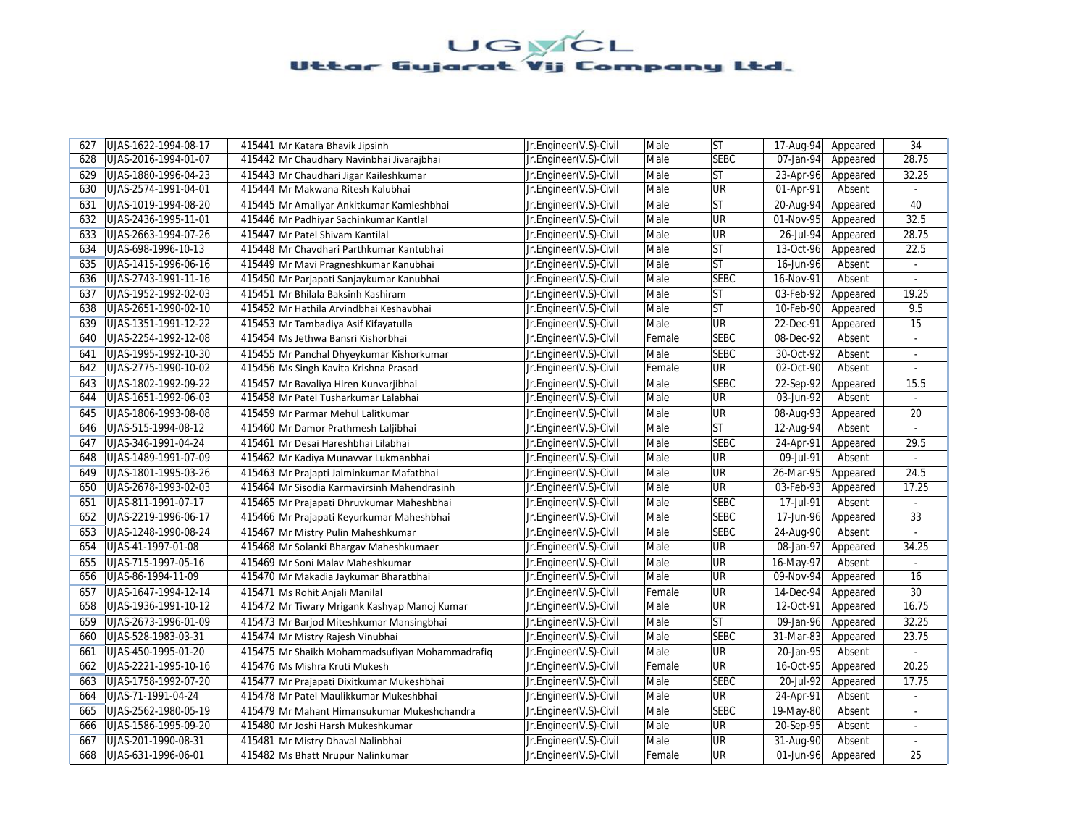| 627 | UJAS-1622-1994-08-17 | 415441 Mr Katara Bhavik Jipsinh                | Jr.Engineer(V.S)-Civil | Male   | <b>ST</b>   | 17-Aug-94   | Appeared | 34             |
|-----|----------------------|------------------------------------------------|------------------------|--------|-------------|-------------|----------|----------------|
| 628 | UJAS-2016-1994-01-07 | 415442 Mr Chaudhary Navinbhai Jivarajbhai      | Jr.Engineer(V.S)-Civil | Male   | <b>SEBC</b> | 07-Jan-94   | Appeared | 28.75          |
| 629 | UJAS-1880-1996-04-23 | 415443 Mr Chaudhari Jigar Kaileshkumar         | Jr.Engineer(V.S)-Civil | Male   | <b>ST</b>   | 23-Apr-96   | Appeared | 32.25          |
| 630 | UJAS-2574-1991-04-01 | 415444 Mr Makwana Ritesh Kalubhai              | Jr.Engineer(V.S)-Civil | Male   | UR          | 01-Apr-91   | Absent   |                |
| 631 | UJAS-1019-1994-08-20 | 415445 Mr Amaliyar Ankitkumar Kamleshbhai      | Jr.Engineer(V.S)-Civil | Male   | lst         | 20-Aug-94   | Appeared | 40             |
| 632 | UJAS-2436-1995-11-01 | 415446 Mr Padhiyar Sachinkumar Kantlal         | Jr.Engineer(V.S)-Civil | Male   | <b>UR</b>   | 01-Nov-95   | Appeared | 32.5           |
| 633 | UJAS-2663-1994-07-26 | 415447 Mr Patel Shivam Kantilal                | Jr.Engineer(V.S)-Civil | Male   | <b>UR</b>   | 26-Jul-94   | Appeared | 28.75          |
| 634 | UJAS-698-1996-10-13  | 415448 Mr Chavdhari Parthkumar Kantubhai       | Jr.Engineer(V.S)-Civil | Male   | <b>ST</b>   | 13-Oct-96   | Appeared | 22.5           |
| 635 | UJAS-1415-1996-06-16 | 415449 Mr Mavi Pragneshkumar Kanubhai          | Jr.Engineer(V.S)-Civil | Male   | lst         | 16-Jun-96   | Absent   |                |
| 636 | UJAS-2743-1991-11-16 | 415450 Mr Parjapati Sanjaykumar Kanubhai       | Jr.Engineer(V.S)-Civil | Male   | <b>SEBC</b> | 16-Nov-91   | Absent   |                |
| 637 | UJAS-1952-1992-02-03 | 415451 Mr Bhilala Baksinh Kashiram             | Jr.Engineer(V.S)-Civil | Male   | lst         | 03-Feb-92   | Appeared | 19.25          |
| 638 | UJAS-2651-1990-02-10 | 415452 Mr Hathila Arvindbhai Keshavbhai        | Jr.Engineer(V.S)-Civil | Male   | lst         | 10-Feb-90   | Appeared | 9.5            |
| 639 | UJAS-1351-1991-12-22 | 415453 Mr Tambadiya Asif Kifayatulla           | Jr.Engineer(V.S)-Civil | Male   | UR          | 22-Dec-91   | Appeared | 15             |
| 640 | UJAS-2254-1992-12-08 | 415454 Ms Jethwa Bansri Kishorbhai             | Jr.Engineer(V.S)-Civil | Female | <b>SEBC</b> | 08-Dec-92   | Absent   | $\sim$         |
| 641 | UJAS-1995-1992-10-30 | 415455 Mr Panchal Dhyeykumar Kishorkumar       | Jr.Engineer(V.S)-Civil | Male   | <b>SEBC</b> | 30-Oct-92   | Absent   |                |
| 642 | UJAS-2775-1990-10-02 | 415456 Ms Singh Kavita Krishna Prasad          | Jr.Engineer(V.S)-Civil | Female | <b>UR</b>   | 02-Oct-90   | Absent   | $\mathcal{L}$  |
| 643 | UJAS-1802-1992-09-22 | 415457 Mr Bavaliya Hiren Kunvarjibhai          | Jr.Engineer(V.S)-Civil | Male   | <b>SEBC</b> | 22-Sep-92   | Appeared | 15.5           |
| 644 | UJAS-1651-1992-06-03 | 415458 Mr Patel Tusharkumar Lalabhai           | Jr.Engineer(V.S)-Civil | Male   | <b>UR</b>   | 03-Jun-92   | Absent   | $\sim$         |
| 645 | UJAS-1806-1993-08-08 | 415459 Mr Parmar Mehul Lalitkumar              | Jr.Engineer(V.S)-Civil | Male   | <b>UR</b>   | 08-Aug-93   | Appeared | 20             |
| 646 | UJAS-515-1994-08-12  | 415460 Mr Damor Prathmesh Laljibhai            | Jr.Engineer(V.S)-Civil | Male   | lst         | 12-Aug-94   | Absent   | $\overline{a}$ |
| 647 | UJAS-346-1991-04-24  | 415461 Mr Desai Hareshbhai Lilabhai            | Jr.Engineer(V.S)-Civil | Male   | <b>SEBC</b> | 24-Apr-91   | Appeared | 29.5           |
| 648 | UJAS-1489-1991-07-09 | 415462 Mr Kadiya Munavvar Lukmanbhai           | Jr.Engineer(V.S)-Civil | Male   | <b>UR</b>   | 09-Jul-91   | Absent   |                |
| 649 | UJAS-1801-1995-03-26 | 415463 Mr Prajapti Jaiminkumar Mafatbhai       | Jr.Engineer(V.S)-Civil | Male   | <b>UR</b>   | 26-Mar-95   | Appeared | 24.5           |
| 650 | UJAS-2678-1993-02-03 | 415464 Mr Sisodia Karmavirsinh Mahendrasinh    | Jr.Engineer(V.S)-Civil | Male   | <b>UR</b>   | 03-Feb-93   | Appeared | 17.25          |
| 651 | UJAS-811-1991-07-17  | 415465 Mr Prajapati Dhruvkumar Maheshbhai      | Jr.Engineer(V.S)-Civil | Male   | <b>SEBC</b> | 17-Jul-91   | Absent   | $\omega$       |
| 652 | UJAS-2219-1996-06-17 | 415466 Mr Prajapati Keyurkumar Maheshbhai      | Jr.Engineer(V.S)-Civil | Male   | <b>SEBC</b> | 17-Jun-96   | Appeared | 33             |
| 653 | UJAS-1248-1990-08-24 | 415467 Mr Mistry Pulin Maheshkumar             | Jr.Engineer(V.S)-Civil | Male   | <b>SEBC</b> | 24-Aug-90   | Absent   |                |
| 654 | UJAS-41-1997-01-08   | 415468 Mr Solanki Bhargav Maheshkumaer         | Jr.Engineer(V.S)-Civil | Male   | <b>UR</b>   | 08-Jan-97   | Appeared | 34.25          |
| 655 | UJAS-715-1997-05-16  | 415469 Mr Soni Malav Maheshkumar               | Jr.Engineer(V.S)-Civil | Male   | <b>UR</b>   | 16-May-97   | Absent   |                |
| 656 | UJAS-86-1994-11-09   | 415470 Mr Makadia Jaykumar Bharatbhai          | Jr.Engineer(V.S)-Civil | Male   | <b>UR</b>   | 09-Nov-94   | Appeared | 16             |
| 657 | UJAS-1647-1994-12-14 | 415471 Ms Rohit Anjali Manilal                 | Jr.Engineer(V.S)-Civil | Female | <b>UR</b>   | 14-Dec-94   | Appeared | 30             |
| 658 | UJAS-1936-1991-10-12 | 415472 Mr Tiwary Mrigank Kashyap Manoj Kumar   | Jr.Engineer(V.S)-Civil | Male   | <b>UR</b>   | 12-Oct-91   | Appeared | 16.75          |
| 659 | UJAS-2673-1996-01-09 | 415473 Mr Barjod Miteshkumar Mansingbhai       | Jr.Engineer(V.S)-Civil | Male   | <b>ST</b>   | 09-Jan-96   | Appeared | 32.25          |
| 660 | UJAS-528-1983-03-31  | 415474 Mr Mistry Rajesh Vinubhai               | Jr.Engineer(V.S)-Civil | Male   | <b>SEBC</b> | 31-Mar-83   | Appeared | 23.75          |
| 661 | UJAS-450-1995-01-20  | 415475 Mr Shaikh Mohammadsufiyan Mohammadrafiq | Jr.Engineer(V.S)-Civil | Male   | UR          | 20-Jan-95   | Absent   |                |
| 662 | UJAS-2221-1995-10-16 | 415476 Ms Mishra Kruti Mukesh                  | Jr.Engineer(V.S)-Civil | Female | <b>UR</b>   | $16-Oct-95$ | Appeared | 20.25          |
| 663 | UJAS-1758-1992-07-20 | 415477 Mr Prajapati Dixitkumar Mukeshbhai      | Jr.Engineer(V.S)-Civil | Male   | <b>SEBC</b> | 20-Jul-92   | Appeared | 17.75          |
| 664 | UJAS-71-1991-04-24   | 415478 Mr Patel Maulikkumar Mukeshbhai         | Jr.Engineer(V.S)-Civil | Male   | <b>UR</b>   | 24-Apr-91   | Absent   | ÷              |
| 665 | UJAS-2562-1980-05-19 | 415479 Mr Mahant Himansukumar Mukeshchandra    | Jr.Engineer(V.S)-Civil | Male   | <b>SEBC</b> | 19-May-80   | Absent   | $\blacksquare$ |
| 666 | UJAS-1586-1995-09-20 | 415480 Mr Joshi Harsh Mukeshkumar              | Jr.Engineer(V.S)-Civil | Male   | <b>UR</b>   | 20-Sep-95   | Absent   |                |
| 667 | UJAS-201-1990-08-31  | 415481 Mr Mistry Dhaval Nalinbhai              | Jr.Engineer(V.S)-Civil | Male   | UR          | 31-Aug-90   | Absent   | $\blacksquare$ |
| 668 | UJAS-631-1996-06-01  | 415482 Ms Bhatt Nrupur Nalinkumar              | Jr.Engineer(V.S)-Civil | Female | <b>UR</b>   | 01-Jun-96   | Appeared | 25             |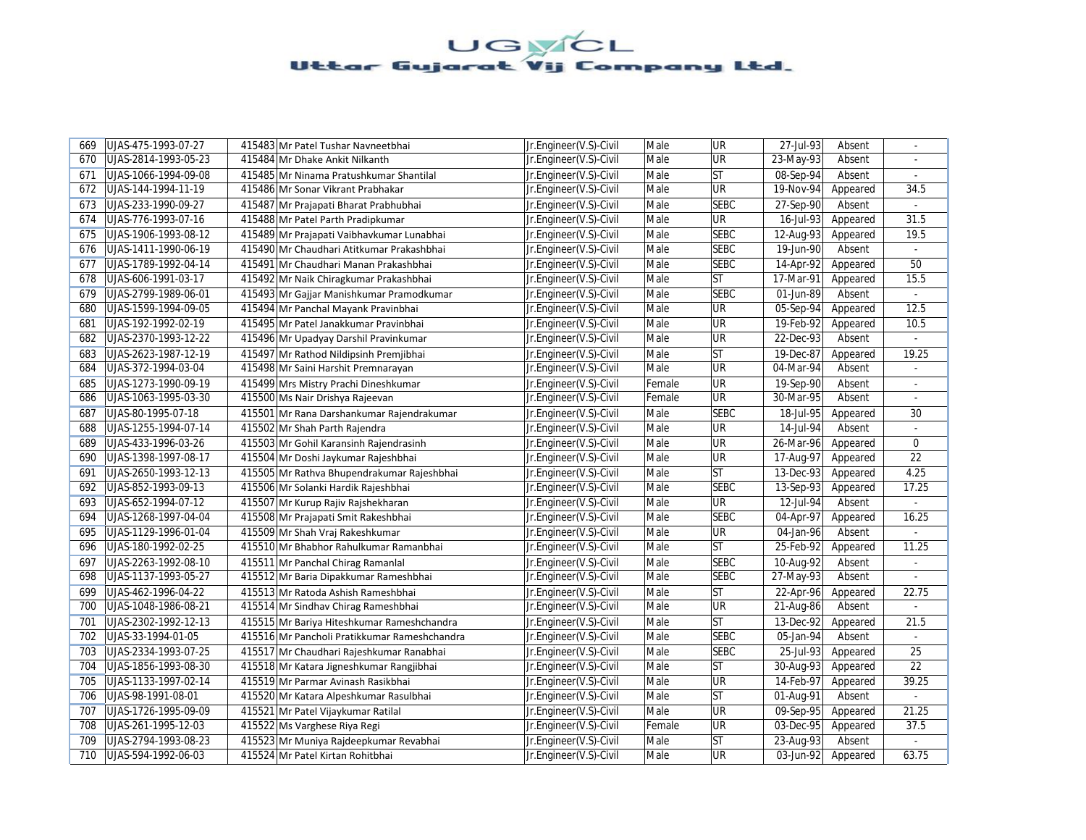| 669 | UJAS-475-1993-07-27  | 415483 Mr Patel Tushar Navneetbhai           | Jr.Engineer(V.S)-Civil | Male   | UR                       | 27-Jul-93 | Absent   | $\omega$       |
|-----|----------------------|----------------------------------------------|------------------------|--------|--------------------------|-----------|----------|----------------|
| 670 | UJAS-2814-1993-05-23 | 415484 Mr Dhake Ankit Nilkanth               | Jr.Engineer(V.S)-Civil | Male   | <b>UR</b>                | 23-May-93 | Absent   |                |
| 671 | UJAS-1066-1994-09-08 | 415485 Mr Ninama Pratushkumar Shantilal      | Jr.Engineer(V.S)-Civil | Male   | <b>ST</b>                | 08-Sep-94 | Absent   | $\sim$         |
| 672 | UJAS-144-1994-11-19  | 415486 Mr Sonar Vikrant Prabhakar            | Jr.Engineer(V.S)-Civil | Male   | UR                       | 19-Nov-94 | Appeared | 34.5           |
| 673 | UJAS-233-1990-09-27  | 415487 Mr Prajapati Bharat Prabhubhai        | Jr.Engineer(V.S)-Civil | Male   | <b>SEBC</b>              | 27-Sep-90 | Absent   | $\omega$       |
| 674 | UJAS-776-1993-07-16  | 415488 Mr Patel Parth Pradipkumar            | Jr.Engineer(V.S)-Civil | Male   | UR                       | 16-Jul-93 | Appeared | 31.5           |
| 675 | UJAS-1906-1993-08-12 | 415489 Mr Prajapati Vaibhavkumar Lunabhai    | Jr.Engineer(V.S)-Civil | Male   | <b>SEBC</b>              | 12-Aug-93 | Appeared | 19.5           |
| 676 | UJAS-1411-1990-06-19 | 415490 Mr Chaudhari Atitkumar Prakashbhai    | Jr.Engineer(V.S)-Civil | Male   | <b>SEBC</b>              | 19-Jun-90 | Absent   | $\blacksquare$ |
| 677 | UJAS-1789-1992-04-14 | 415491 Mr Chaudhari Manan Prakashbhai        | Jr.Engineer(V.S)-Civil | Male   | <b>SEBC</b>              | 14-Apr-92 | Appeared | 50             |
| 678 | UJAS-606-1991-03-17  | 415492 Mr Naik Chiragkumar Prakashbhai       | Jr.Engineer(V.S)-Civil | Male   | <b>ST</b>                | 17-Mar-91 | Appeared | 15.5           |
| 679 | UJAS-2799-1989-06-01 | 415493 Mr Gajjar Manishkumar Pramodkumar     | Jr.Engineer(V.S)-Civil | Male   | <b>SEBC</b>              | 01-Jun-89 | Absent   |                |
| 680 | UJAS-1599-1994-09-05 | 415494 Mr Panchal Mayank Pravinbhai          | Jr.Engineer(V.S)-Civil | Male   | UR                       | 05-Sep-94 | Appeared | 12.5           |
| 681 | UJAS-192-1992-02-19  | 415495 Mr Patel Janakkumar Pravinbhai        | Jr.Engineer(V.S)-Civil | Male   | UR                       | 19-Feb-92 | Appeared | 10.5           |
| 682 | UJAS-2370-1993-12-22 | 415496 Mr Upadyay Darshil Pravinkumar        | Jr.Engineer(V.S)-Civil | Male   | UR                       | 22-Dec-93 | Absent   | $\sim$         |
| 683 | UJAS-2623-1987-12-19 | 415497 Mr Rathod Nildipsinh Premjibhai       | Jr.Engineer(V.S)-Civil | Male   | <b>ST</b>                | 19-Dec-87 | Appeared | 19.25          |
| 684 | UJAS-372-1994-03-04  | 415498 Mr Saini Harshit Premnarayan          | Jr.Engineer(V.S)-Civil | Male   | UR                       | 04-Mar-94 | Absent   | $\overline{a}$ |
| 685 | UJAS-1273-1990-09-19 | 415499 Mrs Mistry Prachi Dineshkumar         | Jr.Engineer(V.S)-Civil | Female | UR                       | 19-Sep-90 | Absent   | $\blacksquare$ |
| 686 | UJAS-1063-1995-03-30 | 415500 Ms Nair Drishya Rajeevan              | Jr.Engineer(V.S)-Civil | Female | $\overline{\mathsf{UR}}$ | 30-Mar-95 | Absent   |                |
| 687 | UJAS-80-1995-07-18   | 415501 Mr Rana Darshankumar Rajendrakumar    | Jr.Engineer(V.S)-Civil | Male   | <b>SEBC</b>              | 18-Jul-95 | Appeared | 30             |
| 688 | UJAS-1255-1994-07-14 | 415502 Mr Shah Parth Rajendra                | Jr.Engineer(V.S)-Civil | Male   | UR                       | 14-Jul-94 | Absent   |                |
| 689 | UJAS-433-1996-03-26  | 415503 Mr Gohil Karansinh Rajendrasinh       | Jr.Engineer(V.S)-Civil | Male   | UR                       | 26-Mar-96 | Appeared | $\Omega$       |
| 690 | UJAS-1398-1997-08-17 | 415504 Mr Doshi Jaykumar Rajeshbhai          | Jr.Engineer(V.S)-Civil | Male   | UR                       | 17-Aug-97 | Appeared | 22             |
| 691 | UJAS-2650-1993-12-13 | 415505 Mr Rathva Bhupendrakumar Rajeshbhai   | Jr.Engineer(V.S)-Civil | Male   | ST                       | 13-Dec-93 | Appeared | 4.25           |
| 692 | UJAS-852-1993-09-13  | 415506 Mr Solanki Hardik Rajeshbhai          | Jr.Engineer(V.S)-Civil | Male   | <b>SEBC</b>              | 13-Sep-93 | Appeared | 17.25          |
| 693 | UJAS-652-1994-07-12  | 415507 Mr Kurup Rajiv Rajshekharan           | Jr.Engineer(V.S)-Civil | Male   | <b>UR</b>                | 12-Jul-94 | Absent   |                |
| 694 | UJAS-1268-1997-04-04 | 415508 Mr Prajapati Smit Rakeshbhai          | Jr.Engineer(V.S)-Civil | Male   | <b>SEBC</b>              | 04-Apr-97 | Appeared | 16.25          |
| 695 | UJAS-1129-1996-01-04 | 415509 Mr Shah Vraj Rakeshkumar              | Jr.Engineer(V.S)-Civil | Male   | UR                       | 04-Jan-96 | Absent   |                |
| 696 | UJAS-180-1992-02-25  | 415510 Mr Bhabhor Rahulkumar Ramanbhai       | Jr.Engineer(V.S)-Civil | Male   | <b>ST</b>                | 25-Feb-92 | Appeared | 11.25          |
| 697 | UJAS-2263-1992-08-10 | 415511 Mr Panchal Chirag Ramanlal            | Jr.Engineer(V.S)-Civil | Male   | <b>SEBC</b>              | 10-Aug-92 | Absent   |                |
| 698 | UJAS-1137-1993-05-27 | 415512 Mr Baria Dipakkumar Rameshbhai        | Jr.Engineer(V.S)-Civil | Male   | <b>SEBC</b>              | 27-May-93 | Absent   | ä,             |
| 699 | UJAS-462-1996-04-22  | 415513 Mr Ratoda Ashish Rameshbhai           | Jr.Engineer(V.S)-Civil | Male   | <b>ST</b>                | 22-Apr-96 | Appeared | 22.75          |
| 700 | UJAS-1048-1986-08-21 | 415514 Mr Sindhav Chirag Rameshbhai          | Jr.Engineer(V.S)-Civil | Male   | UR                       | 21-Aug-86 | Absent   | $\omega$       |
| 701 | UJAS-2302-1992-12-13 | 415515 Mr Bariya Hiteshkumar Rameshchandra   | Jr.Engineer(V.S)-Civil | Male   | ST                       | 13-Dec-92 | Appeared | 21.5           |
| 702 | UJAS-33-1994-01-05   | 415516 Mr Pancholi Pratikkumar Rameshchandra | Jr.Engineer(V.S)-Civil | Male   | <b>SEBC</b>              | 05-Jan-94 | Absent   | ÷.             |
| 703 | UJAS-2334-1993-07-25 | 415517 Mr Chaudhari Rajeshkumar Ranabhai     | Jr.Engineer(V.S)-Civil | Male   | <b>SEBC</b>              | 25-Jul-93 | Appeared | 25             |
| 704 | UJAS-1856-1993-08-30 | 415518 Mr Katara Jigneshkumar Rangjibhai     | Jr.Engineer(V.S)-Civil | Male   | <b>ST</b>                | 30-Aug-93 | Appeared | 22             |
| 705 | UJAS-1133-1997-02-14 | 415519 Mr Parmar Avinash Rasikbhai           | Jr.Engineer(V.S)-Civil | Male   | UR                       | 14-Feb-97 | Appeared | 39.25          |
| 706 | UJAS-98-1991-08-01   | 415520 Mr Katara Alpeshkumar Rasulbhai       | Jr.Engineer(V.S)-Civil | Male   | <b>ST</b>                | 01-Aug-91 | Absent   |                |
| 707 | UJAS-1726-1995-09-09 | 415521 Mr Patel Vijaykumar Ratilal           | Jr.Engineer(V.S)-Civil | Male   | UR                       | 09-Sep-95 | Appeared | 21.25          |
| 708 | UJAS-261-1995-12-03  | 415522 Ms Varghese Riya Regi                 | Jr.Engineer(V.S)-Civil | Female | UR                       | 03-Dec-95 | Appeared | 37.5           |
| 709 | UJAS-2794-1993-08-23 | 415523 Mr Muniya Rajdeepkumar Revabhai       | Jr.Engineer(V.S)-Civil | Male   | ST                       | 23-Aug-93 | Absent   | $\sim$         |
| 710 | UJAS-594-1992-06-03  | 415524 Mr Patel Kirtan Rohitbhai             | Jr.Engineer(V.S)-Civil | Male   | UR                       | 03-Jun-92 | Appeared | 63.75          |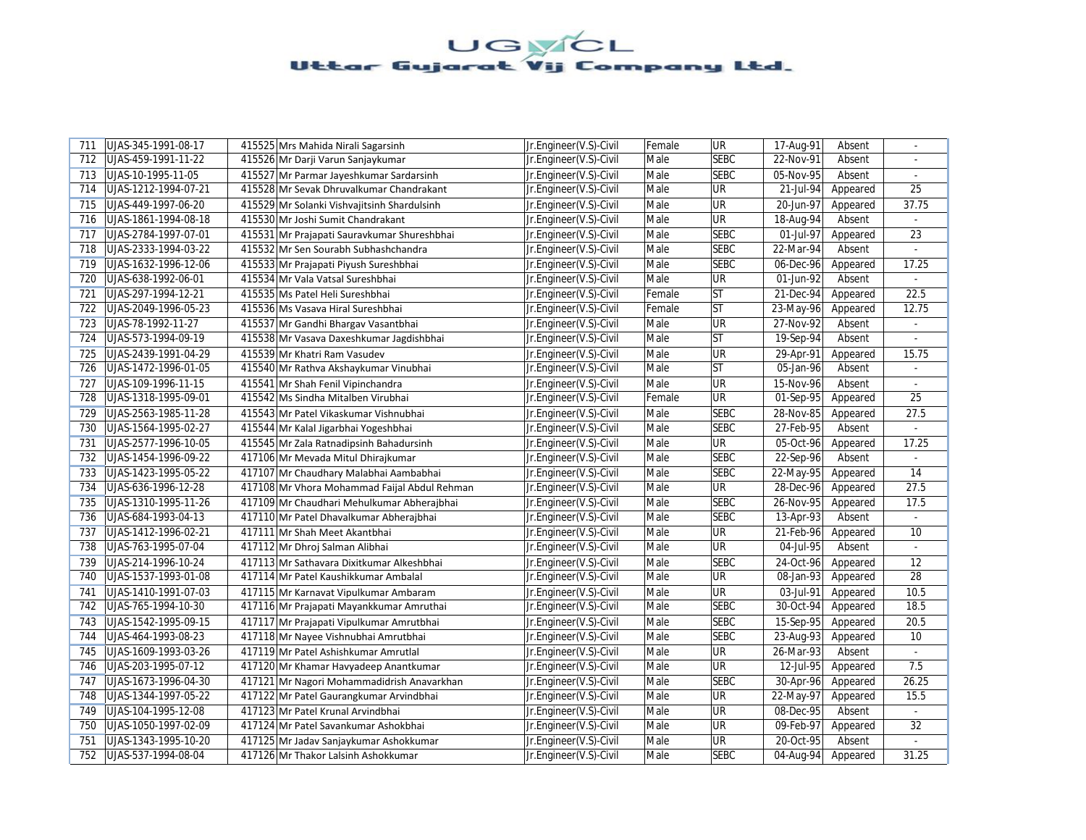| 711 | UJAS-345-1991-08-17  | 415525 Mrs Mahida Nirali Sagarsinh           | Jr.Engineer(V.S)-Civil | Female | <b>UR</b>   | 17-Aug-91   | Absent   |                |
|-----|----------------------|----------------------------------------------|------------------------|--------|-------------|-------------|----------|----------------|
| 712 | UJAS-459-1991-11-22  | 415526 Mr Darji Varun Sanjaykumar            | Jr.Engineer(V.S)-Civil | Male   | <b>SEBC</b> | 22-Nov-91   | Absent   |                |
| 713 | UJAS-10-1995-11-05   | 415527 Mr Parmar Jayeshkumar Sardarsinh      | Jr.Engineer(V.S)-Civil | Male   | <b>SEBC</b> | 05-Nov-95   | Absent   | $\omega$       |
| 714 | UJAS-1212-1994-07-21 | 415528 Mr Sevak Dhruvalkumar Chandrakant     | Jr.Engineer(V.S)-Civil | Male   | <b>UR</b>   | 21-Jul-94   | Appeared | 25             |
| 715 | UJAS-449-1997-06-20  | 415529 Mr Solanki Vishvajitsinh Shardulsinh  | Jr.Engineer(V.S)-Civil | Male   | <b>UR</b>   | 20-Jun-97   | Appeared | 37.75          |
| 716 | UJAS-1861-1994-08-18 | 415530 Mr Joshi Sumit Chandrakant            | Jr.Engineer(V.S)-Civil | Male   | UR          | 18-Aug-94   | Absent   |                |
| 717 | UJAS-2784-1997-07-01 | 415531 Mr Prajapati Sauravkumar Shureshbhai  | Jr.Engineer(V.S)-Civil | Male   | <b>SEBC</b> | 01-Jul-97   | Appeared | 23             |
| 718 | UJAS-2333-1994-03-22 | 415532 Mr Sen Sourabh Subhashchandra         | Jr.Engineer(V.S)-Civil | Male   | <b>SEBC</b> | 22-Mar-94   | Absent   | $\blacksquare$ |
| 719 | UJAS-1632-1996-12-06 | 415533 Mr Prajapati Piyush Sureshbhai        | Jr.Engineer(V.S)-Civil | Male   | <b>SEBC</b> | 06-Dec-96   | Appeared | 17.25          |
| 720 | UJAS-638-1992-06-01  | 415534 Mr Vala Vatsal Sureshbhai             | Jr.Engineer(V.S)-Civil | Male   | <b>UR</b>   | 01-Jun-92   | Absent   |                |
| 721 | UJAS-297-1994-12-21  | 415535 Ms Patel Heli Sureshbhai              | Jr.Engineer(V.S)-Civil | Female | <b>ST</b>   | 21-Dec-94   | Appeared | 22.5           |
| 722 | UJAS-2049-1996-05-23 | 415536 Ms Vasava Hiral Sureshbhai            | Jr.Engineer(V.S)-Civil | Female | <b>ST</b>   | 23-May-96   | Appeared | 12.75          |
| 723 | UJAS-78-1992-11-27   | 415537 Mr Gandhi Bhargav Vasantbhai          | Jr.Engineer(V.S)-Civil | Male   | UR          | 27-Nov-92   | Absent   | $\blacksquare$ |
| 724 | UJAS-573-1994-09-19  | 415538 Mr Vasava Daxeshkumar Jagdishbhai     | Jr.Engineer(V.S)-Civil | Male   | <b>ST</b>   | 19-Sep-94   | Absent   | $\omega$       |
| 725 | UJAS-2439-1991-04-29 | 415539 Mr Khatri Ram Vasudev                 | Jr.Engineer(V.S)-Civil | Male   | <b>UR</b>   | 29-Apr-91   | Appeared | 15.75          |
| 726 | UJAS-1472-1996-01-05 | 415540 Mr Rathva Akshaykumar Vinubhai        | Jr.Engineer(V.S)-Civil | Male   | lst         | 05-Jan-96   | Absent   | $\blacksquare$ |
| 727 | UJAS-109-1996-11-15  | 415541 Mr Shah Fenil Vipinchandra            | Jr.Engineer(V.S)-Civil | Male   | UR          | 15-Nov-96   | Absent   | ÷.             |
| 728 | UJAS-1318-1995-09-01 | 415542 Ms Sindha Mitalben Virubhai           | Jr.Engineer(V.S)-Civil | Female | <b>UR</b>   | 01-Sep-95   | Appeared | 25             |
| 729 | UJAS-2563-1985-11-28 | 415543 Mr Patel Vikaskumar Vishnubhai        | Jr.Engineer(V.S)-Civil | Male   | <b>SEBC</b> | 28-Nov-85   | Appeared | 27.5           |
| 730 | UJAS-1564-1995-02-27 | 415544 Mr Kalal Jigarbhai Yogeshbhai         | Jr.Engineer(V.S)-Civil | Male   | <b>SEBC</b> | 27-Feb-95   | Absent   |                |
| 731 | UJAS-2577-1996-10-05 | 415545 Mr Zala Ratnadipsinh Bahadursinh      | Jr.Engineer(V.S)-Civil | Male   | <b>UR</b>   | $05-0ct-96$ | Appeared | 17.25          |
| 732 | UJAS-1454-1996-09-22 | 417106 Mr Mevada Mitul Dhirajkumar           | Jr.Engineer(V.S)-Civil | Male   | <b>SEBC</b> | 22-Sep-96   | Absent   |                |
| 733 | UJAS-1423-1995-05-22 | 417107 Mr Chaudhary Malabhai Aambabhai       | Jr.Engineer(V.S)-Civil | Male   | <b>SEBC</b> | 22-May-95   | Appeared | 14             |
| 734 | UJAS-636-1996-12-28  | 417108 Mr Vhora Mohammad Faijal Abdul Rehman | Jr.Engineer(V.S)-Civil | Male   | <b>UR</b>   | 28-Dec-96   | Appeared | 27.5           |
| 735 | UJAS-1310-1995-11-26 | 417109 Mr Chaudhari Mehulkumar Abherajbhai   | Jr.Engineer(V.S)-Civil | Male   | <b>SEBC</b> | 26-Nov-95   | Appeared | 17.5           |
| 736 | UJAS-684-1993-04-13  | 417110 Mr Patel Dhavalkumar Abherajbhai      | Jr.Engineer(V.S)-Civil | Male   | <b>SEBC</b> | 13-Apr-93   | Absent   | ÷.             |
| 737 | UJAS-1412-1996-02-21 | 417111 Mr Shah Meet Akantbhai                | Jr.Engineer(V.S)-Civil | Male   | UR          | 21-Feb-96   | Appeared | 10             |
| 738 | UJAS-763-1995-07-04  | 417112 Mr Dhroj Salman Alibhai               | Jr.Engineer(V.S)-Civil | Male   | <b>UR</b>   | 04-Jul-95   | Absent   |                |
| 739 | UJAS-214-1996-10-24  | 417113 Mr Sathavara Dixitkumar Alkeshbhai    | Jr.Engineer(V.S)-Civil | Male   | <b>SEBC</b> | 24-Oct-96   | Appeared | 12             |
| 740 | UJAS-1537-1993-01-08 | 417114 Mr Patel Kaushikkumar Ambalal         | Jr.Engineer(V.S)-Civil | Male   | <b>UR</b>   | 08-Jan-93   | Appeared | 28             |
| 741 | UJAS-1410-1991-07-03 | 417115 Mr Karnavat Vipulkumar Ambaram        | Jr.Engineer(V.S)-Civil | Male   | UR          | 03-Jul-91   | Appeared | 10.5           |
| 742 | UJAS-765-1994-10-30  | 417116 Mr Prajapati Mayankkumar Amruthai     | Jr.Engineer(V.S)-Civil | Male   | <b>SEBC</b> | 30-Oct-94   | Appeared | 18.5           |
| 743 | UJAS-1542-1995-09-15 | 417117 Mr Prajapati Vipulkumar Amrutbhai     | Jr.Engineer(V.S)-Civil | Male   | <b>SEBC</b> | 15-Sep-95   | Appeared | 20.5           |
| 744 | UJAS-464-1993-08-23  | 417118 Mr Nayee Vishnubhai Amrutbhai         | Jr.Engineer(V.S)-Civil | Male   | <b>SEBC</b> | 23-Aug-93   | Appeared | 10             |
| 745 | UJAS-1609-1993-03-26 | 417119 Mr Patel Ashishkumar Amrutlal         | Jr.Engineer(V.S)-Civil | Male   | UR          | 26-Mar-93   | Absent   | ÷.             |
| 746 | UJAS-203-1995-07-12  | 417120 Mr Khamar Havyadeep Anantkumar        | Jr.Engineer(V.S)-Civil | Male   | <b>UR</b>   | 12-Jul-95   | Appeared | 7.5            |
| 747 | UJAS-1673-1996-04-30 | 417121 Mr Nagori Mohammadidrish Anavarkhan   | Jr.Engineer(V.S)-Civil | Male   | <b>SEBC</b> | 30-Apr-96   | Appeared | 26.25          |
| 748 | UJAS-1344-1997-05-22 | 417122 Mr Patel Gaurangkumar Arvindbhai      | Jr.Engineer(V.S)-Civil | Male   | <b>UR</b>   | 22-May-97   | Appeared | 15.5           |
| 749 | UJAS-104-1995-12-08  | 417123 Mr Patel Krunal Arvindbhai            | Jr.Engineer(V.S)-Civil | Male   | UR          | 08-Dec-95   | Absent   | $\blacksquare$ |
| 750 | UJAS-1050-1997-02-09 | 417124 Mr Patel Savankumar Ashokbhai         | Jr.Engineer(V.S)-Civil | Male   | UR          | 09-Feb-97   | Appeared | 32             |
| 751 | UJAS-1343-1995-10-20 | 417125 Mr Jadav Sanjaykumar Ashokkumar       | Jr.Engineer(V.S)-Civil | Male   | <b>UR</b>   | 20-Oct-95   | Absent   | $\blacksquare$ |
| 752 | UJAS-537-1994-08-04  | 417126 Mr Thakor Lalsinh Ashokkumar          | Jr.Engineer(V.S)-Civil | Male   | <b>SEBC</b> | 04-Aug-94   | Appeared | 31.25          |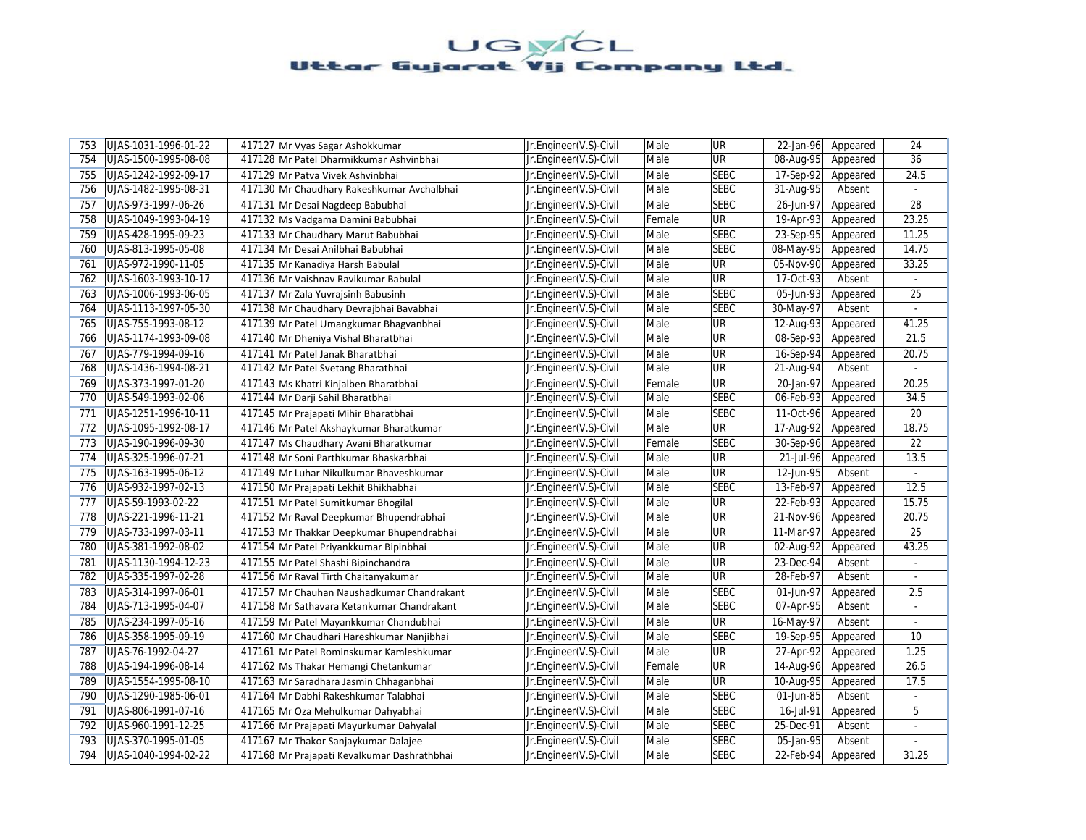| 753 | UJAS-1031-1996-01-22 | 417127 Mr Vyas Sagar Ashokkumar             | Jr.Engineer(V.S)-Civil | Male   | <b>UR</b>                | 22-Jan-96               | Appeared | 24              |
|-----|----------------------|---------------------------------------------|------------------------|--------|--------------------------|-------------------------|----------|-----------------|
| 754 | UJAS-1500-1995-08-08 | 417128 Mr Patel Dharmikkumar Ashvinbhai     | Jr.Engineer(V.S)-Civil | Male   | <b>UR</b>                | $\overline{08}$ -Aug-95 | Appeared | 36              |
| 755 | UJAS-1242-1992-09-17 | 417129 Mr Patva Vivek Ashvinbhai            | Jr.Engineer(V.S)-Civil | Male   | <b>SEBC</b>              | 17-Sep-92               | Appeared | 24.5            |
| 756 | UJAS-1482-1995-08-31 | 417130 Mr Chaudhary Rakeshkumar Avchalbhai  | Jr.Engineer(V.S)-Civil | Male   | <b>SEBC</b>              | 31-Aug-95               | Absent   |                 |
| 757 | UJAS-973-1997-06-26  | 417131 Mr Desai Nagdeep Babubhai            | Jr.Engineer(V.S)-Civil | Male   | <b>SEBC</b>              | 26-Jun-97               | Appeared | 28              |
| 758 | UJAS-1049-1993-04-19 | 417132 Ms Vadgama Damini Babubhai           | Jr.Engineer(V.S)-Civil | Female | <b>UR</b>                | 19-Apr-93               | Appeared | 23.25           |
| 759 | UJAS-428-1995-09-23  | 417133 Mr Chaudhary Marut Babubhai          | Jr.Engineer(V.S)-Civil | Male   | <b>SEBC</b>              | 23-Sep-95               | Appeared | 11.25           |
| 760 | UJAS-813-1995-05-08  | 417134 Mr Desai Anilbhai Babubhai           | Jr.Engineer(V.S)-Civil | Male   | <b>SEBC</b>              | 08-May-95               | Appeared | 14.75           |
| 761 | UJAS-972-1990-11-05  | 417135 Mr Kanadiya Harsh Babulal            | Jr.Engineer(V.S)-Civil | Male   | $\overline{\mathsf{UR}}$ | 05-Nov-90               | Appeared | 33.25           |
| 762 | UJAS-1603-1993-10-17 | 417136 Mr Vaishnav Ravikumar Babulal        | Jr.Engineer(V.S)-Civil | Male   | <b>UR</b>                | 17-Oct-93               | Absent   |                 |
| 763 | UJAS-1006-1993-06-05 | 417137 Mr Zala Yuvrajsinh Babusinh          | Jr.Engineer(V.S)-Civil | Male   | <b>SEBC</b>              | 05-Jun-93               | Appeared | 25              |
| 764 | UJAS-1113-1997-05-30 | 417138 Mr Chaudhary Devrajbhai Bavabhai     | Jr.Engineer(V.S)-Civil | Male   | <b>SEBC</b>              | 30-May-97               | Absent   | L.              |
| 765 | UJAS-755-1993-08-12  | 417139 Mr Patel Umangkumar Bhagyanbhai      | Jr.Engineer(V.S)-Civil | Male   | <b>UR</b>                | 12-Aug-93               | Appeared | 41.25           |
| 766 | UJAS-1174-1993-09-08 | 417140 Mr Dheniya Vishal Bharatbhai         | Jr.Engineer(V.S)-Civil | Male   | <b>UR</b>                | 08-Sep-93               | Appeared | 21.5            |
| 767 | UJAS-779-1994-09-16  | 417141 Mr Patel Janak Bharatbhai            | Jr.Engineer(V.S)-Civil | Male   | <b>UR</b>                | 16-Sep-94               | Appeared | 20.75           |
| 768 | UJAS-1436-1994-08-21 | 417142 Mr Patel Svetang Bharatbhai          | Jr.Engineer(V.S)-Civil | Male   | UR                       | 21-Aug-94               | Absent   | $\mathbb{Z}^2$  |
| 769 | UJAS-373-1997-01-20  | 417143 Ms Khatri Kinjalben Bharatbhai       | Jr.Engineer(V.S)-Civil | Female | <b>UR</b>                | 20-Jan-97               | Appeared | 20.25           |
| 770 | UJAS-549-1993-02-06  | 417144 Mr Darji Sahil Bharatbhai            | Jr.Engineer(V.S)-Civil | Male   | <b>SEBC</b>              | 06-Feb-93               | Appeared | 34.5            |
| 771 | UJAS-1251-1996-10-11 | 417145 Mr Prajapati Mihir Bharatbhai        | Jr.Engineer(V.S)-Civil | Male   | <b>SEBC</b>              | 11-Oct-96               | Appeared | 20              |
| 772 | UJAS-1095-1992-08-17 | 417146 Mr Patel Akshaykumar Bharatkumar     | Jr.Engineer(V.S)-Civil | Male   | <b>UR</b>                | 17-Aug-92               | Appeared | 18.75           |
| 773 | UJAS-190-1996-09-30  | 417147 Ms Chaudhary Avani Bharatkumar       | Jr.Engineer(V.S)-Civil | Female | <b>SEBC</b>              | $30-Sep-96$             | Appeared | 22              |
| 774 | UJAS-325-1996-07-21  | 417148 Mr Soni Parthkumar Bhaskarbhai       | Jr.Engineer(V.S)-Civil | Male   | <b>UR</b>                | 21-Jul-96               | Appeared | 13.5            |
| 775 | UJAS-163-1995-06-12  | 417149 Mr Luhar Nikulkumar Bhaveshkumar     | Jr.Engineer(V.S)-Civil | Male   | <b>UR</b>                | 12-Jun-95               | Absent   | $\sim$          |
| 776 | UJAS-932-1997-02-13  | 417150 Mr Prajapati Lekhit Bhikhabhai       | Jr.Engineer(V.S)-Civil | Male   | <b>SEBC</b>              | 13-Feb-97               | Appeared | 12.5            |
| 777 | UJAS-59-1993-02-22   | 417151 Mr Patel Sumitkumar Bhogilal         | Jr.Engineer(V.S)-Civil | Male   | <b>UR</b>                | 22-Feb-93               | Appeared | 15.75           |
| 778 | UJAS-221-1996-11-21  | 417152 Mr Raval Deepkumar Bhupendrabhai     | Jr.Engineer(V.S)-Civil | Male   | UR                       | 21-Nov-96               | Appeared | 20.75           |
| 779 | UJAS-733-1997-03-11  | 417153 Mr Thakkar Deepkumar Bhupendrabhai   | Jr.Engineer(V.S)-Civil | Male   | <b>UR</b>                | 11-Mar-97               | Appeared | $\overline{25}$ |
| 780 | UJAS-381-1992-08-02  | 417154 Mr Patel Priyankkumar Bipinbhai      | Jr.Engineer(V.S)-Civil | Male   | UR                       | 02-Aug-92               | Appeared | 43.25           |
| 781 | UJAS-1130-1994-12-23 | 417155 Mr Patel Shashi Bipinchandra         | Jr.Engineer(V.S)-Civil | Male   | <b>UR</b>                | 23-Dec-94               | Absent   |                 |
| 782 | UJAS-335-1997-02-28  | 417156 Mr Raval Tirth Chaitanyakumar        | Jr.Engineer(V.S)-Civil | Male   | <b>UR</b>                | 28-Feb-97               | Absent   | $\blacksquare$  |
| 783 | UJAS-314-1997-06-01  | 417157 Mr Chauhan Naushadkumar Chandrakant  | Jr.Engineer(V.S)-Civil | Male   | <b>SEBC</b>              | 01-Jun-97               | Appeared | 2.5             |
| 784 | UJAS-713-1995-04-07  | 417158 Mr Sathavara Ketankumar Chandrakant  | Jr.Engineer(V.S)-Civil | Male   | <b>SEBC</b>              | 07-Apr-95               | Absent   |                 |
| 785 | UJAS-234-1997-05-16  | 417159 Mr Patel Mayankkumar Chandubhai      | Jr.Engineer(V.S)-Civil | Male   | <b>UR</b>                | 16-May-97               | Absent   |                 |
| 786 | UJAS-358-1995-09-19  | 417160 Mr Chaudhari Hareshkumar Nanjibhai   | Jr.Engineer(V.S)-Civil | Male   | <b>SEBC</b>              | 19-Sep-95               | Appeared | 10              |
| 787 | UJAS-76-1992-04-27   | 417161 Mr Patel Rominskumar Kamleshkumar    | Jr.Engineer(V.S)-Civil | Male   | UR                       | 27-Apr-92               | Appeared | 1.25            |
| 788 | UJAS-194-1996-08-14  | 417162 Ms Thakar Hemangi Chetankumar        | Jr.Engineer(V.S)-Civil | Female | <b>UR</b>                | 14-Aug-96               | Appeared | 26.5            |
| 789 | UJAS-1554-1995-08-10 | 417163 Mr Saradhara Jasmin Chhaganbhai      | Jr.Engineer(V.S)-Civil | Male   | <b>UR</b>                | 10-Aug-95               | Appeared | 17.5            |
| 790 | UJAS-1290-1985-06-01 | 417164 Mr Dabhi Rakeshkumar Talabhai        | Jr.Engineer(V.S)-Civil | Male   | <b>SEBC</b>              | 01-Jun-85               | Absent   | ÷.              |
| 791 | UJAS-806-1991-07-16  | 417165 Mr Oza Mehulkumar Dahyabhai          | Jr.Engineer(V.S)-Civil | Male   | <b>SEBC</b>              | 16-Jul-91               | Appeared | 5               |
| 792 | UJAS-960-1991-12-25  | 417166 Mr Prajapati Mayurkumar Dahyalal     | Jr.Engineer(V.S)-Civil | Male   | <b>SEBC</b>              | 25-Dec-91               | Absent   | $\blacksquare$  |
| 793 | UJAS-370-1995-01-05  | 417167 Mr Thakor Sanjaykumar Dalajee        | Jr.Engineer(V.S)-Civil | Male   | <b>SEBC</b>              | 05-Jan-95               | Absent   |                 |
| 794 | UJAS-1040-1994-02-22 | 417168 Mr Prajapati Kevalkumar Dashrathbhai | Jr.Engineer(V.S)-Civil | Male   | <b>SEBC</b>              | 22-Feb-94               | Appeared | 31.25           |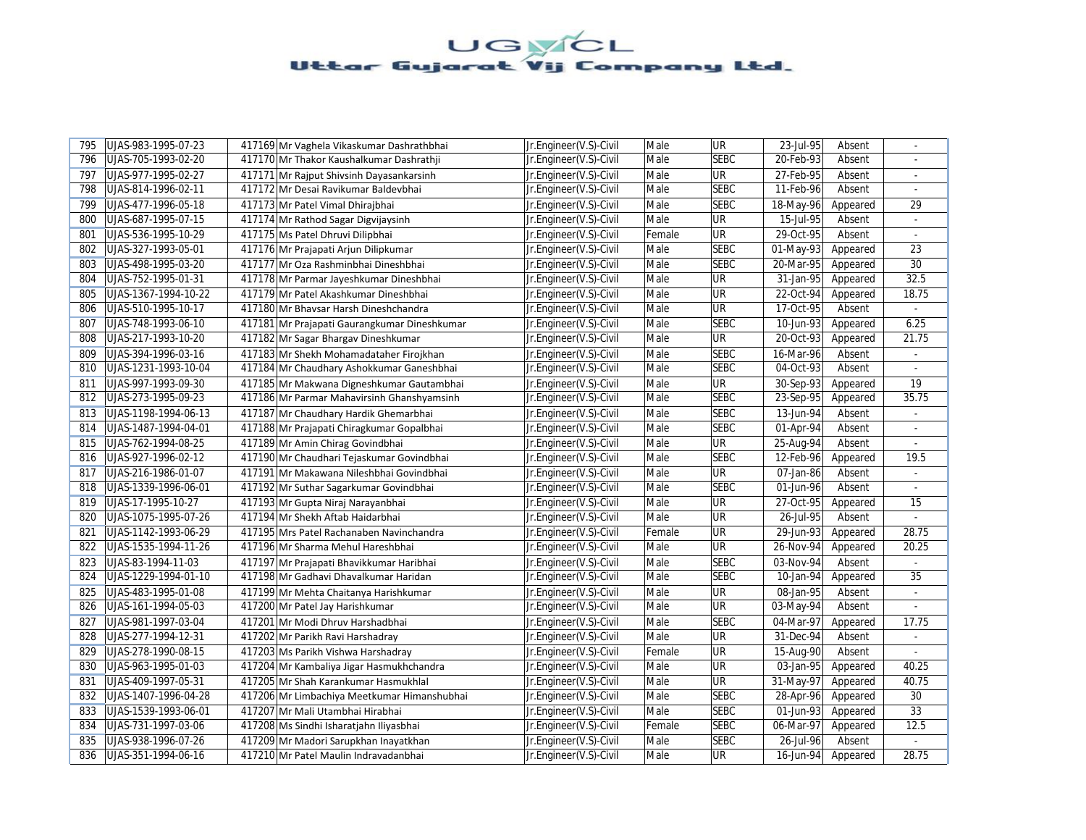| 795 | UJAS-983-1995-07-23  | 417169 Mr Vaghela Vikaskumar Dashrathbhai    | Jr.Engineer(V.S)-Civil | Male   | <b>UR</b>   | 23-Jul-95 | Absent   | ÷              |
|-----|----------------------|----------------------------------------------|------------------------|--------|-------------|-----------|----------|----------------|
| 796 | UJAS-705-1993-02-20  | 417170 Mr Thakor Kaushalkumar Dashrathji     | Jr.Engineer(V.S)-Civil | Male   | <b>SEBC</b> | 20-Feb-93 | Absent   |                |
| 797 | UJAS-977-1995-02-27  | 417171 Mr Rajput Shivsinh Dayasankarsinh     | Jr.Engineer(V.S)-Civil | Male   | <b>UR</b>   | 27-Feb-95 | Absent   | $\blacksquare$ |
| 798 | UJAS-814-1996-02-11  | 417172 Mr Desai Ravikumar Baldevbhai         | Jr.Engineer(V.S)-Civil | Male   | <b>SEBC</b> | 11-Feb-96 | Absent   |                |
| 799 | UJAS-477-1996-05-18  | 417173 Mr Patel Vimal Dhirajbhai             | Jr.Engineer(V.S)-Civil | Male   | <b>SEBC</b> | 18-May-96 | Appeared | 29             |
| 800 | UJAS-687-1995-07-15  | 417174 Mr Rathod Sagar Digvijaysinh          | Jr.Engineer(V.S)-Civil | Male   | <b>UR</b>   | 15-Jul-95 | Absent   |                |
| 801 | UJAS-536-1995-10-29  | 417175 Ms Patel Dhruvi Dilipbhai             | Jr.Engineer(V.S)-Civil | Female | <b>UR</b>   | 29-Oct-95 | Absent   |                |
| 802 | UJAS-327-1993-05-01  | 417176 Mr Prajapati Arjun Dilipkumar         | Jr.Engineer(V.S)-Civil | Male   | <b>SEBC</b> | 01-May-93 | Appeared | 23             |
| 803 | UJAS-498-1995-03-20  | 417177 Mr Oza Rashminbhai Dineshbhai         | Jr.Engineer(V.S)-Civil | Male   | <b>SEBC</b> | 20-Mar-95 | Appeared | 30             |
| 804 | UJAS-752-1995-01-31  | 417178 Mr Parmar Jayeshkumar Dineshbhai      | Jr.Engineer(V.S)-Civil | Male   | <b>UR</b>   | 31-Jan-95 | Appeared | 32.5           |
| 805 | UJAS-1367-1994-10-22 | 417179 Mr Patel Akashkumar Dineshbhai        | Jr.Engineer(V.S)-Civil | Male   | UR          | 22-Oct-94 | Appeared | 18.75          |
| 806 | UJAS-510-1995-10-17  | 417180 Mr Bhavsar Harsh Dineshchandra        | Jr.Engineer(V.S)-Civil | Male   | UR          | 17-Oct-95 | Absent   | $\omega$       |
| 807 | UJAS-748-1993-06-10  | 417181 Mr Prajapati Gaurangkumar Dineshkumar | Jr.Engineer(V.S)-Civil | Male   | <b>SEBC</b> | 10-Jun-93 | Appeared | 6.25           |
| 808 | UJAS-217-1993-10-20  | 417182 Mr Sagar Bhargav Dineshkumar          | Jr.Engineer(V.S)-Civil | Male   | <b>UR</b>   | 20-Oct-93 | Appeared | 21.75          |
| 809 | UJAS-394-1996-03-16  | 417183 Mr Shekh Mohamadataher Firojkhan      | Jr.Engineer(V.S)-Civil | Male   | <b>SEBC</b> | 16-Mar-96 | Absent   |                |
| 810 | UJAS-1231-1993-10-04 | 417184 Mr Chaudhary Ashokkumar Ganeshbhai    | Jr.Engineer(V.S)-Civil | Male   | <b>SEBC</b> | 04-Oct-93 | Absent   | ÷.             |
| 811 | UJAS-997-1993-09-30  | 417185 Mr Makwana Digneshkumar Gautambhai    | Jr.Engineer(V.S)-Civil | Male   | UR          | 30-Sep-93 | Appeared | 19             |
| 812 | UJAS-273-1995-09-23  | 417186 Mr Parmar Mahavirsinh Ghanshyamsinh   | Jr.Engineer(V.S)-Civil | Male   | <b>SEBC</b> | 23-Sep-95 | Appeared | 35.75          |
| 813 | UJAS-1198-1994-06-13 | 417187 Mr Chaudhary Hardik Ghemarbhai        | Jr.Engineer(V.S)-Civil | Male   | <b>SEBC</b> | 13-Jun-94 | Absent   | $\omega$       |
| 814 | UJAS-1487-1994-04-01 | 417188 Mr Prajapati Chiragkumar Gopalbhai    | Jr.Engineer(V.S)-Civil | Male   | <b>SEBC</b> | 01-Apr-94 | Absent   |                |
| 815 | UJAS-762-1994-08-25  | 417189 Mr Amin Chirag Govindbhai             | Jr.Engineer(V.S)-Civil | Male   | <b>UR</b>   | 25-Aug-94 | Absent   | $\omega$       |
| 816 | UJAS-927-1996-02-12  | 417190 Mr Chaudhari Tejaskumar Govindbhai    | Jr.Engineer(V.S)-Civil | Male   | <b>SEBC</b> | 12-Feb-96 | Appeared | 19.5           |
| 817 | UJAS-216-1986-01-07  | 417191 Mr Makawana Nileshbhai Govindbhai     | Jr.Engineer(V.S)-Civil | Male   | <b>UR</b>   | 07-Jan-86 | Absent   | $\blacksquare$ |
| 818 | UJAS-1339-1996-06-01 | 417192 Mr Suthar Sagarkumar Govindbhai       | Jr.Engineer(V.S)-Civil | Male   | <b>SEBC</b> | 01-Jun-96 | Absent   |                |
| 819 | UJAS-17-1995-10-27   | 417193 Mr Gupta Niraj Narayanbhai            | Jr.Engineer(V.S)-Civil | Male   | UR          | 27-Oct-95 | Appeared | 15             |
| 820 | UJAS-1075-1995-07-26 | 417194 Mr Shekh Aftab Haidarbhai             | Jr.Engineer(V.S)-Civil | Male   | UR          | 26-Jul-95 | Absent   | L.             |
| 821 | UJAS-1142-1993-06-29 | 417195 Mrs Patel Rachanaben Navinchandra     | Jr.Engineer(V.S)-Civil | Female | <b>UR</b>   | 29-Jun-93 | Appeared | 28.75          |
| 822 | UJAS-1535-1994-11-26 | 417196 Mr Sharma Mehul Hareshbhai            | Jr.Engineer(V.S)-Civil | Male   | UR          | 26-Nov-94 | Appeared | 20.25          |
| 823 | UJAS-83-1994-11-03   | 417197 Mr Prajapati Bhavikkumar Haribhai     | Jr.Engineer(V.S)-Civil | Male   | <b>SEBC</b> | 03-Nov-94 | Absent   |                |
| 824 | UJAS-1229-1994-01-10 | 417198 Mr Gadhavi Dhavalkumar Haridan        | Jr.Engineer(V.S)-Civil | Male   | <b>SEBC</b> | 10-Jan-94 | Appeared | 35             |
| 825 | UJAS-483-1995-01-08  | 417199 Mr Mehta Chaitanya Harishkumar        | Jr.Engineer(V.S)-Civil | Male   | UR          | 08-Jan-95 | Absent   | ÷.             |
| 826 | UJAS-161-1994-05-03  | 417200 Mr Patel Jay Harishkumar              | Jr.Engineer(V.S)-Civil | Male   | UR          | 03-May-94 | Absent   | $\omega$       |
| 827 | UJAS-981-1997-03-04  | 417201 Mr Modi Dhruy Harshadbhai             | Jr.Engineer(V.S)-Civil | Male   | <b>SEBC</b> | 04-Mar-97 | Appeared | 17.75          |
| 828 | UJAS-277-1994-12-31  | 417202 Mr Parikh Ravi Harshadray             | Jr.Engineer(V.S)-Civil | Male   | <b>UR</b>   | 31-Dec-94 | Absent   | ÷.             |
| 829 | UJAS-278-1990-08-15  | 417203 Ms Parikh Vishwa Harshadray           | Jr.Engineer(V.S)-Civil | Female | UR          | 15-Aug-90 | Absent   | ÷              |
| 830 | UJAS-963-1995-01-03  | 417204 Mr Kambaliya Jigar Hasmukhchandra     | Jr.Engineer(V.S)-Civil | Male   | UR          | 03-Jan-95 | Appeared | 40.25          |
| 831 | UJAS-409-1997-05-31  | 417205 Mr Shah Karankumar Hasmukhlal         | Jr.Engineer(V.S)-Civil | Male   | UR          | 31-May-97 | Appeared | 40.75          |
| 832 | UJAS-1407-1996-04-28 | 417206 Mr Limbachiya Meetkumar Himanshubhai  | Jr.Engineer(V.S)-Civil | Male   | <b>SEBC</b> | 28-Apr-96 | Appeared | 30             |
| 833 | UJAS-1539-1993-06-01 | 417207 Mr Mali Utambhai Hirabhai             | Jr.Engineer(V.S)-Civil | Male   | <b>SEBC</b> | 01-Jun-93 | Appeared | 33             |
| 834 | UJAS-731-1997-03-06  | 417208 Ms Sindhi Isharatjahn Iliyasbhai      | Jr.Engineer(V.S)-Civil | Female | <b>SEBC</b> | 06-Mar-97 | Appeared | 12.5           |
| 835 | UJAS-938-1996-07-26  | 417209 Mr Madori Sarupkhan Inayatkhan        | Jr.Engineer(V.S)-Civil | Male   | <b>SEBC</b> | 26-Jul-96 | Absent   | $\blacksquare$ |
| 836 | UJAS-351-1994-06-16  | 417210 Mr Patel Maulin Indravadanbhai        | Jr.Engineer(V.S)-Civil | Male   | UR.         | 16-Jun-94 | Appeared | 28.75          |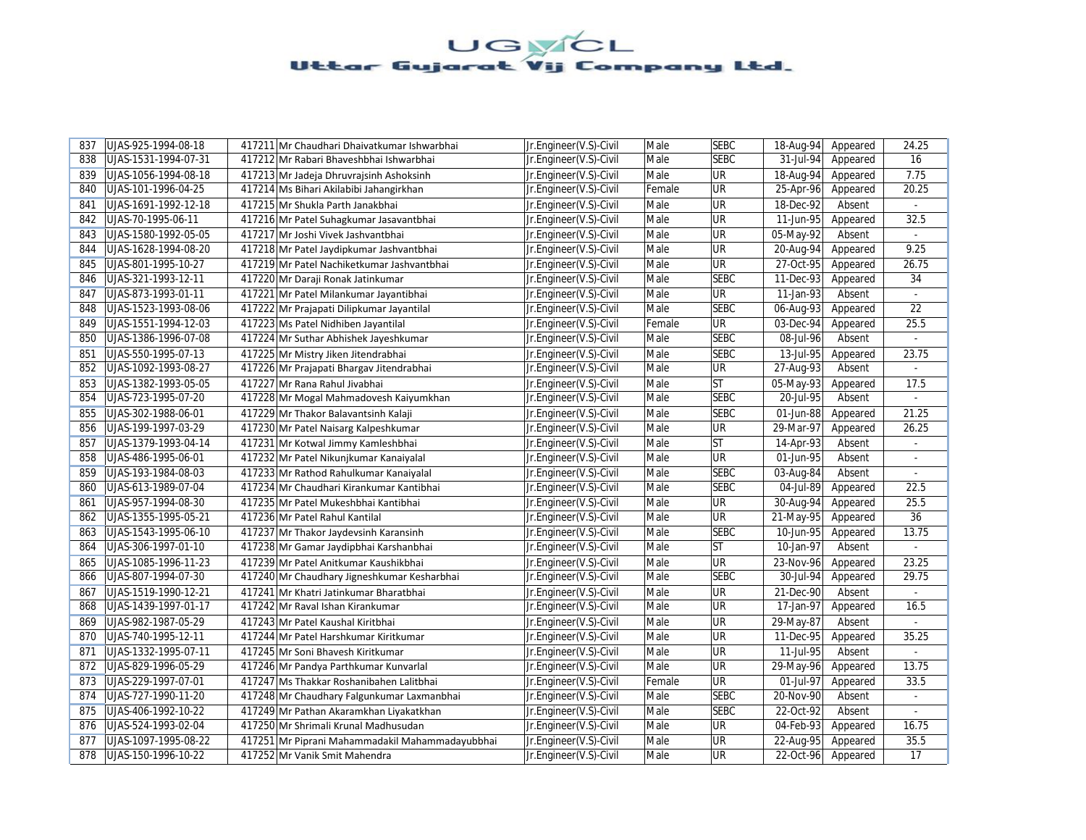| 837 | UJAS-925-1994-08-18  | 417211 Mr Chaudhari Dhaivatkumar Ishwarbhai     | Jr.Engineer(V.S)-Civil | Male   | <b>SEBC</b>              | 18-Aug-94 | Appeared | 24.25                       |
|-----|----------------------|-------------------------------------------------|------------------------|--------|--------------------------|-----------|----------|-----------------------------|
| 838 | UJAS-1531-1994-07-31 | 417212 Mr Rabari Bhaveshbhai Ishwarbhai         | Jr.Engineer(V.S)-Civil | Male   | <b>SEBC</b>              | 31-Jul-94 | Appeared | 16                          |
| 839 | UJAS-1056-1994-08-18 | 417213 Mr Jadeja Dhruvrajsinh Ashoksinh         | Jr.Engineer(V.S)-Civil | Male   | UR                       | 18-Aug-94 | Appeared | 7.75                        |
| 840 | UJAS-101-1996-04-25  | 417214 Ms Bihari Akilabibi Jahangirkhan         | Jr.Engineer(V.S)-Civil | Female | UR                       | 25-Apr-96 | Appeared | 20.25                       |
| 841 | UJAS-1691-1992-12-18 | 417215 Mr Shukla Parth Janakbhai                | Jr.Engineer(V.S)-Civil | Male   | <b>UR</b>                | 18-Dec-92 | Absent   | $\sim$                      |
| 842 | UJAS-70-1995-06-11   | 417216 Mr Patel Suhagkumar Jasavantbhai         | Jr.Engineer(V.S)-Civil | Male   | UR                       | 11-Jun-95 | Appeared | 32.5                        |
| 843 | UJAS-1580-1992-05-05 | 417217 Mr Joshi Vivek Jashvantbhai              | Jr.Engineer(V.S)-Civil | Male   | <b>UR</b>                | 05-May-92 | Absent   | $\mathcal{L}^{\mathcal{A}}$ |
| 844 | UJAS-1628-1994-08-20 | 417218 Mr Patel Jaydipkumar Jashvantbhai        | Jr.Engineer(V.S)-Civil | Male   | UR                       | 20-Aug-94 | Appeared | 9.25                        |
| 845 | UJAS-801-1995-10-27  | 417219 Mr Patel Nachiketkumar Jashvantbhai      | Jr.Engineer(V.S)-Civil | Male   | UR                       | 27-Oct-95 | Appeared | 26.75                       |
| 846 | UJAS-321-1993-12-11  | 417220 Mr Daraji Ronak Jatinkumar               | Jr.Engineer(V.S)-Civil | Male   | <b>SEBC</b>              | 11-Dec-93 | Appeared | 34                          |
| 847 | UJAS-873-1993-01-11  | 417221 Mr Patel Milankumar Jayantibhai          | Jr.Engineer(V.S)-Civil | Male   | $\overline{\mathsf{UR}}$ | 11-Jan-93 | Absent   |                             |
| 848 | UJAS-1523-1993-08-06 | 417222 Mr Prajapati Dilipkumar Jayantilal       | Jr.Engineer(V.S)-Civil | Male   | <b>SEBC</b>              | 06-Aug-93 | Appeared | 22                          |
| 849 | UJAS-1551-1994-12-03 | 417223 Ms Patel Nidhiben Jayantilal             | Jr.Engineer(V.S)-Civil | Female | UR                       | 03-Dec-94 | Appeared | 25.5                        |
| 850 | UJAS-1386-1996-07-08 | 417224 Mr Suthar Abhishek Jayeshkumar           | Jr.Engineer(V.S)-Civil | Male   | <b>SEBC</b>              | 08-Jul-96 | Absent   | $\sim$                      |
| 851 | UJAS-550-1995-07-13  | 417225 Mr Mistry Jiken Jitendrabhai             | Jr.Engineer(V.S)-Civil | Male   | <b>SEBC</b>              | 13-Jul-95 | Appeared | 23.75                       |
| 852 | UJAS-1092-1993-08-27 | 417226 Mr Prajapati Bhargav Jitendrabhai        | Jr.Engineer(V.S)-Civil | Male   | UR                       | 27-Aug-93 | Absent   | ÷                           |
| 853 | UJAS-1382-1993-05-05 | 417227 Mr Rana Rahul Jivabhai                   | Jr.Engineer(V.S)-Civil | Male   | <b>ST</b>                | 05-May-93 | Appeared | 17.5                        |
| 854 | UJAS-723-1995-07-20  | 417228 Mr Mogal Mahmadovesh Kaiyumkhan          | Jr.Engineer(V.S)-Civil | Male   | <b>SEBC</b>              | 20-Jul-95 | Absent   | $\omega$                    |
| 855 | UJAS-302-1988-06-01  | 417229 Mr Thakor Balavantsinh Kalaji            | Jr.Engineer(V.S)-Civil | Male   | <b>SEBC</b>              | 01-Jun-88 | Appeared | 21.25                       |
| 856 | UJAS-199-1997-03-29  | 417230 Mr Patel Naisarg Kalpeshkumar            | Jr.Engineer(V.S)-Civil | Male   | <b>UR</b>                | 29-Mar-97 | Appeared | 26.25                       |
| 857 | UJAS-1379-1993-04-14 | 417231 Mr Kotwal Jimmy Kamleshbhai              | Jr.Engineer(V.S)-Civil | Male   | <b>ST</b>                | 14-Apr-93 | Absent   | $\omega$                    |
| 858 | UJAS-486-1995-06-01  | 417232 Mr Patel Nikunjkumar Kanaiyalal          | Jr.Engineer(V.S)-Civil | Male   | UR                       | 01-Jun-95 | Absent   |                             |
| 859 | UJAS-193-1984-08-03  | 417233 Mr Rathod Rahulkumar Kanaiyalal          | Jr.Engineer(V.S)-Civil | Male   | <b>SEBC</b>              | 03-Aug-84 | Absent   | ÷.                          |
| 860 | UJAS-613-1989-07-04  | 417234 Mr Chaudhari Kirankumar Kantibhai        | Jr.Engineer(V.S)-Civil | Male   | <b>SEBC</b>              | 04-Jul-89 | Appeared | 22.5                        |
| 861 | UJAS-957-1994-08-30  | 417235 Mr Patel Mukeshbhai Kantibhai            | Jr.Engineer(V.S)-Civil | Male   | UR                       | 30-Aug-94 | Appeared | 25.5                        |
| 862 | UJAS-1355-1995-05-21 | 417236 Mr Patel Rahul Kantilal                  | Jr.Engineer(V.S)-Civil | Male   | UR                       | 21-May-95 | Appeared | 36                          |
| 863 | UJAS-1543-1995-06-10 | 417237 Mr Thakor Jaydevsinh Karansinh           | Jr.Engineer(V.S)-Civil | Male   | <b>SEBC</b>              | 10-Jun-95 | Appeared | 13.75                       |
| 864 | UJAS-306-1997-01-10  | 417238 Mr Gamar Jaydipbhai Karshanbhai          | Jr.Engineer(V.S)-Civil | Male   | <b>ST</b>                | 10-Jan-97 | Absent   |                             |
| 865 | UJAS-1085-1996-11-23 | 417239 Mr Patel Anitkumar Kaushikbhai           | Jr.Engineer(V.S)-Civil | Male   | UR                       | 23-Nov-96 | Appeared | 23.25                       |
| 866 | UJAS-807-1994-07-30  | 417240 Mr Chaudhary Jigneshkumar Kesharbhai     | Jr.Engineer(V.S)-Civil | Male   | <b>SEBC</b>              | 30-Jul-94 | Appeared | 29.75                       |
| 867 | UJAS-1519-1990-12-21 | 417241 Mr Khatri Jatinkumar Bharatbhai          | Jr.Engineer(V.S)-Civil | Male   | UR                       | 21-Dec-90 | Absent   |                             |
| 868 | UJAS-1439-1997-01-17 | 417242 Mr Raval Ishan Kirankumar                | Jr.Engineer(V.S)-Civil | Male   | UR                       | 17-Jan-97 | Appeared | 16.5                        |
| 869 | UJAS-982-1987-05-29  | 417243 Mr Patel Kaushal Kiritbhai               | Jr.Engineer(V.S)-Civil | Male   | UR                       | 29-May-87 | Absent   |                             |
| 870 | UJAS-740-1995-12-11  | 417244 Mr Patel Harshkumar Kiritkumar           | Jr.Engineer(V.S)-Civil | Male   | UR                       | 11-Dec-95 | Appeared | 35.25                       |
| 871 | UJAS-1332-1995-07-11 | 417245 Mr Soni Bhavesh Kiritkumar               | Jr.Engineer(V.S)-Civil | Male   | UR                       | 11-Jul-95 | Absent   |                             |
| 872 | UJAS-829-1996-05-29  | 417246 Mr Pandya Parthkumar Kunvarlal           | Jr.Engineer(V.S)-Civil | Male   | <b>UR</b>                | 29-May-96 | Appeared | 13.75                       |
| 873 | UJAS-229-1997-07-01  | 417247 Ms Thakkar Roshanibahen Lalitbhai        | Jr.Engineer(V.S)-Civil | Female | <b>UR</b>                | 01-Jul-97 | Appeared | 33.5                        |
| 874 | UJAS-727-1990-11-20  | 417248 Mr Chaudhary Falgunkumar Laxmanbhai      | Jr.Engineer(V.S)-Civil | Male   | <b>SEBC</b>              | 20-Nov-90 | Absent   | ÷.                          |
| 875 | UJAS-406-1992-10-22  | 417249 Mr Pathan Akaramkhan Liyakatkhan         | Jr.Engineer(V.S)-Civil | Male   | <b>SEBC</b>              | 22-Oct-92 | Absent   | ÷.                          |
| 876 | UJAS-524-1993-02-04  | 417250 Mr Shrimali Krunal Madhusudan            | Jr.Engineer(V.S)-Civil | Male   | UR                       | 04-Feb-93 | Appeared | 16.75                       |
| 877 | UJAS-1097-1995-08-22 | 417251 Mr Piprani Mahammadakil Mahammadayubbhai | Jr.Engineer(V.S)-Civil | Male   | UR                       | 22-Aug-95 | Appeared | 35.5                        |
| 878 | UJAS-150-1996-10-22  | 417252 Mr Vanik Smit Mahendra                   | Jr.Engineer(V.S)-Civil | Male   | UR                       | 22-Oct-96 | Appeared | 17                          |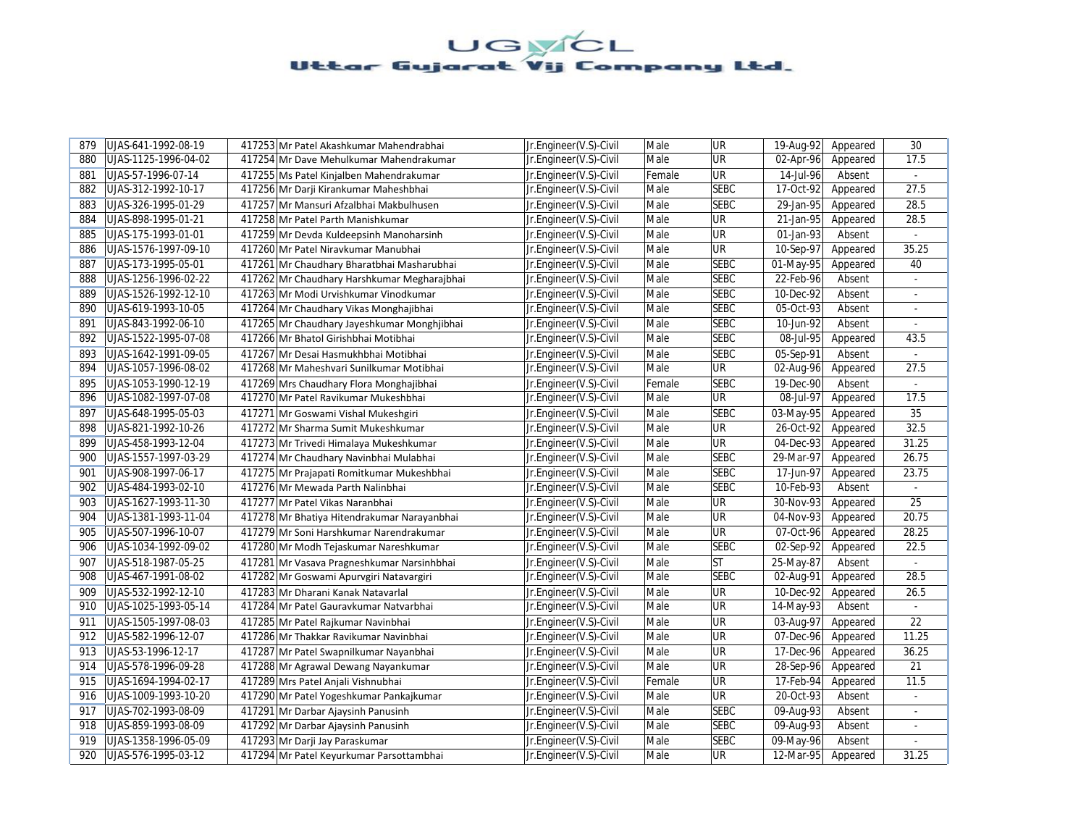| 879 | UJAS-641-1992-08-19  | 417253 Mr Patel Akashkumar Mahendrabhai     | Jr.Engineer(V.S)-Civil | Male   | UR          | 19-Aug-92 | Appeared | 30                       |
|-----|----------------------|---------------------------------------------|------------------------|--------|-------------|-----------|----------|--------------------------|
| 880 | UJAS-1125-1996-04-02 | 417254 Mr Dave Mehulkumar Mahendrakumar     | Jr.Engineer(V.S)-Civil | Male   | <b>UR</b>   | 02-Apr-96 | Appeared | 17.5                     |
| 881 | UJAS-57-1996-07-14   | 417255 Ms Patel Kinjalben Mahendrakumar     | Jr.Engineer(V.S)-Civil | Female | UR          | 14-Jul-96 | Absent   | $\omega$                 |
| 882 | UJAS-312-1992-10-17  | 417256 Mr Darji Kirankumar Maheshbhai       | Jr.Engineer(V.S)-Civil | Male   | <b>SEBC</b> | 17-Oct-92 | Appeared | 27.5                     |
| 883 | UJAS-326-1995-01-29  | 417257 Mr Mansuri Afzalbhai Makbulhusen     | Jr.Engineer(V.S)-Civil | Male   | <b>SEBC</b> | 29-Jan-95 | Appeared | 28.5                     |
| 884 | UJAS-898-1995-01-21  | 417258 Mr Patel Parth Manishkumar           | Jr.Engineer(V.S)-Civil | Male   | UR          | 21-Jan-95 | Appeared | 28.5                     |
| 885 | UJAS-175-1993-01-01  | 417259 Mr Devda Kuldeepsinh Manoharsinh     | Jr.Engineer(V.S)-Civil | Male   | UR          | 01-Jan-93 | Absent   | $\omega$                 |
| 886 | UJAS-1576-1997-09-10 | 417260 Mr Patel Niravkumar Manubhai         | Jr.Engineer(V.S)-Civil | Male   | UR          | 10-Sep-97 | Appeared | 35.25                    |
| 887 | UJAS-173-1995-05-01  | 417261 Mr Chaudhary Bharatbhai Masharubhai  | Jr.Engineer(V.S)-Civil | Male   | <b>SEBC</b> | 01-May-95 | Appeared | 40                       |
| 888 | UJAS-1256-1996-02-22 | 417262 Mr Chaudhary Harshkumar Megharajbhai | Jr.Engineer(V.S)-Civil | Male   | <b>SEBC</b> | 22-Feb-96 | Absent   |                          |
| 889 | UJAS-1526-1992-12-10 | 417263 Mr Modi Urvishkumar Vinodkumar       | Jr.Engineer(V.S)-Civil | Male   | <b>SEBC</b> | 10-Dec-92 | Absent   |                          |
| 890 | UJAS-619-1993-10-05  | 417264 Mr Chaudhary Vikas Monghajibhai      | Jr.Engineer(V.S)-Civil | Male   | <b>SEBC</b> | 05-Oct-93 | Absent   | ÷.                       |
| 891 | UJAS-843-1992-06-10  | 417265 Mr Chaudhary Jayeshkumar Monghjibhai | Jr.Engineer(V.S)-Civil | Male   | <b>SEBC</b> | 10-Jun-92 | Absent   |                          |
| 892 | UJAS-1522-1995-07-08 | 417266 Mr Bhatol Girishbhai Motibhai        | Jr.Engineer(V.S)-Civil | Male   | <b>SEBC</b> | 08-Jul-95 | Appeared | 43.5                     |
| 893 | UJAS-1642-1991-09-05 | 417267 Mr Desai Hasmukhbhai Motibhai        | Jr.Engineer(V.S)-Civil | Male   | <b>SEBC</b> | 05-Sep-91 | Absent   |                          |
| 894 | UJAS-1057-1996-08-02 | 417268 Mr Maheshvari Sunilkumar Motibhai    | Jr.Engineer(V.S)-Civil | Male   | UR          | 02-Aug-96 | Appeared | 27.5                     |
| 895 | UJAS-1053-1990-12-19 | 417269 Mrs Chaudhary Flora Monghajibhai     | Jr.Engineer(V.S)-Civil | Female | <b>SEBC</b> | 19-Dec-90 | Absent   |                          |
| 896 | UJAS-1082-1997-07-08 | 417270 Mr Patel Ravikumar Mukeshbhai        | Jr.Engineer(V.S)-Civil | Male   | UR          | 08-Jul-97 | Appeared | 17.5                     |
| 897 | UJAS-648-1995-05-03  | 417271 Mr Goswami Vishal Mukeshgiri         | Jr.Engineer(V.S)-Civil | Male   | <b>SEBC</b> | 03-May-95 | Appeared | 35                       |
| 898 | UJAS-821-1992-10-26  | 417272 Mr Sharma Sumit Mukeshkumar          | Jr.Engineer(V.S)-Civil | Male   | UR          | 26-Oct-92 | Appeared | 32.5                     |
| 899 | UJAS-458-1993-12-04  | 417273 Mr Trivedi Himalaya Mukeshkumar      | Jr.Engineer(V.S)-Civil | Male   | UR          | 04-Dec-93 | Appeared | 31.25                    |
| 900 | UJAS-1557-1997-03-29 | 417274 Mr Chaudhary Navinbhai Mulabhai      | Jr.Engineer(V.S)-Civil | Male   | <b>SEBC</b> | 29-Mar-97 | Appeared | 26.75                    |
| 901 | UJAS-908-1997-06-17  | 417275 Mr Prajapati Romitkumar Mukeshbhai   | Jr.Engineer(V.S)-Civil | Male   | <b>SEBC</b> | 17-Jun-97 | Appeared | 23.75                    |
| 902 | UJAS-484-1993-02-10  | 417276 Mr Mewada Parth Nalinbhai            | Jr.Engineer(V.S)-Civil | Male   | <b>SEBC</b> | 10-Feb-93 | Absent   |                          |
| 903 | UJAS-1627-1993-11-30 | 417277 Mr Patel Vikas Naranbhai             | Jr.Engineer(V.S)-Civil | Male   | <b>UR</b>   | 30-Nov-93 | Appeared | 25                       |
| 904 | UJAS-1381-1993-11-04 | 417278 Mr Bhatiya Hitendrakumar Narayanbhai | Jr.Engineer(V.S)-Civil | Male   | UR          | 04-Nov-93 | Appeared | 20.75                    |
| 905 | UJAS-507-1996-10-07  | 417279 Mr Soni Harshkumar Narendrakumar     | Jr.Engineer(V.S)-Civil | Male   | UR          | 07-Oct-96 | Appeared | 28.25                    |
| 906 | UJAS-1034-1992-09-02 | 417280 Mr Modh Tejaskumar Nareshkumar       | Jr.Engineer(V.S)-Civil | Male   | <b>SEBC</b> | 02-Sep-92 | Appeared | 22.5                     |
| 907 | UJAS-518-1987-05-25  | 417281 Mr Vasava Pragneshkumar Narsinhbhai  | Jr.Engineer(V.S)-Civil | Male   | <b>ST</b>   | 25-May-87 | Absent   |                          |
| 908 | UJAS-467-1991-08-02  | 417282 Mr Goswami Apurvgiri Natavargiri     | Jr.Engineer(V.S)-Civil | Male   | <b>SEBC</b> | 02-Aug-91 | Appeared | 28.5                     |
| 909 | UJAS-532-1992-12-10  | 417283 Mr Dharani Kanak Natavarlal          | Jr.Engineer(V.S)-Civil | Male   | UR          | 10-Dec-92 | Appeared | 26.5                     |
| 910 | UJAS-1025-1993-05-14 | 417284 Mr Patel Gauravkumar Natvarbhai      | Jr.Engineer(V.S)-Civil | Male   | UR          | 14-May-93 | Absent   | $\sim$                   |
| 911 | UJAS-1505-1997-08-03 | 417285 Mr Patel Rajkumar Navinbhai          | Jr.Engineer(V.S)-Civil | Male   | UR          | 03-Aug-97 | Appeared | 22                       |
| 912 | UJAS-582-1996-12-07  | 417286 Mr Thakkar Ravikumar Navinbhai       | Jr.Engineer(V.S)-Civil | Male   | UR          | 07-Dec-96 | Appeared | 11.25                    |
| 913 | UJAS-53-1996-12-17   | 417287 Mr Patel Swapnilkumar Nayanbhai      | Jr.Engineer(V.S)-Civil | Male   | UR          | 17-Dec-96 | Appeared | 36.25                    |
| 914 | UJAS-578-1996-09-28  | 417288 Mr Agrawal Dewang Nayankumar         | Jr.Engineer(V.S)-Civil | Male   | UR          | 28-Sep-96 | Appeared | 21                       |
| 915 | UJAS-1694-1994-02-17 | 417289 Mrs Patel Anjali Vishnubhai          | Jr.Engineer(V.S)-Civil | Female | UR          | 17-Feb-94 | Appeared | 11.5                     |
| 916 | UJAS-1009-1993-10-20 | 417290 Mr Patel Yogeshkumar Pankajkumar     | Jr.Engineer(V.S)-Civil | Male   | UR          | 20-Oct-93 | Absent   |                          |
| 917 | UJAS-702-1993-08-09  | 417291 Mr Darbar Ajaysinh Panusinh          | Jr.Engineer(V.S)-Civil | Male   | <b>SEBC</b> | 09-Aug-93 | Absent   | $\overline{\phantom{a}}$ |
| 918 | UJAS-859-1993-08-09  | 417292 Mr Darbar Ajaysinh Panusinh          | Jr.Engineer(V.S)-Civil | Male   | <b>SEBC</b> | 09-Aug-93 | Absent   | $\overline{\phantom{a}}$ |
| 919 | UJAS-1358-1996-05-09 | 417293 Mr Darji Jay Paraskumar              | Jr.Engineer(V.S)-Civil | Male   | <b>SEBC</b> | 09-May-96 | Absent   | $\sim$                   |
| 920 | UJAS-576-1995-03-12  | 417294 Mr Patel Keyurkumar Parsottambhai    | Jr.Engineer(V.S)-Civil | Male   | <b>UR</b>   | 12-Mar-95 | Appeared | 31.25                    |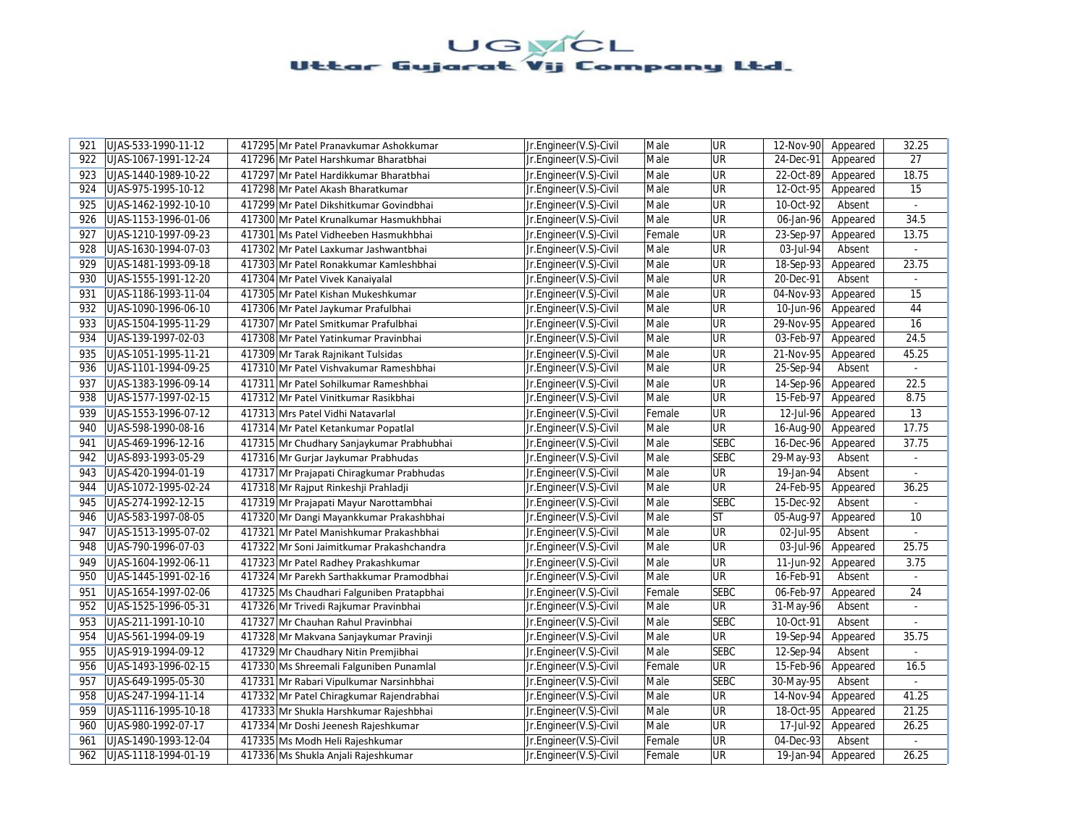| 921 | UJAS-533-1990-11-12  | 417295 Mr Patel Pranavkumar Ashokkumar    | Jr.Engineer(V.S)-Civil | Male   | UR          | 12-Nov-90 | Appeared | 32.25    |
|-----|----------------------|-------------------------------------------|------------------------|--------|-------------|-----------|----------|----------|
| 922 | UJAS-1067-1991-12-24 | 417296 Mr Patel Harshkumar Bharatbhai     | Jr.Engineer(V.S)-Civil | Male   | UR          | 24-Dec-91 | Appeared | 27       |
| 923 | UJAS-1440-1989-10-22 | 417297 Mr Patel Hardikkumar Bharatbhai    | Jr.Engineer(V.S)-Civil | Male   | UR          | 22-Oct-89 | Appeared | 18.75    |
| 924 | UJAS-975-1995-10-12  | 417298 Mr Patel Akash Bharatkumar         | Jr.Engineer(V.S)-Civil | Male   | UR          | 12-Oct-95 | Appeared | 15       |
| 925 | UJAS-1462-1992-10-10 | 417299 Mr Patel Dikshitkumar Govindbhai   | Jr.Engineer(V.S)-Civil | Male   | UR          | 10-Oct-92 | Absent   | $\sim$   |
| 926 | UJAS-1153-1996-01-06 | 417300 Mr Patel Krunalkumar Hasmukhbhai   | Jr.Engineer(V.S)-Civil | Male   | UR          | 06-Jan-96 | Appeared | 34.5     |
| 927 | UJAS-1210-1997-09-23 | 417301 Ms Patel Vidheeben Hasmukhbhai     | Jr.Engineer(V.S)-Civil | Female | UR          | 23-Sep-97 | Appeared | 13.75    |
| 928 | UJAS-1630-1994-07-03 | 417302 Mr Patel Laxkumar Jashwantbhai     | Jr.Engineer(V.S)-Civil | Male   | UR          | 03-Jul-94 | Absent   |          |
| 929 | UJAS-1481-1993-09-18 | 417303 Mr Patel Ronakkumar Kamleshbhai    | Jr.Engineer(V.S)-Civil | Male   | UR          | 18-Sep-93 | Appeared | 23.75    |
| 930 | UJAS-1555-1991-12-20 | 417304 Mr Patel Vivek Kanaiyalal          | Jr.Engineer(V.S)-Civil | Male   | UR          | 20-Dec-91 | Absent   |          |
| 931 | UJAS-1186-1993-11-04 | 417305 Mr Patel Kishan Mukeshkumar        | Jr.Engineer(V.S)-Civil | Male   | UR          | 04-Nov-93 | Appeared | 15       |
| 932 | UJAS-1090-1996-06-10 | 417306 Mr Patel Jaykumar Prafulbhai       | Jr.Engineer(V.S)-Civil | Male   | UR          | 10-Jun-96 | Appeared | 44       |
| 933 | UJAS-1504-1995-11-29 | 417307 Mr Patel Smitkumar Prafulbhai      | Jr.Engineer(V.S)-Civil | Male   | UR          | 29-Nov-95 | Appeared | 16       |
| 934 | UJAS-139-1997-02-03  | 417308 Mr Patel Yatinkumar Pravinbhai     | Jr.Engineer(V.S)-Civil | Male   | UR          | 03-Feb-97 | Appeared | 24.5     |
| 935 | UJAS-1051-1995-11-21 | 417309 Mr Tarak Rajnikant Tulsidas        | Jr.Engineer(V.S)-Civil | Male   | UR          | 21-Nov-95 | Appeared | 45.25    |
| 936 | UJAS-1101-1994-09-25 | 417310 Mr Patel Vishvakumar Rameshbhai    | Jr.Engineer(V.S)-Civil | Male   | UR          | 25-Sep-94 | Absent   | $\omega$ |
| 937 | UJAS-1383-1996-09-14 | 417311 Mr Patel Sohilkumar Rameshbhai     | Jr.Engineer(V.S)-Civil | Male   | UR          | 14-Sep-96 | Appeared | 22.5     |
| 938 | UJAS-1577-1997-02-15 | 417312 Mr Patel Vinitkumar Rasikbhai      | Jr.Engineer(V.S)-Civil | Male   | UR          | 15-Feb-97 | Appeared | 8.75     |
| 939 | UJAS-1553-1996-07-12 | 417313 Mrs Patel Vidhi Natavarlal         | Jr.Engineer(V.S)-Civil | Female | UR          | 12-Jul-96 | Appeared | 13       |
| 940 | UJAS-598-1990-08-16  | 417314 Mr Patel Ketankumar Popatlal       | Jr.Engineer(V.S)-Civil | Male   | <b>UR</b>   | 16-Aug-90 | Appeared | 17.75    |
| 941 | UJAS-469-1996-12-16  | 417315 Mr Chudhary Sanjaykumar Prabhubhai | Jr.Engineer(V.S)-Civil | Male   | <b>SEBC</b> | 16-Dec-96 | Appeared | 37.75    |
| 942 | UJAS-893-1993-05-29  | 417316 Mr Gurjar Jaykumar Prabhudas       | Jr.Engineer(V.S)-Civil | Male   | <b>SEBC</b> | 29-May-93 | Absent   |          |
| 943 | UJAS-420-1994-01-19  | 417317 Mr Prajapati Chiragkumar Prabhudas | Jr.Engineer(V.S)-Civil | Male   | UR          | 19-Jan-94 | Absent   | $\omega$ |
| 944 | UJAS-1072-1995-02-24 | 417318 Mr Rajput Rinkeshji Prahladji      | Jr.Engineer(V.S)-Civil | Male   | UR          | 24-Feb-95 | Appeared | 36.25    |
| 945 | UJAS-274-1992-12-15  | 417319 Mr Prajapati Mayur Narottambhai    | Jr.Engineer(V.S)-Civil | Male   | <b>SEBC</b> | 15-Dec-92 | Absent   | $\omega$ |
| 946 | UJAS-583-1997-08-05  | 417320 Mr Dangi Mayankkumar Prakashbhai   | Jr.Engineer(V.S)-Civil | Male   | <b>ST</b>   | 05-Aug-97 | Appeared | 10       |
| 947 | UJAS-1513-1995-07-02 | 417321 Mr Patel Manishkumar Prakashbhai   | Jr.Engineer(V.S)-Civil | Male   | UR          | 02-Jul-95 | Absent   |          |
| 948 | UJAS-790-1996-07-03  | 417322 Mr Soni Jaimitkumar Prakashchandra | Jr.Engineer(V.S)-Civil | Male   | UR          | 03-Jul-96 | Appeared | 25.75    |
| 949 | UJAS-1604-1992-06-11 | 417323 Mr Patel Radhey Prakashkumar       | Jr.Engineer(V.S)-Civil | Male   | UR          | 11-Jun-92 | Appeared | 3.75     |
| 950 | UJAS-1445-1991-02-16 | 417324 Mr Parekh Sarthakkumar Pramodbhai  | Jr.Engineer(V.S)-Civil | Male   | UR          | 16-Feb-91 | Absent   | $\omega$ |
| 951 | UJAS-1654-1997-02-06 | 417325 Ms Chaudhari Falguniben Pratapbhai | Jr.Engineer(V.S)-Civil | Female | <b>SEBC</b> | 06-Feb-97 | Appeared | 24       |
| 952 | UJAS-1525-1996-05-31 | 417326 Mr Trivedi Rajkumar Pravinbhai     | Jr.Engineer(V.S)-Civil | Male   | <b>UR</b>   | 31-May-96 | Absent   | $\omega$ |
| 953 | UJAS-211-1991-10-10  | 417327 Mr Chauhan Rahul Pravinbhai        | Jr.Engineer(V.S)-Civil | Male   | <b>SEBC</b> | 10-Oct-91 | Absent   |          |
| 954 | UJAS-561-1994-09-19  | 417328 Mr Makvana Sanjaykumar Pravinji    | Jr.Engineer(V.S)-Civil | Male   | UR          | 19-Sep-94 | Appeared | 35.75    |
| 955 | UJAS-919-1994-09-12  | 417329 Mr Chaudhary Nitin Premjibhai      | Jr.Engineer(V.S)-Civil | Male   | <b>SEBC</b> | 12-Sep-94 | Absent   |          |
| 956 | UJAS-1493-1996-02-15 | 417330 Ms Shreemali Falguniben Punamlal   | Jr.Engineer(V.S)-Civil | Female | UR          | 15-Feb-96 | Appeared | 16.5     |
| 957 | UJAS-649-1995-05-30  | 417331 Mr Rabari Vipulkumar Narsinhbhai   | Jr.Engineer(V.S)-Civil | Male   | <b>SEBC</b> | 30-May-95 | Absent   |          |
| 958 | UJAS-247-1994-11-14  | 417332 Mr Patel Chiragkumar Rajendrabhai  | Jr.Engineer(V.S)-Civil | Male   | UR          | 14-Nov-94 | Appeared | 41.25    |
| 959 | UJAS-1116-1995-10-18 | 417333 Mr Shukla Harshkumar Rajeshbhai    | Jr.Engineer(V.S)-Civil | Male   | UR          | 18-Oct-95 | Appeared | 21.25    |
| 960 | UJAS-980-1992-07-17  | 417334 Mr Doshi Jeenesh Rajeshkumar       | Jr.Engineer(V.S)-Civil | Male   | UR          | 17-Jul-92 | Appeared | 26.25    |
| 961 | UJAS-1490-1993-12-04 | 417335 Ms Modh Heli Rajeshkumar           | Jr.Engineer(V.S)-Civil | Female | UR          | 04-Dec-93 | Absent   | $\sim$   |
| 962 | UJAS-1118-1994-01-19 | 417336 Ms Shukla Anjali Rajeshkumar       | Jr.Engineer(V.S)-Civil | Female | UR          | 19-Jan-94 | Appeared | 26.25    |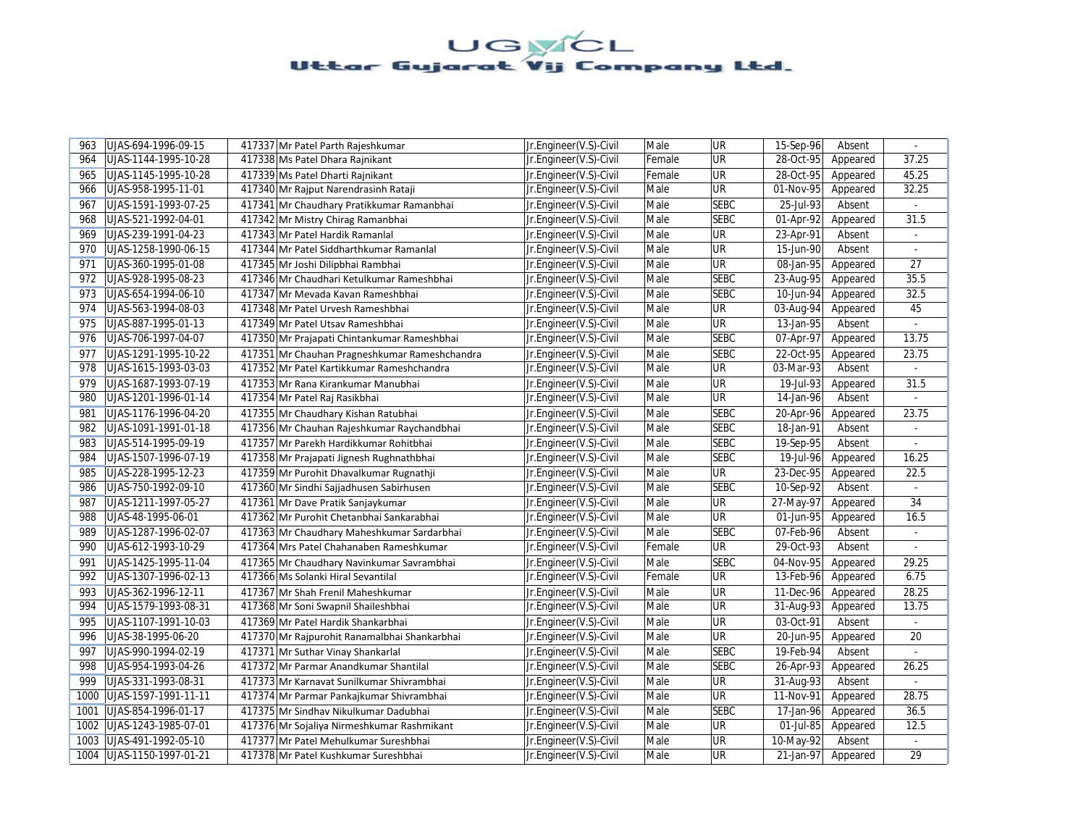| 963  | UJAS-694-1996-09-15  | 417337 Mr Patel Parth Rajeshkumar             | Jr.Engineer(V.S)-Civil | Male   | UR          | 15-Sep-96 | Absent   |                |
|------|----------------------|-----------------------------------------------|------------------------|--------|-------------|-----------|----------|----------------|
| 964  | UJAS-1144-1995-10-28 | 417338 Ms Patel Dhara Rajnikant               | Jr.Engineer(V.S)-Civil | Female | UR          | 28-Oct-95 | Appeared | 37.25          |
| 965  | UJAS-1145-1995-10-28 | 417339 Ms Patel Dharti Rajnikant              | Jr.Engineer(V.S)-Civil | Female | UR          | 28-Oct-95 | Appeared | 45.25          |
| 966  | UJAS-958-1995-11-01  | 417340 Mr Rajput Narendrasinh Rataji          | Jr.Engineer(V.S)-Civil | Male   | <b>UR</b>   | 01-Nov-95 | Appeared | 32.25          |
| 967  | UJAS-1591-1993-07-25 | 417341 Mr Chaudhary Pratikkumar Ramanbhai     | Jr.Engineer(V.S)-Civil | Male   | <b>SEBC</b> | 25-Jul-93 | Absent   | $\sim$         |
| 968  | UJAS-521-1992-04-01  | 417342 Mr Mistry Chirag Ramanbhai             | Jr.Engineer(V.S)-Civil | Male   | <b>SEBC</b> | 01-Apr-92 | Appeared | 31.5           |
| 969  | UJAS-239-1991-04-23  | 417343 Mr Patel Hardik Ramanlal               | Jr.Engineer(V.S)-Civil | Male   | UR          | 23-Apr-91 | Absent   | ÷.             |
| 970  | UJAS-1258-1990-06-15 | 417344 Mr Patel Siddharthkumar Ramanlal       | Jr.Engineer(V.S)-Civil | Male   | <b>UR</b>   | 15-Jun-90 | Absent   | $\omega$       |
| 971  | UJAS-360-1995-01-08  | 417345 Mr Joshi Dilipbhai Rambhai             | Jr.Engineer(V.S)-Civil | Male   | <b>UR</b>   | 08-Jan-95 | Appeared | 27             |
| 972  | UJAS-928-1995-08-23  | 417346 Mr Chaudhari Ketulkumar Rameshbhai     | Jr.Engineer(V.S)-Civil | Male   | <b>SEBC</b> | 23-Aug-95 | Appeared | 35.5           |
| 973  | UJAS-654-1994-06-10  | 417347 Mr Mevada Kavan Rameshbhai             | Jr.Engineer(V.S)-Civil | Male   | <b>SEBC</b> | 10-Jun-94 | Appeared | 32.5           |
| 974  | UJAS-563-1994-08-03  | 417348 Mr Patel Urvesh Rameshbhai             | Jr.Engineer(V.S)-Civil | Male   | <b>UR</b>   | 03-Aug-94 | Appeared | 45             |
| 975  | UJAS-887-1995-01-13  | 417349 Mr Patel Utsav Rameshbhai              | Jr.Engineer(V.S)-Civil | Male   | UR          | 13-Jan-95 | Absent   |                |
| 976  | UJAS-706-1997-04-07  | 417350 Mr Prajapati Chintankumar Rameshbhai   | Jr.Engineer(V.S)-Civil | Male   | <b>SEBC</b> | 07-Apr-97 | Appeared | 13.75          |
| 977  | UJAS-1291-1995-10-22 | 417351 Mr Chauhan Pragneshkumar Rameshchandra | Jr.Engineer(V.S)-Civil | Male   | <b>SEBC</b> | 22-Oct-95 | Appeared | 23.75          |
| 978  | UJAS-1615-1993-03-03 | 417352 Mr Patel Kartikkumar Rameshchandra     | Jr.Engineer(V.S)-Civil | Male   | <b>UR</b>   | 03-Mar-93 | Absent   | ÷.             |
| 979  | UJAS-1687-1993-07-19 | 417353 Mr Rana Kirankumar Manubhai            | Jr.Engineer(V.S)-Civil | Male   | <b>UR</b>   | 19-Jul-93 | Appeared | 31.5           |
| 980  | UJAS-1201-1996-01-14 | 417354 Mr Patel Raj Rasikbhai                 | Jr.Engineer(V.S)-Civil | Male   | <b>UR</b>   | 14-Jan-96 | Absent   | $\mathcal{L}$  |
| 981  | UJAS-1176-1996-04-20 | 417355 Mr Chaudhary Kishan Ratubhai           | Jr.Engineer(V.S)-Civil | Male   | <b>SEBC</b> | 20-Apr-96 | Appeared | 23.75          |
| 982  | UJAS-1091-1991-01-18 | 417356 Mr Chauhan Rajeshkumar Raychandbhai    | Jr.Engineer(V.S)-Civil | Male   | <b>SEBC</b> | 18-Jan-91 | Absent   |                |
| 983  | UJAS-514-1995-09-19  | 417357 Mr Parekh Hardikkumar Rohitbhai        | Jr.Engineer(V.S)-Civil | Male   | <b>SEBC</b> | 19-Sep-95 | Absent   | $\blacksquare$ |
| 984  | UJAS-1507-1996-07-19 | 417358 Mr Prajapati Jignesh Rughnathbhai      | Jr.Engineer(V.S)-Civil | Male   | <b>SEBC</b> | 19-Jul-96 | Appeared | 16.25          |
| 985  | UJAS-228-1995-12-23  | 417359 Mr Purohit Dhavalkumar Rugnathji       | Jr.Engineer(V.S)-Civil | Male   | <b>UR</b>   | 23-Dec-95 | Appeared | 22.5           |
| 986  | UJAS-750-1992-09-10  | 417360 Mr Sindhi Sajjadhusen Sabirhusen       | Jr.Engineer(V.S)-Civil | Male   | <b>SEBC</b> | 10-Sep-92 | Absent   |                |
| 987  | UJAS-1211-1997-05-27 | 417361 Mr Dave Pratik Sanjaykumar             | Jr.Engineer(V.S)-Civil | Male   | <b>UR</b>   | 27-May-97 | Appeared | 34             |
| 988  | UJAS-48-1995-06-01   | 417362 Mr Purohit Chetanbhai Sankarabhai      | Jr.Engineer(V.S)-Civil | Male   | <b>UR</b>   | 01-Jun-95 | Appeared | 16.5           |
| 989  | UJAS-1287-1996-02-07 | 417363 Mr Chaudhary Maheshkumar Sardarbhai    | Jr.Engineer(V.S)-Civil | Male   | <b>SEBC</b> | 07-Feb-96 | Absent   | ÷.             |
| 990  | UJAS-612-1993-10-29  | 417364 Mrs Patel Chahanaben Rameshkumar       | Jr.Engineer(V.S)-Civil | Female | <b>UR</b>   | 29-Oct-93 | Absent   |                |
| 991  | UJAS-1425-1995-11-04 | 417365 Mr Chaudhary Navinkumar Savrambhai     | Jr.Engineer(V.S)-Civil | Male   | <b>SEBC</b> | 04-Nov-95 | Appeared | 29.25          |
| 992  | UJAS-1307-1996-02-13 | 417366 Ms Solanki Hiral Sevantilal            | Jr.Engineer(V.S)-Civil | Female | <b>UR</b>   | 13-Feb-96 | Appeared | 6.75           |
| 993  | UJAS-362-1996-12-11  | 417367 Mr Shah Frenil Maheshkumar             | Jr.Engineer(V.S)-Civil | Male   | UR          | 11-Dec-96 | Appeared | 28.25          |
| 994  | UJAS-1579-1993-08-31 | 417368 Mr Soni Swapnil Shaileshbhai           | Jr.Engineer(V.S)-Civil | Male   | <b>UR</b>   | 31-Aug-93 | Appeared | 13.75          |
| 995  | UJAS-1107-1991-10-03 | 417369 Mr Patel Hardik Shankarbhai            | Jr.Engineer(V.S)-Civil | Male   | <b>UR</b>   | 03-Oct-91 | Absent   |                |
| 996  | UJAS-38-1995-06-20   | 417370 Mr Rajpurohit Ranamalbhai Shankarbhai  | Jr.Engineer(V.S)-Civil | Male   | UR          | 20-Jun-95 | Appeared | 20             |
| 997  | UJAS-990-1994-02-19  | 417371 Mr Suthar Vinay Shankarlal             | Jr.Engineer(V.S)-Civil | Male   | <b>SEBC</b> | 19-Feb-94 | Absent   |                |
| 998  | UJAS-954-1993-04-26  | 417372 Mr Parmar Anandkumar Shantilal         | Jr.Engineer(V.S)-Civil | Male   | <b>SEBC</b> | 26-Apr-93 | Appeared | 26.25          |
| 999  | UJAS-331-1993-08-31  | 417373 Mr Karnavat Sunilkumar Shivrambhai     | Jr.Engineer(V.S)-Civil | Male   | <b>UR</b>   | 31-Aug-93 | Absent   |                |
| 1000 | UJAS-1597-1991-11-11 | 417374 Mr Parmar Pankajkumar Shivrambhai      | Jr.Engineer(V.S)-Civil | Male   | <b>UR</b>   | 11-Nov-91 | Appeared | 28.75          |
| 1001 | UJAS-854-1996-01-17  | 417375 Mr Sindhav Nikulkumar Dadubhai         | Jr.Engineer(V.S)-Civil | Male   | <b>SEBC</b> | 17-Jan-96 | Appeared | 36.5           |
| 1002 | UJAS-1243-1985-07-01 | 417376 Mr Sojaliya Nirmeshkumar Rashmikant    | Jr.Engineer(V.S)-Civil | Male   | UR          | 01-Jul-85 | Appeared | 12.5           |
| 1003 | UJAS-491-1992-05-10  | 417377 Mr Patel Mehulkumar Sureshbhai         | Jr.Engineer(V.S)-Civil | Male   | <b>UR</b>   | 10-May-92 | Absent   | $\sim$         |
| 1004 | UJAS-1150-1997-01-21 | 417378 Mr Patel Kushkumar Sureshbhai          | Jr.Engineer(V.S)-Civil | Male   | UR          | 21-Jan-97 | Appeared | 29             |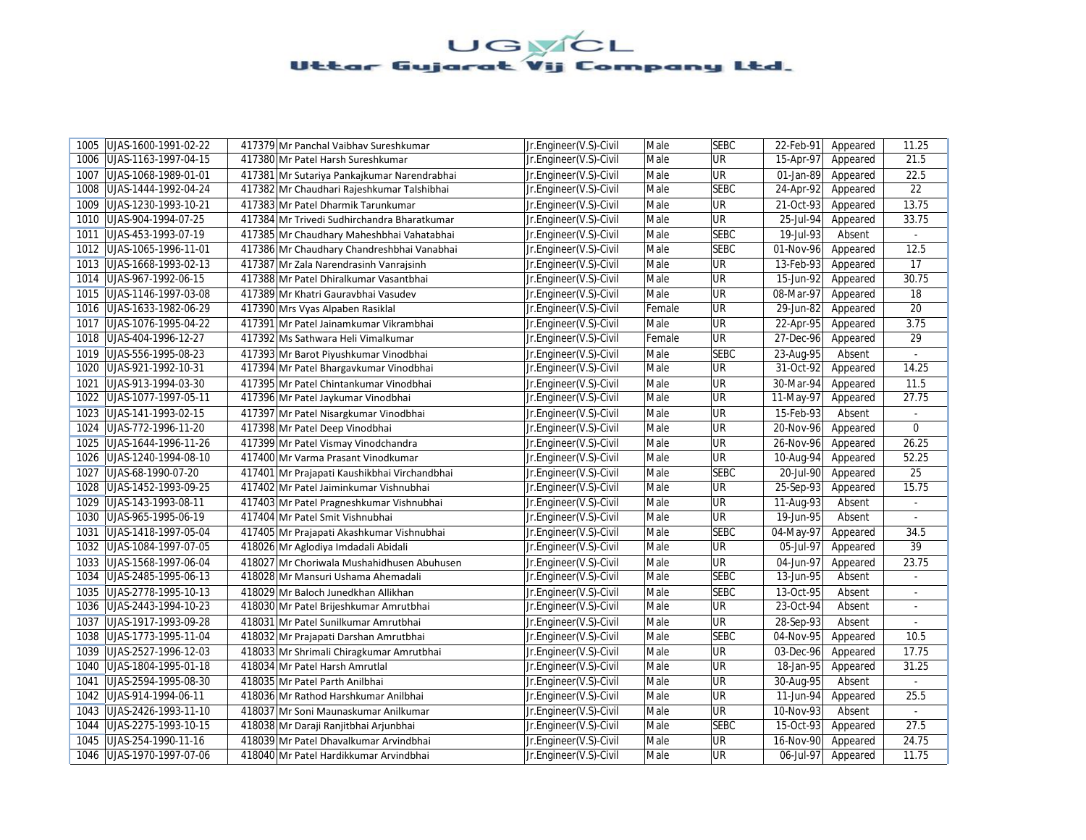| 1005 | UJAS-1600-1991-02-22 | 417379 Mr Panchal Vaibhav Sureshkumar        | Jr.Engineer(V.S)-Civil | Male   | <b>SEBC</b>              | 22-Feb-91 | Appeared | 11.25           |
|------|----------------------|----------------------------------------------|------------------------|--------|--------------------------|-----------|----------|-----------------|
| 1006 | UJAS-1163-1997-04-15 | 417380 Mr Patel Harsh Sureshkumar            | Jr.Engineer(V.S)-Civil | Male   | <b>UR</b>                | 15-Apr-97 | Appeared | 21.5            |
| 1007 | UJAS-1068-1989-01-01 | 417381 Mr Sutariya Pankajkumar Narendrabhai  | Jr.Engineer(V.S)-Civil | Male   | <b>UR</b>                | 01-Jan-89 | Appeared | 22.5            |
| 1008 | UJAS-1444-1992-04-24 | 417382 Mr Chaudhari Rajeshkumar Talshibhai   | Jr.Engineer(V.S)-Civil | Male   | <b>SEBC</b>              | 24-Apr-92 | Appeared | 22              |
| 1009 | UJAS-1230-1993-10-21 | 417383 Mr Patel Dharmik Tarunkumar           | Jr.Engineer(V.S)-Civil | Male   | <b>UR</b>                | 21-Oct-93 | Appeared | 13.75           |
| 1010 | UJAS-904-1994-07-25  | 417384 Mr Trivedi Sudhirchandra Bharatkumar  | Jr.Engineer(V.S)-Civil | Male   | <b>UR</b>                | 25-Jul-94 | Appeared | 33.75           |
| 1011 | UJAS-453-1993-07-19  | 417385 Mr Chaudhary Maheshbhai Vahatabhai    | Jr.Engineer(V.S)-Civil | Male   | <b>SEBC</b>              | 19-Jul-93 | Absent   | $\omega$        |
| 1012 | UJAS-1065-1996-11-01 | 417386 Mr Chaudhary Chandreshbhai Vanabhai   | Jr.Engineer(V.S)-Civil | Male   | <b>SEBC</b>              | 01-Nov-96 | Appeared | 12.5            |
| 1013 | UJAS-1668-1993-02-13 | 417387 Mr Zala Narendrasinh Vanrajsinh       | Jr.Engineer(V.S)-Civil | Male   | $\overline{\mathsf{UR}}$ | 13-Feb-93 | Appeared | 17              |
| 1014 | UJAS-967-1992-06-15  | 417388 Mr Patel Dhiralkumar Vasantbhai       | Jr.Engineer(V.S)-Civil | Male   | <b>UR</b>                | 15-Jun-92 | Appeared | 30.75           |
| 1015 | UJAS-1146-1997-03-08 | 417389 Mr Khatri Gauravbhai Vasudev          | Jr.Engineer(V.S)-Civil | Male   | <b>UR</b>                | 08-Mar-97 | Appeared | 18              |
| 1016 | UJAS-1633-1982-06-29 | 417390 Mrs Vyas Alpaben Rasiklal             | Jr.Engineer(V.S)-Civil | Female | <b>UR</b>                | 29-Jun-82 | Appeared | 20              |
| 1017 | UJAS-1076-1995-04-22 | 417391 Mr Patel Jainamkumar Vikrambhai       | Jr.Engineer(V.S)-Civil | Male   | UR                       | 22-Apr-95 | Appeared | 3.75            |
| 1018 | UJAS-404-1996-12-27  | 417392 Ms Sathwara Heli Vimalkumar           | Jr.Engineer(V.S)-Civil | Female | <b>UR</b>                | 27-Dec-96 | Appeared | 29              |
| 1019 | UJAS-556-1995-08-23  | 417393 Mr Barot Piyushkumar Vinodbhai        | Jr.Engineer(V.S)-Civil | Male   | <b>SEBC</b>              | 23-Aug-95 | Absent   |                 |
| 1020 | UJAS-921-1992-10-31  | 417394 Mr Patel Bhargavkumar Vinodbhai       | Jr.Engineer(V.S)-Civil | Male   | UR                       | 31-Oct-92 | Appeared | 14.25           |
| 1021 | UJAS-913-1994-03-30  | 417395 Mr Patel Chintankumar Vinodbhai       | Jr.Engineer(V.S)-Civil | Male   | <b>UR</b>                | 30-Mar-94 | Appeared | 11.5            |
| 1022 | UJAS-1077-1997-05-11 | 417396 Mr Patel Jaykumar Vinodbhai           | Jr.Engineer(V.S)-Civil | Male   | UR                       | 11-May-97 | Appeared | 27.75           |
| 1023 | UJAS-141-1993-02-15  | 417397 Mr Patel Nisargkumar Vinodbhai        | Jr.Engineer(V.S)-Civil | Male   | <b>UR</b>                | 15-Feb-93 | Absent   |                 |
| 1024 | UJAS-772-1996-11-20  | 417398 Mr Patel Deep Vinodbhai               | Jr.Engineer(V.S)-Civil | Male   | <b>UR</b>                | 20-Nov-96 | Appeared | $\mathbf 0$     |
| 1025 | UJAS-1644-1996-11-26 | 417399 Mr Patel Vismay Vinodchandra          | Jr.Engineer(V.S)-Civil | Male   | <b>UR</b>                | 26-Nov-96 | Appeared | 26.25           |
| 1026 | UJAS-1240-1994-08-10 | 417400 Mr Varma Prasant Vinodkumar           | Jr.Engineer(V.S)-Civil | Male   | UR                       | 10-Aug-94 | Appeared | 52.25           |
| 1027 | UJAS-68-1990-07-20   | 417401 Mr Prajapati Kaushikbhai Virchandbhai | Jr.Engineer(V.S)-Civil | Male   | <b>SEBC</b>              | 20-Jul-90 | Appeared | $\overline{25}$ |
| 1028 | UJAS-1452-1993-09-25 | 417402 Mr Patel Jaiminkumar Vishnubhai       | Jr.Engineer(V.S)-Civil | Male   | <b>UR</b>                | 25-Sep-93 | Appeared | 15.75           |
| 1029 | UJAS-143-1993-08-11  | 417403 Mr Patel Pragneshkumar Vishnubhai     | Jr.Engineer(V.S)-Civil | Male   | <b>UR</b>                | 11-Aug-93 | Absent   | L.              |
| 1030 | UJAS-965-1995-06-19  | 417404 Mr Patel Smit Vishnubhai              | Jr.Engineer(V.S)-Civil | Male   | <b>UR</b>                | 19-Jun-95 | Absent   | $\blacksquare$  |
| 1031 | UJAS-1418-1997-05-04 | 417405 Mr Prajapati Akashkumar Vishnubhai    | Jr.Engineer(V.S)-Civil | Male   | <b>SEBC</b>              | 04-May-97 | Appeared | 34.5            |
| 1032 | UJAS-1084-1997-07-05 | 418026 Mr Aglodiya Imdadali Abidali          | Jr.Engineer(V.S)-Civil | Male   | UR                       | 05-Jul-97 | Appeared | 39              |
| 1033 | UJAS-1568-1997-06-04 | 418027 Mr Choriwala Mushahidhusen Abuhusen   | Jr.Engineer(V.S)-Civil | Male   | <b>UR</b>                | 04-Jun-97 | Appeared | 23.75           |
| 1034 | UJAS-2485-1995-06-13 | 418028 Mr Mansuri Ushama Ahemadali           | Jr.Engineer(V.S)-Civil | Male   | <b>SEBC</b>              | 13-Jun-95 | Absent   | $\blacksquare$  |
| 1035 | UJAS-2778-1995-10-13 | 418029 Mr Baloch Junedkhan Allikhan          | Jr.Engineer(V.S)-Civil | Male   | <b>SEBC</b>              | 13-Oct-95 | Absent   | $\sim$          |
| 1036 | UJAS-2443-1994-10-23 | 418030 Mr Patel Brijeshkumar Amrutbhai       | Jr.Engineer(V.S)-Civil | Male   | <b>UR</b>                | 23-Oct-94 | Absent   |                 |
| 1037 | UJAS-1917-1993-09-28 | 418031 Mr Patel Sunilkumar Amrutbhai         | Jr.Engineer(V.S)-Civil | Male   | <b>UR</b>                | 28-Sep-93 | Absent   |                 |
| 1038 | UJAS-1773-1995-11-04 | 418032 Mr Prajapati Darshan Amrutbhai        | Jr.Engineer(V.S)-Civil | Male   | <b>SEBC</b>              | 04-Nov-95 | Appeared | 10.5            |
| 1039 | UJAS-2527-1996-12-03 | 418033 Mr Shrimali Chiragkumar Amrutbhai     | Jr.Engineer(V.S)-Civil | Male   | UR                       | 03-Dec-96 | Appeared | 17.75           |
| 1040 | UJAS-1804-1995-01-18 | 418034 Mr Patel Harsh Amrutlal               | Jr.Engineer(V.S)-Civil | Male   | <b>UR</b>                | 18-Jan-95 | Appeared | 31.25           |
| 1041 | UJAS-2594-1995-08-30 | 418035 Mr Patel Parth Anilbhai               | Jr.Engineer(V.S)-Civil | Male   | <b>UR</b>                | 30-Aug-95 | Absent   |                 |
| 1042 | UJAS-914-1994-06-11  | 418036 Mr Rathod Harshkumar Anilbhai         | Jr.Engineer(V.S)-Civil | Male   | UR                       | 11-Jun-94 | Appeared | 25.5            |
| 1043 | UJAS-2426-1993-11-10 | 418037 Mr Soni Maunaskumar Anilkumar         | Jr.Engineer(V.S)-Civil | Male   | $\overline{\mathsf{UR}}$ | 10-Nov-93 | Absent   |                 |
| 1044 | UJAS-2275-1993-10-15 | 418038 Mr Daraji Ranjitbhai Arjunbhai        | Jr.Engineer(V.S)-Civil | Male   | <b>SEBC</b>              | 15-Oct-93 | Appeared | 27.5            |
| 1045 | UJAS-254-1990-11-16  | 418039 Mr Patel Dhavalkumar Arvindbhai       | Jr.Engineer(V.S)-Civil | Male   | $\overline{\mathsf{UR}}$ | 16-Nov-90 | Appeared | 24.75           |
| 1046 | UJAS-1970-1997-07-06 | 418040 Mr Patel Hardikkumar Arvindbhai       | Jr.Engineer(V.S)-Civil | Male   | UR                       | 06-Jul-97 | Appeared | 11.75           |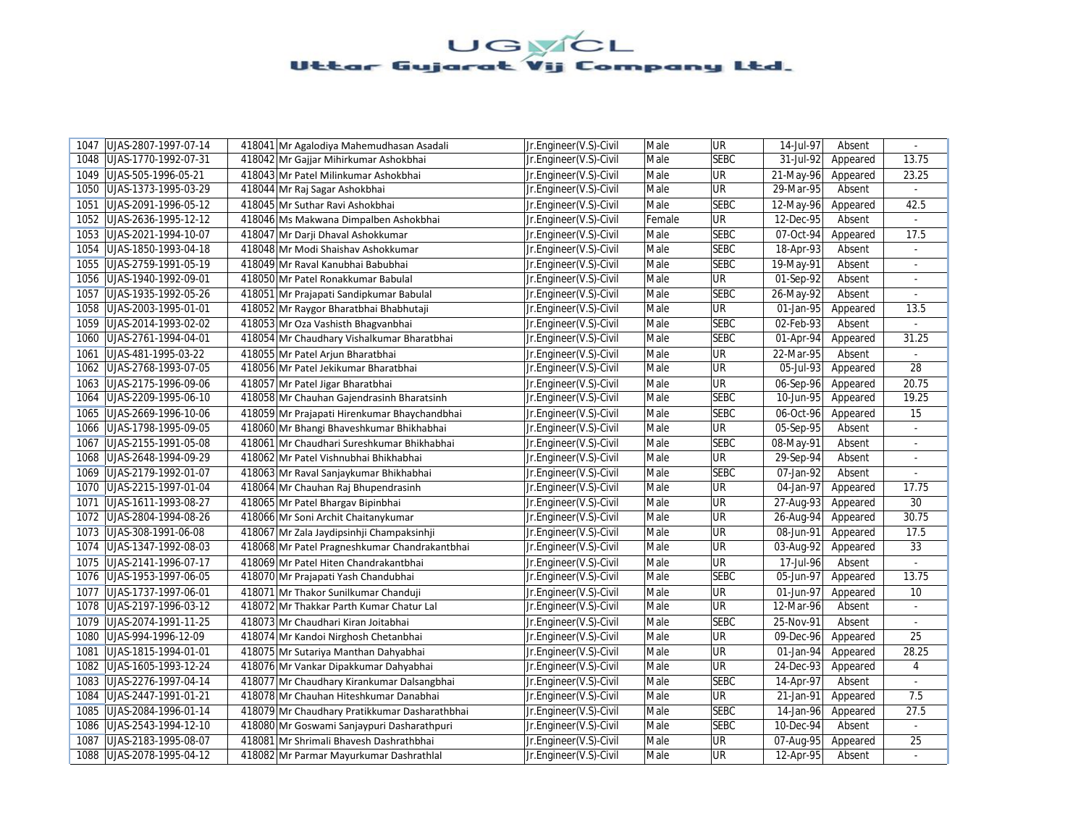| 1047 | UJAS-2807-1997-07-14 | 418041 Mr Agalodiya Mahemudhasan Asadali      | Jr.Engineer(V.S)-Civil | Male   | <b>UR</b>                | 14-Jul-97               | Absent   | $\omega$       |
|------|----------------------|-----------------------------------------------|------------------------|--------|--------------------------|-------------------------|----------|----------------|
| 1048 | UJAS-1770-1992-07-31 | 418042 Mr Gajjar Mihirkumar Ashokbhai         | Jr.Engineer(V.S)-Civil | Male   | <b>SEBC</b>              | 31-Jul-92               | Appeared | 13.75          |
| 1049 | UJAS-505-1996-05-21  | 418043 Mr Patel Milinkumar Ashokbhai          | Jr.Engineer(V.S)-Civil | Male   | <b>UR</b>                | 21-May-96               | Appeared | 23.25          |
| 1050 | UJAS-1373-1995-03-29 | 418044 Mr Raj Sagar Ashokbhai                 | Jr.Engineer(V.S)-Civil | Male   | <b>UR</b>                | 29-Mar-95               | Absent   |                |
| 1051 | UJAS-2091-1996-05-12 | 418045 Mr Suthar Ravi Ashokbhai               | Jr.Engineer(V.S)-Civil | Male   | <b>SEBC</b>              | 12-May-96               | Appeared | 42.5           |
| 1052 | UJAS-2636-1995-12-12 | 418046 Ms Makwana Dimpalben Ashokbhai         | Jr.Engineer(V.S)-Civil | Female | <b>UR</b>                | 12-Dec-95               | Absent   |                |
| 1053 | UJAS-2021-1994-10-07 | 418047 Mr Darji Dhaval Ashokkumar             | Jr.Engineer(V.S)-Civil | Male   | <b>SEBC</b>              | 07-Oct-94               | Appeared | 17.5           |
| 1054 | UJAS-1850-1993-04-18 | 418048 Mr Modi Shaishav Ashokkumar            | Jr.Engineer(V.S)-Civil | Male   | <b>SEBC</b>              | 18-Apr-93               | Absent   | $\blacksquare$ |
| 1055 | UJAS-2759-1991-05-19 | 418049 Mr Raval Kanubhai Babubhai             | Jr.Engineer(V.S)-Civil | Male   | <b>SEBC</b>              | 19-May-91               | Absent   | ÷.             |
| 1056 | UJAS-1940-1992-09-01 | 418050 Mr Patel Ronakkumar Babulal            | Jr.Engineer(V.S)-Civil | Male   | <b>UR</b>                | 01-Sep-92               | Absent   |                |
| 1057 | UJAS-1935-1992-05-26 | 418051 Mr Prajapati Sandipkumar Babulal       | Jr.Engineer(V.S)-Civil | Male   | <b>SEBC</b>              | 26-May-92               | Absent   |                |
| 1058 | UJAS-2003-1995-01-01 | 418052 Mr Raygor Bharatbhai Bhabhutaji        | Jr.Engineer(V.S)-Civil | Male   | <b>UR</b>                | 01-Jan-95               | Appeared | 13.5           |
| 1059 | UJAS-2014-1993-02-02 | 418053 Mr Oza Vashisth Bhagvanbhai            | Jr.Engineer(V.S)-Civil | Male   | <b>SEBC</b>              | 02-Feb-93               | Absent   |                |
| 1060 | UJAS-2761-1994-04-01 | 418054 Mr Chaudhary Vishalkumar Bharatbhai    | Jr.Engineer(V.S)-Civil | Male   | <b>SEBC</b>              | 01-Apr-94               | Appeared | 31.25          |
| 1061 | UJAS-481-1995-03-22  | 418055 Mr Patel Arjun Bharatbhai              | Jr.Engineer(V.S)-Civil | Male   | <b>UR</b>                | 22-Mar-95               | Absent   |                |
| 1062 | UJAS-2768-1993-07-05 | 418056 Mr Patel Jekikumar Bharatbhai          | Jr.Engineer(V.S)-Civil | Male   | UR                       | 05-Jul-93               | Appeared | 28             |
| 1063 | UJAS-2175-1996-09-06 | 418057 Mr Patel Jigar Bharatbhai              | Jr.Engineer(V.S)-Civil | Male   | <b>UR</b>                | 06-Sep-96               | Appeared | 20.75          |
| 1064 | UJAS-2209-1995-06-10 | 418058 Mr Chauhan Gajendrasinh Bharatsinh     | Jr.Engineer(V.S)-Civil | Male   | <b>SEBC</b>              | 10-Jun-95               | Appeared | 19.25          |
| 1065 | UJAS-2669-1996-10-06 | 418059 Mr Prajapati Hirenkumar Bhaychandbhai  | Jr.Engineer(V.S)-Civil | Male   | <b>SEBC</b>              | 06-Oct-96               | Appeared | 15             |
| 1066 | UJAS-1798-1995-09-05 | 418060 Mr Bhangi Bhaveshkumar Bhikhabhai      | Jr.Engineer(V.S)-Civil | Male   | <b>UR</b>                | $\overline{05}$ -Sep-95 | Absent   | $\overline{a}$ |
| 1067 | UJAS-2155-1991-05-08 | 418061 Mr Chaudhari Sureshkumar Bhikhabhai    | Jr.Engineer(V.S)-Civil | Male   | <b>SEBC</b>              | 08-May-91               | Absent   | $\omega$       |
| 1068 | UJAS-2648-1994-09-29 | 418062 Mr Patel Vishnubhai Bhikhabhai         | Jr.Engineer(V.S)-Civil | Male   | UR                       | 29-Sep-94               | Absent   |                |
| 1069 | UJAS-2179-1992-01-07 | 418063 Mr Raval Sanjaykumar Bhikhabhai        | Jr.Engineer(V.S)-Civil | Male   | <b>SEBC</b>              | 07-Jan-92               | Absent   | ÷.             |
| 1070 | UJAS-2215-1997-01-04 | 418064 Mr Chauhan Raj Bhupendrasinh           | Jr.Engineer(V.S)-Civil | Male   | <b>UR</b>                | 04-Jan-97               | Appeared | 17.75          |
| 1071 | UJAS-1611-1993-08-27 | 418065 Mr Patel Bhargav Bipinbhai             | Jr.Engineer(V.S)-Civil | Male   | <b>UR</b>                | 27-Aug-93               | Appeared | 30             |
| 1072 | UJAS-2804-1994-08-26 | 418066 Mr Soni Archit Chaitanykumar           | Jr.Engineer(V.S)-Civil | Male   | UR                       | 26-Aug-94               | Appeared | 30.75          |
| 1073 | UJAS-308-1991-06-08  | 418067 Mr Zala Jaydipsinhji Champaksinhji     | Jr.Engineer(V.S)-Civil | Male   | <b>UR</b>                | 08-Jun-91               | Appeared | 17.5           |
| 1074 | UJAS-1347-1992-08-03 | 418068 Mr Patel Pragneshkumar Chandrakantbhai | Jr.Engineer(V.S)-Civil | Male   | UR                       | 03-Aug-92               | Appeared | 33             |
| 1075 | UJAS-2141-1996-07-17 | 418069 Mr Patel Hiten Chandrakantbhai         | Jr.Engineer(V.S)-Civil | Male   | <b>UR</b>                | 17-Jul-96               | Absent   |                |
| 1076 | UJAS-1953-1997-06-05 | 418070 Mr Prajapati Yash Chandubhai           | Jr.Engineer(V.S)-Civil | Male   | <b>SEBC</b>              | 05-Jun-97               | Appeared | 13.75          |
| 1077 | UJAS-1737-1997-06-01 | 418071 Mr Thakor Sunilkumar Chanduji          | Jr.Engineer(V.S)-Civil | Male   | <b>UR</b>                | 01-Jun-97               | Appeared | 10             |
| 1078 | UJAS-2197-1996-03-12 | 418072 Mr Thakkar Parth Kumar Chatur Lal      | Jr.Engineer(V.S)-Civil | Male   | UR                       | 12-Mar-96               | Absent   |                |
| 1079 | UJAS-2074-1991-11-25 | 418073 Mr Chaudhari Kiran Joitabhai           | Jr.Engineer(V.S)-Civil | Male   | <b>SEBC</b>              | 25-Nov-91               | Absent   |                |
| 1080 | UJAS-994-1996-12-09  | 418074 Mr Kandoi Nirghosh Chetanbhai          | Jr.Engineer(V.S)-Civil | Male   | <b>UR</b>                | 09-Dec-96               | Appeared | 25             |
| 1081 | UJAS-1815-1994-01-01 | 418075 Mr Sutariya Manthan Dahyabhai          | Jr.Engineer(V.S)-Civil | Male   | UR                       | 01-Jan-94               | Appeared | 28.25          |
| 1082 | UJAS-1605-1993-12-24 | 418076 Mr Vankar Dipakkumar Dahyabhai         | Jr.Engineer(V.S)-Civil | Male   | <b>UR</b>                | 24-Dec-93               | Appeared | 4              |
| 1083 | UJAS-2276-1997-04-14 | 418077 Mr Chaudhary Kirankumar Dalsangbhai    | Jr.Engineer(V.S)-Civil | Male   | <b>SEBC</b>              | 14-Apr-97               | Absent   |                |
| 1084 | UJAS-2447-1991-01-21 | 418078 Mr Chauhan Hiteshkumar Danabhai        | Jr.Engineer(V.S)-Civil | Male   | <b>UR</b>                | 21-Jan-91               | Appeared | 7.5            |
| 1085 | UJAS-2084-1996-01-14 | 418079 Mr Chaudhary Pratikkumar Dasharathbhai | Jr.Engineer(V.S)-Civil | Male   | <b>SEBC</b>              | 14-Jan-96               | Appeared | 27.5           |
| 1086 | UJAS-2543-1994-12-10 | 418080 Mr Goswami Sanjaypuri Dasharathpuri    | Jr.Engineer(V.S)-Civil | Male   | <b>SEBC</b>              | 10-Dec-94               | Absent   | $\blacksquare$ |
| 1087 | UJAS-2183-1995-08-07 | 418081 Mr Shrimali Bhavesh Dashrathbhai       | Jr.Engineer(V.S)-Civil | Male   | $\overline{\mathsf{UR}}$ | 07-Aug-95               | Appeared | 25             |
| 1088 | UJAS-2078-1995-04-12 | 418082 Mr Parmar Mayurkumar Dashrathlal       | Jr.Engineer(V.S)-Civil | Male   | UR                       | 12-Apr-95               | Absent   |                |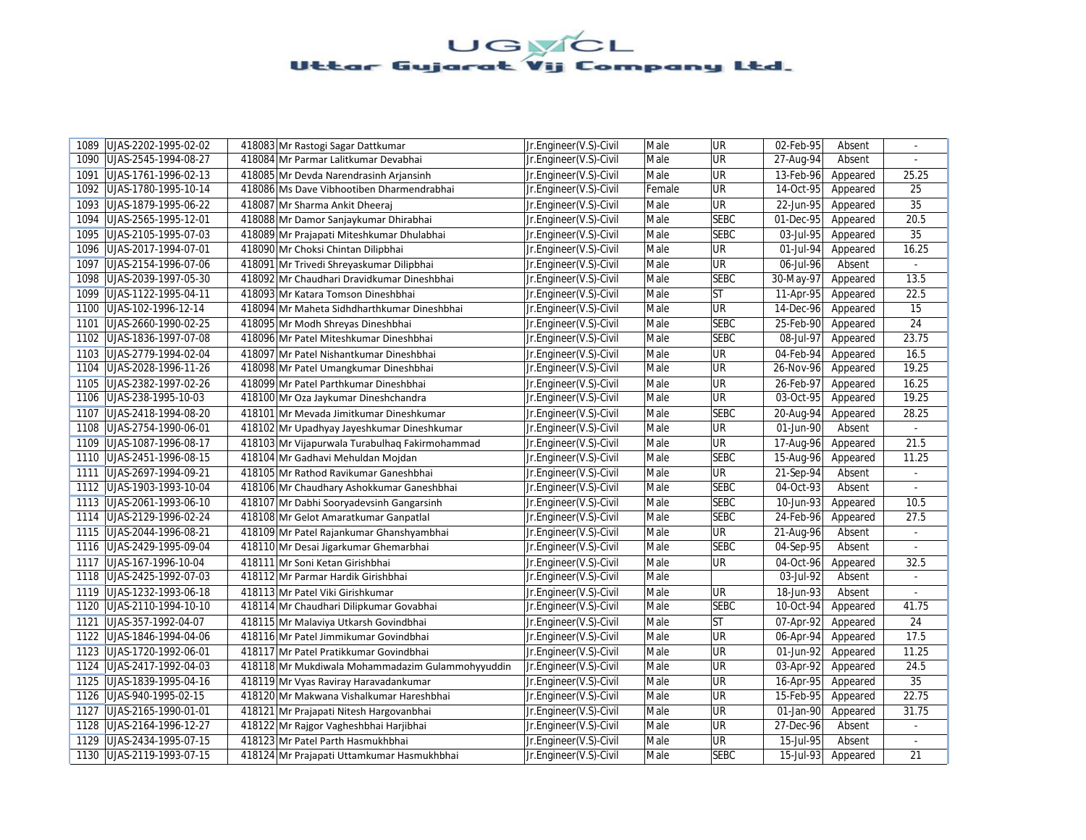| UJAS-2202-1995-02-02<br>1089 |                                 | 418083 Mr Rastogi Sagar Dattkumar                | Jr.Engineer(V.S)-Civil | Male   | <b>UR</b>                | 02-Feb-95   | Absent   | $\sim$         |
|------------------------------|---------------------------------|--------------------------------------------------|------------------------|--------|--------------------------|-------------|----------|----------------|
| UJAS-2545-1994-08-27<br>1090 |                                 | 418084 Mr Parmar Lalitkumar Devabhai             | Jr.Engineer(V.S)-Civil | Male   | UR                       | 27-Aug-94   | Absent   |                |
| 1091<br>UJAS-1761-1996-02-13 |                                 | 418085 Mr Devda Narendrasinh Arjansinh           | Jr.Engineer(V.S)-Civil | Male   | UR                       | 13-Feb-96   | Appeared | 25.25          |
| UJAS-1780-1995-10-14<br>1092 |                                 | 418086 Ms Dave Vibhootiben Dharmendrabhai        | Jr.Engineer(V.S)-Civil | Female | UR                       | 14-Oct-95   | Appeared | 25             |
| UJAS-1879-1995-06-22<br>1093 |                                 | 418087 Mr Sharma Ankit Dheeraj                   | Jr.Engineer(V.S)-Civil | Male   | UR                       | 22-Jun-95   | Appeared | 35             |
| 1094<br>UJAS-2565-1995-12-01 |                                 | 418088 Mr Damor Sanjaykumar Dhirabhai            | Jr.Engineer(V.S)-Civil | Male   | <b>SEBC</b>              | 01-Dec-95   | Appeared | 20.5           |
| 1095<br>UJAS-2105-1995-07-03 |                                 | 418089 Mr Prajapati Miteshkumar Dhulabhai        | Jr.Engineer(V.S)-Civil | Male   | <b>SEBC</b>              | 03-Jul-95   | Appeared | 35             |
| 1096<br>UJAS-2017-1994-07-01 |                                 | 418090 Mr Choksi Chintan Dilipbhai               | Jr.Engineer(V.S)-Civil | Male   | UR                       | 01-Jul-94   | Appeared | 16.25          |
| 1097<br>UJAS-2154-1996-07-06 |                                 | 418091 Mr Trivedi Shreyaskumar Dilipbhai         | Jr.Engineer(V.S)-Civil | Male   | UR                       | 06-Jul-96   | Absent   | $\omega$       |
| 1098<br>UJAS-2039-1997-05-30 |                                 | 418092 Mr Chaudhari Dravidkumar Dineshbhai       | Jr.Engineer(V.S)-Civil | Male   | <b>SEBC</b>              | 30-May-97   | Appeared | 13.5           |
| 1099<br>UJAS-1122-1995-04-11 |                                 | 418093 Mr Katara Tomson Dineshbhai               | Jr.Engineer(V.S)-Civil | Male   | <b>ST</b>                | 11-Apr-95   | Appeared | 22.5           |
| 1100<br>UJAS-102-1996-12-14  |                                 | 418094 Mr Maheta Sidhdharthkumar Dineshbhai      | Jr.Engineer(V.S)-Civil | Male   | UR                       | 14-Dec-96   | Appeared | 15             |
| UJAS-2660-1990-02-25<br>1101 |                                 | 418095 Mr Modh Shreyas Dineshbhai                | Jr.Engineer(V.S)-Civil | Male   | <b>SEBC</b>              | 25-Feb-90   | Appeared | 24             |
| 1102<br>UJAS-1836-1997-07-08 |                                 | 418096 Mr Patel Miteshkumar Dineshbhai           | Jr.Engineer(V.S)-Civil | Male   | <b>SEBC</b>              | 08-Jul-97   | Appeared | 23.75          |
| 1103<br>UJAS-2779-1994-02-04 |                                 | 418097 Mr Patel Nishantkumar Dineshbhai          | Jr.Engineer(V.S)-Civil | Male   | UR                       | 04-Feb-94   | Appeared | 16.5           |
| 1104<br>UJAS-2028-1996-11-26 |                                 | 418098 Mr Patel Umangkumar Dineshbhai            | Jr.Engineer(V.S)-Civil | Male   | UR                       | 26-Nov-96   | Appeared | 19.25          |
| UJAS-2382-1997-02-26<br>1105 |                                 | 418099 Mr Patel Parthkumar Dineshbhai            | Jr.Engineer(V.S)-Civil | Male   | UR                       | 26-Feb-97   | Appeared | 16.25          |
| UJAS-238-1995-10-03<br>1106  |                                 | 418100 Mr Oza Jaykumar Dineshchandra             | Jr.Engineer(V.S)-Civil | Male   | UR                       | 03-Oct-95   | Appeared | 19.25          |
| UJAS-2418-1994-08-20<br>1107 |                                 | 418101 Mr Mevada Jimitkumar Dineshkumar          | Jr.Engineer(V.S)-Civil | Male   | <b>SEBC</b>              | 20-Aug-94   | Appeared | 28.25          |
| 1108<br>UJAS-2754-1990-06-01 |                                 | 418102 Mr Upadhyay Jayeshkumar Dineshkumar       | Jr.Engineer(V.S)-Civil | Male   | UR                       | 01-Jun-90   | Absent   | $\overline{a}$ |
| UJAS-1087-1996-08-17<br>1109 |                                 | 418103 Mr Vijapurwala Turabulhaq Fakirmohammad   | Jr.Engineer(V.S)-Civil | Male   | UR                       | 17-Aug-96   | Appeared | 21.5           |
| UJAS-2451-1996-08-15<br>1110 |                                 | 418104 Mr Gadhavi Mehuldan Mojdan                | Jr.Engineer(V.S)-Civil | Male   | <b>SEBC</b>              | 15-Aug-96   | Appeared | 11.25          |
| 1111<br>UJAS-2697-1994-09-21 |                                 | 418105 Mr Rathod Ravikumar Ganeshbhai            | Jr.Engineer(V.S)-Civil | Male   | UR                       | 21-Sep-94   | Absent   | $\sim$         |
| 1112   UJAS-1903-1993-10-04  |                                 | 418106 Mr Chaudhary Ashokkumar Ganeshbhai        | Jr.Engineer(V.S)-Civil | Male   | <b>SEBC</b>              | 04-Oct-93   | Absent   |                |
| UJAS-2061-1993-06-10<br>1113 |                                 | 418107 Mr Dabhi Sooryadevsinh Gangarsinh         | Jr.Engineer(V.S)-Civil | Male   | <b>SEBC</b>              | 10-Jun-93   | Appeared | 10.5           |
| UJAS-2129-1996-02-24<br>1114 |                                 | 418108 Mr Gelot Amaratkumar Ganpatlal            | Jr.Engineer(V.S)-Civil | Male   | <b>SEBC</b>              | 24-Feb-96   | Appeared | 27.5           |
| UJAS-2044-1996-08-21<br>1115 |                                 | 418109 Mr Patel Rajankumar Ghanshyambhai         | Jr.Engineer(V.S)-Civil | Male   | $\overline{\mathsf{UR}}$ | 21-Aug-96   | Absent   | $\blacksquare$ |
| 1116 UJAS-2429-1995-09-04    |                                 | 418110 Mr Desai Jigarkumar Ghemarbhai            | Jr.Engineer(V.S)-Civil | Male   | <b>SEBC</b>              | 04-Sep-95   | Absent   |                |
| UJAS-167-1996-10-04<br>1117  | 418111 Mr Soni Ketan Girishbhai |                                                  | Jr.Engineer(V.S)-Civil | Male   | UR                       | 04-Oct-96   | Appeared | 32.5           |
| UJAS-2425-1992-07-03<br>1118 |                                 | 418112 Mr Parmar Hardik Girishbhai               | Jr.Engineer(V.S)-Civil | Male   |                          | 03-Jul-92   | Absent   | $\mathcal{L}$  |
| UJAS-1232-1993-06-18<br>1119 |                                 | 418113 Mr Patel Viki Girishkumar                 | Jr.Engineer(V.S)-Civil | Male   | UR                       | 18-Jun-93   | Absent   |                |
| 1120<br>UJAS-2110-1994-10-10 |                                 | 418114 Mr Chaudhari Dilipkumar Govabhai          | Jr.Engineer(V.S)-Civil | Male   | <b>SEBC</b>              | 10-Oct-94   | Appeared | 41.75          |
| 1121<br>UJAS-357-1992-04-07  |                                 | 418115 Mr Malaviya Utkarsh Govindbhai            | Jr.Engineer(V.S)-Civil | Male   | <b>ST</b>                | 07-Apr-92   | Appeared | 24             |
| 1122<br>UJAS-1846-1994-04-06 |                                 | 418116 Mr Patel Jimmikumar Govindbhai            | Jr.Engineer(V.S)-Civil | Male   | UR                       | 06-Apr-94   | Appeared | 17.5           |
| UJAS-1720-1992-06-01<br>1123 |                                 | 418117 Mr Patel Pratikkumar Govindbhai           | Jr.Engineer(V.S)-Civil | Male   | UR                       | 01-Jun-92   | Appeared | 11.25          |
| 1124<br>UJAS-2417-1992-04-03 |                                 | 418118 Mr Mukdiwala Mohammadazim Gulammohyyuddin | Jr.Engineer(V.S)-Civil | Male   | UR                       | $03-Apr-92$ | Appeared | 24.5           |
| 1125<br>UJAS-1839-1995-04-16 |                                 | 418119 Mr Vyas Raviray Haravadankumar            | Jr.Engineer(V.S)-Civil | Male   | UR                       | 16-Apr-95   | Appeared | 35             |
| 1126<br>UJAS-940-1995-02-15  |                                 | 418120 Mr Makwana Vishalkumar Hareshbhai         | Jr.Engineer(V.S)-Civil | Male   | UR                       | 15-Feb-95   | Appeared | 22.75          |
| 1127<br>UJAS-2165-1990-01-01 |                                 | 418121 Mr Prajapati Nitesh Hargovanbhai          | Jr.Engineer(V.S)-Civil | Male   | UR                       | 01-Jan-90   | Appeared | 31.75          |
| 1128<br>UJAS-2164-1996-12-27 |                                 | 418122 Mr Rajgor Vagheshbhai Harjibhai           | Jr.Engineer(V.S)-Civil | Male   | UR                       | 27-Dec-96   | Absent   | ä,             |
| UJAS-2434-1995-07-15<br>1129 |                                 | 418123 Mr Patel Parth Hasmukhbhai                | Jr.Engineer(V.S)-Civil | Male   | UR                       | 15-Jul-95   | Absent   |                |
| 1130 UJAS-2119-1993-07-15    |                                 | 418124 Mr Prajapati Uttamkumar Hasmukhbhai       | Jr.Engineer(V.S)-Civil | Male   | <b>SEBC</b>              | 15-Jul-93   | Appeared | 21             |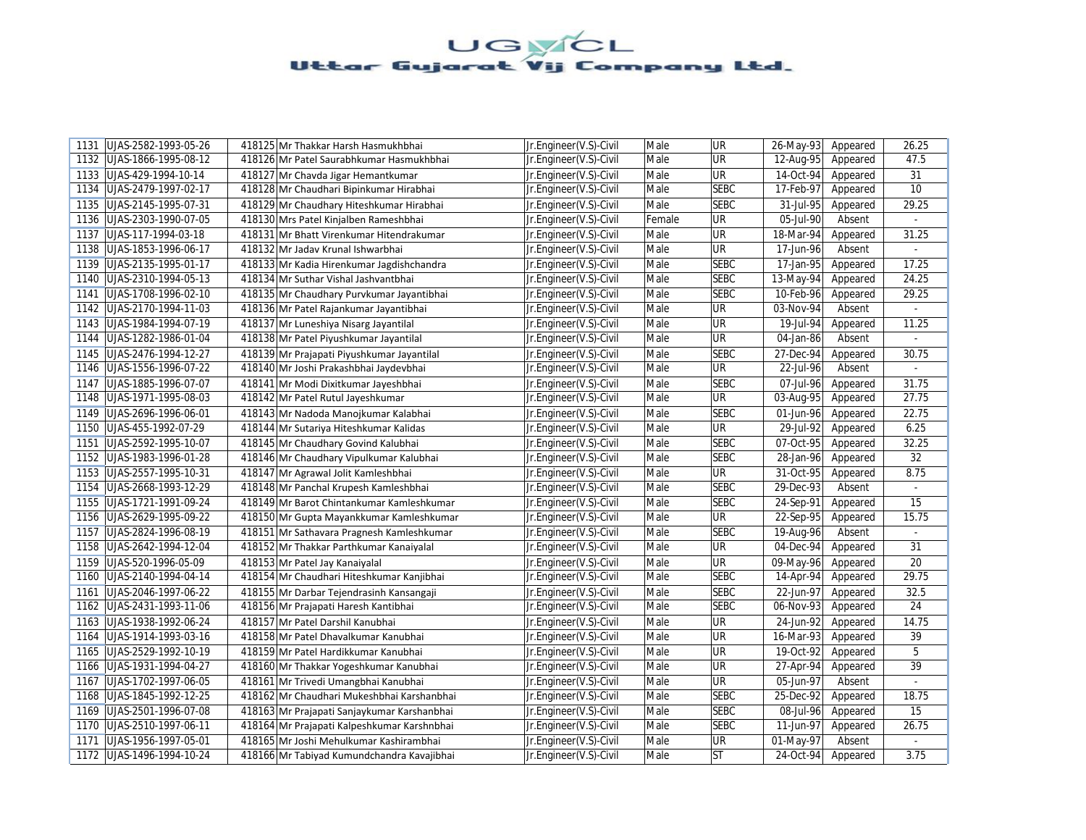| UJAS-2582-1993-05-26<br>1131 | 418125 Mr Thakkar Harsh Hasmukhbhai         | Jr.Engineer(V.S)-Civil | Male   | <b>UR</b>   | 26-May-93               | Appeared | 26.25         |
|------------------------------|---------------------------------------------|------------------------|--------|-------------|-------------------------|----------|---------------|
| UJAS-1866-1995-08-12<br>1132 | 418126 Mr Patel Saurabhkumar Hasmukhbhai    | Jr.Engineer(V.S)-Civil | Male   | UR          | 12-Aug-95               | Appeared | 47.5          |
| 1133<br>UJAS-429-1994-10-14  | 418127 Mr Chavda Jigar Hemantkumar          | Jr.Engineer(V.S)-Civil | Male   | UR          | 14-Oct-94               | Appeared | 31            |
| UJAS-2479-1997-02-17<br>1134 | 418128 Mr Chaudhari Bipinkumar Hirabhai     | Jr.Engineer(V.S)-Civil | Male   | <b>SEBC</b> | 17-Feb-97               | Appeared | 10            |
| 1135<br>UJAS-2145-1995-07-31 | 418129 Mr Chaudhary Hiteshkumar Hirabhai    | Jr.Engineer(V.S)-Civil | Male   | <b>SEBC</b> | 31-Jul-95               | Appeared | 29.25         |
| 1136<br>UJAS-2303-1990-07-05 | 418130 Mrs Patel Kinjalben Rameshbhai       | Jr.Engineer(V.S)-Civil | Female | UR          | 05-Jul-90               | Absent   |               |
| UJAS-117-1994-03-18<br>1137  | 418131 Mr Bhatt Virenkumar Hitendrakumar    | Jr.Engineer(V.S)-Civil | Male   | <b>UR</b>   | 18-Mar-94               | Appeared | 31.25         |
| 1138<br>UJAS-1853-1996-06-17 | 418132 Mr Jadav Krunal Ishwarbhai           | Jr.Engineer(V.S)-Civil | Male   | UR          | 17-Jun-96               | Absent   |               |
| 1139<br>UJAS-2135-1995-01-17 | 418133 Mr Kadia Hirenkumar Jagdishchandra   | Jr.Engineer(V.S)-Civil | Male   | <b>SEBC</b> | 17-Jan-95               | Appeared | 17.25         |
| UJAS-2310-1994-05-13<br>1140 | 418134 Mr Suthar Vishal Jashvantbhai        | Jr.Engineer(V.S)-Civil | Male   | <b>SEBC</b> | 13-May-94               | Appeared | 24.25         |
| 1141<br>UJAS-1708-1996-02-10 | 418135 Mr Chaudhary Purvkumar Jayantibhai   | Jr.Engineer(V.S)-Civil | Male   | <b>SEBC</b> | 10-Feb-96               | Appeared | 29.25         |
| 1142<br>UJAS-2170-1994-11-03 | 418136 Mr Patel Rajankumar Jayantibhai      | Jr.Engineer(V.S)-Civil | Male   | <b>UR</b>   | 03-Nov-94               | Absent   | $\mathcal{L}$ |
| UJAS-1984-1994-07-19<br>1143 | 418137 Mr Luneshiya Nisarg Jayantilal       | Jr.Engineer(V.S)-Civil | Male   | UR          | 19-Jul-94               | Appeared | 11.25         |
| 1144<br>UJAS-1282-1986-01-04 | 418138 Mr Patel Piyushkumar Jayantilal      | Jr.Engineer(V.S)-Civil | Male   | UR          | 04-Jan-86               | Absent   | $\omega$      |
| 1145 UJAS-2476-1994-12-27    | 418139 Mr Prajapati Piyushkumar Jayantilal  | Jr.Engineer(V.S)-Civil | Male   | <b>SEBC</b> | 27-Dec-94               | Appeared | 30.75         |
| 1146<br>UJAS-1556-1996-07-22 | 418140 Mr Joshi Prakashbhai Jaydevbhai      | Jr.Engineer(V.S)-Civil | Male   | UR          | 22-Jul-96               | Absent   | $\omega$      |
| UJAS-1885-1996-07-07<br>1147 | 418141 Mr Modi Dixitkumar Jayeshbhai        | Jr.Engineer(V.S)-Civil | Male   | <b>SEBC</b> | 07-Jul-96               | Appeared | 31.75         |
| 1148<br>UJAS-1971-1995-08-03 | 418142 Mr Patel Rutul Jayeshkumar           | Jr.Engineer(V.S)-Civil | Male   | UR          | 03-Aug-95               | Appeared | 27.75         |
| 1149<br>UJAS-2696-1996-06-01 | 418143 Mr Nadoda Manojkumar Kalabhai        | Jr.Engineer(V.S)-Civil | Male   | <b>SEBC</b> | 01-Jun-96               | Appeared | 22.75         |
| 1150<br>UJAS-455-1992-07-29  | 418144 Mr Sutariya Hiteshkumar Kalidas      | Jr.Engineer(V.S)-Civil | Male   | UR          | 29-Jul-92               | Appeared | 6.25          |
| 1151<br>UJAS-2592-1995-10-07 | 418145 Mr Chaudhary Govind Kalubhai         | Jr.Engineer(V.S)-Civil | Male   | <b>SEBC</b> | 07-Oct-95               | Appeared | 32.25         |
| 1152<br>UJAS-1983-1996-01-28 | 418146 Mr Chaudhary Vipulkumar Kalubhai     | Jr.Engineer(V.S)-Civil | Male   | <b>SEBC</b> | 28-Jan-96               | Appeared | 32            |
| 1153<br>UJAS-2557-1995-10-31 | 418147 Mr Agrawal Jolit Kamleshbhai         | Jr.Engineer(V.S)-Civil | Male   | <b>UR</b>   | 31-Oct-95               | Appeared | 8.75          |
| 1154<br>UJAS-2668-1993-12-29 | 418148 Mr Panchal Krupesh Kamleshbhai       | Jr.Engineer(V.S)-Civil | Male   | <b>SEBC</b> | 29-Dec-93               | Absent   |               |
| UJAS-1721-1991-09-24<br>1155 | 418149 Mr Barot Chintankumar Kamleshkumar   | Jr.Engineer(V.S)-Civil | Male   | <b>SEBC</b> | 24-Sep-91               | Appeared | 15            |
| UJAS-2629-1995-09-22<br>1156 | 418150 Mr Gupta Mayankkumar Kamleshkumar    | Jr.Engineer(V.S)-Civil | Male   | UR          | 22-Sep-95               | Appeared | 15.75         |
| UJAS-2824-1996-08-19<br>1157 | 418151 Mr Sathavara Pragnesh Kamleshkumar   | Jr.Engineer(V.S)-Civil | Male   | <b>SEBC</b> | 19-Aug-96               | Absent   | $\sim$        |
| 1158 UJAS-2642-1994-12-04    | 418152 Mr Thakkar Parthkumar Kanaiyalal     | Jr.Engineer(V.S)-Civil | Male   | <b>UR</b>   | 04-Dec-94               | Appeared | 31            |
| 1159<br>UJAS-520-1996-05-09  | 418153 Mr Patel Jay Kanaiyalal              | Jr.Engineer(V.S)-Civil | Male   | <b>UR</b>   | $\overline{09}$ -May-96 | Appeared | 20            |
| 1160<br>UJAS-2140-1994-04-14 | 418154 Mr Chaudhari Hiteshkumar Kanjibhai   | Jr.Engineer(V.S)-Civil | Male   | <b>SEBC</b> | 14-Apr-94               | Appeared | 29.75         |
| UJAS-2046-1997-06-22<br>1161 | 418155 Mr Darbar Tejendrasinh Kansangaji    | Jr.Engineer(V.S)-Civil | Male   | <b>SEBC</b> | 22-Jun-97               | Appeared | 32.5          |
| 1162   UJAS-2431-1993-11-06  | 418156 Mr Prajapati Haresh Kantibhai        | Jr.Engineer(V.S)-Civil | Male   | <b>SEBC</b> | 06-Nov-93               | Appeared | 24            |
| UJAS-1938-1992-06-24<br>1163 | 418157 Mr Patel Darshil Kanubhai            | Jr.Engineer(V.S)-Civil | Male   | UR          | 24-Jun-92               | Appeared | 14.75         |
| 1164<br>UJAS-1914-1993-03-16 | 418158 Mr Patel Dhavalkumar Kanubhai        | Jr.Engineer(V.S)-Civil | Male   | UR          | $\overline{16}$ -Mar-93 | Appeared | 39            |
| UJAS-2529-1992-10-19<br>1165 | 418159 Mr Patel Hardikkumar Kanubhai        | Jr.Engineer(V.S)-Civil | Male   | UR          | 19-Oct-92               | Appeared | 5             |
| UJAS-1931-1994-04-27<br>1166 | 418160 Mr Thakkar Yogeshkumar Kanubhai      | Jr.Engineer(V.S)-Civil | Male   | <b>UR</b>   | 27-Apr-94               | Appeared | 39            |
| UJAS-1702-1997-06-05<br>1167 | 418161 Mr Trivedi Umangbhai Kanubhai        | Jr.Engineer(V.S)-Civil | Male   | UR          | 05-Jun-97               | Absent   |               |
| UJAS-1845-1992-12-25<br>1168 | 418162 Mr Chaudhari Mukeshbhai Karshanbhai  | Jr.Engineer(V.S)-Civil | Male   | <b>SEBC</b> | 25-Dec-92               | Appeared | 18.75         |
| UJAS-2501-1996-07-08<br>1169 | 418163 Mr Prajapati Sanjaykumar Karshanbhai | Jr.Engineer(V.S)-Civil | Male   | <b>SEBC</b> | 08-Jul-96               | Appeared | 15            |
| 1170<br>UJAS-2510-1997-06-11 | 418164 Mr Prajapati Kalpeshkumar Karshnbhai | Jr.Engineer(V.S)-Civil | Male   | <b>SEBC</b> | 11-Jun-97               | Appeared | 26.75         |
| UJAS-1956-1997-05-01<br>1171 | 418165 Mr Joshi Mehulkumar Kashirambhai     | Jr.Engineer(V.S)-Civil | Male   | UR          | 01-May-97               | Absent   | $\omega$      |
| 1172   UJAS-1496-1994-10-24  | 418166 Mr Tabiyad Kumundchandra Kavajibhai  | Jr.Engineer(V.S)-Civil | Male   | <b>ST</b>   | 24-Oct-94               | Appeared | 3.75          |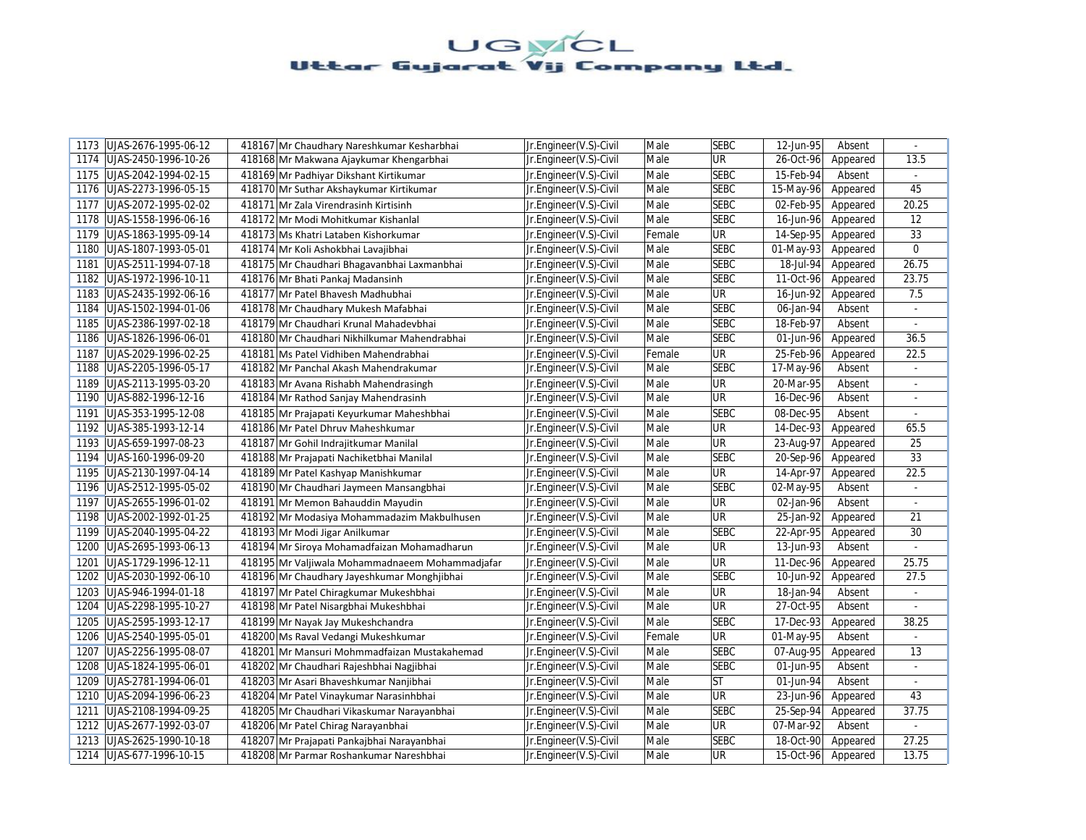| UJAS-2676-1995-06-12<br>1173 | 418167 Mr Chaudhary Nareshkumar Kesharbhai      | Jr.Engineer(V.S)-Civil | Male   | <b>SEBC</b> | 12-Jun-95 | Absent   | $\mathcal{L}_{\mathcal{A}}$ |
|------------------------------|-------------------------------------------------|------------------------|--------|-------------|-----------|----------|-----------------------------|
| UJAS-2450-1996-10-26<br>1174 | 418168 Mr Makwana Ajaykumar Khengarbhai         | Jr.Engineer(V.S)-Civil | Male   | UR          | 26-Oct-96 | Appeared | 13.5                        |
| 1175<br>UJAS-2042-1994-02-15 | 418169 Mr Padhiyar Dikshant Kirtikumar          | Jr.Engineer(V.S)-Civil | Male   | <b>SEBC</b> | 15-Feb-94 | Absent   | $\omega$                    |
| UJAS-2273-1996-05-15<br>1176 | 418170 Mr Suthar Akshaykumar Kirtikumar         | Jr.Engineer(V.S)-Civil | Male   | <b>SEBC</b> | 15-May-96 | Appeared | 45                          |
| 1177<br>UJAS-2072-1995-02-02 | 418171 Mr Zala Virendrasinh Kirtisinh           | Jr.Engineer(V.S)-Civil | Male   | <b>SEBC</b> | 02-Feb-95 | Appeared | 20.25                       |
| 1178<br>UJAS-1558-1996-06-16 | 418172 Mr Modi Mohitkumar Kishanlal             | Jr.Engineer(V.S)-Civil | Male   | <b>SEBC</b> | 16-Jun-96 | Appeared | 12                          |
| UJAS-1863-1995-09-14<br>1179 | 418173 Ms Khatri Lataben Kishorkumar            | Jr.Engineer(V.S)-Civil | Female | UR          | 14-Sep-95 | Appeared | 33                          |
| 1180<br>UJAS-1807-1993-05-01 | 418174 Mr Koli Ashokbhai Lavajibhai             | Jr.Engineer(V.S)-Civil | Male   | <b>SEBC</b> | 01-May-93 | Appeared | $\mathbf 0$                 |
| UJAS-2511-1994-07-18<br>1181 | 418175 Mr Chaudhari Bhagavanbhai Laxmanbhai     | Jr.Engineer(V.S)-Civil | Male   | <b>SEBC</b> | 18-Jul-94 | Appeared | 26.75                       |
| 1182<br>UJAS-1972-1996-10-11 | 418176 Mr Bhati Pankaj Madansinh                | Jr.Engineer(V.S)-Civil | Male   | <b>SEBC</b> | 11-Oct-96 | Appeared | 23.75                       |
| 1183<br>UJAS-2435-1992-06-16 | 418177 Mr Patel Bhavesh Madhubhai               | Jr.Engineer(V.S)-Civil | Male   | <b>UR</b>   | 16-Jun-92 | Appeared | 7.5                         |
| 1184<br>UJAS-1502-1994-01-06 | 418178 Mr Chaudhary Mukesh Mafabhai             | Jr.Engineer(V.S)-Civil | Male   | <b>SEBC</b> | 06-Jan-94 | Absent   | $\blacksquare$              |
| UJAS-2386-1997-02-18<br>1185 | 418179 Mr Chaudhari Krunal Mahadevbhai          | Jr.Engineer(V.S)-Civil | Male   | <b>SEBC</b> | 18-Feb-97 | Absent   | ä,                          |
| 1186<br>UJAS-1826-1996-06-01 | 418180 Mr Chaudhari Nikhilkumar Mahendrabhai    | Jr.Engineer(V.S)-Civil | Male   | <b>SEBC</b> | 01-Jun-96 | Appeared | 36.5                        |
| 1187<br>UJAS-2029-1996-02-25 | 418181 Ms Patel Vidhiben Mahendrabhai           | Jr.Engineer(V.S)-Civil | Female | UR          | 25-Feb-96 | Appeared | 22.5                        |
| 1188<br>UJAS-2205-1996-05-17 | 418182 Mr Panchal Akash Mahendrakumar           | Jr.Engineer(V.S)-Civil | Male   | <b>SEBC</b> | 17-May-96 | Absent   | $\omega$                    |
| UJAS-2113-1995-03-20<br>1189 | 418183 Mr Avana Rishabh Mahendrasingh           | Jr.Engineer(V.S)-Civil | Male   | UR          | 20-Mar-95 | Absent   | $\blacksquare$              |
| 1190<br>UJAS-882-1996-12-16  | 418184 Mr Rathod Sanjay Mahendrasinh            | Jr.Engineer(V.S)-Civil | Male   | UR          | 16-Dec-96 | Absent   |                             |
| UJAS-353-1995-12-08<br>1191  | 418185 Mr Prajapati Keyurkumar Maheshbhai       | Jr.Engineer(V.S)-Civil | Male   | <b>SEBC</b> | 08-Dec-95 | Absent   |                             |
| 1192<br>UJAS-385-1993-12-14  | 418186 Mr Patel Dhruv Maheshkumar               | Jr.Engineer(V.S)-Civil | Male   | UR          | 14-Dec-93 | Appeared | 65.5                        |
| 1193<br>UJAS-659-1997-08-23  | 418187 Mr Gohil Indrajitkumar Manilal           | Jr.Engineer(V.S)-Civil | Male   | UR          | 23-Aug-97 | Appeared | 25                          |
| UJAS-160-1996-09-20<br>1194  | 418188 Mr Prajapati Nachiketbhai Manilal        | Jr.Engineer(V.S)-Civil | Male   | <b>SEBC</b> | 20-Sep-96 | Appeared | 33                          |
| UJAS-2130-1997-04-14<br>1195 | 418189 Mr Patel Kashyap Manishkumar             | Jr.Engineer(V.S)-Civil | Male   | <b>UR</b>   | 14-Apr-97 | Appeared | 22.5                        |
| 1196   UJAS-2512-1995-05-02  | 418190 Mr Chaudhari Jaymeen Mansangbhai         | Jr.Engineer(V.S)-Civil | Male   | <b>SEBC</b> | 02-May-95 | Absent   |                             |
| UJAS-2655-1996-01-02<br>1197 | 418191 Mr Memon Bahauddin Mayudin               | Jr.Engineer(V.S)-Civil | Male   | UR          | 02-Jan-96 | Absent   | $\omega$                    |
| UJAS-2002-1992-01-25<br>1198 | 418192 Mr Modasiya Mohammadazim Makbulhusen     | Jr.Engineer(V.S)-Civil | Male   | UR          | 25-Jan-92 | Appeared | 21                          |
| UJAS-2040-1995-04-22<br>1199 | 418193 Mr Modi Jigar Anilkumar                  | Jr.Engineer(V.S)-Civil | Male   | <b>SEBC</b> | 22-Apr-95 | Appeared | 30                          |
| 1200<br>UJAS-2695-1993-06-13 | 418194 Mr Siroya Mohamadfaizan Mohamadharun     | Jr.Engineer(V.S)-Civil | Male   | <b>UR</b>   | 13-Jun-93 | Absent   |                             |
| UJAS-1729-1996-12-11<br>1201 | 418195 Mr Valjiwala Mohammadnaeem Mohammadjafar | Jr.Engineer(V.S)-Civil | Male   | <b>UR</b>   | 11-Dec-96 | Appeared | 25.75                       |
| 1202<br>UJAS-2030-1992-06-10 | 418196 Mr Chaudhary Jayeshkumar Monghjibhai     | Jr.Engineer(V.S)-Civil | Male   | <b>SEBC</b> | 10-Jun-92 | Appeared | 27.5                        |
| 1203<br>UJAS-946-1994-01-18  | 418197 Mr Patel Chiragkumar Mukeshbhai          | Jr.Engineer(V.S)-Civil | Male   | UR          | 18-Jan-94 | Absent   | $\blacksquare$              |
| 1204<br>UJAS-2298-1995-10-27 | 418198 Mr Patel Nisargbhai Mukeshbhai           | Jr.Engineer(V.S)-Civil | Male   | <b>UR</b>   | 27-Oct-95 | Absent   |                             |
| UJAS-2595-1993-12-17<br>1205 | 418199 Mr Nayak Jay Mukeshchandra               | Jr.Engineer(V.S)-Civil | Male   | <b>SEBC</b> | 17-Dec-93 | Appeared | 38.25                       |
| 1206<br>UJAS-2540-1995-05-01 | 418200 Ms Raval Vedangi Mukeshkumar             | Jr.Engineer(V.S)-Civil | Female | <b>UR</b>   | 01-May-95 | Absent   | $\omega$                    |
| 1207<br>UJAS-2256-1995-08-07 | 418201 Mr Mansuri Mohmmadfaizan Mustakahemad    | Jr.Engineer(V.S)-Civil | Male   | <b>SEBC</b> | 07-Aug-95 | Appeared | 13                          |
| 1208<br>UJAS-1824-1995-06-01 | 418202 Mr Chaudhari Rajeshbhai Nagjibhai        | Jr.Engineer(V.S)-Civil | Male   | <b>SEBC</b> | 01-Jun-95 | Absent   | $\sim$                      |
| UJAS-2781-1994-06-01<br>1209 | 418203 Mr Asari Bhaveshkumar Nanjibhai          | Jr.Engineer(V.S)-Civil | Male   | <b>ST</b>   | 01-Jun-94 | Absent   |                             |
| UJAS-2094-1996-06-23<br>1210 | 418204 Mr Patel Vinaykumar Narasinhbhai         | Jr.Engineer(V.S)-Civil | Male   | UR          | 23-Jun-96 | Appeared | 43                          |
| UJAS-2108-1994-09-25<br>1211 | 418205 Mr Chaudhari Vikaskumar Narayanbhai      | Jr.Engineer(V.S)-Civil | Male   | <b>SEBC</b> | 25-Sep-94 | Appeared | 37.75                       |
| 1212<br>UJAS-2677-1992-03-07 | 418206 Mr Patel Chirag Narayanbhai              | Jr.Engineer(V.S)-Civil | Male   | UR          | 07-Mar-92 | Absent   |                             |
| UJAS-2625-1990-10-18<br>1213 | 418207 Mr Prajapati Pankajbhai Narayanbhai      | Jr.Engineer(V.S)-Civil | Male   | <b>SEBC</b> | 18-Oct-90 | Appeared | 27.25                       |
| 1214   UJAS-677-1996-10-15   | 418208 Mr Parmar Roshankumar Nareshbhai         | Jr.Engineer(V.S)-Civil | Male   | UR          | 15-Oct-96 | Appeared | 13.75                       |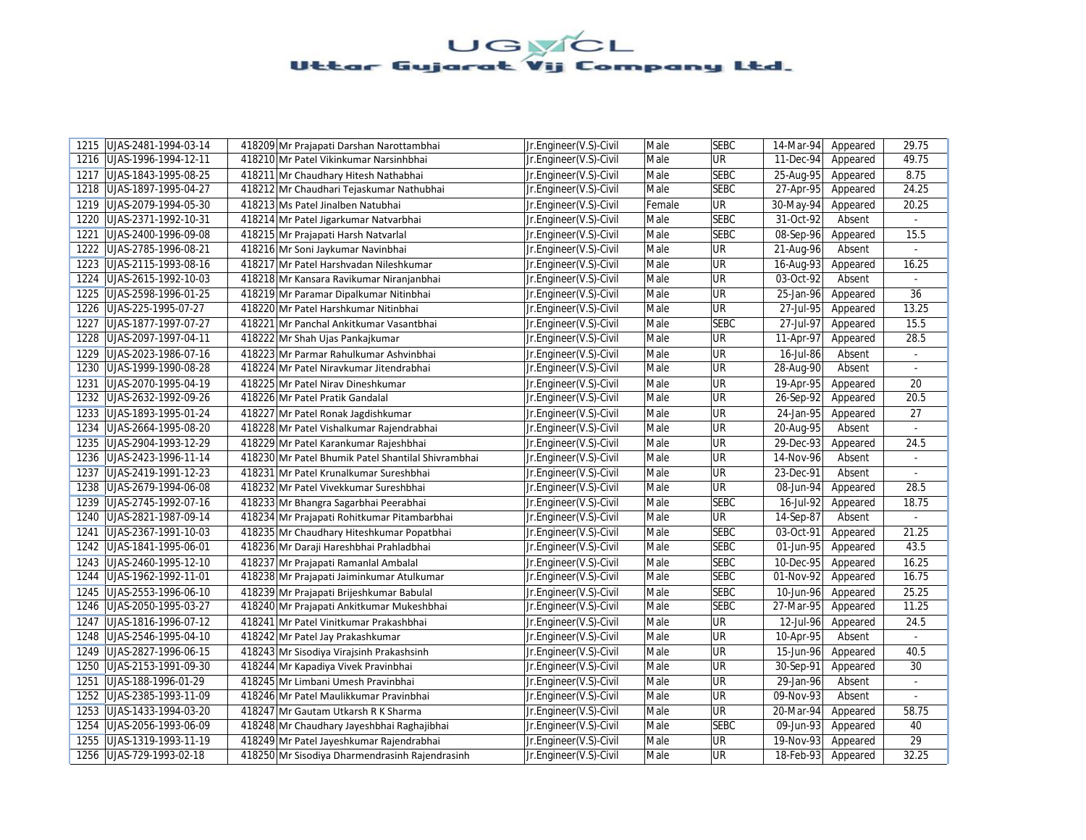| UJAS-2481-1994-03-14<br>1215 | 418209 Mr Prajapati Darshan Narottambhai           | Jr.Engineer(V.S)-Civil | Male   | <b>SEBC</b> | 14-Mar-94<br>Appeared             | 29.75                     |
|------------------------------|----------------------------------------------------|------------------------|--------|-------------|-----------------------------------|---------------------------|
| UJAS-1996-1994-12-11<br>1216 | 418210 Mr Patel Vikinkumar Narsinhbhai             | Jr.Engineer(V.S)-Civil | Male   | UR          | 11-Dec-94<br>Appeared             | 49.75                     |
| 1217<br>UJAS-1843-1995-08-25 | 418211 Mr Chaudhary Hitesh Nathabhai               | Jr.Engineer(V.S)-Civil | Male   | <b>SEBC</b> | 25-Aug-95<br>Appeared             | 8.75                      |
| UJAS-1897-1995-04-27<br>1218 | 418212 Mr Chaudhari Tejaskumar Nathubhai           | Jr.Engineer(V.S)-Civil | Male   | <b>SEBC</b> | 27-Apr-95<br>Appeared             | 24.25                     |
| 1219<br>UJAS-2079-1994-05-30 | 418213 Ms Patel Jinalben Natubhai                  | Jr.Engineer(V.S)-Civil | Female | <b>UR</b>   | 30-May-94<br>Appeared             | 20.25                     |
| 1220<br>UJAS-2371-1992-10-31 | 418214 Mr Patel Jigarkumar Natvarbhai              | Jr.Engineer(V.S)-Civil | Male   | <b>SEBC</b> | 31-Oct-92<br>Absent               |                           |
| UJAS-2400-1996-09-08<br>1221 | 418215 Mr Prajapati Harsh Natvarlal                | Jr.Engineer(V.S)-Civil | Male   | <b>SEBC</b> | 08-Sep-96<br>Appeared             | 15.5                      |
| 1222<br>UJAS-2785-1996-08-21 | 418216 Mr Soni Jaykumar Navinbhai                  | Jr.Engineer(V.S)-Civil | Male   | UR          | 21-Aug-96<br>Absent               | $\blacksquare$            |
| 1223 UJAS-2115-1993-08-16    | 418217 Mr Patel Harshvadan Nileshkumar             | Jr.Engineer(V.S)-Civil | Male   | UR          | 16-Aug-93<br>Appeared             | 16.25                     |
| UJAS-2615-1992-10-03<br>1224 | 418218 Mr Kansara Ravikumar Niranjanbhai           | Jr.Engineer(V.S)-Civil | Male   | <b>UR</b>   | 03-Oct-92<br>Absent               |                           |
| UJAS-2598-1996-01-25<br>1225 | 418219 Mr Paramar Dipalkumar Nitinbhai             | Jr.Engineer(V.S)-Civil | Male   | <b>UR</b>   | 25-Jan-96<br>Appeared             | 36                        |
| 1226<br>UJAS-225-1995-07-27  | 418220 Mr Patel Harshkumar Nitinbhai               | Jr.Engineer(V.S)-Civil | Male   | <b>UR</b>   | 27-Jul-95<br>Appeared             | 13.25                     |
| 1227<br>UJAS-1877-1997-07-27 | 418221 Mr Panchal Ankitkumar Vasantbhai            | Jr.Engineer(V.S)-Civil | Male   | <b>SEBC</b> | 27-Jul-97<br>Appeared             | 15.5                      |
| 1228<br>UJAS-2097-1997-04-11 | 418222 Mr Shah Ujas Pankajkumar                    | Jr.Engineer(V.S)-Civil | Male   | <b>UR</b>   | 11-Apr-97<br>Appeared             | 28.5                      |
| UJAS-2023-1986-07-16<br>1229 | 418223 Mr Parmar Rahulkumar Ashvinbhai             | Jr.Engineer(V.S)-Civil | Male   | <b>UR</b>   | 16-Jul-86<br>Absent               |                           |
| 1230<br>UJAS-1999-1990-08-28 | 418224 Mr Patel Niravkumar Jitendrabhai            | Jr.Engineer(V.S)-Civil | Male   | UR          | 28-Aug-90<br>Absent               | $\mathbb{L}^{\mathbb{N}}$ |
| UJAS-2070-1995-04-19<br>1231 | 418225 Mr Patel Nirav Dineshkumar                  | Jr.Engineer(V.S)-Civil | Male   | UR          | 19-Apr-95<br>Appeared             | 20                        |
| 1232<br>UJAS-2632-1992-09-26 | 418226 Mr Patel Pratik Gandalal                    | Jr.Engineer(V.S)-Civil | Male   | UR          | 26-Sep-92<br>Appeared             | 20.5                      |
| 1233 UJAS-1893-1995-01-24    | 418227 Mr Patel Ronak Jagdishkumar                 | Jr.Engineer(V.S)-Civil | Male   | <b>UR</b>   | 24-Jan-95<br>Appeared             | 27                        |
| 1234<br>UJAS-2664-1995-08-20 | 418228 Mr Patel Vishalkumar Rajendrabhai           | Jr.Engineer(V.S)-Civil | Male   | <b>UR</b>   | $\overline{20}$ -Aug-95<br>Absent | $\overline{a}$            |
| 1235<br>UJAS-2904-1993-12-29 | 418229 Mr Patel Karankumar Rajeshbhai              | Jr.Engineer(V.S)-Civil | Male   | <b>UR</b>   | 29-Dec-93<br>Appeared             | 24.5                      |
| 1236<br>UJAS-2423-1996-11-14 | 418230 Mr Patel Bhumik Patel Shantilal Shivrambhai | Jr.Engineer(V.S)-Civil | Male   | UR          | 14-Nov-96<br>Absent               |                           |
| UJAS-2419-1991-12-23<br>1237 | 418231 Mr Patel Krunalkumar Sureshbhai             | Jr.Engineer(V.S)-Civil | Male   | <b>UR</b>   | 23-Dec-91<br>Absent               | $\blacksquare$            |
| UJAS-2679-1994-06-08<br>1238 | 418232 Mr Patel Vivekkumar Sureshbhai              | Jr.Engineer(V.S)-Civil | Male   | <b>UR</b>   | 08-Jun-94<br>Appeared             | 28.5                      |
| 1239<br>UJAS-2745-1992-07-16 | 418233 Mr Bhangra Sagarbhai Peerabhai              | Jr.Engineer(V.S)-Civil | Male   | <b>SEBC</b> | 16-Jul-92<br>Appeared             | 18.75                     |
| 1240<br>UJAS-2821-1987-09-14 | 418234 Mr Prajapati Rohitkumar Pitambarbhai        | Jr.Engineer(V.S)-Civil | Male   | UR          | 14-Sep-87<br>Absent               |                           |
| UJAS-2367-1991-10-03<br>1241 | 418235 Mr Chaudhary Hiteshkumar Popatbhai          | Jr.Engineer(V.S)-Civil | Male   | <b>SEBC</b> | 03-Oct-91<br>Appeared             | 21.25                     |
| 1242 UJAS-1841-1995-06-01    | 418236 Mr Daraji Hareshbhai Prahladbhai            | Jr.Engineer(V.S)-Civil | Male   | <b>SEBC</b> | 01-Jun-95<br>Appeared             | 43.5                      |
| UJAS-2460-1995-12-10<br>1243 | 418237 Mr Prajapati Ramanlal Ambalal               | Jr.Engineer(V.S)-Civil | Male   | <b>SEBC</b> | 10-Dec-95<br>Appeared             | 16.25                     |
| 1244<br>UJAS-1962-1992-11-01 | 418238 Mr Prajapati Jaiminkumar Atulkumar          | Jr.Engineer(V.S)-Civil | Male   | <b>SEBC</b> | 01-Nov-92<br>Appeared             | 16.75                     |
| UJAS-2553-1996-06-10<br>1245 | 418239 Mr Prajapati Brijeshkumar Babulal           | Jr.Engineer(V.S)-Civil | Male   | <b>SEBC</b> | 10-Jun-96<br>Appeared             | 25.25                     |
| UJAS-2050-1995-03-27<br>1246 | 418240 Mr Prajapati Ankitkumar Mukeshbhai          | Jr.Engineer(V.S)-Civil | Male   | <b>SEBC</b> | 27-Mar-95<br>Appeared             | 11.25                     |
| 1247<br>UJAS-1816-1996-07-12 | 418241 Mr Patel Vinitkumar Prakashbhai             | Jr.Engineer(V.S)-Civil | Male   | <b>UR</b>   | 12-Jul-96<br>Appeared             | 24.5                      |
| 1248<br>UJAS-2546-1995-04-10 | 418242 Mr Patel Jay Prakashkumar                   | Jr.Engineer(V.S)-Civil | Male   | <b>UR</b>   | 10-Apr-95<br>Absent               | ÷.                        |
| 1249<br>UJAS-2827-1996-06-15 | 418243 Mr Sisodiya Virajsinh Prakashsinh           | Jr.Engineer(V.S)-Civil | Male   | UR          | 15-Jun-96<br>Appeared             | 40.5                      |
| 1250<br>UJAS-2153-1991-09-30 | 418244 Mr Kapadiya Vivek Pravinbhai                | Jr.Engineer(V.S)-Civil | Male   | UR          | 30-Sep-91<br>Appeared             | 30                        |
| UJAS-188-1996-01-29<br>1251  | 418245 Mr Limbani Umesh Pravinbhai                 | Jr.Engineer(V.S)-Civil | Male   | <b>UR</b>   | 29-Jan-96<br>Absent               |                           |
| 1252<br>UJAS-2385-1993-11-09 | 418246 Mr Patel Maulikkumar Pravinbhai             | Jr.Engineer(V.S)-Civil | Male   | UR          | 09-Nov-93<br>Absent               | ÷.                        |
| 1253<br>UJAS-1433-1994-03-20 | 418247 Mr Gautam Utkarsh R K Sharma                | Jr.Engineer(V.S)-Civil | Male   | UR          | 20-Mar-94<br>Appeared             | 58.75                     |
| 1254<br>UJAS-2056-1993-06-09 | 418248 Mr Chaudhary Jayeshbhai Raghajibhai         | Jr.Engineer(V.S)-Civil | Male   | <b>SEBC</b> | 09-Jun-93<br>Appeared             | 40                        |
| UJAS-1319-1993-11-19<br>1255 | 418249 Mr Patel Jayeshkumar Rajendrabhai           | Jr.Engineer(V.S)-Civil | Male   | UR          | 19-Nov-93<br>Appeared             | 29                        |
| 1256 UJAS-729-1993-02-18     | 418250 Mr Sisodiya Dharmendrasinh Rajendrasinh     | Jr.Engineer(V.S)-Civil | Male   | <b>UR</b>   | 18-Feb-93<br>Appeared             | 32.25                     |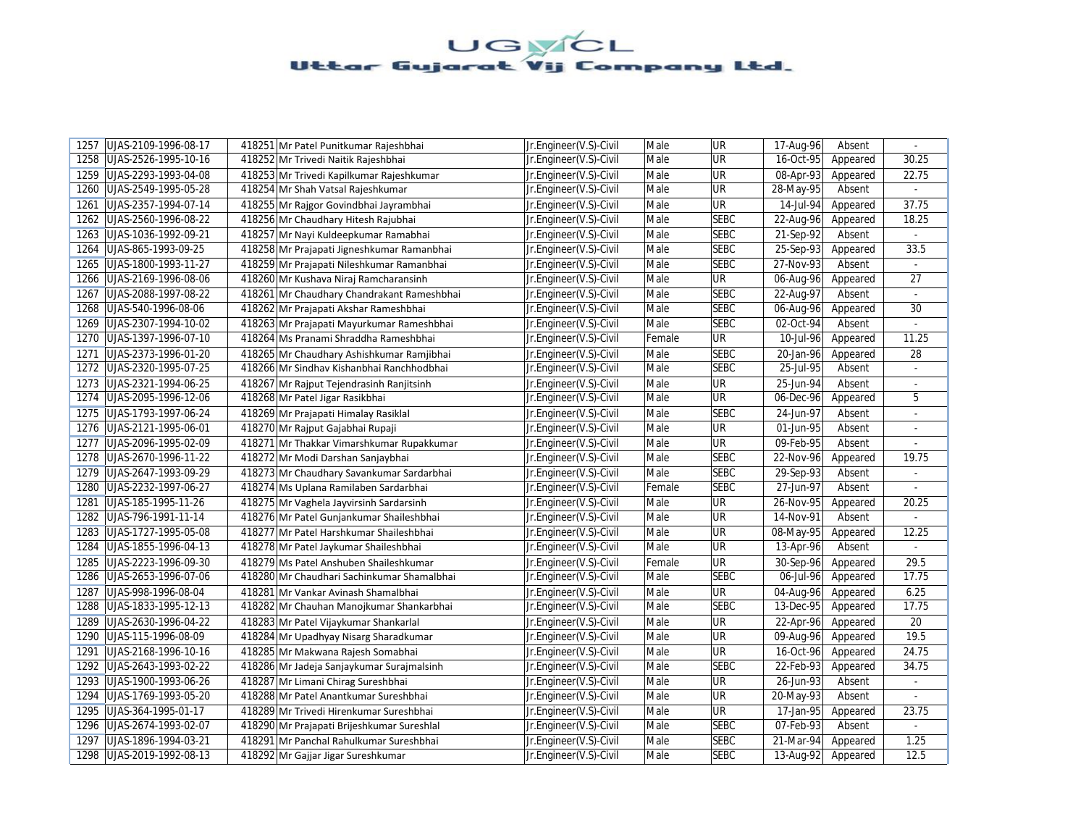| 1257 | UJAS-2109-1996-08-17 |        | 418251 Mr Patel Punitkumar Rajeshbhai      | Jr.Engineer(V.S)-Civil | Male   | <b>UR</b>   | 17-Aug-96 | Absent   | $\omega$       |
|------|----------------------|--------|--------------------------------------------|------------------------|--------|-------------|-----------|----------|----------------|
| 1258 | UJAS-2526-1995-10-16 |        | 418252 Mr Trivedi Naitik Rajeshbhai        | Jr.Engineer(V.S)-Civil | Male   | UR          | 16-Oct-95 | Appeared | 30.25          |
| 1259 | UJAS-2293-1993-04-08 |        | 418253 Mr Trivedi Kapilkumar Rajeshkumar   | Jr.Engineer(V.S)-Civil | Male   | UR          | 08-Apr-93 | Appeared | 22.75          |
| 1260 | UJAS-2549-1995-05-28 |        | 418254 Mr Shah Vatsal Rajeshkumar          | Jr.Engineer(V.S)-Civil | Male   | UR          | 28-May-95 | Absent   |                |
| 1261 | UJAS-2357-1994-07-14 |        | 418255 Mr Rajgor Govindbhai Jayrambhai     | Jr.Engineer(V.S)-Civil | Male   | <b>UR</b>   | 14-Jul-94 | Appeared | 37.75          |
| 1262 | UJAS-2560-1996-08-22 |        | 418256 Mr Chaudhary Hitesh Rajubhai        | Jr.Engineer(V.S)-Civil | Male   | <b>SEBC</b> | 22-Aug-96 | Appeared | 18.25          |
| 1263 | UJAS-1036-1992-09-21 |        | 418257 Mr Nayi Kuldeepkumar Ramabhai       | Jr.Engineer(V.S)-Civil | Male   | <b>SEBC</b> | 21-Sep-92 | Absent   | $\mathbb{Z}^2$ |
| 1264 | UJAS-865-1993-09-25  |        | 418258 Mr Prajapati Jigneshkumar Ramanbhai | Jr.Engineer(V.S)-Civil | Male   | <b>SEBC</b> | 25-Sep-93 | Appeared | 33.5           |
| 1265 | UJAS-1800-1993-11-27 |        | 418259 Mr Prajapati Nileshkumar Ramanbhai  | Jr.Engineer(V.S)-Civil | Male   | <b>SEBC</b> | 27-Nov-93 | Absent   |                |
| 1266 | UJAS-2169-1996-08-06 |        | 418260 Mr Kushava Niraj Ramcharansinh      | Jr.Engineer(V.S)-Civil | Male   | <b>UR</b>   | 06-Aug-96 | Appeared | 27             |
| 1267 | UJAS-2088-1997-08-22 |        | 418261 Mr Chaudhary Chandrakant Rameshbhai | Jr.Engineer(V.S)-Civil | Male   | <b>SEBC</b> | 22-Aug-97 | Absent   |                |
| 1268 | UJAS-540-1996-08-06  |        | 418262 Mr Prajapati Akshar Rameshbhai      | Jr.Engineer(V.S)-Civil | Male   | <b>SEBC</b> | 06-Aug-96 | Appeared | 30             |
| 1269 | UJAS-2307-1994-10-02 |        | 418263 Mr Prajapati Mayurkumar Rameshbhai  | Jr.Engineer(V.S)-Civil | Male   | <b>SEBC</b> | 02-Oct-94 | Absent   |                |
| 1270 | UJAS-1397-1996-07-10 |        | 418264 Ms Pranami Shraddha Rameshbhai      | Jr.Engineer(V.S)-Civil | Female | <b>UR</b>   | 10-Jul-96 | Appeared | 11.25          |
| 1271 | UJAS-2373-1996-01-20 |        | 418265 Mr Chaudhary Ashishkumar Ramjibhai  | Jr.Engineer(V.S)-Civil | Male   | <b>SEBC</b> | 20-Jan-96 | Appeared | 28             |
| 1272 | UJAS-2320-1995-07-25 |        | 418266 Mr Sindhav Kishanbhai Ranchhodbhai  | Jr.Engineer(V.S)-Civil | Male   | <b>SEBC</b> | 25-Jul-95 | Absent   | $\overline{a}$ |
| 1273 | UJAS-2321-1994-06-25 |        | 418267 Mr Rajput Tejendrasinh Ranjitsinh   | Jr.Engineer(V.S)-Civil | Male   | UR          | 25-Jun-94 | Absent   | $\omega$       |
| 1274 | UJAS-2095-1996-12-06 |        | 418268 Mr Patel Jigar Rasikbhai            | Jr.Engineer(V.S)-Civil | Male   | <b>UR</b>   | 06-Dec-96 | Appeared | 5              |
| 1275 | UJAS-1793-1997-06-24 |        | 418269 Mr Prajapati Himalay Rasiklal       | Jr.Engineer(V.S)-Civil | Male   | <b>SEBC</b> | 24-Jun-97 | Absent   | $\blacksquare$ |
| 1276 | UJAS-2121-1995-06-01 |        | 418270 Mr Rajput Gajabhai Rupaji           | Jr.Engineer(V.S)-Civil | Male   | <b>UR</b>   | 01-Jun-95 | Absent   |                |
| 1277 | UJAS-2096-1995-02-09 |        | 418271 Mr Thakkar Vimarshkumar Rupakkumar  | Jr.Engineer(V.S)-Civil | Male   | <b>UR</b>   | 09-Feb-95 | Absent   |                |
| 1278 | UJAS-2670-1996-11-22 |        | 418272 Mr Modi Darshan Sanjaybhai          | Jr.Engineer(V.S)-Civil | Male   | <b>SEBC</b> | 22-Nov-96 | Appeared | 19.75          |
| 1279 | UJAS-2647-1993-09-29 |        | 418273 Mr Chaudhary Savankumar Sardarbhai  | Jr.Engineer(V.S)-Civil | Male   | <b>SEBC</b> | 29-Sep-93 | Absent   | $\omega$       |
| 1280 | UJAS-2232-1997-06-27 |        | 418274 Ms Uplana Ramilaben Sardarbhai      | Jr.Engineer(V.S)-Civil | Female | <b>SEBC</b> | 27-Jun-97 | Absent   |                |
| 1281 | UJAS-185-1995-11-26  |        | 418275 Mr Vaghela Jayvirsinh Sardarsinh    | Jr.Engineer(V.S)-Civil | Male   | <b>UR</b>   | 26-Nov-95 | Appeared | 20.25          |
| 1282 | UJAS-796-1991-11-14  |        | 418276 Mr Patel Gunjankumar Shaileshbhai   | Jr.Engineer(V.S)-Civil | Male   | UR          | 14-Nov-91 | Absent   |                |
| 1283 | UJAS-1727-1995-05-08 |        | 418277 Mr Patel Harshkumar Shaileshbhai    | Jr.Engineer(V.S)-Civil | Male   | <b>UR</b>   | 08-May-95 | Appeared | 12.25          |
| 1284 | UJAS-1855-1996-04-13 |        | 418278 Mr Patel Jaykumar Shaileshbhai      | Jr.Engineer(V.S)-Civil | Male   | <b>UR</b>   | 13-Apr-96 | Absent   |                |
| 1285 | UJAS-2223-1996-09-30 |        | 418279 Ms Patel Anshuben Shaileshkumar     | Jr.Engineer(V.S)-Civil | Female | <b>UR</b>   | 30-Sep-96 | Appeared | 29.5           |
| 1286 | UJAS-2653-1996-07-06 |        | 418280 Mr Chaudhari Sachinkumar Shamalbhai | Jr.Engineer(V.S)-Civil | Male   | <b>SEBC</b> | 06-Jul-96 | Appeared | 17.75          |
| 1287 | UJAS-998-1996-08-04  |        | 418281 Mr Vankar Avinash Shamalbhai        | Jr.Engineer(V.S)-Civil | Male   | <b>UR</b>   | 04-Aug-96 | Appeared | 6.25           |
| 1288 | UJAS-1833-1995-12-13 |        | 418282 Mr Chauhan Manojkumar Shankarbhai   | Jr.Engineer(V.S)-Civil | Male   | <b>SEBC</b> | 13-Dec-95 | Appeared | 17.75          |
| 1289 | UJAS-2630-1996-04-22 |        | 418283 Mr Patel Vijaykumar Shankarlal      | Jr.Engineer(V.S)-Civil | Male   | <b>UR</b>   | 22-Apr-96 | Appeared | 20             |
| 1290 | UJAS-115-1996-08-09  |        | 418284 Mr Upadhyay Nisarg Sharadkumar      | Jr.Engineer(V.S)-Civil | Male   | UR          | 09-Aug-96 | Appeared | 19.5           |
| 1291 | UJAS-2168-1996-10-16 |        | 418285 Mr Makwana Rajesh Somabhai          | Jr.Engineer(V.S)-Civil | Male   | UR          | 16-Oct-96 | Appeared | 24.75          |
| 1292 | UJAS-2643-1993-02-22 |        | 418286 Mr Jadeja Sanjaykumar Surajmalsinh  | Jr.Engineer(V.S)-Civil | Male   | <b>SEBC</b> | 22-Feb-93 | Appeared | 34.75          |
| 1293 | UJAS-1900-1993-06-26 |        | 418287 Mr Limani Chirag Sureshbhai         | Jr.Engineer(V.S)-Civil | Male   | UR          | 26-Jun-93 | Absent   |                |
| 1294 | UJAS-1769-1993-05-20 |        | 418288 Mr Patel Anantkumar Sureshbhai      | Jr.Engineer(V.S)-Civil | Male   | <b>UR</b>   | 20-May-93 | Absent   |                |
| 1295 | UJAS-364-1995-01-17  |        | 418289 Mr Trivedi Hirenkumar Sureshbhai    | Jr.Engineer(V.S)-Civil | Male   | UR          | 17-Jan-95 | Appeared | 23.75          |
| 1296 | UJAS-2674-1993-02-07 |        | 418290 Mr Prajapati Brijeshkumar Sureshlal | Jr.Engineer(V.S)-Civil | Male   | <b>SEBC</b> | 07-Feb-93 | Absent   |                |
| 1297 | UJAS-1896-1994-03-21 | 418291 | Mr Panchal Rahulkumar Sureshbhai           | Jr.Engineer(V.S)-Civil | Male   | <b>SEBC</b> | 21-Mar-94 | Appeared | 1.25           |
| 1298 | UJAS-2019-1992-08-13 |        | 418292 Mr Gajjar Jigar Sureshkumar         | Jr.Engineer(V.S)-Civil | Male   | <b>SEBC</b> | 13-Aug-92 | Appeared | 12.5           |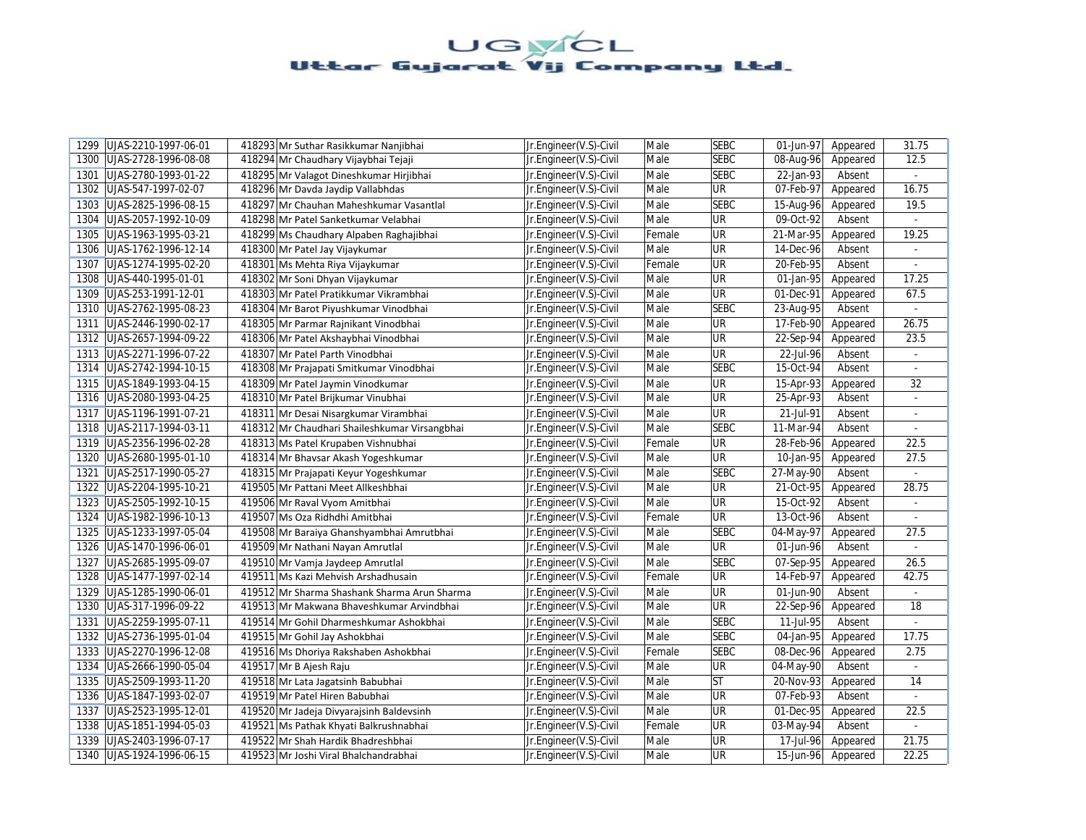| UJAS-2210-1997-06-01<br>1299 | 418293 Mr Suthar Rasikkumar Nanjibhai         | Jr.Engineer(V.S)-Civil | Male   | <b>SEBC</b> | 01-Jun-97 | Appeared | 31.75          |
|------------------------------|-----------------------------------------------|------------------------|--------|-------------|-----------|----------|----------------|
| UJAS-2728-1996-08-08<br>1300 | 418294 Mr Chaudhary Vijaybhai Tejaji          | Jr.Engineer(V.S)-Civil | Male   | <b>SEBC</b> | 08-Aug-96 | Appeared | 12.5           |
| 1301<br>UJAS-2780-1993-01-22 | 418295 Mr Valagot Dineshkumar Hirjibhai       | Jr.Engineer(V.S)-Civil | Male   | <b>SEBC</b> | 22-Jan-93 | Absent   | $\omega$       |
| UJAS-547-1997-02-07<br>1302  | 418296 Mr Davda Jaydip Vallabhdas             | Jr.Engineer(V.S)-Civil | Male   | UR          | 07-Feb-97 | Appeared | 16.75          |
| UJAS-2825-1996-08-15<br>1303 | 418297 Mr Chauhan Maheshkumar Vasantlal       | Jr.Engineer(V.S)-Civil | Male   | <b>SEBC</b> | 15-Aug-96 | Appeared | 19.5           |
| 1304<br>UJAS-2057-1992-10-09 | 418298 Mr Patel Sanketkumar Velabhai          | Jr.Engineer(V.S)-Civil | Male   | UR          | 09-Oct-92 | Absent   |                |
| 1305<br>UJAS-1963-1995-03-21 | 418299 Ms Chaudhary Alpaben Raghajibhai       | Jr.Engineer(V.S)-Civil | Female | <b>UR</b>   | 21-Mar-95 | Appeared | 19.25          |
| 1306<br>UJAS-1762-1996-12-14 | 418300 Mr Patel Jay Vijaykumar                | Jr.Engineer(V.S)-Civil | Male   | UR          | 14-Dec-96 | Absent   |                |
| 1307<br>UJAS-1274-1995-02-20 | 418301 Ms Mehta Riya Vijaykumar               | Jr.Engineer(V.S)-Civil | Female | UR          | 20-Feb-95 | Absent   | ÷.             |
| 1308<br>UJAS-440-1995-01-01  | 418302 Mr Soni Dhyan Vijaykumar               | Jr.Engineer(V.S)-Civil | Male   | UR          | 01-Jan-95 | Appeared | 17.25          |
| 1309<br>UJAS-253-1991-12-01  | 418303 Mr Patel Pratikkumar Vikrambhai        | Jr.Engineer(V.S)-Civil | Male   | UR          | 01-Dec-91 | Appeared | 67.5           |
| 1310<br>UJAS-2762-1995-08-23 | 418304 Mr Barot Piyushkumar Vinodbhai         | Jr.Engineer(V.S)-Civil | Male   | <b>SEBC</b> | 23-Aug-95 | Absent   | $\mathcal{L}$  |
| 1311<br>UJAS-2446-1990-02-17 | 418305 Mr Parmar Rajnikant Vinodbhai          | Jr.Engineer(V.S)-Civil | Male   | UR          | 17-Feb-90 | Appeared | 26.75          |
| 1312<br>UJAS-2657-1994-09-22 | 418306 Mr Patel Akshaybhai Vinodbhai          | Jr.Engineer(V.S)-Civil | Male   | UR          | 22-Sep-94 | Appeared | 23.5           |
| 1313 UJAS-2271-1996-07-22    | 418307 Mr Patel Parth Vinodbhai               | Jr.Engineer(V.S)-Civil | Male   | UR          | 22-Jul-96 | Absent   |                |
| 1314<br>UJAS-2742-1994-10-15 | 418308 Mr Prajapati Smitkumar Vinodbhai       | Jr.Engineer(V.S)-Civil | Male   | <b>SEBC</b> | 15-Oct-94 | Absent   | ÷.             |
| UJAS-1849-1993-04-15<br>1315 | 418309 Mr Patel Jaymin Vinodkumar             | Jr.Engineer(V.S)-Civil | Male   | <b>UR</b>   | 15-Apr-93 | Appeared | 32             |
| UJAS-2080-1993-04-25<br>1316 | 418310 Mr Patel Brijkumar Vinubhai            | Jr.Engineer(V.S)-Civil | Male   | UR          | 25-Apr-93 | Absent   | $\blacksquare$ |
| UJAS-1196-1991-07-21<br>1317 | 418311 Mr Desai Nisargkumar Virambhai         | Jr.Engineer(V.S)-Civil | Male   | UR          | 21-Jul-91 | Absent   |                |
| 1318<br>UJAS-2117-1994-03-11 | 418312 Mr Chaudhari Shaileshkumar Virsangbhai | Jr.Engineer(V.S)-Civil | Male   | <b>SEBC</b> | 11-Mar-94 | Absent   | $\overline{a}$ |
| UJAS-2356-1996-02-28<br>1319 | 418313 Ms Patel Krupaben Vishnubhai           | Jr.Engineer(V.S)-Civil | Female | UR          | 28-Feb-96 | Appeared | 22.5           |
| 1320<br>UJAS-2680-1995-01-10 | 418314 Mr Bhavsar Akash Yogeshkumar           | Jr.Engineer(V.S)-Civil | Male   | UR          | 10-Jan-95 | Appeared | 27.5           |
| UJAS-2517-1990-05-27<br>1321 | 418315 Mr Prajapati Keyur Yogeshkumar         | Jr.Engineer(V.S)-Civil | Male   | <b>SEBC</b> | 27-May-90 | Absent   | ÷.             |
| 1322<br>UJAS-2204-1995-10-21 | 419505 Mr Pattani Meet Allkeshbhai            | Jr.Engineer(V.S)-Civil | Male   | UR          | 21-Oct-95 | Appeared | 28.75          |
| 1323<br>UJAS-2505-1992-10-15 | 419506 Mr Raval Vyom Amitbhai                 | Jr.Engineer(V.S)-Civil | Male   | UR          | 15-Oct-92 | Absent   | $\omega$       |
| 1324<br>UJAS-1982-1996-10-13 | 419507 Ms Oza Ridhdhi Amitbhai                | Jr.Engineer(V.S)-Civil | Female | UR          | 13-Oct-96 | Absent   | $\omega$       |
| UJAS-1233-1997-05-04<br>1325 | 419508 Mr Baraiya Ghanshyambhai Amrutbhai     | Jr.Engineer(V.S)-Civil | Male   | <b>SEBC</b> | 04-May-97 | Appeared | 27.5           |
| 1326 UJAS-1470-1996-06-01    | 419509 Mr Nathani Nayan Amrutlal              | Jr.Engineer(V.S)-Civil | Male   | UR          | 01-Jun-96 | Absent   |                |
| UJAS-2685-1995-09-07<br>1327 | 419510 Mr Vamja Jaydeep Amrutlal              | Jr.Engineer(V.S)-Civil | Male   | <b>SEBC</b> | 07-Sep-95 | Appeared | 26.5           |
| 1328<br>UJAS-1477-1997-02-14 | 419511 Ms Kazi Mehvish Arshadhusain           | Jr.Engineer(V.S)-Civil | Female | UR          | 14-Feb-97 | Appeared | 42.75          |
| 1329<br>UJAS-1285-1990-06-01 | 419512 Mr Sharma Shashank Sharma Arun Sharma  | Jr.Engineer(V.S)-Civil | Male   | UR          | 01-Jun-90 | Absent   |                |
| 1330<br>UJAS-317-1996-09-22  | 419513 Mr Makwana Bhaveshkumar Arvindbhai     | Jr.Engineer(V.S)-Civil | Male   | UR          | 22-Sep-96 | Appeared | 18             |
| 1331<br>UJAS-2259-1995-07-11 | 419514 Mr Gohil Dharmeshkumar Ashokbhai       | Jr.Engineer(V.S)-Civil | Male   | <b>SEBC</b> | 11-Jul-95 | Absent   |                |
| 1332<br>UJAS-2736-1995-01-04 | 419515 Mr Gohil Jay Ashokbhai                 | Jr.Engineer(V.S)-Civil | Male   | <b>SEBC</b> | 04-Jan-95 | Appeared | 17.75          |
| 1333<br>UJAS-2270-1996-12-08 | 419516 Ms Dhoriya Rakshaben Ashokbhai         | Jr.Engineer(V.S)-Civil | Female | <b>SEBC</b> | 08-Dec-96 | Appeared | 2.75           |
| 1334<br>UJAS-2666-1990-05-04 | 419517 Mr B Ajesh Raju                        | Jr.Engineer(V.S)-Civil | Male   | UR          | 04-May-90 | Absent   | $\omega$       |
| 1335<br>UJAS-2509-1993-11-20 | 419518 Mr Lata Jagatsinh Babubhai             | Jr.Engineer(V.S)-Civil | Male   | <b>ST</b>   | 20-Nov-93 | Appeared | 14             |
| 1336<br>UJAS-1847-1993-02-07 | 419519 Mr Patel Hiren Babubhai                | Jr.Engineer(V.S)-Civil | Male   | UR          | 07-Feb-93 | Absent   | $\omega$       |
| 1337<br>UJAS-2523-1995-12-01 | 419520 Mr Jadeja Divyarajsinh Baldevsinh      | Jr.Engineer(V.S)-Civil | Male   | UR          | 01-Dec-95 | Appeared | 22.5           |
| 1338<br>UJAS-1851-1994-05-03 | 419521 Ms Pathak Khyati Balkrushnabhai        | Jr.Engineer(V.S)-Civil | Female | UR          | 03-May-94 | Absent   | $\mathcal{L}$  |
| 1339<br>UJAS-2403-1996-07-17 | 419522 Mr Shah Hardik Bhadreshbhai            | Jr.Engineer(V.S)-Civil | Male   | UR          | 17-Jul-96 | Appeared | 21.75          |
| 1340<br>UJAS-1924-1996-06-15 | 419523 Mr Joshi Viral Bhalchandrabhai         | Jr.Engineer(V.S)-Civil | Male   | UR          | 15-Jun-96 | Appeared | 22.25          |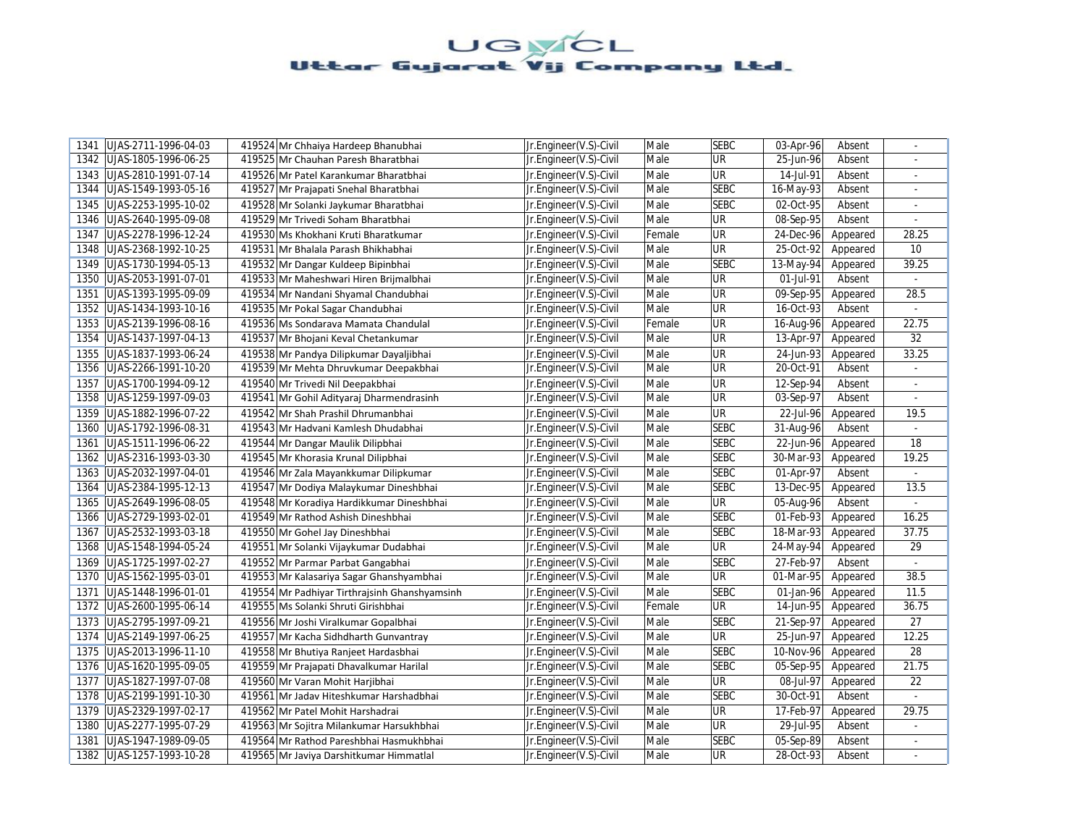| UJAS-2711-1996-04-03<br>1341 | 419524 Mr Chhaiya Hardeep Bhanubhai           | Jr.Engineer(V.S)-Civil | Male   | <b>SEBC</b>              | 03-Apr-96<br>Absent     | ÷              |
|------------------------------|-----------------------------------------------|------------------------|--------|--------------------------|-------------------------|----------------|
| UJAS-1805-1996-06-25<br>1342 | 419525 Mr Chauhan Paresh Bharatbhai           | Jr.Engineer(V.S)-Civil | Male   | UR                       | 25-Jun-96<br>Absent     |                |
| 1343<br>UJAS-2810-1991-07-14 | 419526 Mr Patel Karankumar Bharatbhai         | Jr.Engineer(V.S)-Civil | Male   | UR                       | 14-Jul-91<br>Absent     | $\omega$       |
| UJAS-1549-1993-05-16<br>1344 | 419527 Mr Prajapati Snehal Bharatbhai         | Jr.Engineer(V.S)-Civil | Male   | <b>SEBC</b>              | 16-May-93<br>Absent     |                |
| UJAS-2253-1995-10-02<br>1345 | 419528 Mr Solanki Jaykumar Bharatbhai         | Jr.Engineer(V.S)-Civil | Male   | <b>SEBC</b>              | 02-Oct-95<br>Absent     | $\blacksquare$ |
| 1346<br>UJAS-2640-1995-09-08 | 419529 Mr Trivedi Soham Bharatbhai            | Jr.Engineer(V.S)-Civil | Male   | UR                       | 08-Sep-95<br>Absent     |                |
| UJAS-2278-1996-12-24<br>1347 | 419530 Ms Khokhani Kruti Bharatkumar          | Jr.Engineer(V.S)-Civil | Female | <b>UR</b>                | 24-Dec-96<br>Appeared   | 28.25          |
| 1348 UJAS-2368-1992-10-25    | 419531 Mr Bhalala Parash Bhikhabhai           | Jr.Engineer(V.S)-Civil | Male   | <b>UR</b>                | $25-Oct-92$<br>Appeared | 10             |
| 1349 UJAS-1730-1994-05-13    | 419532 Mr Dangar Kuldeep Bipinbhai            | Jr.Engineer(V.S)-Civil | Male   | <b>SEBC</b>              | 13-May-94<br>Appeared   | 39.25          |
| UJAS-2053-1991-07-01<br>1350 | 419533 Mr Maheshwari Hiren Brijmalbhai        | Jr.Engineer(V.S)-Civil | Male   | UR                       | 01-Jul-91<br>Absent     |                |
| UJAS-1393-1995-09-09<br>1351 | 419534 Mr Nandani Shyamal Chandubhai          | Jr.Engineer(V.S)-Civil | Male   | <b>UR</b>                | 09-Sep-95<br>Appeared   | 28.5           |
| 1352<br>UJAS-1434-1993-10-16 | 419535 Mr Pokal Sagar Chandubhai              | Jr.Engineer(V.S)-Civil | Male   | UR                       | 16-Oct-93<br>Absent     | ä,             |
| 1353<br>UJAS-2139-1996-08-16 | 419536 Ms Sondarava Mamata Chandulal          | Jr.Engineer(V.S)-Civil | Female | <b>UR</b>                | 16-Aug-96<br>Appeared   | 22.75          |
| 1354<br>UJAS-1437-1997-04-13 | 419537 Mr Bhojani Keval Chetankumar           | Jr.Engineer(V.S)-Civil | Male   | UR                       | 13-Apr-97<br>Appeared   | 32             |
| 1355   UJAS-1837-1993-06-24  | 419538 Mr Pandya Dilipkumar Dayaljibhai       | Jr.Engineer(V.S)-Civil | Male   | <b>UR</b>                | 24-Jun-93<br>Appeared   | 33.25          |
| 1356<br>UJAS-2266-1991-10-20 | 419539 Mr Mehta Dhruvkumar Deepakbhai         | Jr.Engineer(V.S)-Civil | Male   | UR                       | 20-Oct-91<br>Absent     | ÷.             |
| 1357<br>UJAS-1700-1994-09-12 | 419540 Mr Trivedi Nil Deepakbhai              | Jr.Engineer(V.S)-Civil | Male   | UR                       | 12-Sep-94<br>Absent     | $\blacksquare$ |
| UJAS-1259-1997-09-03<br>1358 | 419541 Mr Gohil Adityaraj Dharmendrasinh      | Jr.Engineer(V.S)-Civil | Male   | UR                       | 03-Sep-97<br>Absent     | $\blacksquare$ |
| 1359<br>UJAS-1882-1996-07-22 | 419542 Mr Shah Prashil Dhrumanbhai            | Jr.Engineer(V.S)-Civil | Male   | $\overline{\mathsf{UR}}$ | 22-Jul-96<br>Appeared   | 19.5           |
| UJAS-1792-1996-08-31<br>1360 | 419543 Mr Hadvani Kamlesh Dhudabhai           | Jr.Engineer(V.S)-Civil | Male   | <b>SEBC</b>              | 31-Aug-96<br>Absent     |                |
| UJAS-1511-1996-06-22<br>1361 | 419544 Mr Dangar Maulik Dilipbhai             | Jr.Engineer(V.S)-Civil | Male   | <b>SEBC</b>              | 22-Jun-96<br>Appeared   | 18             |
| 1362<br>UJAS-2316-1993-03-30 | 419545 Mr Khorasia Krunal Dilipbhai           | Jr.Engineer(V.S)-Civil | Male   | <b>SEBC</b>              | 30-Mar-93<br>Appeared   | 19.25          |
| 1363<br>UJAS-2032-1997-04-01 | 419546 Mr Zala Mayankkumar Dilipkumar         | Jr.Engineer(V.S)-Civil | Male   | <b>SEBC</b>              | 01-Apr-97<br>Absent     | $\sim$         |
| 1364<br>UJAS-2384-1995-12-13 | 419547 Mr Dodiya Malaykumar Dineshbhai        | Jr.Engineer(V.S)-Civil | Male   | <b>SEBC</b>              | 13-Dec-95<br>Appeared   | 13.5           |
| 1365<br>UJAS-2649-1996-08-05 | 419548 Mr Koradiya Hardikkumar Dineshbhai     | Jr.Engineer(V.S)-Civil | Male   | <b>UR</b>                | 05-Aug-96<br>Absent     | $\overline{a}$ |
| UJAS-2729-1993-02-01<br>1366 | 419549 Mr Rathod Ashish Dineshbhai            | Jr.Engineer(V.S)-Civil | Male   | <b>SEBC</b>              | 01-Feb-93<br>Appeared   | 16.25          |
| UJAS-2532-1993-03-18<br>1367 | 419550 Mr Gohel Jay Dineshbhai                | Jr.Engineer(V.S)-Civil | Male   | <b>SEBC</b>              | 18-Mar-93<br>Appeared   | 37.75          |
| 1368<br>UJAS-1548-1994-05-24 | 419551 Mr Solanki Vijaykumar Dudabhai         | Jr.Engineer(V.S)-Civil | Male   | <b>UR</b>                | 24-May-94<br>Appeared   | 29             |
| 1369<br>UJAS-1725-1997-02-27 | 419552 Mr Parmar Parbat Gangabhai             | Jr.Engineer(V.S)-Civil | Male   | <b>SEBC</b>              | 27-Feb-97<br>Absent     |                |
| 1370<br>UJAS-1562-1995-03-01 | 419553 Mr Kalasariya Sagar Ghanshyambhai      | Jr.Engineer(V.S)-Civil | Male   | UR                       | 01-Mar-95<br>Appeared   | 38.5           |
| 1371<br>UJAS-1448-1996-01-01 | 419554 Mr Padhiyar Tirthraisinh Ghanshyamsinh | Jr.Engineer(V.S)-Civil | Male   | <b>SEBC</b>              | 01-Jan-96<br>Appeared   | 11.5           |
| 1372<br>UJAS-2600-1995-06-14 | 419555 Ms Solanki Shruti Girishbhai           | Jr.Engineer(V.S)-Civil | Female | <b>UR</b>                | 14-Jun-95<br>Appeared   | 36.75          |
| UJAS-2795-1997-09-21<br>1373 | 419556 Mr Joshi Viralkumar Gopalbhai          | Jr.Engineer(V.S)-Civil | Male   | <b>SEBC</b>              | 21-Sep-97<br>Appeared   | 27             |
| 1374<br>UJAS-2149-1997-06-25 | 419557 Mr Kacha Sidhdharth Gunvantray         | Jr.Engineer(V.S)-Civil | Male   | UR                       | 25-Jun-97<br>Appeared   | 12.25          |
| 1375<br>UJAS-2013-1996-11-10 | 419558 Mr Bhutiya Ranjeet Hardasbhai          | Jr.Engineer(V.S)-Civil | Male   | <b>SEBC</b>              | 10-Nov-96<br>Appeared   | 28             |
| 1376<br>UJAS-1620-1995-09-05 | 419559 Mr Prajapati Dhavalkumar Harilal       | Jr.Engineer(V.S)-Civil | Male   | <b>SEBC</b>              | 05-Sep-95<br>Appeared   | 21.75          |
| UJAS-1827-1997-07-08<br>1377 | 419560 Mr Varan Mohit Harjibhai               | Jr.Engineer(V.S)-Civil | Male   | $\overline{\mathsf{UR}}$ | 08-Jul-97<br>Appeared   | 22             |
| 1378<br>UJAS-2199-1991-10-30 | 419561 Mr Jadav Hiteshkumar Harshadbhai       | Jr.Engineer(V.S)-Civil | Male   | <b>SEBC</b>              | 30-Oct-91<br>Absent     | ÷.             |
| 1379<br>UJAS-2329-1997-02-17 | 419562 Mr Patel Mohit Harshadrai              | Jr.Engineer(V.S)-Civil | Male   | UR                       | 17-Feb-97<br>Appeared   | 29.75          |
| UJAS-2277-1995-07-29<br>1380 | 419563 Mr Sojitra Milankumar Harsukhbhai      | Jr.Engineer(V.S)-Civil | Male   | <b>UR</b>                | 29-Jul-95<br>Absent     |                |
| 1381<br>UJAS-1947-1989-09-05 | 419564 Mr Rathod Pareshbhai Hasmukhbhai       | Jr.Engineer(V.S)-Civil | Male   | <b>SEBC</b>              | 05-Sep-89<br>Absent     | $\omega$       |
| 1382   UJAS-1257-1993-10-28  | 419565 Mr Javiya Darshitkumar Himmatlal       | Jr.Engineer(V.S)-Civil | Male   | UR                       | 28-Oct-93<br>Absent     |                |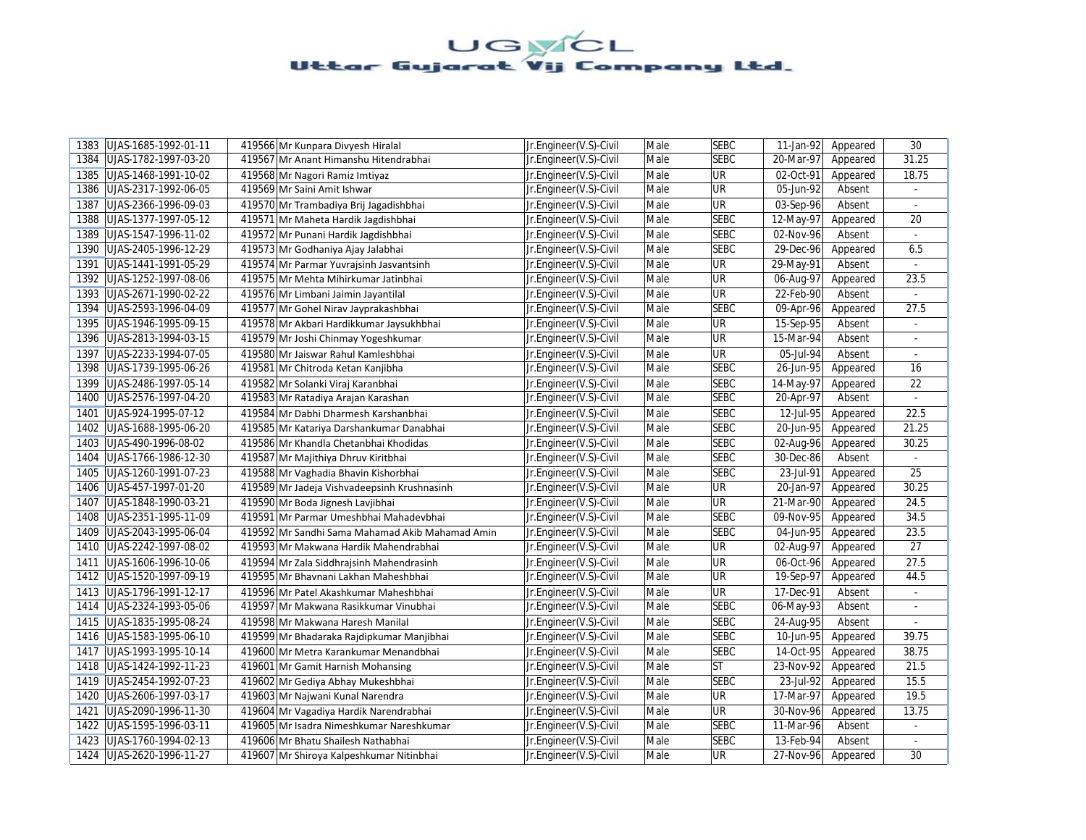| UJAS-1685-1992-01-11<br>1383 | 419566 Mr Kunpara Divyesh Hiralal               | Jr.Engineer(V.S)-Civil | Male | <b>SEBC</b> | 11-Jan-92<br>Appeared   | 30             |
|------------------------------|-------------------------------------------------|------------------------|------|-------------|-------------------------|----------------|
| UJAS-1782-1997-03-20<br>1384 | 419567 Mr Anant Himanshu Hitendrabhai           | Jr.Engineer(V.S)-Civil | Male | <b>SEBC</b> | 20-Mar-97<br>Appeared   | 31.25          |
| 1385<br>UJAS-1468-1991-10-02 | 419568 Mr Nagori Ramiz Imtiyaz                  | Jr.Engineer(V.S)-Civil | Male | UR          | 02-Oct-91<br>Appeared   | 18.75          |
| UJAS-2317-1992-06-05<br>1386 | 419569 Mr Saini Amit Ishwar                     | Jr.Engineer(V.S)-Civil | Male | UR          | 05-Jun-92<br>Absent     |                |
| 1387<br>UJAS-2366-1996-09-03 | 419570 Mr Trambadiya Brij Jagadishbhai          | Jr.Engineer(V.S)-Civil | Male | <b>UR</b>   | 03-Sep-96<br>Absent     | $\blacksquare$ |
| 1388<br>UJAS-1377-1997-05-12 | 419571 Mr Maheta Hardik Jagdishbhai             | Jr.Engineer(V.S)-Civil | Male | <b>SEBC</b> | 12-May-97<br>Appeared   | 20             |
| UJAS-1547-1996-11-02<br>1389 | 419572 Mr Punani Hardik Jagdishbhai             | Jr.Engineer(V.S)-Civil | Male | <b>SEBC</b> | 02-Nov-96<br>Absent     | $\mathbb{Z}^2$ |
| 1390<br>UJAS-2405-1996-12-29 | 419573 Mr Godhaniya Ajay Jalabhai               | Jr.Engineer(V.S)-Civil | Male | <b>SEBC</b> | 29-Dec-96<br>Appeared   | 6.5            |
| UJAS-1441-1991-05-29<br>1391 | 419574 Mr Parmar Yuvraisinh Jasvantsinh         | Jr.Engineer(V.S)-Civil | Male | <b>UR</b>   | 29-May-91<br>Absent     |                |
| UJAS-1252-1997-08-06<br>1392 | 419575 Mr Mehta Mihirkumar Jatinbhai            | Jr.Engineer(V.S)-Civil | Male | UR          | 06-Aug-97<br>Appeared   | 23.5           |
| UJAS-2671-1990-02-22<br>1393 | 419576 Mr Limbani Jaimin Jayantilal             | Jr.Engineer(V.S)-Civil | Male | UR          | 22-Feb-90<br>Absent     |                |
| 1394<br>UJAS-2593-1996-04-09 | 419577 Mr Gohel Nirav Jayprakashbhai            | Jr.Engineer(V.S)-Civil | Male | <b>SEBC</b> | 09-Apr-96<br>Appeared   | 27.5           |
| UJAS-1946-1995-09-15<br>1395 | 419578 Mr Akbari Hardikkumar Jaysukhbhai        | Jr.Engineer(V.S)-Civil | Male | UR          | 15-Sep-95<br>Absent     | $\blacksquare$ |
| 1396<br>UJAS-2813-1994-03-15 | 419579 Mr Joshi Chinmay Yogeshkumar             | Jr.Engineer(V.S)-Civil | Male | UR          | 15-Mar-94<br>Absent     | ÷              |
| 1397<br>UJAS-2233-1994-07-05 | 419580 Mr Jaiswar Rahul Kamleshbhai             | Jr.Engineer(V.S)-Civil | Male | <b>UR</b>   | 05-Jul-94<br>Absent     |                |
| 1398<br>UJAS-1739-1995-06-26 | 419581 Mr Chitroda Ketan Kanjibha               | Jr.Engineer(V.S)-Civil | Male | <b>SEBC</b> | 26-Jun-95<br>Appeared   | 16             |
| 1399<br>UJAS-2486-1997-05-14 | 419582 Mr Solanki Viraj Karanbhai               | Jr.Engineer(V.S)-Civil | Male | <b>SEBC</b> | 14-May-97<br>Appeared   | 22             |
| 1400<br>UJAS-2576-1997-04-20 | 419583 Mr Ratadiya Arajan Karashan              | Jr.Engineer(V.S)-Civil | Male | <b>SEBC</b> | 20-Apr-97<br>Absent     | ÷.             |
| UJAS-924-1995-07-12<br>1401  | 419584 Mr Dabhi Dharmesh Karshanbhai            | Jr.Engineer(V.S)-Civil | Male | <b>SEBC</b> | 12-Jul-95<br>Appeared   | 22.5           |
| UJAS-1688-1995-06-20<br>1402 | 419585 Mr Katariya Darshankumar Danabhai        | Jr.Engineer(V.S)-Civil | Male | <b>SEBC</b> | 20-Jun-95<br>Appeared   | 21.25          |
| 1403<br>UJAS-490-1996-08-02  | 419586 Mr Khandla Chetanbhai Khodidas           | Jr.Engineer(V.S)-Civil | Male | <b>SEBC</b> | 02-Aug-96<br>Appeared   | 30.25          |
| 1404<br>UJAS-1766-1986-12-30 | 419587 Mr Majithiya Dhruv Kiritbhai             | Jr.Engineer(V.S)-Civil | Male | <b>SEBC</b> | 30-Dec-86<br>Absent     |                |
| 1405<br>UJAS-1260-1991-07-23 | 419588 Mr Vaghadia Bhavin Kishorbhai            | Jr.Engineer(V.S)-Civil | Male | <b>SEBC</b> | 23-Jul-91<br>Appeared   | 25             |
| 1406<br>UJAS-457-1997-01-20  | 419589 Mr Jadeja Vishvadeepsinh Krushnasinh     | Jr.Engineer(V.S)-Civil | Male | <b>UR</b>   | 20-Jan-97<br>Appeared   | 30.25          |
| 1407<br>UJAS-1848-1990-03-21 | 419590 Mr Boda Jignesh Lavjibhai                | Jr.Engineer(V.S)-Civil | Male | <b>UR</b>   | 21-Mar-90<br>Appeared   | 24.5           |
| UJAS-2351-1995-11-09<br>1408 | 419591 Mr Parmar Umeshbhai Mahadevbhai          | Jr.Engineer(V.S)-Civil | Male | <b>SEBC</b> | 09-Nov-95<br>Appeared   | 34.5           |
| UJAS-2043-1995-06-04<br>1409 | 419592 Mr Sandhi Sama Mahamad Akib Mahamad Amin | Jr.Engineer(V.S)-Civil | Male | <b>SEBC</b> | 04-Jun-95<br>Appeared   | 23.5           |
| UJAS-2242-1997-08-02<br>1410 | 419593 Mr Makwana Hardik Mahendrabhai           | Jr.Engineer(V.S)-Civil | Male | <b>UR</b>   | 02-Aug-97<br>Appeared   | 27             |
| UJAS-1606-1996-10-06<br>1411 | 419594 Mr Zala Siddhrajsinh Mahendrasinh        | Jr.Engineer(V.S)-Civil | Male | <b>UR</b>   | 06-Oct-96<br>Appeared   | 27.5           |
| UJAS-1520-1997-09-19<br>1412 | 419595 Mr Bhavnani Lakhan Maheshbhai            | Jr.Engineer(V.S)-Civil | Male | UR          | 19-Sep-97<br>Appeared   | 44.5           |
| 1413<br>UJAS-1796-1991-12-17 | 419596 Mr Patel Akashkumar Maheshbhai           | Jr.Engineer(V.S)-Civil | Male | UR          | 17-Dec-91<br>Absent     | $\blacksquare$ |
| 1414<br>UJAS-2324-1993-05-06 | 419597 Mr Makwana Rasikkumar Vinubhai           | Jr.Engineer(V.S)-Civil | Male | <b>SEBC</b> | 06-May-93<br>Absent     | ÷              |
| UJAS-1835-1995-08-24<br>1415 | 419598 Mr Makwana Haresh Manilal                | Jr.Engineer(V.S)-Civil | Male | <b>SEBC</b> | 24-Aug-95<br>Absent     |                |
| 1416<br>UJAS-1583-1995-06-10 | 419599 Mr Bhadaraka Rajdipkumar Manjibhai       | Jr.Engineer(V.S)-Civil | Male | <b>SEBC</b> | 10-Jun-95<br>Appeared   | 39.75          |
| UJAS-1993-1995-10-14<br>1417 | 419600 Mr Metra Karankumar Menandbhai           | Jr.Engineer(V.S)-Civil | Male | <b>SEBC</b> | 14-Oct-95<br>Appeared   | 38.75          |
| UJAS-1424-1992-11-23<br>1418 | 419601 Mr Gamit Harnish Mohansing               | Jr.Engineer(V.S)-Civil | Male | <b>ST</b>   | $23-Nov-92$<br>Appeared | 21.5           |
| UJAS-2454-1992-07-23<br>1419 | 419602 Mr Gediya Abhay Mukeshbhai               | Jr.Engineer(V.S)-Civil | Male | <b>SEBC</b> | 23-Jul-92<br>Appeared   | 15.5           |
| 1420<br>UJAS-2606-1997-03-17 | 419603 Mr Najwani Kunal Narendra                | Jr.Engineer(V.S)-Civil | Male | <b>UR</b>   | 17-Mar-97<br>Appeared   | 19.5           |
| UJAS-2090-1996-11-30<br>1421 | 419604 Mr Vagadiya Hardik Narendrabhai          | Jr.Engineer(V.S)-Civil | Male | UR          | 30-Nov-96<br>Appeared   | 13.75          |
| UJAS-1595-1996-03-11<br>1422 | 419605 Mr Isadra Nimeshkumar Nareshkumar        | Jr.Engineer(V.S)-Civil | Male | <b>SEBC</b> | 11-Mar-96<br>Absent     |                |
| 1423<br>UJAS-1760-1994-02-13 | 419606 Mr Bhatu Shailesh Nathabhai              | Jr.Engineer(V.S)-Civil | Male | <b>SEBC</b> | 13-Feb-94<br>Absent     | $\omega$       |
| 1424   UJAS-2620-1996-11-27  | 419607 Mr Shiroya Kalpeshkumar Nitinbhai        | Jr.Engineer(V.S)-Civil | Male | UR          | 27-Nov-96<br>Appeared   | 30             |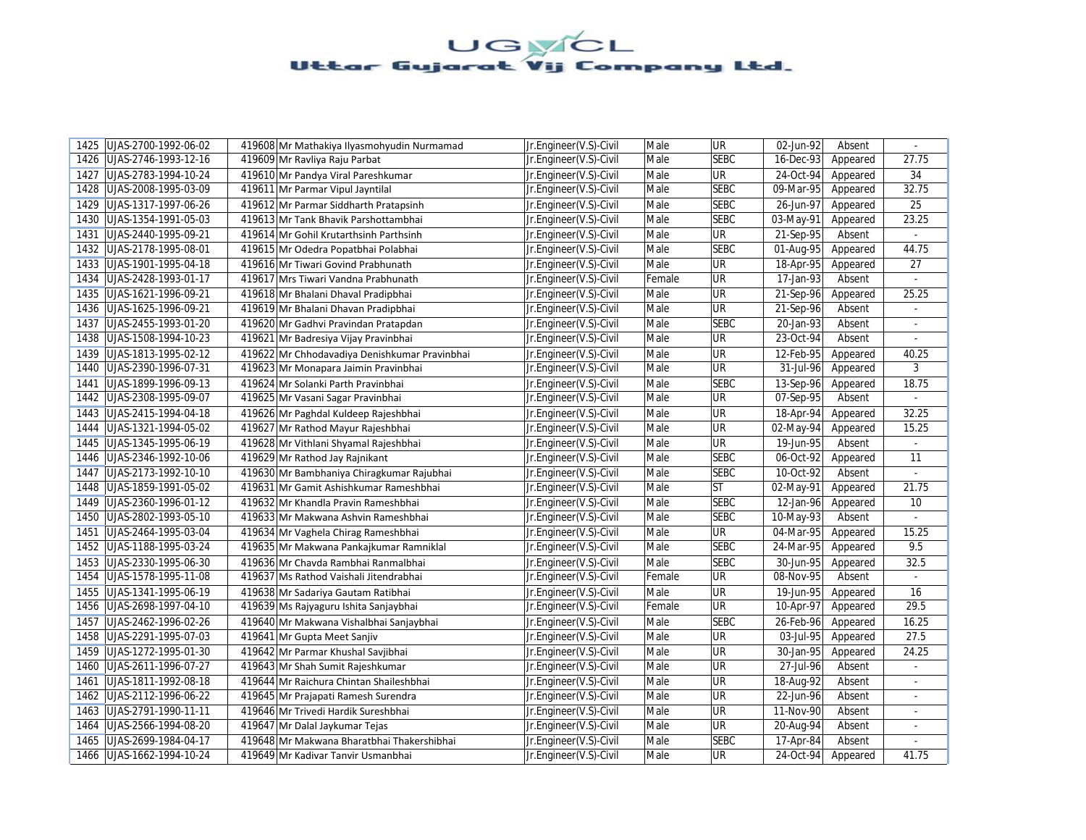| UJAS-2700-1992-06-02<br>1425 | 419608 Mr Mathakiya Ilyasmohyudin Nurmamad    | Jr.Engineer(V.S)-Civil | Male   | <b>UR</b>   | 02-Jun-92               | Absent   |                          |
|------------------------------|-----------------------------------------------|------------------------|--------|-------------|-------------------------|----------|--------------------------|
| UJAS-2746-1993-12-16<br>1426 | 419609 Mr Ravliya Raju Parbat                 | Jr.Engineer(V.S)-Civil | Male   | <b>SEBC</b> | 16-Dec-93               | Appeared | 27.75                    |
| 1427<br>UJAS-2783-1994-10-24 | 419610 Mr Pandya Viral Pareshkumar            | Jr.Engineer(V.S)-Civil | Male   | UR          | 24-Oct-94               | Appeared | 34                       |
| UJAS-2008-1995-03-09<br>1428 | 419611 Mr Parmar Vipul Jayntilal              | Jr.Engineer(V.S)-Civil | Male   | <b>SEBC</b> | 09-Mar-95               | Appeared | 32.75                    |
| 1429<br>UJAS-1317-1997-06-26 | 419612 Mr Parmar Siddharth Pratapsinh         | Jr.Engineer(V.S)-Civil | Male   | <b>SEBC</b> | 26-Jun-97               | Appeared | 25                       |
| 1430 UJAS-1354-1991-05-03    | 419613 Mr Tank Bhavik Parshottambhai          | Jr.Engineer(V.S)-Civil | Male   | <b>SEBC</b> | 03-May-91               | Appeared | 23.25                    |
| 1431<br>UJAS-2440-1995-09-21 | 419614 Mr Gohil Krutarthsinh Parthsinh        | Jr.Engineer(V.S)-Civil | Male   | <b>UR</b>   | 21-Sep-95               | Absent   | $\omega$                 |
| 1432 UJAS-2178-1995-08-01    | 419615 Mr Odedra Popatbhai Polabhai           | Jr.Engineer(V.S)-Civil | Male   | <b>SEBC</b> | 01-Aug-95               | Appeared | 44.75                    |
| 1433   UJAS-1901-1995-04-18  | 419616 Mr Tiwari Govind Prabhunath            | Jr.Engineer(V.S)-Civil | Male   | UR          | 18-Apr-95               | Appeared | 27                       |
| UJAS-2428-1993-01-17<br>1434 | 419617 Mrs Tiwari Vandna Prabhunath           | Jr.Engineer(V.S)-Civil | Female | UR          | 17-Jan-93               | Absent   |                          |
| 1435<br>UJAS-1621-1996-09-21 | 419618 Mr Bhalani Dhaval Pradipbhai           | Jr.Engineer(V.S)-Civil | Male   | UR          | 21-Sep-96               | Appeared | 25.25                    |
| 1436<br>UJAS-1625-1996-09-21 | 419619 Mr Bhalani Dhavan Pradipbhai           | Jr.Engineer(V.S)-Civil | Male   | UR          | 21-Sep-96               | Absent   | $\blacksquare$           |
| 1437<br>UJAS-2455-1993-01-20 | 419620 Mr Gadhvi Pravindan Pratapdan          | Jr.Engineer(V.S)-Civil | Male   | <b>SEBC</b> | 20-Jan-93               | Absent   | $\blacksquare$           |
| 1438<br>UJAS-1508-1994-10-23 | 419621 Mr Badresiya Vijay Pravinbhai          | Jr.Engineer(V.S)-Civil | Male   | <b>UR</b>   | 23-Oct-94               | Absent   |                          |
| UJAS-1813-1995-02-12<br>1439 | 419622 Mr Chhodavadiya Denishkumar Pravinbhai | Jr.Engineer(V.S)-Civil | Male   | UR          | 12-Feb-95               | Appeared | 40.25                    |
| 1440<br>UJAS-2390-1996-07-31 | 419623 Mr Monapara Jaimin Pravinbhai          | Jr.Engineer(V.S)-Civil | Male   | UR          | 31-Jul-96               | Appeared | 3                        |
| UJAS-1899-1996-09-13<br>1441 | 419624 Mr Solanki Parth Pravinbhai            | Jr.Engineer(V.S)-Civil | Male   | <b>SEBC</b> | 13-Sep-96               | Appeared | 18.75                    |
| UJAS-2308-1995-09-07<br>1442 | 419625 Mr Vasani Sagar Pravinbhai             | Jr.Engineer(V.S)-Civil | Male   | UR          | 07-Sep-95               | Absent   | $\omega$                 |
| 1443 UJAS-2415-1994-04-18    | 419626 Mr Paghdal Kuldeep Rajeshbhai          | Jr.Engineer(V.S)-Civil | Male   | UR          | 18-Apr-94               | Appeared | 32.25                    |
| UJAS-1321-1994-05-02<br>1444 | 419627 Mr Rathod Mayur Rajeshbhai             | Jr.Engineer(V.S)-Civil | Male   | UR          | 02-May-94               | Appeared | 15.25                    |
| 1445<br>UJAS-1345-1995-06-19 | 419628 Mr Vithlani Shyamal Rajeshbhai         | Jr.Engineer(V.S)-Civil | Male   | <b>UR</b>   | 19-Jun-95               | Absent   | $\blacksquare$           |
| 1446<br>UJAS-2346-1992-10-06 | 419629 Mr Rathod Jay Rajnikant                | Jr.Engineer(V.S)-Civil | Male   | <b>SEBC</b> | 06-Oct-92               | Appeared | 11                       |
| UJAS-2173-1992-10-10<br>1447 | 419630 Mr Bambhaniya Chiragkumar Rajubhai     | Jr.Engineer(V.S)-Civil | Male   | <b>SEBC</b> | 10-Oct-92               | Absent   | $\omega$                 |
| 1448 UJAS-1859-1991-05-02    | 419631 Mr Gamit Ashishkumar Rameshbhai        | Jr.Engineer(V.S)-Civil | Male   | <b>ST</b>   | 02-May-91               | Appeared | 21.75                    |
| 1449<br>UJAS-2360-1996-01-12 | 419632 Mr Khandla Pravin Rameshbhai           | Jr.Engineer(V.S)-Civil | Male   | <b>SEBC</b> | 12-Jan-96               | Appeared | 10                       |
| UJAS-2802-1993-05-10<br>1450 | 419633 Mr Makwana Ashvin Rameshbhai           | Jr.Engineer(V.S)-Civil | Male   | <b>SEBC</b> | 10-May-93               | Absent   | L.                       |
| UJAS-2464-1995-03-04<br>1451 | 419634 Mr Vaghela Chirag Rameshbhai           | Jr.Engineer(V.S)-Civil | Male   | UR          | 04-Mar-95               | Appeared | 15.25                    |
| 1452 UJAS-1188-1995-03-24    | 419635 Mr Makwana Pankajkumar Ramniklal       | Jr.Engineer(V.S)-Civil | Male   | <b>SEBC</b> | 24-Mar-95               | Appeared | 9.5                      |
| UJAS-2330-1995-06-30<br>1453 | 419636 Mr Chavda Rambhai Ranmalbhai           | Jr.Engineer(V.S)-Civil | Male   | <b>SEBC</b> | $\overline{30}$ -Jun-95 | Appeared | 32.5                     |
| UJAS-1578-1995-11-08<br>1454 | 419637 Ms Rathod Vaishali Jitendrabhai        | Jr.Engineer(V.S)-Civil | Female | UR          | 08-Nov-95               | Absent   | $\omega$                 |
| 1455<br>UJAS-1341-1995-06-19 | 419638 Mr Sadariya Gautam Ratibhai            | Jr.Engineer(V.S)-Civil | Male   | UR          | 19-Jun-95               | Appeared | 16                       |
| 1456<br>UJAS-2698-1997-04-10 | 419639 Ms Rajyaguru Ishita Sanjaybhai         | Jr.Engineer(V.S)-Civil | Female | UR          | 10-Apr-97               | Appeared | 29.5                     |
| UJAS-2462-1996-02-26<br>1457 | 419640 Mr Makwana Vishalbhai Sanjaybhai       | Jr.Engineer(V.S)-Civil | Male   | <b>SEBC</b> | 26-Feb-96               | Appeared | 16.25                    |
| UJAS-2291-1995-07-03<br>1458 | 419641 Mr Gupta Meet Sanjiv                   | Jr.Engineer(V.S)-Civil | Male   | UR          | 03-Jul-95               | Appeared | 27.5                     |
| 1459<br>UJAS-1272-1995-01-30 | 419642 Mr Parmar Khushal Savjibhai            | Jr.Engineer(V.S)-Civil | Male   | UR          | 30-Jan-95               | Appeared | 24.25                    |
| UJAS-2611-1996-07-27<br>1460 | 419643 Mr Shah Sumit Rajeshkumar              | Jr.Engineer(V.S)-Civil | Male   | UR          | 27-Jul-96               | Absent   | $\sim$                   |
| UJAS-1811-1992-08-18<br>1461 | 419644 Mr Raichura Chintan Shaileshbhai       | Jr.Engineer(V.S)-Civil | Male   | UR          | 18-Aug-92               | Absent   | $\overline{\phantom{a}}$ |
| UJAS-2112-1996-06-22<br>1462 | 419645 Mr Prajapati Ramesh Surendra           | Jr.Engineer(V.S)-Civil | Male   | UR          | 22-Jun-96               | Absent   |                          |
| 1463<br>UJAS-2791-1990-11-11 | 419646 Mr Trivedi Hardik Sureshbhai           | Jr.Engineer(V.S)-Civil | Male   | UR          | 11-Nov-90               | Absent   | $\sim$                   |
| UJAS-2566-1994-08-20<br>1464 | 419647 Mr Dalal Jaykumar Tejas                | Jr.Engineer(V.S)-Civil | Male   | UR          | 20-Aug-94               | Absent   | $\overline{\phantom{a}}$ |
| 1465<br>UJAS-2699-1984-04-17 | 419648 Mr Makwana Bharatbhai Thakershibhai    | Jr.Engineer(V.S)-Civil | Male   | <b>SEBC</b> | 17-Apr-84               | Absent   | $\sim$                   |
| 1466 UJAS-1662-1994-10-24    | 419649 Mr Kadivar Tanvir Usmanbhai            | Jr.Engineer(V.S)-Civil | Male   | UR          | 24-Oct-94               | Appeared | 41.75                    |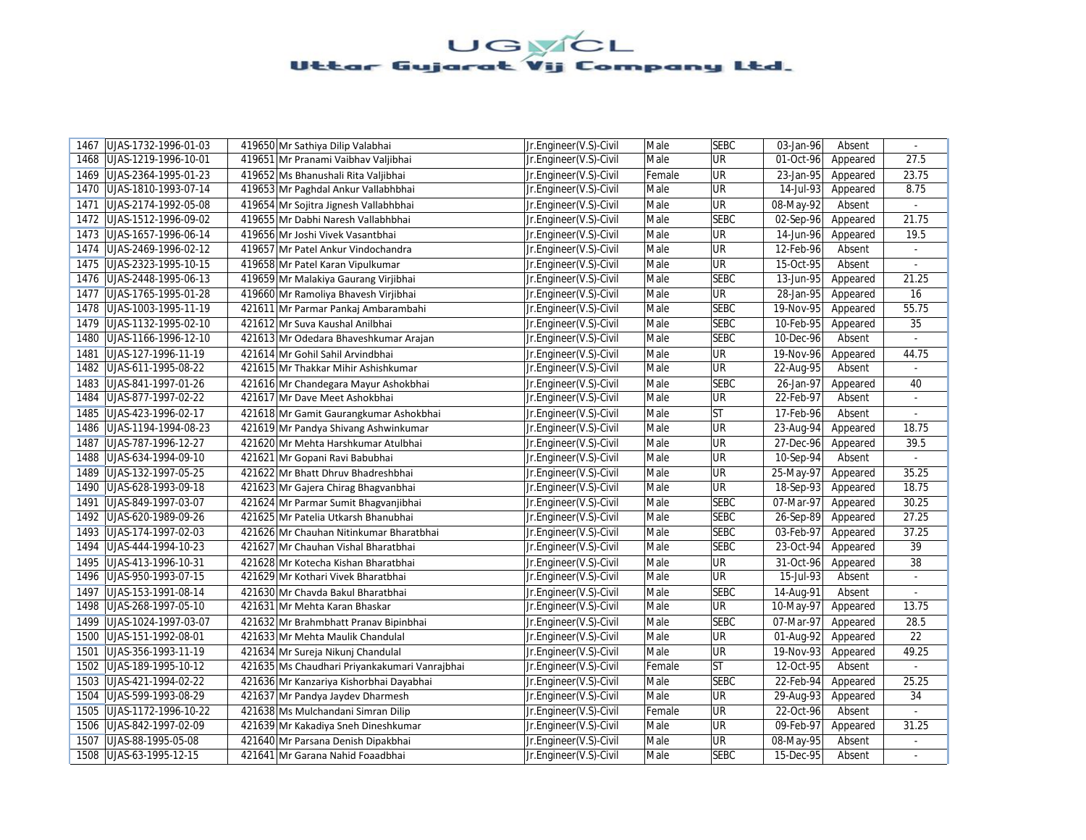| UJAS-1732-1996-01-03<br>1467 | 419650 Mr Sathiya Dilip Valabhai              | Jr.Engineer(V.S)-Civil | Male   | <b>SEBC</b> | 03-Jan-96 | Absent   |                |
|------------------------------|-----------------------------------------------|------------------------|--------|-------------|-----------|----------|----------------|
| 1468<br>UJAS-1219-1996-10-01 | 419651 Mr Pranami Vaibhav Valjibhai           | Jr.Engineer(V.S)-Civil | Male   | <b>UR</b>   | 01-Oct-96 | Appeared | 27.5           |
| 1469<br>UJAS-2364-1995-01-23 | 419652 Ms Bhanushali Rita Valjibhai           | Jr.Engineer(V.S)-Civil | Female | UR          | 23-Jan-95 | Appeared | 23.75          |
| UJAS-1810-1993-07-14<br>1470 | 419653 Mr Paghdal Ankur Vallabhbhai           | Jr.Engineer(V.S)-Civil | Male   | UR          | 14-Jul-93 | Appeared | 8.75           |
| UJAS-2174-1992-05-08<br>1471 | 419654 Mr Sojitra Jignesh Vallabhbhai         | Jr.Engineer(V.S)-Civil | Male   | <b>UR</b>   | 08-May-92 | Absent   | $\sim$         |
| 1472 UJAS-1512-1996-09-02    | 419655 Mr Dabhi Naresh Vallabhbhai            | Jr.Engineer(V.S)-Civil | Male   | <b>SEBC</b> | 02-Sep-96 | Appeared | 21.75          |
| 1473<br>UJAS-1657-1996-06-14 | 419656 Mr Joshi Vivek Vasantbhai              | Jr.Engineer(V.S)-Civil | Male   | UR          | 14-Jun-96 | Appeared | 19.5           |
| UJAS-2469-1996-02-12<br>1474 | 419657 Mr Patel Ankur Vindochandra            | Jr.Engineer(V.S)-Civil | Male   | UR          | 12-Feb-96 | Absent   | $\blacksquare$ |
| 1475<br>UJAS-2323-1995-10-15 | 419658 Mr Patel Karan Vipulkumar              | Jr.Engineer(V.S)-Civil | Male   | UR          | 15-Oct-95 | Absent   | $\sim$         |
| UJAS-2448-1995-06-13<br>1476 | 419659 Mr Malakiya Gaurang Virjibhai          | Jr.Engineer(V.S)-Civil | Male   | <b>SEBC</b> | 13-Jun-95 | Appeared | 21.25          |
| UJAS-1765-1995-01-28<br>1477 | 419660 Mr Ramoliya Bhavesh Virjibhai          | Jr.Engineer(V.S)-Civil | Male   | <b>UR</b>   | 28-Jan-95 | Appeared | 16             |
| 1478<br>UJAS-1003-1995-11-19 | 421611 Mr Parmar Pankaj Ambarambahi           | Jr.Engineer(V.S)-Civil | Male   | <b>SEBC</b> | 19-Nov-95 | Appeared | 55.75          |
| 1479<br>UJAS-1132-1995-02-10 | 421612 Mr Suva Kaushal Anilbhai               | Jr.Engineer(V.S)-Civil | Male   | <b>SEBC</b> | 10-Feb-95 | Appeared | 35             |
| 1480<br>UJAS-1166-1996-12-10 | 421613 Mr Odedara Bhaveshkumar Arajan         | Jr.Engineer(V.S)-Civil | Male   | <b>SEBC</b> | 10-Dec-96 | Absent   | $\sim$         |
| 1481<br>UJAS-127-1996-11-19  | 421614 Mr Gohil Sahil Arvindbhai              | Jr.Engineer(V.S)-Civil | Male   | UR          | 19-Nov-96 | Appeared | 44.75          |
| 1482<br>UJAS-611-1995-08-22  | 421615 Mr Thakkar Mihir Ashishkumar           | Jr.Engineer(V.S)-Civil | Male   | UR          | 22-Aug-95 | Absent   | $\omega$       |
| UJAS-841-1997-01-26<br>1483  | 421616 Mr Chandegara Mayur Ashokbhai          | Jr.Engineer(V.S)-Civil | Male   | <b>SEBC</b> | 26-Jan-97 | Appeared | 40             |
| UJAS-877-1997-02-22<br>1484  | 421617 Mr Dave Meet Ashokbhai                 | Jr.Engineer(V.S)-Civil | Male   | UR          | 22-Feb-97 | Absent   | $\omega$       |
| 1485<br>UJAS-423-1996-02-17  | 421618 Mr Gamit Gaurangkumar Ashokbhai        | Jr.Engineer(V.S)-Civil | Male   | <b>ST</b>   | 17-Feb-96 | Absent   |                |
| UJAS-1194-1994-08-23<br>1486 | 421619 Mr Pandya Shivang Ashwinkumar          | Jr.Engineer(V.S)-Civil | Male   | <b>UR</b>   | 23-Aug-94 | Appeared | 18.75          |
| 1487<br>UJAS-787-1996-12-27  | 421620 Mr Mehta Harshkumar Atulbhai           | Jr.Engineer(V.S)-Civil | Male   | UR          | 27-Dec-96 | Appeared | 39.5           |
| 1488<br>UJAS-634-1994-09-10  | 421621 Mr Gopani Ravi Babubhai                | Jr.Engineer(V.S)-Civil | Male   | UR          | 10-Sep-94 | Absent   |                |
| 1489<br>UJAS-132-1997-05-25  | 421622 Mr Bhatt Dhruv Bhadreshbhai            | Jr.Engineer(V.S)-Civil | Male   | UR          | 25-May-97 | Appeared | 35.25          |
| 1490<br>UJAS-628-1993-09-18  | 421623 Mr Gajera Chirag Bhagvanbhai           | Jr.Engineer(V.S)-Civil | Male   | UR          | 18-Sep-93 | Appeared | 18.75          |
| 1491<br>UJAS-849-1997-03-07  | 421624 Mr Parmar Sumit Bhagvanjibhai          | Jr.Engineer(V.S)-Civil | Male   | <b>SEBC</b> | 07-Mar-97 | Appeared | 30.25          |
| 1492 UJAS-620-1989-09-26     | 421625 Mr Patelia Utkarsh Bhanubhai           | Jr.Engineer(V.S)-Civil | Male   | <b>SEBC</b> | 26-Sep-89 | Appeared | 27.25          |
| 1493 UJAS-174-1997-02-03     | 421626 Mr Chauhan Nitinkumar Bharatbhai       | Jr.Engineer(V.S)-Civil | Male   | <b>SEBC</b> | 03-Feb-97 | Appeared | 37.25          |
| UJAS-444-1994-10-23<br>1494  | 421627 Mr Chauhan Vishal Bharatbhai           | Jr.Engineer(V.S)-Civil | Male   | <b>SEBC</b> | 23-Oct-94 | Appeared | 39             |
| UJAS-413-1996-10-31<br>1495  | 421628 Mr Kotecha Kishan Bharatbhai           | Jr.Engineer(V.S)-Civil | Male   | <b>UR</b>   | 31-Oct-96 | Appeared | 38             |
| UJAS-950-1993-07-15<br>1496  | 421629 Mr Kothari Vivek Bharatbhai            | Jr.Engineer(V.S)-Civil | Male   | <b>UR</b>   | 15-Jul-93 | Absent   | $\omega$       |
| 1497<br>UJAS-153-1991-08-14  | 421630 Mr Chavda Bakul Bharatbhai             | Jr.Engineer(V.S)-Civil | Male   | <b>SEBC</b> | 14-Aug-91 | Absent   |                |
| 1498<br>UJAS-268-1997-05-10  | 421631 Mr Mehta Karan Bhaskar                 | Jr.Engineer(V.S)-Civil | Male   | <b>UR</b>   | 10-May-97 | Appeared | 13.75          |
| 1499<br>UJAS-1024-1997-03-07 | 421632 Mr Brahmbhatt Pranav Bipinbhai         | Jr.Engineer(V.S)-Civil | Male   | <b>SEBC</b> | 07-Mar-97 | Appeared | 28.5           |
| UJAS-151-1992-08-01<br>1500  | 421633 Mr Mehta Maulik Chandulal              | Jr.Engineer(V.S)-Civil | Male   | UR          | 01-Aug-92 | Appeared | 22             |
| 1501<br>UJAS-356-1993-11-19  | 421634 Mr Sureja Nikunj Chandulal             | Jr.Engineer(V.S)-Civil | Male   | UR          | 19-Nov-93 | Appeared | 49.25          |
| UJAS-189-1995-10-12<br>1502  | 421635 Ms Chaudhari Priyankakumari Vanrajbhai | Jr.Engineer(V.S)-Civil | Female | <b>ST</b>   | 12-Oct-95 | Absent   |                |
| UJAS-421-1994-02-22<br>1503  | 421636 Mr Kanzariya Kishorbhai Dayabhai       | Jr.Engineer(V.S)-Civil | Male   | <b>SEBC</b> | 22-Feb-94 | Appeared | 25.25          |
| 1504<br>UJAS-599-1993-08-29  | 421637 Mr Pandya Jaydev Dharmesh              | Jr.Engineer(V.S)-Civil | Male   | UR          | 29-Aug-93 | Appeared | 34             |
| 1505<br>UJAS-1172-1996-10-22 | 421638 Ms Mulchandani Simran Dilip            | Jr.Engineer(V.S)-Civil | Female | UR          | 22-Oct-96 | Absent   | $\omega$       |
| 1506<br>UJAS-842-1997-02-09  | 421639 Mr Kakadiya Sneh Dineshkumar           | Jr.Engineer(V.S)-Civil | Male   | UR          | 09-Feb-97 | Appeared | 31.25          |
| 1507<br>UJAS-88-1995-05-08   | 421640 Mr Parsana Denish Dipakbhai            | Jr.Engineer(V.S)-Civil | Male   | UR          | 08-May-95 | Absent   | $\blacksquare$ |
| 1508 UJAS-63-1995-12-15      | 421641 Mr Garana Nahid Foaadbhai              | Jr.Engineer(V.S)-Civil | Male   | <b>SEBC</b> | 15-Dec-95 | Absent   |                |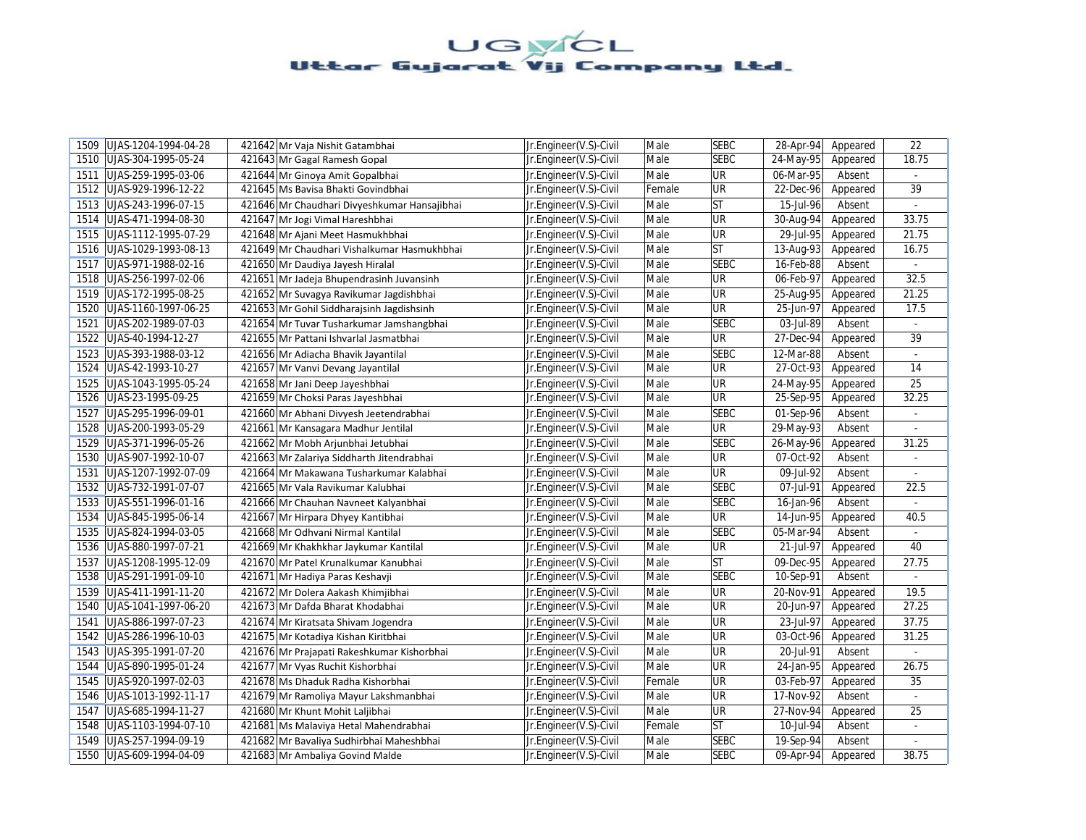| 1509 | UJAS-1204-1994-04-28 | 421642 Mr Vaja Nishit Gatambhai              | Jr.Engineer(V.S)-Civil | Male   | <b>SEBC</b> | 28-Apr-94 | Appeared | 22             |
|------|----------------------|----------------------------------------------|------------------------|--------|-------------|-----------|----------|----------------|
| 1510 | UJAS-304-1995-05-24  | 421643 Mr Gagal Ramesh Gopal                 | Jr.Engineer(V.S)-Civil | Male   | <b>SEBC</b> | 24-May-95 | Appeared | 18.75          |
| 1511 | UJAS-259-1995-03-06  | 421644 Mr Ginoya Amit Gopalbhai              | Jr.Engineer(V.S)-Civil | Male   | UR          | 06-Mar-95 | Absent   |                |
| 1512 | UJAS-929-1996-12-22  | 421645 Ms Bavisa Bhakti Govindbhai           | Jr.Engineer(V.S)-Civil | Female | <b>UR</b>   | 22-Dec-96 | Appeared | 39             |
| 1513 | UJAS-243-1996-07-15  | 421646 Mr Chaudhari Divyeshkumar Hansajibhai | Jr.Engineer(V.S)-Civil | Male   | lst         | 15-Jul-96 | Absent   | $\sim$         |
| 1514 | UJAS-471-1994-08-30  | 421647 Mr Jogi Vimal Hareshbhai              | Jr.Engineer(V.S)-Civil | Male   | <b>UR</b>   | 30-Aug-94 | Appeared | 33.75          |
| 1515 | UJAS-1112-1995-07-29 | 421648 Mr Ajani Meet Hasmukhbhai             | Jr.Engineer(V.S)-Civil | Male   | UR          | 29-Jul-95 | Appeared | 21.75          |
| 1516 | UJAS-1029-1993-08-13 | 421649 Mr Chaudhari Vishalkumar Hasmukhbhai  | Jr.Engineer(V.S)-Civil | Male   | lst         | 13-Aug-93 | Appeared | 16.75          |
| 1517 | UJAS-971-1988-02-16  | 421650 Mr Daudiya Jayesh Hiralal             | Jr.Engineer(V.S)-Civil | Male   | <b>SEBC</b> | 16-Feb-88 | Absent   | $\blacksquare$ |
| 1518 | UJAS-256-1997-02-06  | 421651 Mr Jadeja Bhupendrasinh Juvansinh     | Jr.Engineer(V.S)-Civil | Male   | <b>UR</b>   | 06-Feb-97 | Appeared | 32.5           |
| 1519 | UJAS-172-1995-08-25  | 421652 Mr Suvagya Ravikumar Jagdishbhai      | Jr.Engineer(V.S)-Civil | Male   | <b>UR</b>   | 25-Aug-95 | Appeared | 21.25          |
| 1520 | UJAS-1160-1997-06-25 | 421653 Mr Gohil Siddharajsinh Jagdishsinh    | Jr.Engineer(V.S)-Civil | Male   | <b>UR</b>   | 25-Jun-97 | Appeared | 17.5           |
| 1521 | UJAS-202-1989-07-03  | 421654 Mr Tuvar Tusharkumar Jamshangbhai     | Jr.Engineer(V.S)-Civil | Male   | <b>SEBC</b> | 03-Jul-89 | Absent   |                |
| 1522 | UJAS-40-1994-12-27   | 421655 Mr Pattani Ishvarlal Jasmatbhai       | Jr.Engineer(V.S)-Civil | Male   | <b>UR</b>   | 27-Dec-94 | Appeared | 39             |
| 1523 | UJAS-393-1988-03-12  | 421656 Mr Adiacha Bhavik Jayantilal          | Jr.Engineer(V.S)-Civil | Male   | <b>SEBC</b> | 12-Mar-88 | Absent   |                |
| 1524 | UJAS-42-1993-10-27   | 421657 Mr Vanvi Devang Jayantilal            | Jr.Engineer(V.S)-Civil | Male   | <b>UR</b>   | 27-Oct-93 | Appeared | 14             |
| 1525 | UJAS-1043-1995-05-24 | 421658 Mr Jani Deep Jayeshbhai               | Jr.Engineer(V.S)-Civil | Male   | UR          | 24-May-95 | Appeared | 25             |
| 1526 | UJAS-23-1995-09-25   | 421659 Mr Choksi Paras Jayeshbhai            | Jr.Engineer(V.S)-Civil | Male   | <b>UR</b>   | 25-Sep-95 | Appeared | 32.25          |
| 1527 | UJAS-295-1996-09-01  | 421660 Mr Abhani Divyesh Jeetendrabhai       | Jr.Engineer(V.S)-Civil | Male   | <b>SEBC</b> | 01-Sep-96 | Absent   |                |
| 1528 | UJAS-200-1993-05-29  | 421661 Mr Kansagara Madhur Jentilal          | Jr.Engineer(V.S)-Civil | Male   | <b>UR</b>   | 29-May-93 | Absent   |                |
| 1529 | UJAS-371-1996-05-26  | 421662 Mr Mobh Arjunbhai Jetubhai            | Jr.Engineer(V.S)-Civil | Male   | <b>SEBC</b> | 26-May-96 | Appeared | 31.25          |
| 1530 | UJAS-907-1992-10-07  | 421663 Mr Zalariya Siddharth Jitendrabhai    | Jr.Engineer(V.S)-Civil | Male   | <b>UR</b>   | 07-Oct-92 | Absent   |                |
| 1531 | UJAS-1207-1992-07-09 | 421664 Mr Makawana Tusharkumar Kalabhai      | Jr.Engineer(V.S)-Civil | Male   | <b>UR</b>   | 09-Jul-92 | Absent   | $\sim$         |
| 1532 | UJAS-732-1991-07-07  | 421665 Mr Vala Ravikumar Kalubhai            | Jr.Engineer(V.S)-Civil | Male   | <b>SEBC</b> | 07-Jul-91 | Appeared | 22.5           |
| 1533 | UJAS-551-1996-01-16  | 421666 Mr Chauhan Navneet Kalyanbhai         | Jr.Engineer(V.S)-Civil | Male   | <b>SEBC</b> | 16-Jan-96 | Absent   | $\omega$       |
| 1534 | UJAS-845-1995-06-14  | 421667 Mr Hirpara Dhyey Kantibhai            | Jr.Engineer(V.S)-Civil | Male   | <b>UR</b>   | 14-Jun-95 | Appeared | 40.5           |
| 1535 | UJAS-824-1994-03-05  | 421668 Mr Odhvani Nirmal Kantilal            | Jr.Engineer(V.S)-Civil | Male   | <b>SEBC</b> | 05-Mar-94 | Absent   |                |
| 1536 | UJAS-880-1997-07-21  | 421669 Mr Khakhkhar Jaykumar Kantilal        | Jr.Engineer(V.S)-Civil | Male   | <b>UR</b>   | 21-Jul-97 | Appeared | 40             |
| 1537 | UJAS-1208-1995-12-09 | 421670 Mr Patel Krunalkumar Kanubhai         | Jr.Engineer(V.S)-Civil | Male   | <b>ST</b>   | 09-Dec-95 | Appeared | 27.75          |
| 1538 | UJAS-291-1991-09-10  | 421671 Mr Hadiya Paras Keshavji              | Jr.Engineer(V.S)-Civil | Male   | <b>SEBC</b> | 10-Sep-91 | Absent   |                |
| 1539 | UJAS-411-1991-11-20  | 421672 Mr Dolera Aakash Khimjibhai           | Jr.Engineer(V.S)-Civil | Male   | UR          | 20-Nov-91 | Appeared | 19.5           |
| 1540 | UJAS-1041-1997-06-20 | 421673 Mr Dafda Bharat Khodabhai             | Jr.Engineer(V.S)-Civil | Male   | <b>UR</b>   | 20-Jun-97 | Appeared | 27.25          |
| 1541 | UJAS-886-1997-07-23  | 421674 Mr Kiratsata Shivam Jogendra          | Jr.Engineer(V.S)-Civil | Male   | <b>UR</b>   | 23-Jul-97 | Appeared | 37.75          |
| 1542 | UJAS-286-1996-10-03  | 421675 Mr Kotadiya Kishan Kiritbhai          | Jr.Engineer(V.S)-Civil | Male   | UR          | 03-Oct-96 | Appeared | 31.25          |
| 1543 | UJAS-395-1991-07-20  | 421676 Mr Prajapati Rakeshkumar Kishorbhai   | Jr.Engineer(V.S)-Civil | Male   | UR          | 20-Jul-91 | Absent   |                |
| 1544 | UJAS-890-1995-01-24  | 421677 Mr Vyas Ruchit Kishorbhai             | Jr.Engineer(V.S)-Civil | Male   | <b>UR</b>   | 24-Jan-95 | Appeared | 26.75          |
| 1545 | UJAS-920-1997-02-03  | 421678 Ms Dhaduk Radha Kishorbhai            | Jr.Engineer(V.S)-Civil | Female | <b>UR</b>   | 03-Feb-97 | Appeared | 35             |
| 1546 | UJAS-1013-1992-11-17 | 421679 Mr Ramoliya Mayur Lakshmanbhai        | Jr.Engineer(V.S)-Civil | Male   | <b>UR</b>   | 17-Nov-92 | Absent   |                |
| 1547 | UJAS-685-1994-11-27  | 421680 Mr Khunt Mohit Laljibhai              | Jr.Engineer(V.S)-Civil | Male   | UR          | 27-Nov-94 | Appeared | 25             |
| 1548 | UJAS-1103-1994-07-10 | 421681 Ms Malaviya Hetal Mahendrabhai        | Jr.Engineer(V.S)-Civil | Female | lst         | 10-Jul-94 | Absent   | $\blacksquare$ |
| 1549 | UJAS-257-1994-09-19  | 421682 Mr Bavaliya Sudhirbhai Maheshbhai     | Jr.Engineer(V.S)-Civil | Male   | <b>SEBC</b> | 19-Sep-94 | Absent   | $\blacksquare$ |
| 1550 | UJAS-609-1994-04-09  | 421683 Mr Ambaliya Govind Malde              | Jr.Engineer(V.S)-Civil | Male   | <b>SEBC</b> | 09-Apr-94 | Appeared | 38.75          |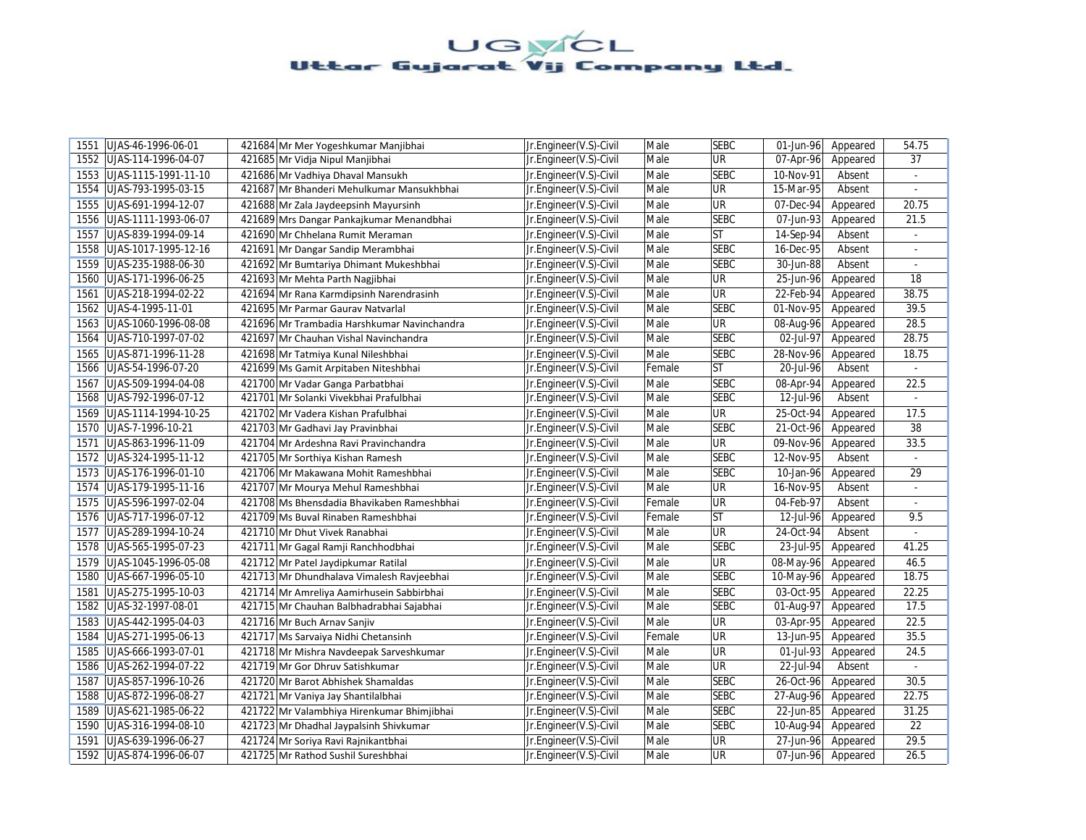| 1551 | UJAS-46-1996-06-01         | 421684 Mr Mer Yogeshkumar Manjibhai         | Jr.Engineer(V.S)-Civil | Male   | <b>SEBC</b> | 01-Jun-96 | Appeared | 54.75          |
|------|----------------------------|---------------------------------------------|------------------------|--------|-------------|-----------|----------|----------------|
| 1552 | UJAS-114-1996-04-07        | 421685 Mr Vidja Nipul Manjibhai             | Jr.Engineer(V.S)-Civil | Male   | UR          | 07-Apr-96 | Appeared | 37             |
| 1553 | UJAS-1115-1991-11-10       | 421686 Mr Vadhiya Dhaval Mansukh            | Jr.Engineer(V.S)-Civil | Male   | <b>SEBC</b> | 10-Nov-91 | Absent   | $\omega$       |
| 1554 | UJAS-793-1995-03-15        | 421687 Mr Bhanderi Mehulkumar Mansukhbhai   | Jr.Engineer(V.S)-Civil | Male   | UR          | 15-Mar-95 | Absent   |                |
| 1555 | UJAS-691-1994-12-07        | 421688 Mr Zala Jaydeepsinh Mayursinh        | Jr.Engineer(V.S)-Civil | Male   | UR          | 07-Dec-94 | Appeared | 20.75          |
| 1556 | UJAS-1111-1993-06-07       | 421689 Mrs Dangar Pankajkumar Menandbhai    | Jr.Engineer(V.S)-Civil | Male   | <b>SEBC</b> | 07-Jun-93 | Appeared | 21.5           |
| 1557 | UJAS-839-1994-09-14        | 421690 Mr Chhelana Rumit Meraman            | Jr.Engineer(V.S)-Civil | Male   | <b>ST</b>   | 14-Sep-94 | Absent   | $\omega$       |
|      | 1558 UJAS-1017-1995-12-16  | 421691 Mr Dangar Sandip Merambhai           | Jr.Engineer(V.S)-Civil | Male   | <b>SEBC</b> | 16-Dec-95 | Absent   | $\blacksquare$ |
| 1559 | UJAS-235-1988-06-30        | 421692 Mr Bumtariya Dhimant Mukeshbhai      | Jr.Engineer(V.S)-Civil | Male   | <b>SEBC</b> | 30-Jun-88 | Absent   | $\blacksquare$ |
| 1560 | UJAS-171-1996-06-25        | 421693 Mr Mehta Parth Nagjibhai             | Jr.Engineer(V.S)-Civil | Male   | <b>UR</b>   | 25-Jun-96 | Appeared | 18             |
| 1561 | UJAS-218-1994-02-22        | 421694 Mr Rana Karmdipsinh Narendrasinh     | Jr.Engineer(V.S)-Civil | Male   | UR          | 22-Feb-94 | Appeared | 38.75          |
| 1562 | UJAS-4-1995-11-01          | 421695 Mr Parmar Gaurav Natvarlal           | Jr.Engineer(V.S)-Civil | Male   | <b>SEBC</b> | 01-Nov-95 | Appeared | 39.5           |
| 1563 | UJAS-1060-1996-08-08       | 421696 Mr Trambadia Harshkumar Navinchandra | Jr.Engineer(V.S)-Civil | Male   | UR          | 08-Aug-96 | Appeared | 28.5           |
| 1564 | UJAS-710-1997-07-02        | 421697 Mr Chauhan Vishal Navinchandra       | Jr.Engineer(V.S)-Civil | Male   | SEBC        | 02-Jul-97 | Appeared | 28.75          |
| 1565 | UJAS-871-1996-11-28        | 421698 Mr Tatmiya Kunal Nileshbhai          | Jr.Engineer(V.S)-Civil | Male   | <b>SEBC</b> | 28-Nov-96 | Appeared | 18.75          |
| 1566 | UJAS-54-1996-07-20         | 421699 Ms Gamit Arpitaben Niteshbhai        | Jr.Engineer(V.S)-Civil | Female | <b>ST</b>   | 20-Jul-96 | Absent   | $\omega$       |
| 1567 | UJAS-509-1994-04-08        | 421700 Mr Vadar Ganga Parbatbhai            | Jr.Engineer(V.S)-Civil | Male   | <b>SEBC</b> | 08-Apr-94 | Appeared | 22.5           |
| 1568 | UJAS-792-1996-07-12        | 421701 Mr Solanki Vivekbhai Prafulbhai      | Jr.Engineer(V.S)-Civil | Male   | <b>SEBC</b> | 12-Jul-96 | Absent   | $\sim$         |
|      | 1569 UJAS-1114-1994-10-25  | 421702 Mr Vadera Kishan Prafulbhai          | Jr.Engineer(V.S)-Civil | Male   | UR          | 25-Oct-94 | Appeared | 17.5           |
| 1570 | UJAS-7-1996-10-21          | 421703 Mr Gadhavi Jay Pravinbhai            | Jr.Engineer(V.S)-Civil | Male   | <b>SEBC</b> | 21-Oct-96 | Appeared | 38             |
| 1571 | UJAS-863-1996-11-09        | 421704 Mr Ardeshna Ravi Pravinchandra       | Jr.Engineer(V.S)-Civil | Male   | <b>UR</b>   | 09-Nov-96 | Appeared | 33.5           |
| 1572 | UJAS-324-1995-11-12        | 421705 Mr Sorthiya Kishan Ramesh            | Jr.Engineer(V.S)-Civil | Male   | <b>SEBC</b> | 12-Nov-95 | Absent   |                |
| 1573 | UJAS-176-1996-01-10        | 421706 Mr Makawana Mohit Rameshbhai         | Jr.Engineer(V.S)-Civil | Male   | <b>SEBC</b> | 10-Jan-96 | Appeared | 29             |
| 1574 | UJAS-179-1995-11-16        | 421707 Mr Mourya Mehul Rameshbhai           | Jr.Engineer(V.S)-Civil | Male   | <b>UR</b>   | 16-Nov-95 | Absent   |                |
| 1575 | UJAS-596-1997-02-04        | 421708 Ms Bhensdadia Bhavikaben Rameshbhai  | Jr.Engineer(V.S)-Civil | Female | UR          | 04-Feb-97 | Absent   | ÷.             |
|      | 1576   UJAS-717-1996-07-12 | 421709 Ms Buval Rinaben Rameshbhai          | Jr.Engineer(V.S)-Civil | Female | <b>ST</b>   | 12-Jul-96 | Appeared | 9.5            |
| 1577 | UJAS-289-1994-10-24        | 421710 Mr Dhut Vivek Ranabhai               | Jr.Engineer(V.S)-Civil | Male   | <b>UR</b>   | 24-Oct-94 | Absent   | $\omega$       |
|      | 1578 UJAS-565-1995-07-23   | 421711 Mr Gagal Ramji Ranchhodbhai          | Jr.Engineer(V.S)-Civil | Male   | <b>SEBC</b> | 23-Jul-95 | Appeared | 41.25          |
| 1579 | UJAS-1045-1996-05-08       | 421712 Mr Patel Jaydipkumar Ratilal         | Jr.Engineer(V.S)-Civil | Male   | UR          | 08-May-96 | Appeared | 46.5           |
| 1580 | UJAS-667-1996-05-10        | 421713 Mr Dhundhalava Vimalesh Ravjeebhai   | Jr.Engineer(V.S)-Civil | Male   | <b>SEBC</b> | 10-May-96 | Appeared | 18.75          |
| 1581 | UJAS-275-1995-10-03        | 421714 Mr Amreliya Aamirhusein Sabbirbhai   | Jr.Engineer(V.S)-Civil | Male   | <b>SEBC</b> | 03-Oct-95 | Appeared | 22.25          |
|      | 1582 UJAS-32-1997-08-01    | 421715 Mr Chauhan Balbhadrabhai Sajabhai    | Jr.Engineer(V.S)-Civil | Male   | <b>SEBC</b> | 01-Aug-97 | Appeared | 17.5           |
| 1583 | UJAS-442-1995-04-03        | 421716 Mr Buch Arnav Sanjiv                 | Jr.Engineer(V.S)-Civil | Male   | UR          | 03-Apr-95 | Appeared | 22.5           |
| 1584 | UJAS-271-1995-06-13        | 421717 Ms Sarvaiya Nidhi Chetansinh         | Jr.Engineer(V.S)-Civil | Female | UR          | 13-Jun-95 | Appeared | 35.5           |
| 1585 | UJAS-666-1993-07-01        | 421718 Mr Mishra Navdeepak Sarveshkumar     | Jr.Engineer(V.S)-Civil | Male   | UR          | 01-Jul-93 | Appeared | 24.5           |
| 1586 | UJAS-262-1994-07-22        | 421719 Mr Gor Dhruv Satishkumar             | Jr.Engineer(V.S)-Civil | Male   | UR          | 22-Jul-94 | Absent   | $\sim$         |
| 1587 | UJAS-857-1996-10-26        | 421720 Mr Barot Abhishek Shamaldas          | Jr.Engineer(V.S)-Civil | Male   | <b>SEBC</b> | 26-Oct-96 | Appeared | 30.5           |
| 1588 | UJAS-872-1996-08-27        | 421721 Mr Vaniya Jay Shantilalbhai          | Jr.Engineer(V.S)-Civil | Male   | <b>SEBC</b> | 27-Aug-96 | Appeared | 22.75          |
| 1589 | UJAS-621-1985-06-22        | 421722 Mr Valambhiya Hirenkumar Bhimjibhai  | Jr.Engineer(V.S)-Civil | Male   | <b>SEBC</b> | 22-Jun-85 | Appeared | 31.25          |
| 1590 | UJAS-316-1994-08-10        | 421723 Mr Dhadhal Jaypalsinh Shivkumar      | Jr.Engineer(V.S)-Civil | Male   | <b>SEBC</b> | 10-Aug-94 | Appeared | 22             |
| 1591 | UJAS-639-1996-06-27        | 421724 Mr Soriya Ravi Rajnikantbhai         | Jr.Engineer(V.S)-Civil | Male   | UR          | 27-Jun-96 | Appeared | 29.5           |
|      | 1592   UJAS-874-1996-06-07 | 421725 Mr Rathod Sushil Sureshbhai          | Jr.Engineer(V.S)-Civil | Male   | UR          | 07-Jun-96 | Appeared | 26.5           |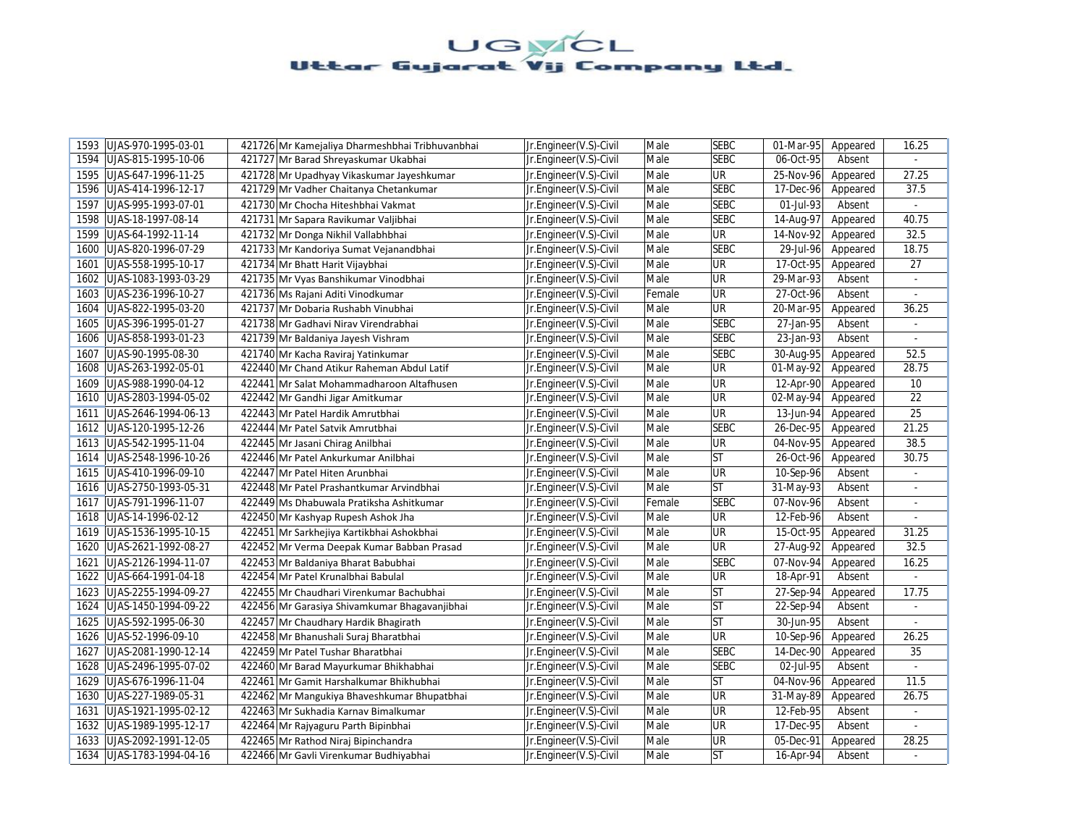| 1593 | UJAS-970-1995-03-01  | 421726 Mr Kamejaliya Dharmeshbhai Tribhuvanbhai | Jr.Engineer(V.S)-Civil | Male   | <b>SEBC</b> | 01-Mar-95               | Appeared | 16.25                    |
|------|----------------------|-------------------------------------------------|------------------------|--------|-------------|-------------------------|----------|--------------------------|
| 1594 | UJAS-815-1995-10-06  | 421727 Mr Barad Shreyaskumar Ukabhai            | Jr.Engineer(V.S)-Civil | Male   | <b>SEBC</b> | 06-Oct-95               | Absent   |                          |
| 1595 | UJAS-647-1996-11-25  | 421728 Mr Upadhyay Vikaskumar Jayeshkumar       | Jr.Engineer(V.S)-Civil | Male   | <b>UR</b>   | 25-Nov-96               | Appeared | 27.25                    |
| 1596 | UJAS-414-1996-12-17  | 421729 Mr Vadher Chaitanya Chetankumar          | Jr.Engineer(V.S)-Civil | Male   | <b>SEBC</b> | 17-Dec-96               | Appeared | 37.5                     |
| 1597 | UJAS-995-1993-07-01  | 421730 Mr Chocha Hiteshbhai Vakmat              | Jr.Engineer(V.S)-Civil | Male   | <b>SEBC</b> | 01-Jul-93               | Absent   | $\omega$                 |
| 1598 | UJAS-18-1997-08-14   | 421731 Mr Sapara Ravikumar Valjibhai            | Jr.Engineer(V.S)-Civil | Male   | <b>SEBC</b> | 14-Aug-97               | Appeared | 40.75                    |
| 1599 | UJAS-64-1992-11-14   | 421732 Mr Donga Nikhil Vallabhbhai              | Jr.Engineer(V.S)-Civil | Male   | <b>UR</b>   | 14-Nov-92               | Appeared | 32.5                     |
| 1600 | UJAS-820-1996-07-29  | 421733 Mr Kandoriya Sumat Vejanandbhai          | Jr.Engineer(V.S)-Civil | Male   | <b>SEBC</b> | $\overline{29}$ -Jul-96 | Appeared | 18.75                    |
| 1601 | UJAS-558-1995-10-17  | 421734 Mr Bhatt Harit Vijaybhai                 | Jr.Engineer(V.S)-Civil | Male   | UR          | 17-Oct-95               | Appeared | 27                       |
| 1602 | UJAS-1083-1993-03-29 | 421735 Mr Vyas Banshikumar Vinodbhai            | Jr.Engineer(V.S)-Civil | Male   | UR          | 29-Mar-93               | Absent   |                          |
| 1603 | UJAS-236-1996-10-27  | 421736 Ms Rajani Aditi Vinodkumar               | Jr.Engineer(V.S)-Civil | Female | UR          | 27-Oct-96               | Absent   |                          |
| 1604 | UJAS-822-1995-03-20  | 421737 Mr Dobaria Rushabh Vinubhai              | Jr.Engineer(V.S)-Civil | Male   | UR          | 20-Mar-95               | Appeared | 36.25                    |
| 1605 | UJAS-396-1995-01-27  | 421738 Mr Gadhavi Nirav Virendrabhai            | Jr.Engineer(V.S)-Civil | Male   | <b>SEBC</b> | 27-Jan-95               | Absent   |                          |
| 1606 | UJAS-858-1993-01-23  | 421739 Mr Baldaniya Jayesh Vishram              | Jr.Engineer(V.S)-Civil | Male   | <b>SEBC</b> | 23-Jan-93               | Absent   | $\omega$                 |
| 1607 | UJAS-90-1995-08-30   | 421740 Mr Kacha Raviraj Yatinkumar              | Jr.Engineer(V.S)-Civil | Male   | <b>SEBC</b> | 30-Aug-95               | Appeared | 52.5                     |
| 1608 | UJAS-263-1992-05-01  | 422440 Mr Chand Atikur Raheman Abdul Latif      | Jr.Engineer(V.S)-Civil | Male   | UR          | $\overline{01}$ -May-92 | Appeared | 28.75                    |
| 1609 | UJAS-988-1990-04-12  | 422441 Mr Salat Mohammadharoon Altafhusen       | Jr.Engineer(V.S)-Civil | Male   | UR          | 12-Apr-90               | Appeared | 10                       |
| 1610 | UJAS-2803-1994-05-02 | 422442 Mr Gandhi Jigar Amitkumar                | Jr.Engineer(V.S)-Civil | Male   | UR          | 02-May-94               | Appeared | 22                       |
| 1611 | UJAS-2646-1994-06-13 | 422443 Mr Patel Hardik Amrutbhai                | Jr.Engineer(V.S)-Civil | Male   | UR          | 13-Jun-94               | Appeared | 25                       |
| 1612 | UJAS-120-1995-12-26  | 422444 Mr Patel Satvik Amrutbhai                | Jr.Engineer(V.S)-Civil | Male   | <b>SEBC</b> | $26 - Dec-95$           | Appeared | 21.25                    |
| 1613 | UJAS-542-1995-11-04  | 422445 Mr Jasani Chirag Anilbhai                | Jr.Engineer(V.S)-Civil | Male   | UR          | 04-Nov-95               | Appeared | 38.5                     |
| 1614 | UJAS-2548-1996-10-26 | 422446 Mr Patel Ankurkumar Anilbhai             | Jr.Engineer(V.S)-Civil | Male   | <b>ST</b>   | 26-Oct-96               | Appeared | 30.75                    |
| 1615 | UJAS-410-1996-09-10  | 422447 Mr Patel Hiten Arunbhai                  | Jr.Engineer(V.S)-Civil | Male   | UR          | 10-Sep-96               | Absent   | $\sim$                   |
| 1616 | UJAS-2750-1993-05-31 | 422448 Mr Patel Prashantkumar Arvindbhai        | Jr.Engineer(V.S)-Civil | Male   | <b>ST</b>   | 31-May-93               | Absent   |                          |
| 1617 | UJAS-791-1996-11-07  | 422449 Ms Dhabuwala Pratiksha Ashitkumar        | Jr.Engineer(V.S)-Civil | Female | <b>SEBC</b> | 07-Nov-96               | Absent   | $\omega$                 |
| 1618 | UJAS-14-1996-02-12   | 422450 Mr Kashyap Rupesh Ashok Jha              | Jr.Engineer(V.S)-Civil | Male   | UR          | 12-Feb-96               | Absent   |                          |
| 1619 | UJAS-1536-1995-10-15 | 422451 Mr Sarkhejiya Kartikbhai Ashokbhai       | Jr.Engineer(V.S)-Civil | Male   | UR          | 15-Oct-95               | Appeared | 31.25                    |
| 1620 | UJAS-2621-1992-08-27 | 422452 Mr Verma Deepak Kumar Babban Prasad      | Jr.Engineer(V.S)-Civil | Male   | UR          | 27-Aug-92               | Appeared | 32.5                     |
| 1621 | UJAS-2126-1994-11-07 | 422453 Mr Baldaniya Bharat Babubhai             | Jr.Engineer(V.S)-Civil | Male   | <b>SEBC</b> | 07-Nov-94               | Appeared | 16.25                    |
| 1622 | UJAS-664-1991-04-18  | 422454 Mr Patel Krunalbhai Babulal              | Jr.Engineer(V.S)-Civil | Male   | UR          | 18-Apr-91               | Absent   |                          |
| 1623 | UJAS-2255-1994-09-27 | 422455 Mr Chaudhari Virenkumar Bachubhai        | Jr.Engineer(V.S)-Civil | Male   | <b>ST</b>   | 27-Sep-94               | Appeared | 17.75                    |
| 1624 | UJAS-1450-1994-09-22 | 422456 Mr Garasiya Shivamkumar Bhagavanjibhai   | Jr.Engineer(V.S)-Civil | Male   | <b>ST</b>   | 22-Sep-94               | Absent   | $\blacksquare$           |
| 1625 | UJAS-592-1995-06-30  | 422457 Mr Chaudhary Hardik Bhagirath            | Jr.Engineer(V.S)-Civil | Male   | <b>ST</b>   | 30-Jun-95               | Absent   |                          |
| 1626 | UJAS-52-1996-09-10   | 422458 Mr Bhanushali Suraj Bharatbhai           | Jr.Engineer(V.S)-Civil | Male   | UR          | 10-Sep-96               | Appeared | 26.25                    |
| 1627 | UJAS-2081-1990-12-14 | 422459 Mr Patel Tushar Bharatbhai               | Jr.Engineer(V.S)-Civil | Male   | <b>SEBC</b> | 14-Dec-90               | Appeared | 35                       |
| 1628 | UJAS-2496-1995-07-02 | 422460 Mr Barad Mayurkumar Bhikhabhai           | Jr.Engineer(V.S)-Civil | Male   | <b>SEBC</b> | 02-Jul-95               | Absent   | $\omega$                 |
| 1629 | UJAS-676-1996-11-04  | 422461 Mr Gamit Harshalkumar Bhikhubhai         | Jr.Engineer(V.S)-Civil | Male   | ST          | 04-Nov-96               | Appeared | 11.5                     |
| 1630 | UJAS-227-1989-05-31  | 422462 Mr Mangukiya Bhaveshkumar Bhupatbhai     | Jr.Engineer(V.S)-Civil | Male   | UR          | 31-May-89               | Appeared | 26.75                    |
| 1631 | UJAS-1921-1995-02-12 | 422463 Mr Sukhadia Karnav Bimalkumar            | Jr.Engineer(V.S)-Civil | Male   | UR          | 12-Feb-95               | Absent   | $\overline{\phantom{a}}$ |
| 1632 | UJAS-1989-1995-12-17 | 422464 Mr Rajyaguru Parth Bipinbhai             | Jr.Engineer(V.S)-Civil | Male   | UR          | 17-Dec-95               | Absent   |                          |
| 1633 | UJAS-2092-1991-12-05 | 422465 Mr Rathod Niraj Bipinchandra             | Jr.Engineer(V.S)-Civil | Male   | UR          | 05-Dec-91               | Appeared | 28.25                    |
| 1634 | UJAS-1783-1994-04-16 | 422466 Mr Gavli Virenkumar Budhiyabhai          | Jr.Engineer(V.S)-Civil | Male   | <b>ST</b>   | 16-Apr-94               | Absent   |                          |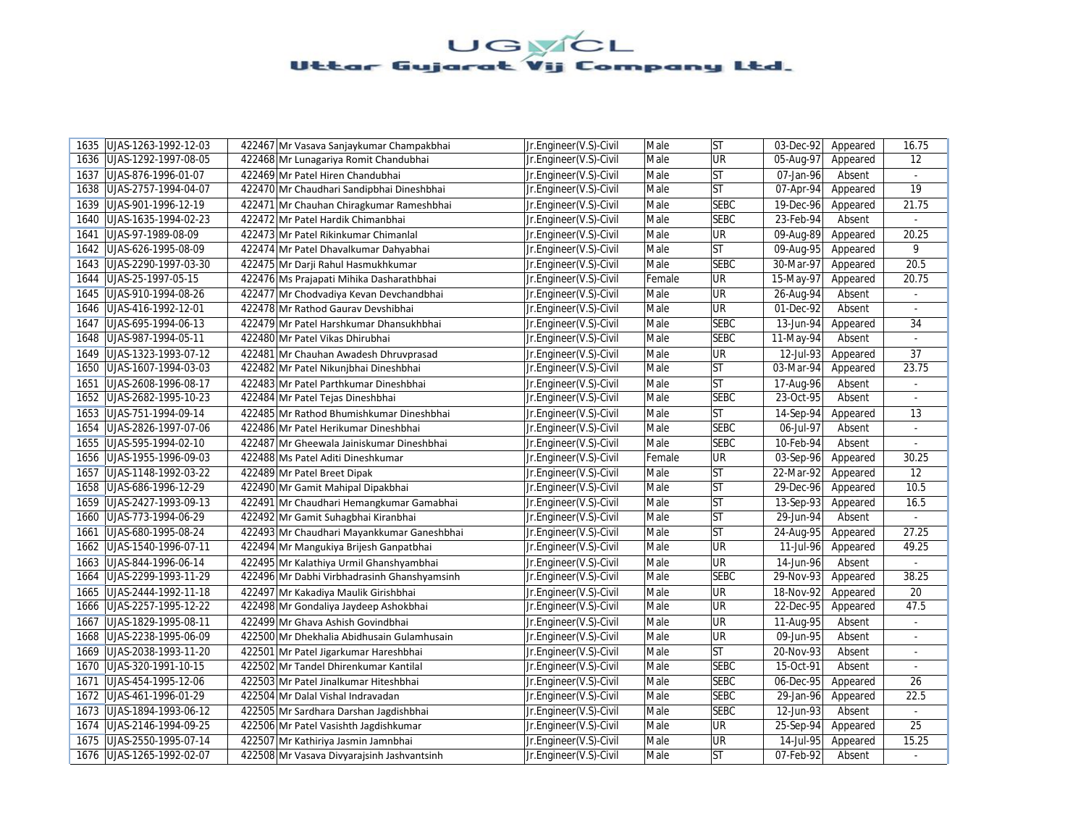| 1635 | UJAS-1263-1992-12-03       | 422467 Mr Vasava Sanjaykumar Champakbhai    | Jr.Engineer(V.S)-Civil | Male   | <b>ST</b>   | 03-Dec-92               | Appeared | 16.75           |
|------|----------------------------|---------------------------------------------|------------------------|--------|-------------|-------------------------|----------|-----------------|
| 1636 | UJAS-1292-1997-08-05       | 422468 Mr Lunagariya Romit Chandubhai       | Jr.Engineer(V.S)-Civil | Male   | UR          | 05-Aug-97               | Appeared | 12              |
| 1637 | UJAS-876-1996-01-07        | 422469 Mr Patel Hiren Chandubhai            | Jr.Engineer(V.S)-Civil | Male   | <b>ST</b>   | 07-Jan-96               | Absent   | $\omega$        |
| 1638 | UJAS-2757-1994-04-07       | 422470 Mr Chaudhari Sandipbhai Dineshbhai   | Jr.Engineer(V.S)-Civil | Male   | <b>ST</b>   | 07-Apr-94               | Appeared | 19              |
| 1639 | UJAS-901-1996-12-19        | 422471 Mr Chauhan Chiragkumar Rameshbhai    | Jr.Engineer(V.S)-Civil | Male   | <b>SEBC</b> | 19-Dec-96               | Appeared | 21.75           |
| 1640 | UJAS-1635-1994-02-23       | 422472 Mr Patel Hardik Chimanbhai           | Jr.Engineer(V.S)-Civil | Male   | <b>SEBC</b> | 23-Feb-94               | Absent   |                 |
| 1641 | UJAS-97-1989-08-09         | 422473 Mr Patel Rikinkumar Chimanlal        | Jr.Engineer(V.S)-Civil | Male   | UR          | 09-Aug-89               | Appeared | 20.25           |
|      | 1642   UJAS-626-1995-08-09 | 422474 Mr Patel Dhavalkumar Dahyabhai       | Jr.Engineer(V.S)-Civil | Male   | <b>ST</b>   | 09-Aug-95               | Appeared | 9               |
|      | 1643 UJAS-2290-1997-03-30  | 422475 Mr Darji Rahul Hasmukhkumar          | Jr.Engineer(V.S)-Civil | Male   | <b>SEBC</b> | 30-Mar-97               | Appeared | 20.5            |
| 1644 | UJAS-25-1997-05-15         | 422476 Ms Prajapati Mihika Dasharathbhai    | Jr.Engineer(V.S)-Civil | Female | UR          | 15-May-97               | Appeared | 20.75           |
|      | 1645   UJAS-910-1994-08-26 | 422477 Mr Chodvadiya Kevan Devchandbhai     | Jr.Engineer(V.S)-Civil | Male   | UR          | 26-Aug-94               | Absent   |                 |
| 1646 | UJAS-416-1992-12-01        | 422478 Mr Rathod Gaurav Devshibhai          | Jr.Engineer(V.S)-Civil | Male   | UR          | 01-Dec-92               | Absent   | $\omega$        |
| 1647 | UJAS-695-1994-06-13        | 422479 Mr Patel Harshkumar Dhansukhbhai     | Jr.Engineer(V.S)-Civil | Male   | <b>SEBC</b> | 13-Jun-94               | Appeared | 34              |
| 1648 | UJAS-987-1994-05-11        | 422480 Mr Patel Vikas Dhirubhai             | Jr.Engineer(V.S)-Civil | Male   | <b>SEBC</b> | 11-May-94               | Absent   | $\omega$        |
| 1649 | UJAS-1323-1993-07-12       | 422481 Mr Chauhan Awadesh Dhruvprasad       | Jr.Engineer(V.S)-Civil | Male   | UR          | 12-Jul-93               | Appeared | 37              |
| 1650 | UJAS-1607-1994-03-03       | 422482 Mr Patel Nikunjbhai Dineshbhai       | Jr.Engineer(V.S)-Civil | Male   | <b>ST</b>   | 03-Mar-94               | Appeared | 23.75           |
| 1651 | UJAS-2608-1996-08-17       | 422483 Mr Patel Parthkumar Dineshbhai       | Jr.Engineer(V.S)-Civil | Male   | <b>ST</b>   | 17-Aug-96               | Absent   | ä,              |
| 1652 | UJAS-2682-1995-10-23       | 422484 Mr Patel Tejas Dineshbhai            | Jr.Engineer(V.S)-Civil | Male   | <b>SEBC</b> | 23-Oct-95               | Absent   | $\sim$          |
|      | 1653 UJAS-751-1994-09-14   | 422485 Mr Rathod Bhumishkumar Dineshbhai    | Jr.Engineer(V.S)-Civil | Male   | <b>ST</b>   | 14-Sep-94               | Appeared | 13              |
| 1654 | UJAS-2826-1997-07-06       | 422486 Mr Patel Herikumar Dineshbhai        | Jr.Engineer(V.S)-Civil | Male   | <b>SEBC</b> | 06-Jul-97               | Absent   | ä,              |
| 1655 | UJAS-595-1994-02-10        | 422487 Mr Gheewala Jainiskumar Dineshbhai   | Jr.Engineer(V.S)-Civil | Male   | <b>SEBC</b> | 10-Feb-94               | Absent   | $\omega$        |
| 1656 | UJAS-1955-1996-09-03       | 422488 Ms Patel Aditi Dineshkumar           | Jr.Engineer(V.S)-Civil | Female | UR          | 03-Sep-96               | Appeared | 30.25           |
| 1657 | UJAS-1148-1992-03-22       | 422489 Mr Patel Breet Dipak                 | Jr.Engineer(V.S)-Civil | Male   | <b>ST</b>   | 22-Mar-92               | Appeared | $\overline{12}$ |
|      | 1658 UJAS-686-1996-12-29   | 422490 Mr Gamit Mahipal Dipakbhai           | Jr.Engineer(V.S)-Civil | Male   | <b>ST</b>   | 29-Dec-96               | Appeared | 10.5            |
| 1659 | UJAS-2427-1993-09-13       | 422491 Mr Chaudhari Hemangkumar Gamabhai    | Jr.Engineer(V.S)-Civil | Male   | ST          | 13-Sep-93               | Appeared | 16.5            |
| 1660 | UJAS-773-1994-06-29        | 422492 Mr Gamit Suhagbhai Kiranbhai         | Jr.Engineer(V.S)-Civil | Male   | <b>ST</b>   | $\overline{29}$ -Jun-94 | Absent   |                 |
| 1661 | UJAS-680-1995-08-24        | 422493 Mr Chaudhari Mayankkumar Ganeshbhai  | Jr.Engineer(V.S)-Civil | Male   | ST          | 24-Aug-95               | Appeared | 27.25           |
|      | 1662 UJAS-1540-1996-07-11  | 422494 Mr Mangukiya Brijesh Ganpatbhai      | Jr.Engineer(V.S)-Civil | Male   | UR          | 11-Jul-96               | Appeared | 49.25           |
| 1663 | UJAS-844-1996-06-14        | 422495 Mr Kalathiya Urmil Ghanshyambhai     | Jr.Engineer(V.S)-Civil | Male   | UR          | 14-Jun-96               | Absent   |                 |
| 1664 | UJAS-2299-1993-11-29       | 422496 Mr Dabhi Virbhadrasinh Ghanshyamsinh | Jr.Engineer(V.S)-Civil | Male   | <b>SEBC</b> | 29-Nov-93               | Appeared | 38.25           |
| 1665 | UJAS-2444-1992-11-18       | 422497 Mr Kakadiya Maulik Girishbhai        | Jr.Engineer(V.S)-Civil | Male   | UR          | 18-Nov-92               | Appeared | 20              |
| 1666 | UJAS-2257-1995-12-22       | 422498 Mr Gondaliya Jaydeep Ashokbhai       | Jr.Engineer(V.S)-Civil | Male   | UR          | 22-Dec-95               | Appeared | 47.5            |
| 1667 | UJAS-1829-1995-08-11       | 422499 Mr Ghava Ashish Govindbhai           | Jr.Engineer(V.S)-Civil | Male   | UR          | 11-Aug-95               | Absent   |                 |
| 1668 | UJAS-2238-1995-06-09       | 422500 Mr Dhekhalia Abidhusain Gulamhusain  | Jr.Engineer(V.S)-Civil | Male   | UR          | 09-Jun-95               | Absent   | ÷.              |
| 1669 | UJAS-2038-1993-11-20       | 422501 Mr Patel Jigarkumar Hareshbhai       | Jr.Engineer(V.S)-Civil | Male   | <b>ST</b>   | 20-Nov-93               | Absent   | $\blacksquare$  |
| 1670 | UJAS-320-1991-10-15        | 422502 Mr Tandel Dhirenkumar Kantilal       | Jr.Engineer(V.S)-Civil | Male   | <b>SEBC</b> | 15-Oct-91               | Absent   | $\sim$          |
| 1671 | UJAS-454-1995-12-06        | 422503 Mr Patel Jinalkumar Hiteshbhai       | Jr.Engineer(V.S)-Civil | Male   | <b>SEBC</b> | 06-Dec-95               | Appeared | 26              |
| 1672 | UJAS-461-1996-01-29        | 422504 Mr Dalal Vishal Indravadan           | Jr.Engineer(V.S)-Civil | Male   | <b>SEBC</b> | 29-Jan-96               | Appeared | 22.5            |
| 1673 | UJAS-1894-1993-06-12       | 422505 Mr Sardhara Darshan Jagdishbhai      | Jr.Engineer(V.S)-Civil | Male   | <b>SEBC</b> | 12-Jun-93               | Absent   | $\blacksquare$  |
| 1674 | UJAS-2146-1994-09-25       | 422506 Mr Patel Vasishth Jagdishkumar       | Jr.Engineer(V.S)-Civil | Male   | UR          | 25-Sep-94               | Appeared | 25              |
| 1675 | UJAS-2550-1995-07-14       | 422507 Mr Kathiriya Jasmin Jamnbhai         | Jr.Engineer(V.S)-Civil | Male   | UR          | 14-Jul-95               | Appeared | 15.25           |
|      | 1676 UJAS-1265-1992-02-07  | 422508 Mr Vasava Divyarajsinh Jashvantsinh  | Jr.Engineer(V.S)-Civil | Male   | <b>ST</b>   | 07-Feb-92               | Absent   |                 |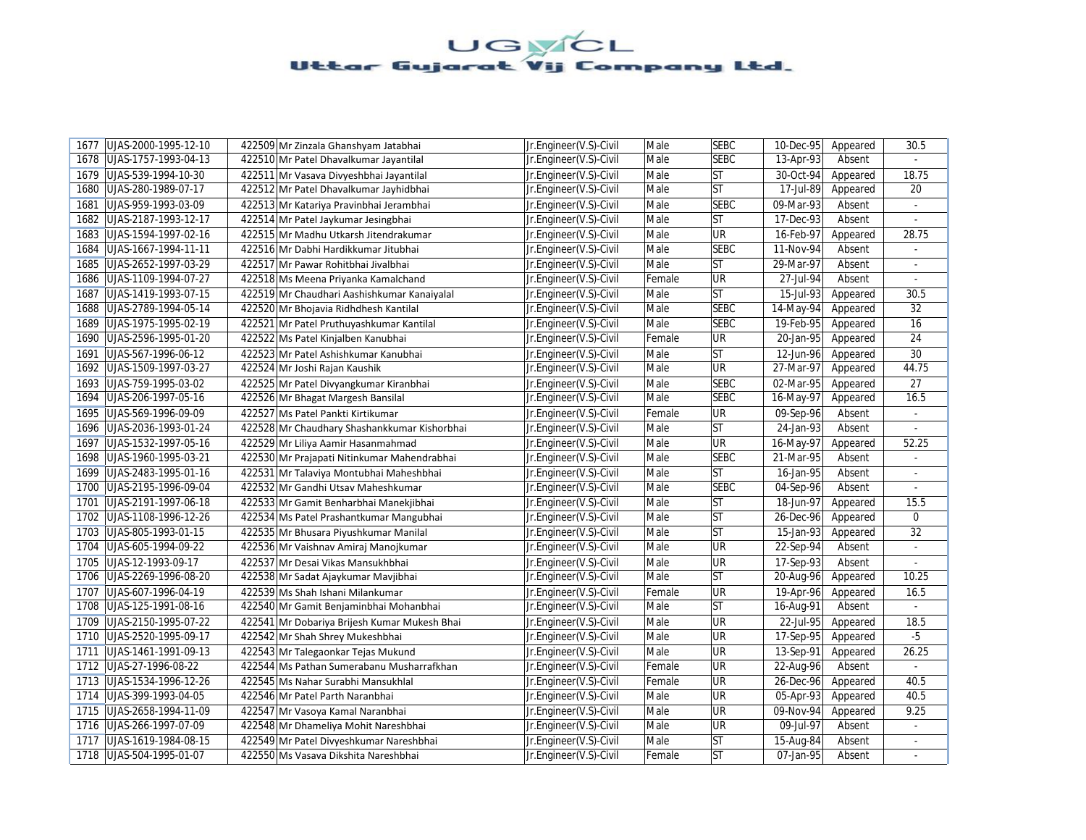| 1677 | UJAS-2000-1995-12-10 | 422509 Mr Zinzala Ghanshyam Jatabhai         | Jr.Engineer(V.S)-Civil | Male   | <b>SEBC</b> | 10-Dec-95 | Appeared | 30.5                     |
|------|----------------------|----------------------------------------------|------------------------|--------|-------------|-----------|----------|--------------------------|
| 1678 | UJAS-1757-1993-04-13 | 422510 Mr Patel Dhavalkumar Jayantilal       | Jr.Engineer(V.S)-Civil | Male   | <b>SEBC</b> | 13-Apr-93 | Absent   |                          |
| 1679 | UJAS-539-1994-10-30  | 422511 Mr Vasava Divyeshbhai Jayantilal      | Jr.Engineer(V.S)-Civil | Male   | lst         | 30-Oct-94 | Appeared | 18.75                    |
| 1680 | UJAS-280-1989-07-17  | 422512 Mr Patel Dhavalkumar Jayhidbhai       | Jr.Engineer(V.S)-Civil | Male   | <b>ST</b>   | 17-Jul-89 | Appeared | 20                       |
| 1681 | UJAS-959-1993-03-09  | 422513 Mr Katariya Pravinbhai Jerambhai      | Jr.Engineer(V.S)-Civil | Male   | <b>SEBC</b> | 09-Mar-93 | Absent   | ä,                       |
| 1682 | UJAS-2187-1993-12-17 | 422514 Mr Patel Jaykumar Jesingbhai          | Jr.Engineer(V.S)-Civil | Male   | <b>ST</b>   | 17-Dec-93 | Absent   |                          |
| 1683 | UJAS-1594-1997-02-16 | 422515 Mr Madhu Utkarsh Jitendrakumar        | Jr.Engineer(V.S)-Civil | Male   | <b>UR</b>   | 16-Feb-97 | Appeared | 28.75                    |
| 1684 | UJAS-1667-1994-11-11 | 422516 Mr Dabhi Hardikkumar Jitubhai         | Jr.Engineer(V.S)-Civil | Male   | <b>SEBC</b> | 11-Nov-94 | Absent   | ÷.                       |
| 1685 | UJAS-2652-1997-03-29 | 422517 Mr Pawar Rohitbhai Jivalbhai          | Jr.Engineer(V.S)-Civil | Male   | lst         | 29-Mar-97 | Absent   | $\overline{\phantom{a}}$ |
| 1686 | UJAS-1109-1994-07-27 | 422518 Ms Meena Priyanka Kamalchand          | Jr.Engineer(V.S)-Civil | Female | <b>UR</b>   | 27-Jul-94 | Absent   |                          |
| 1687 | UJAS-1419-1993-07-15 | 422519 Mr Chaudhari Aashishkumar Kanaiyalal  | Jr.Engineer(V.S)-Civil | Male   | <b>ST</b>   | 15-Jul-93 | Appeared | 30.5                     |
| 1688 | UJAS-2789-1994-05-14 | 422520 Mr Bhojavia Ridhdhesh Kantilal        | Jr.Engineer(V.S)-Civil | Male   | <b>SEBC</b> | 14-May-94 | Appeared | 32                       |
| 1689 | UJAS-1975-1995-02-19 | 422521 Mr Patel Pruthuyashkumar Kantilal     | Jr.Engineer(V.S)-Civil | Male   | <b>SEBC</b> | 19-Feb-95 | Appeared | 16                       |
| 1690 | UJAS-2596-1995-01-20 | 422522 Ms Patel Kinjalben Kanubhai           | Jr.Engineer(V.S)-Civil | Female | <b>UR</b>   | 20-Jan-95 | Appeared | 24                       |
| 1691 | UJAS-567-1996-06-12  | 422523 Mr Patel Ashishkumar Kanubhai         | Jr.Engineer(V.S)-Civil | Male   | lst         | 12-Jun-96 | Appeared | 30                       |
| 1692 | UJAS-1509-1997-03-27 | 422524 Mr Joshi Rajan Kaushik                | Jr.Engineer(V.S)-Civil | Male   | UR          | 27-Mar-97 | Appeared | 44.75                    |
| 1693 | UJAS-759-1995-03-02  | 422525 Mr Patel Divyangkumar Kiranbhai       | Jr.Engineer(V.S)-Civil | Male   | <b>SEBC</b> | 02-Mar-95 | Appeared | 27                       |
| 1694 | UJAS-206-1997-05-16  | 422526 Mr Bhagat Margesh Bansilal            | Jr.Engineer(V.S)-Civil | Male   | <b>SEBC</b> | 16-May-97 | Appeared | 16.5                     |
| 1695 | UJAS-569-1996-09-09  | 422527 Ms Patel Pankti Kirtikumar            | Jr.Engineer(V.S)-Civil | Female | <b>UR</b>   | 09-Sep-96 | Absent   | ÷.                       |
| 1696 | UJAS-2036-1993-01-24 | 422528 Mr Chaudhary Shashankkumar Kishorbhai | Jr.Engineer(V.S)-Civil | Male   | <b>ST</b>   | 24-Jan-93 | Absent   |                          |
| 1697 | UJAS-1532-1997-05-16 | 422529 Mr Liliya Aamir Hasanmahmad           | Jr.Engineer(V.S)-Civil | Male   | <b>UR</b>   | 16-May-97 | Appeared | 52.25                    |
| 1698 | UJAS-1960-1995-03-21 | 422530 Mr Prajapati Nitinkumar Mahendrabhai  | Jr.Engineer(V.S)-Civil | Male   | <b>SEBC</b> | 21-Mar-95 | Absent   |                          |
| 1699 | UJAS-2483-1995-01-16 | 422531 Mr Talaviya Montubhai Maheshbhai      | Jr.Engineer(V.S)-Civil | Male   | ST          | 16-Jan-95 | Absent   | $\overline{a}$           |
| 1700 | UJAS-2195-1996-09-04 | 422532 Mr Gandhi Utsav Maheshkumar           | Jr.Engineer(V.S)-Civil | Male   | <b>SEBC</b> | 04-Sep-96 | Absent   |                          |
| 1701 | UJAS-2191-1997-06-18 | 422533 Mr Gamit Benharbhai Manekjibhai       | Jr.Engineer(V.S)-Civil | Male   | lst         | 18-Jun-97 | Appeared | 15.5                     |
| 1702 | UJAS-1108-1996-12-26 | 422534 Ms Patel Prashantkumar Mangubhai      | Jr.Engineer(V.S)-Civil | Male   | <b>ST</b>   | 26-Dec-96 | Appeared | 0                        |
| 1703 | UJAS-805-1993-01-15  | 422535 Mr Bhusara Piyushkumar Manilal        | Jr.Engineer(V.S)-Civil | Male   | <b>ST</b>   | 15-Jan-93 | Appeared | 32                       |
| 1704 | UJAS-605-1994-09-22  | 422536 Mr Vaishnav Amiraj Manojkumar         | Jr.Engineer(V.S)-Civil | Male   | <b>UR</b>   | 22-Sep-94 | Absent   |                          |
| 1705 | UJAS-12-1993-09-17   | 422537 Mr Desai Vikas Mansukhbhai            | Jr.Engineer(V.S)-Civil | Male   | UR          | 17-Sep-93 | Absent   |                          |
| 1706 | UJAS-2269-1996-08-20 | 422538 Mr Sadat Ajaykumar Mavjibhai          | Jr.Engineer(V.S)-Civil | Male   | lst         | 20-Aug-96 | Appeared | 10.25                    |
| 1707 | UJAS-607-1996-04-19  | 422539 Ms Shah Ishani Milankumar             | Jr.Engineer(V.S)-Civil | Female | <b>UR</b>   | 19-Apr-96 | Appeared | 16.5                     |
| 1708 | UJAS-125-1991-08-16  | 422540 Mr Gamit Benjaminbhai Mohanbhai       | Jr.Engineer(V.S)-Civil | Male   | lst         | 16-Aug-91 | Absent   | ÷.                       |
| 1709 | UJAS-2150-1995-07-22 | 422541 Mr Dobariya Brijesh Kumar Mukesh Bhai | Jr.Engineer(V.S)-Civil | Male   | <b>UR</b>   | 22-Jul-95 | Appeared | 18.5                     |
| 1710 | UJAS-2520-1995-09-17 | 422542 Mr Shah Shrey Mukeshbhai              | Jr.Engineer(V.S)-Civil | Male   | <b>UR</b>   | 17-Sep-95 | Appeared | $-5$                     |
| 1711 | UJAS-1461-1991-09-13 | 422543 Mr Talegaonkar Tejas Mukund           | Jr.Engineer(V.S)-Civil | Male   | UR          | 13-Sep-91 | Appeared | 26.25                    |
| 1712 | UJAS-27-1996-08-22   | 422544 Ms Pathan Sumerabanu Musharrafkhan    | Jr.Engineer(V.S)-Civil | Female | <b>UR</b>   | 22-Aug-96 | Absent   |                          |
| 1713 | UJAS-1534-1996-12-26 | 422545 Ms Nahar Surabhi Mansukhlal           | Jr.Engineer(V.S)-Civil | Female | <b>UR</b>   | 26-Dec-96 | Appeared | 40.5                     |
| 1714 | UJAS-399-1993-04-05  | 422546 Mr Patel Parth Naranbhai              | Jr.Engineer(V.S)-Civil | Male   | <b>UR</b>   | 05-Apr-93 | Appeared | $40.\overline{5}$        |
| 1715 | UJAS-2658-1994-11-09 | 422547 Mr Vasoya Kamal Naranbhai             | Jr.Engineer(V.S)-Civil | Male   | UR          | 09-Nov-94 | Appeared | 9.25                     |
| 1716 | UJAS-266-1997-07-09  | 422548 Mr Dhameliya Mohit Nareshbhai         | Jr.Engineer(V.S)-Civil | Male   | UR          | 09-Jul-97 | Absent   | $\blacksquare$           |
| 1717 | UJAS-1619-1984-08-15 | 422549 Mr Patel Divyeshkumar Nareshbhai      | Jr.Engineer(V.S)-Civil | Male   | ST          | 15-Aug-84 | Absent   | ÷.                       |
| 1718 | UJAS-504-1995-01-07  | 422550 Ms Vasava Dikshita Nareshbhai         | Jr.Engineer(V.S)-Civil | Female | lst         | 07-Jan-95 | Absent   |                          |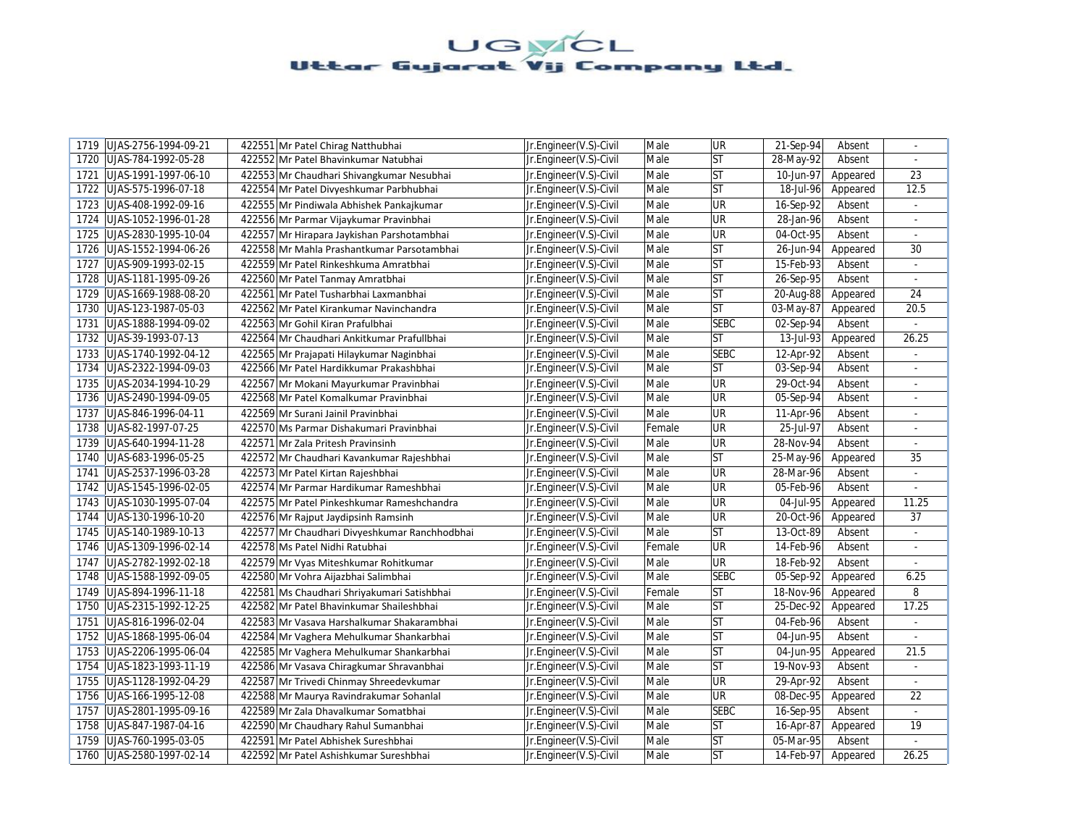| UJAS-2756-1994-09-21<br>1719 | 422551 Mr Patel Chirag Natthubhai             | Jr.Engineer(V.S)-Civil | Male   | <b>UR</b>   | 21-Sep-94 | Absent   | $\sim$                   |
|------------------------------|-----------------------------------------------|------------------------|--------|-------------|-----------|----------|--------------------------|
| 1720<br>UJAS-784-1992-05-28  | 422552 Mr Patel Bhavinkumar Natubhai          | Jr.Engineer(V.S)-Civil | Male   | <b>ST</b>   | 28-May-92 | Absent   |                          |
| 1721<br>UJAS-1991-1997-06-10 | 422553 Mr Chaudhari Shivangkumar Nesubhai     | Jr.Engineer(V.S)-Civil | Male   | <b>ST</b>   | 10-Jun-97 | Appeared | 23                       |
| 1722<br>UJAS-575-1996-07-18  | 422554 Mr Patel Divyeshkumar Parbhubhai       | Jr.Engineer(V.S)-Civil | Male   | <b>ST</b>   | 18-Jul-96 | Appeared | 12.5                     |
| UJAS-408-1992-09-16<br>1723  | 422555 Mr Pindiwala Abhishek Pankajkumar      | Jr.Engineer(V.S)-Civil | Male   | UR          | 16-Sep-92 | Absent   | $\sim$                   |
| UJAS-1052-1996-01-28<br>1724 | 422556 Mr Parmar Vijaykumar Pravinbhai        | Jr.Engineer(V.S)-Civil | Male   | UR          | 28-Jan-96 | Absent   |                          |
| UJAS-2830-1995-10-04<br>1725 | 422557 Mr Hirapara Jaykishan Parshotambhai    | Jr.Engineer(V.S)-Civil | Male   | UR          | 04-Oct-95 | Absent   | ÷.                       |
| 1726<br>UJAS-1552-1994-06-26 | 422558 Mr Mahla Prashantkumar Parsotambhai    | Jr.Engineer(V.S)-Civil | Male   | <b>ST</b>   | 26-Jun-94 | Appeared | 30                       |
| 1727<br>UJAS-909-1993-02-15  | 422559 Mr Patel Rinkeshkuma Amratbhai         | Jr.Engineer(V.S)-Civil | Male   | <b>ST</b>   | 15-Feb-93 | Absent   |                          |
| 1728<br>UJAS-1181-1995-09-26 | 422560 Mr Patel Tanmay Amratbhai              | Jr.Engineer(V.S)-Civil | Male   | ST          | 26-Sep-95 | Absent   |                          |
| 1729<br>UJAS-1669-1988-08-20 | 422561 Mr Patel Tusharbhai Laxmanbhai         | Jr.Engineer(V.S)-Civil | Male   | <b>ST</b>   | 20-Aug-88 | Appeared | 24                       |
| 1730<br>UJAS-123-1987-05-03  | 422562 Mr Patel Kirankumar Navinchandra       | Jr.Engineer(V.S)-Civil | Male   | ST          | 03-May-87 | Appeared | 20.5                     |
| UJAS-1888-1994-09-02<br>1731 | 422563 Mr Gohil Kiran Prafulbhai              | Jr.Engineer(V.S)-Civil | Male   | <b>SEBC</b> | 02-Sep-94 | Absent   |                          |
| 1732<br>UJAS-39-1993-07-13   | 422564 Mr Chaudhari Ankitkumar Prafullbhai    | Jr.Engineer(V.S)-Civil | Male   | ST          | 13-Jul-93 | Appeared | 26.25                    |
| 1733<br>UJAS-1740-1992-04-12 | 422565 Mr Prajapati Hilaykumar Naginbhai      | Jr.Engineer(V.S)-Civil | Male   | <b>SEBC</b> | 12-Apr-92 | Absent   |                          |
| 1734<br>UJAS-2322-1994-09-03 | 422566 Mr Patel Hardikkumar Prakashbhai       | Jr.Engineer(V.S)-Civil | Male   | <b>ST</b>   | 03-Sep-94 | Absent   | L.                       |
| UJAS-2034-1994-10-29<br>1735 | 422567 Mr Mokani Mayurkumar Pravinbhai        | Jr.Engineer(V.S)-Civil | Male   | UR          | 29-Oct-94 | Absent   | $\sim$                   |
| 1736<br>UJAS-2490-1994-09-05 | 422568 Mr Patel Komalkumar Pravinbhai         | Jr.Engineer(V.S)-Civil | Male   | UR          | 05-Sep-94 | Absent   |                          |
| 1737<br>UJAS-846-1996-04-11  | 422569 Mr Surani Jainil Pravinbhai            | Jr.Engineer(V.S)-Civil | Male   | UR          | 11-Apr-96 | Absent   | ٠                        |
| 1738<br>UJAS-82-1997-07-25   | 422570 Ms Parmar Dishakumari Pravinbhai       | Jr.Engineer(V.S)-Civil | Female | UR          | 25-Jul-97 | Absent   |                          |
| 1739<br>UJAS-640-1994-11-28  | 422571 Mr Zala Pritesh Pravinsinh             | Jr.Engineer(V.S)-Civil | Male   | UR          | 28-Nov-94 | Absent   | ÷.                       |
| UJAS-683-1996-05-25<br>1740  | 422572 Mr Chaudhari Kavankumar Rajeshbhai     | Jr.Engineer(V.S)-Civil | Male   | <b>ST</b>   | 25-May-96 | Appeared | 35                       |
| UJAS-2537-1996-03-28<br>1741 | 422573 Mr Patel Kirtan Rajeshbhai             | Jr.Engineer(V.S)-Civil | Male   | UR          | 28-Mar-96 | Absent   | $\omega$                 |
| 1742<br>UJAS-1545-1996-02-05 | 422574 Mr Parmar Hardikumar Rameshbhai        | Jr.Engineer(V.S)-Civil | Male   | UR          | 05-Feb-96 | Absent   |                          |
| UJAS-1030-1995-07-04<br>1743 | 422575 Mr Patel Pinkeshkumar Rameshchandra    | Jr.Engineer(V.S)-Civil | Male   | UR          | 04-Jul-95 | Appeared | 11.25                    |
| 1744<br>UJAS-130-1996-10-20  | 422576 Mr Rajput Jaydipsinh Ramsinh           | Jr.Engineer(V.S)-Civil | Male   | <b>UR</b>   | 20-Oct-96 | Appeared | 37                       |
| UJAS-140-1989-10-13<br>1745  | 422577 Mr Chaudhari Divyeshkumar Ranchhodbhai | Jr.Engineer(V.S)-Civil | Male   | <b>ST</b>   | 13-Oct-89 | Absent   | $\mathcal{L}$            |
| UJAS-1309-1996-02-14<br>1746 | 422578 Ms Patel Nidhi Ratubhai                | Jr.Engineer(V.S)-Civil | Female | UR          | 14-Feb-96 | Absent   |                          |
| UJAS-2782-1992-02-18<br>1747 | 422579 Mr Vyas Miteshkumar Rohitkumar         | Jr.Engineer(V.S)-Civil | Male   | UR          | 18-Feb-92 | Absent   |                          |
| 1748<br>UJAS-1588-1992-09-05 | 422580 Mr Vohra Aijazbhai Salimbhai           | Jr.Engineer(V.S)-Civil | Male   | <b>SEBC</b> | 05-Sep-92 | Appeared | 6.25                     |
| 1749<br>UJAS-894-1996-11-18  | 422581 Ms Chaudhari Shriyakumari Satishbhai   | Jr.Engineer(V.S)-Civil | Female | <b>ST</b>   | 18-Nov-96 | Appeared | 8                        |
| 1750<br>UJAS-2315-1992-12-25 | 422582 Mr Patel Bhavinkumar Shaileshbhai      | Jr.Engineer(V.S)-Civil | Male   | <b>ST</b>   | 25-Dec-92 | Appeared | 17.25                    |
| 1751<br>UJAS-816-1996-02-04  | 422583 Mr Vasava Harshalkumar Shakarambhai    | Jr.Engineer(V.S)-Civil | Male   | <b>ST</b>   | 04-Feb-96 | Absent   |                          |
| 1752<br>UJAS-1868-1995-06-04 | 422584 Mr Vaghera Mehulkumar Shankarbhai      | Jr.Engineer(V.S)-Civil | Male   | <b>ST</b>   | 04-Jun-95 | Absent   | ÷.                       |
| 1753<br>UJAS-2206-1995-06-04 | 422585 Mr Vaghera Mehulkumar Shankarbhai      | Jr.Engineer(V.S)-Civil | Male   | <b>ST</b>   | 04-Jun-95 | Appeared | 21.5                     |
| UJAS-1823-1993-11-19<br>1754 | 422586 Mr Vasava Chiragkumar Shravanbhai      | Jr.Engineer(V.S)-Civil | Male   | <b>ST</b>   | 19-Nov-93 | Absent   | $\sim$                   |
| UJAS-1128-1992-04-29<br>1755 | 422587 Mr Trivedi Chinmay Shreedevkumar       | Jr.Engineer(V.S)-Civil | Male   | UR          | 29-Apr-92 | Absent   | $\overline{\phantom{a}}$ |
| 1756<br>UJAS-166-1995-12-08  | 422588 Mr Maurya Ravindrakumar Sohanlal       | Jr.Engineer(V.S)-Civil | Male   | UR          | 08-Dec-95 | Appeared | 22                       |
| 1757<br>UJAS-2801-1995-09-16 | 422589 Mr Zala Dhavalkumar Somatbhai          | Jr.Engineer(V.S)-Civil | Male   | <b>SEBC</b> | 16-Sep-95 | Absent   | $\blacksquare$           |
| 1758<br>UJAS-847-1987-04-16  | 422590 Mr Chaudhary Rahul Sumanbhai           | Jr.Engineer(V.S)-Civil | Male   | <b>ST</b>   | 16-Apr-87 | Appeared | 19                       |
| 1759<br>UJAS-760-1995-03-05  | 422591 Mr Patel Abhishek Sureshbhai           | Jr.Engineer(V.S)-Civil | Male   | ST          | 05-Mar-95 | Absent   | $\omega$                 |
| 1760 UJAS-2580-1997-02-14    | 422592 Mr Patel Ashishkumar Sureshbhai        | Jr.Engineer(V.S)-Civil | Male   | <b>ST</b>   | 14-Feb-97 | Appeared | 26.25                    |